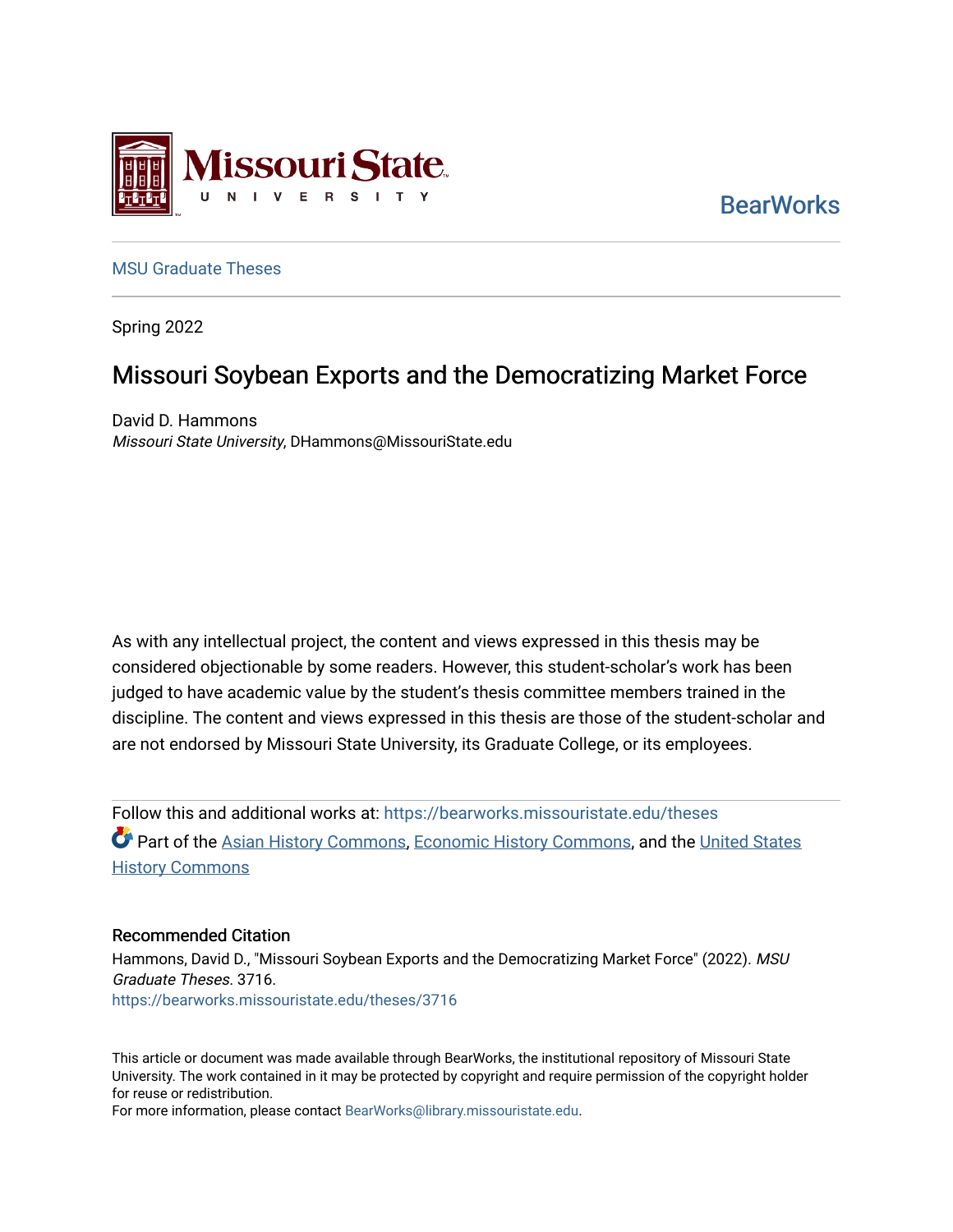

**BearWorks** 

### [MSU Graduate Theses](https://bearworks.missouristate.edu/theses)

Spring 2022

# Missouri Soybean Exports and the Democratizing Market Force

David D. Hammons Missouri State University, DHammons@MissouriState.edu

As with any intellectual project, the content and views expressed in this thesis may be considered objectionable by some readers. However, this student-scholar's work has been judged to have academic value by the student's thesis committee members trained in the discipline. The content and views expressed in this thesis are those of the student-scholar and are not endorsed by Missouri State University, its Graduate College, or its employees.

Follow this and additional works at: [https://bearworks.missouristate.edu/theses](https://bearworks.missouristate.edu/theses?utm_source=bearworks.missouristate.edu%2Ftheses%2F3716&utm_medium=PDF&utm_campaign=PDFCoverPages)  **Part of the [Asian History Commons](http://network.bepress.com/hgg/discipline/491?utm_source=bearworks.missouristate.edu%2Ftheses%2F3716&utm_medium=PDF&utm_campaign=PDFCoverPages), [Economic History Commons,](http://network.bepress.com/hgg/discipline/343?utm_source=bearworks.missouristate.edu%2Ftheses%2F3716&utm_medium=PDF&utm_campaign=PDFCoverPages) and the [United States](http://network.bepress.com/hgg/discipline/495?utm_source=bearworks.missouristate.edu%2Ftheses%2F3716&utm_medium=PDF&utm_campaign=PDFCoverPages) [History Commons](http://network.bepress.com/hgg/discipline/495?utm_source=bearworks.missouristate.edu%2Ftheses%2F3716&utm_medium=PDF&utm_campaign=PDFCoverPages)** 

### Recommended Citation

Hammons, David D., "Missouri Soybean Exports and the Democratizing Market Force" (2022). MSU Graduate Theses. 3716. [https://bearworks.missouristate.edu/theses/3716](https://bearworks.missouristate.edu/theses/3716?utm_source=bearworks.missouristate.edu%2Ftheses%2F3716&utm_medium=PDF&utm_campaign=PDFCoverPages) 

This article or document was made available through BearWorks, the institutional repository of Missouri State University. The work contained in it may be protected by copyright and require permission of the copyright holder for reuse or redistribution.

For more information, please contact [BearWorks@library.missouristate.edu.](mailto:BearWorks@library.missouristate.edu)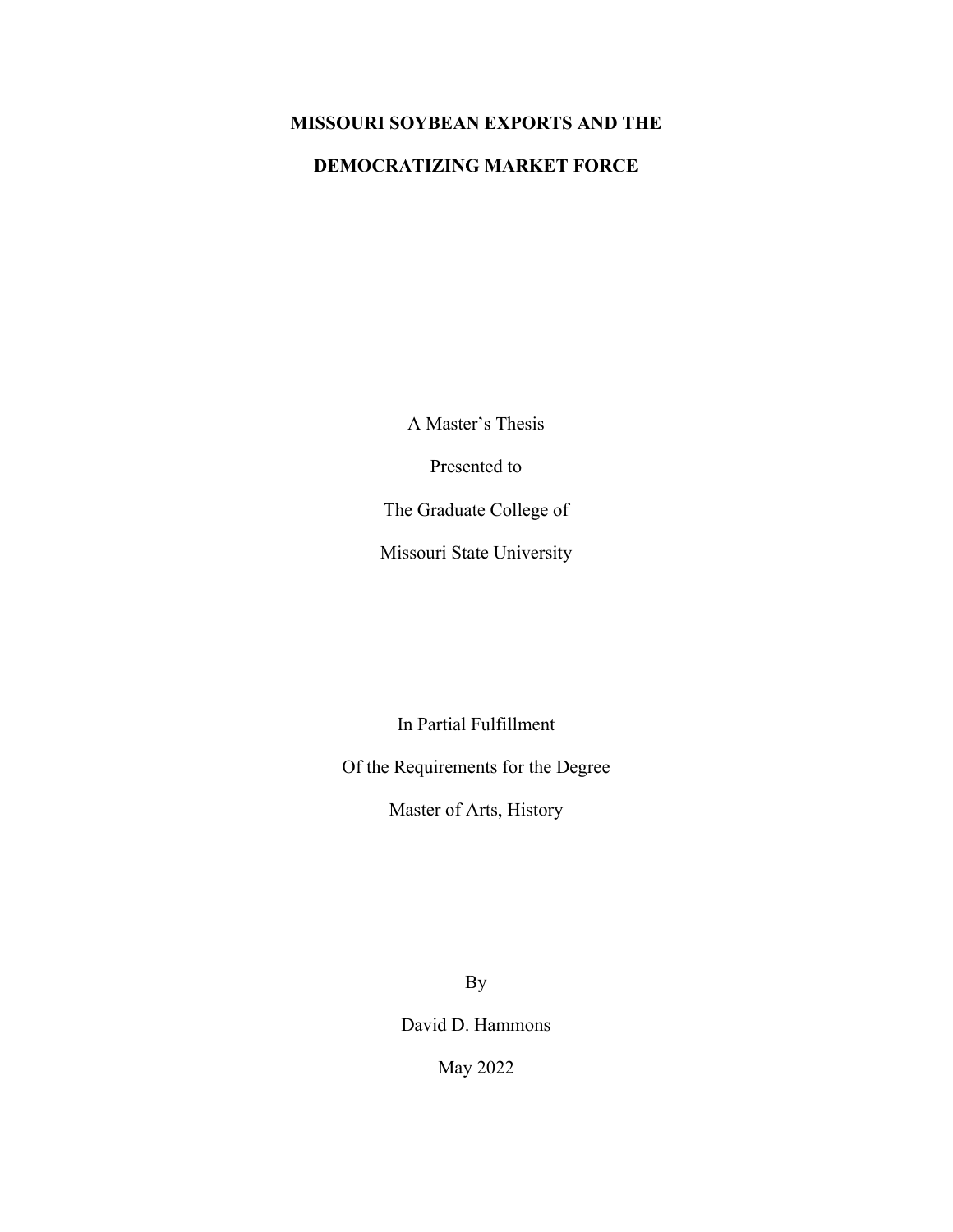## **MISSOURI SOYBEAN EXPORTS AND THE**

### **DEMOCRATIZING MARKET FORCE**

A Master's Thesis

Presented to

The Graduate College of

Missouri State University

In Partial Fulfillment

Of the Requirements for the Degree

Master of Arts, History

By

David D. Hammons

May 2022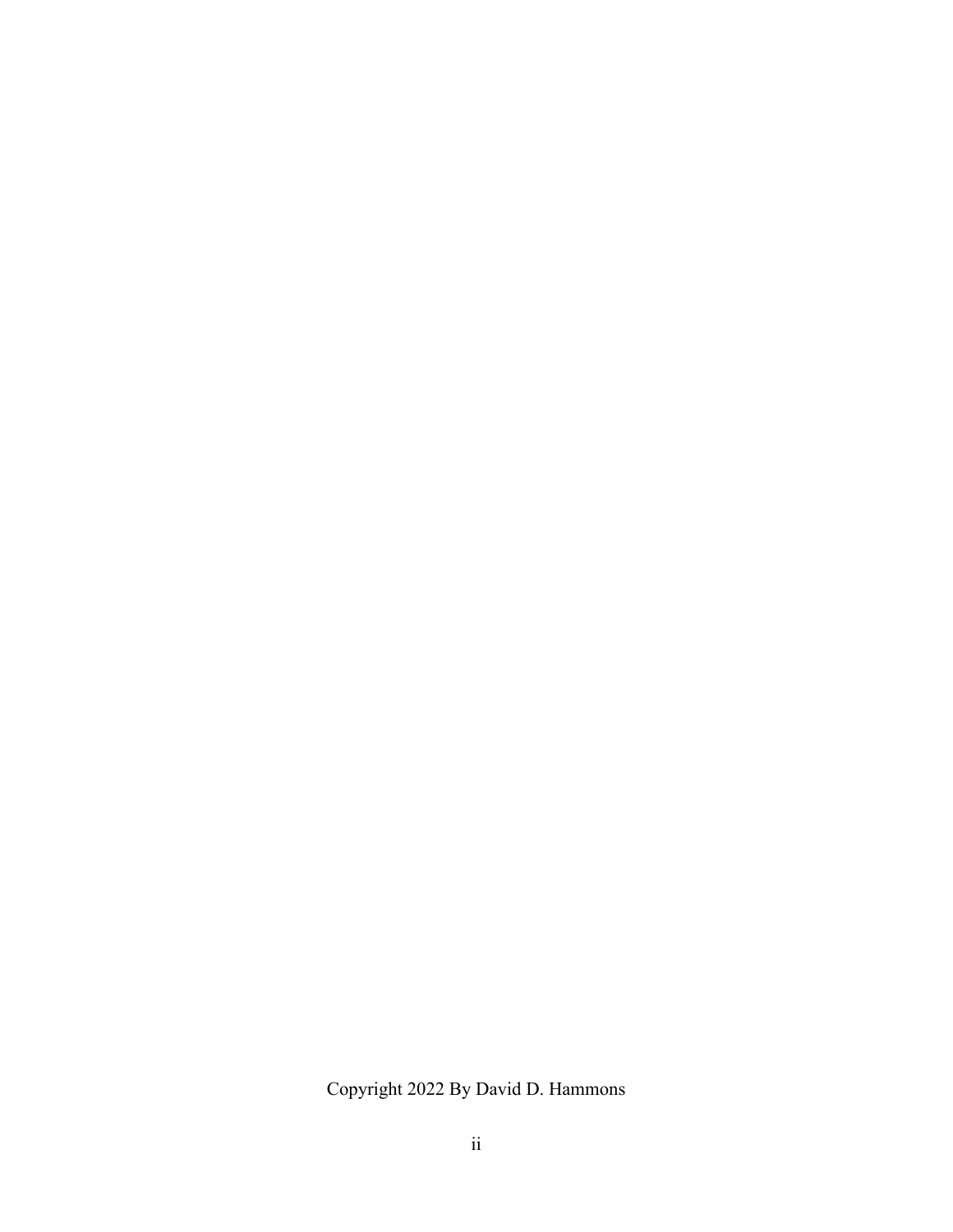Copyright 2022 By David D. Hammons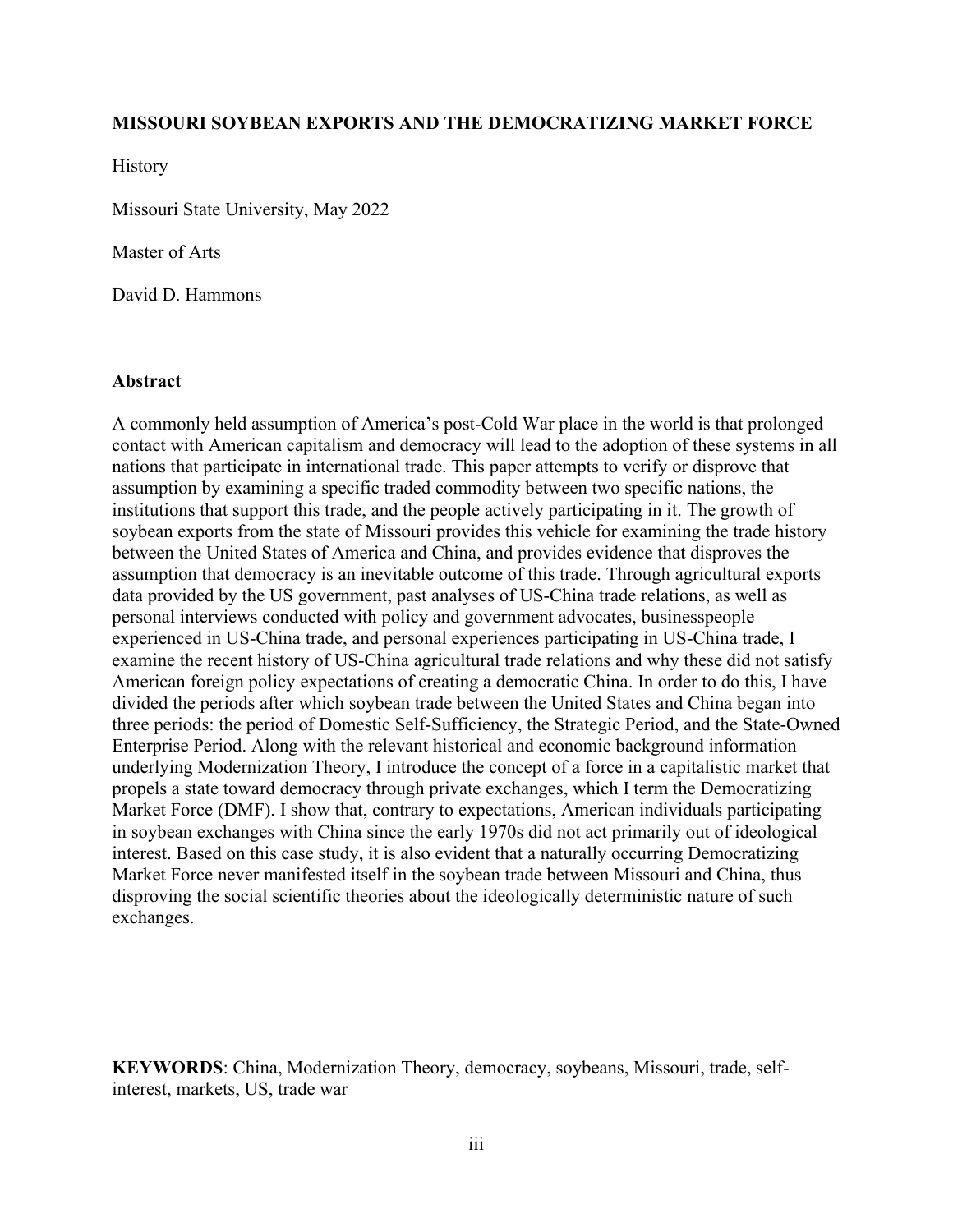### **MISSOURI SOYBEAN EXPORTS AND THE DEMOCRATIZING MARKET FORCE**

History

Missouri State University, May 2022

Master of Arts

David D. Hammons

### **Abstract**

A commonly held assumption of America's post-Cold War place in the world is that prolonged contact with American capitalism and democracy will lead to the adoption of these systems in all nations that participate in international trade. This paper attempts to verify or disprove that assumption by examining a specific traded commodity between two specific nations, the institutions that support this trade, and the people actively participating in it. The growth of soybean exports from the state of Missouri provides this vehicle for examining the trade history between the United States of America and China, and provides evidence that disproves the assumption that democracy is an inevitable outcome of this trade. Through agricultural exports data provided by the US government, past analyses of US-China trade relations, as well as personal interviews conducted with policy and government advocates, businesspeople experienced in US-China trade, and personal experiences participating in US-China trade, I examine the recent history of US-China agricultural trade relations and why these did not satisfy American foreign policy expectations of creating a democratic China. In order to do this, I have divided the periods after which soybean trade between the United States and China began into three periods: the period of Domestic Self-Sufficiency, the Strategic Period, and the State-Owned Enterprise Period. Along with the relevant historical and economic background information underlying Modernization Theory, I introduce the concept of a force in a capitalistic market that propels a state toward democracy through private exchanges, which I term the Democratizing Market Force (DMF). I show that, contrary to expectations, American individuals participating in soybean exchanges with China since the early 1970s did not act primarily out of ideological interest. Based on this case study, it is also evident that a naturally occurring Democratizing Market Force never manifested itself in the soybean trade between Missouri and China, thus disproving the social scientific theories about the ideologically deterministic nature of such exchanges.

**KEYWORDS**: China, Modernization Theory, democracy, soybeans, Missouri, trade, selfinterest, markets, US, trade war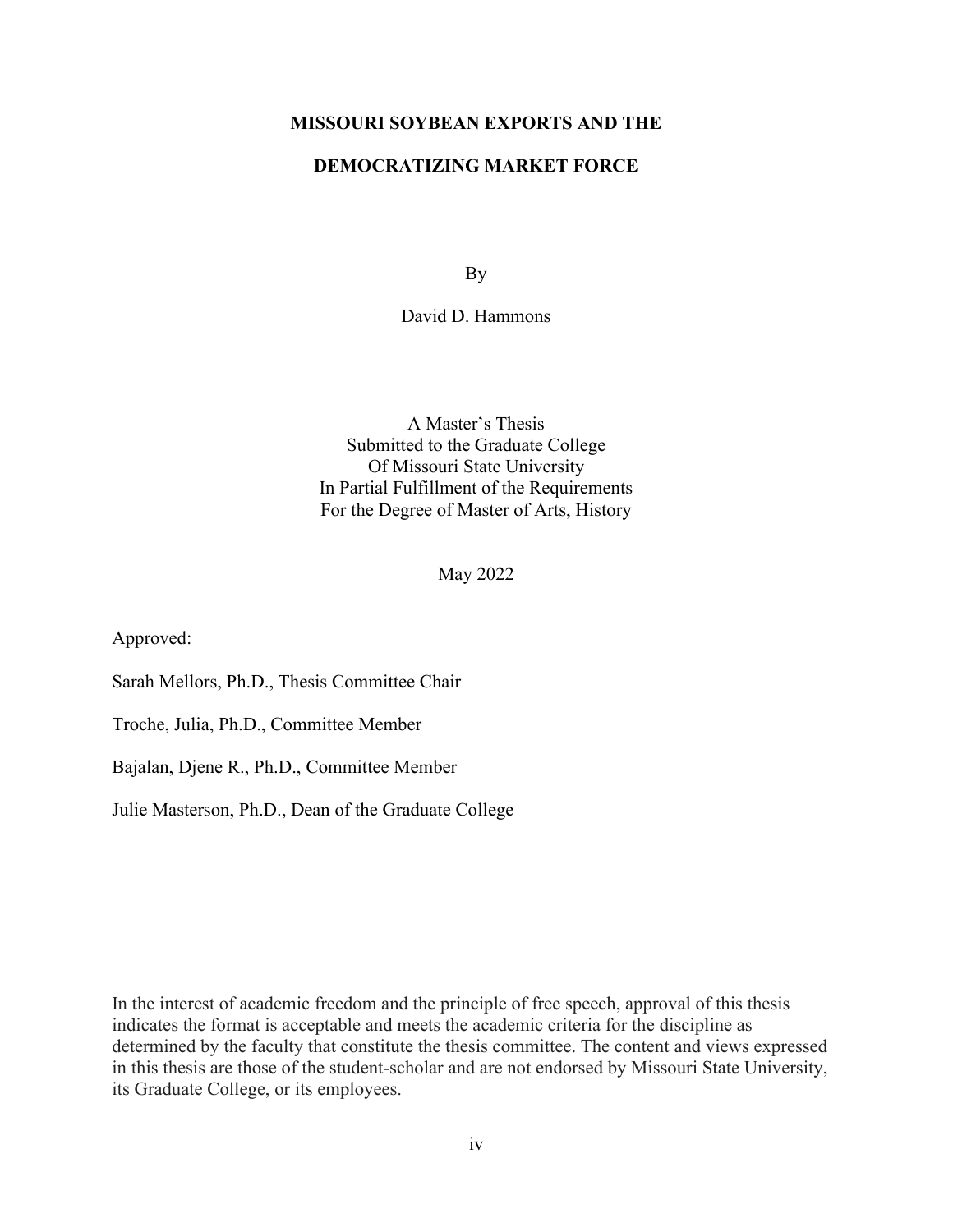### **MISSOURI SOYBEAN EXPORTS AND THE**

### **DEMOCRATIZING MARKET FORCE**

By

David D. Hammons

A Master's Thesis Submitted to the Graduate College Of Missouri State University In Partial Fulfillment of the Requirements For the Degree of Master of Arts, History

May 2022

Approved:

Sarah Mellors, Ph.D., Thesis Committee Chair

Troche, Julia, Ph.D., Committee Member

Bajalan, Djene R., Ph.D., Committee Member

Julie Masterson, Ph.D., Dean of the Graduate College

In the interest of academic freedom and the principle of free speech, approval of this thesis indicates the format is acceptable and meets the academic criteria for the discipline as determined by the faculty that constitute the thesis committee. The content and views expressed in this thesis are those of the student-scholar and are not endorsed by Missouri State University, its Graduate College, or its employees.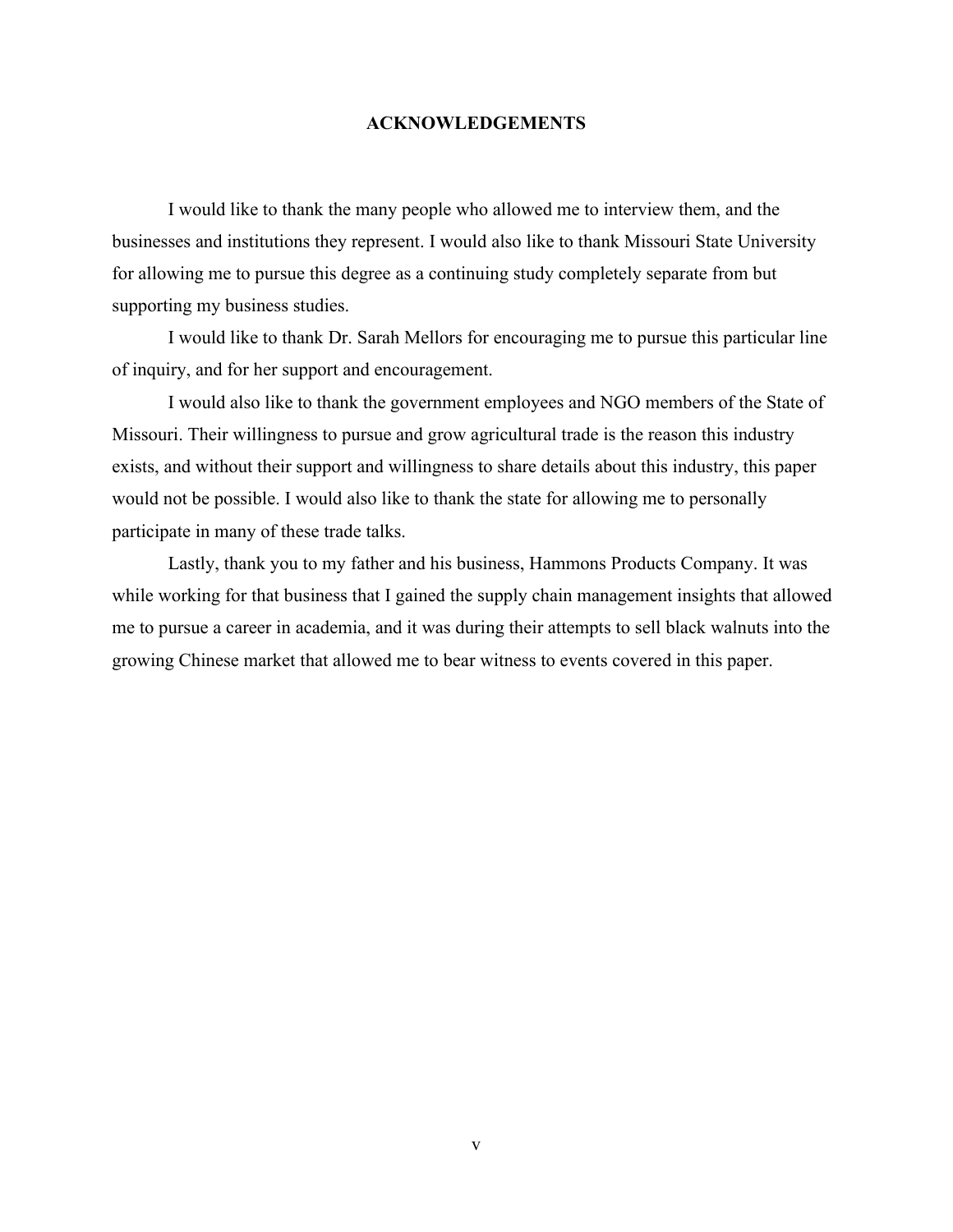### **ACKNOWLEDGEMENTS**

I would like to thank the many people who allowed me to interview them, and the businesses and institutions they represent. I would also like to thank Missouri State University for allowing me to pursue this degree as a continuing study completely separate from but supporting my business studies.

I would like to thank Dr. Sarah Mellors for encouraging me to pursue this particular line of inquiry, and for her support and encouragement.

I would also like to thank the government employees and NGO members of the State of Missouri. Their willingness to pursue and grow agricultural trade is the reason this industry exists, and without their support and willingness to share details about this industry, this paper would not be possible. I would also like to thank the state for allowing me to personally participate in many of these trade talks.

Lastly, thank you to my father and his business, Hammons Products Company. It was while working for that business that I gained the supply chain management insights that allowed me to pursue a career in academia, and it was during their attempts to sell black walnuts into the growing Chinese market that allowed me to bear witness to events covered in this paper.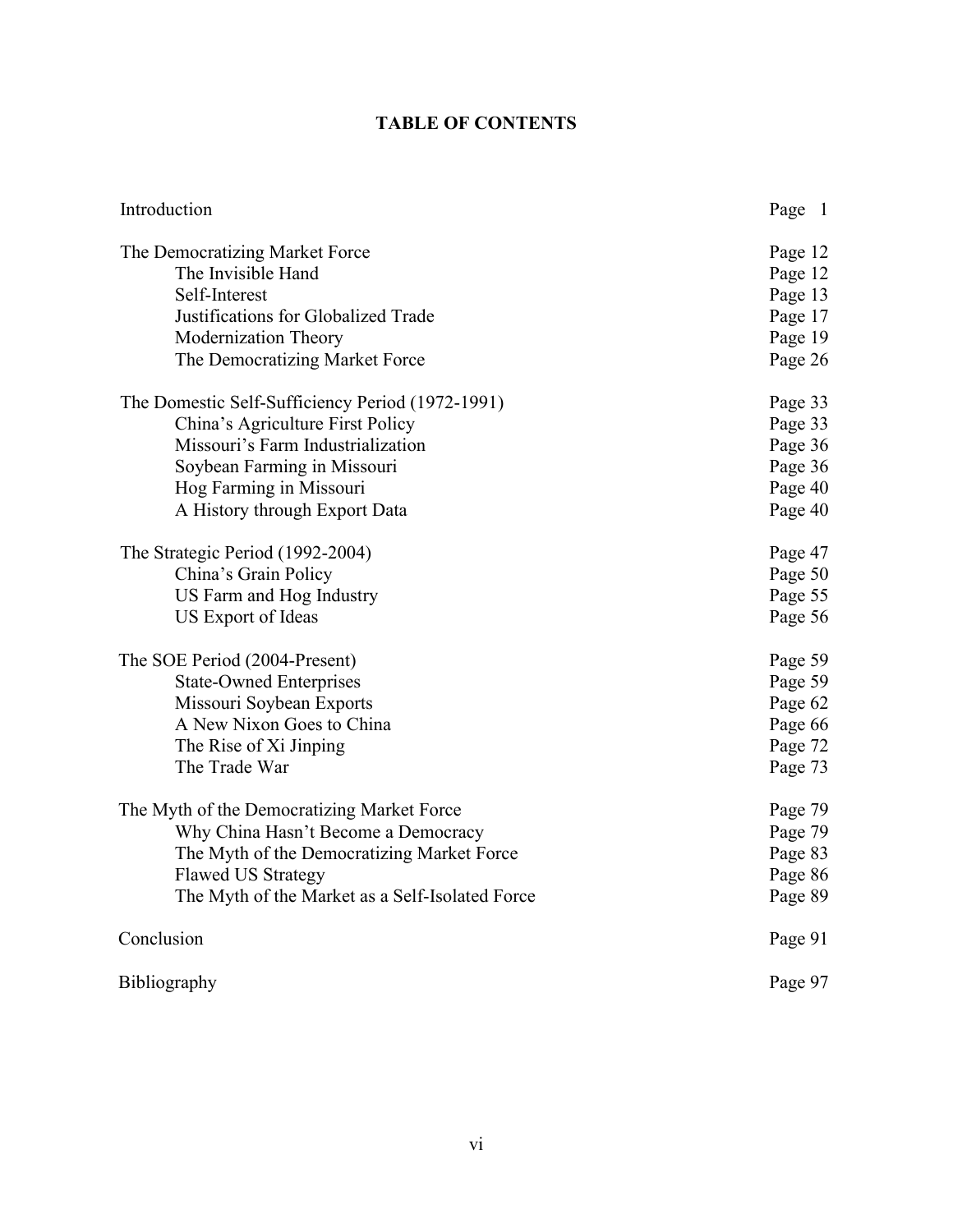## **TABLE OF CONTENTS**

| Introduction                                     | Page 1  |
|--------------------------------------------------|---------|
| The Democratizing Market Force                   | Page 12 |
| The Invisible Hand                               | Page 12 |
| Self-Interest                                    | Page 13 |
| Justifications for Globalized Trade              | Page 17 |
| Modernization Theory                             | Page 19 |
| The Democratizing Market Force                   | Page 26 |
| The Domestic Self-Sufficiency Period (1972-1991) | Page 33 |
| China's Agriculture First Policy                 | Page 33 |
| Missouri's Farm Industrialization                | Page 36 |
| Soybean Farming in Missouri                      | Page 36 |
| Hog Farming in Missouri                          | Page 40 |
| A History through Export Data                    | Page 40 |
| The Strategic Period (1992-2004)                 | Page 47 |
| China's Grain Policy                             | Page 50 |
| US Farm and Hog Industry                         | Page 55 |
| US Export of Ideas                               | Page 56 |
| The SOE Period (2004-Present)                    | Page 59 |
| <b>State-Owned Enterprises</b>                   | Page 59 |
| Missouri Soybean Exports                         | Page 62 |
| A New Nixon Goes to China                        | Page 66 |
| The Rise of Xi Jinping                           | Page 72 |
| The Trade War                                    | Page 73 |
| The Myth of the Democratizing Market Force       | Page 79 |
| Why China Hasn't Become a Democracy              | Page 79 |
| The Myth of the Democratizing Market Force       | Page 83 |
| <b>Flawed US Strategy</b>                        | Page 86 |
| The Myth of the Market as a Self-Isolated Force  | Page 89 |
| Conclusion                                       | Page 91 |
| Bibliography                                     | Page 97 |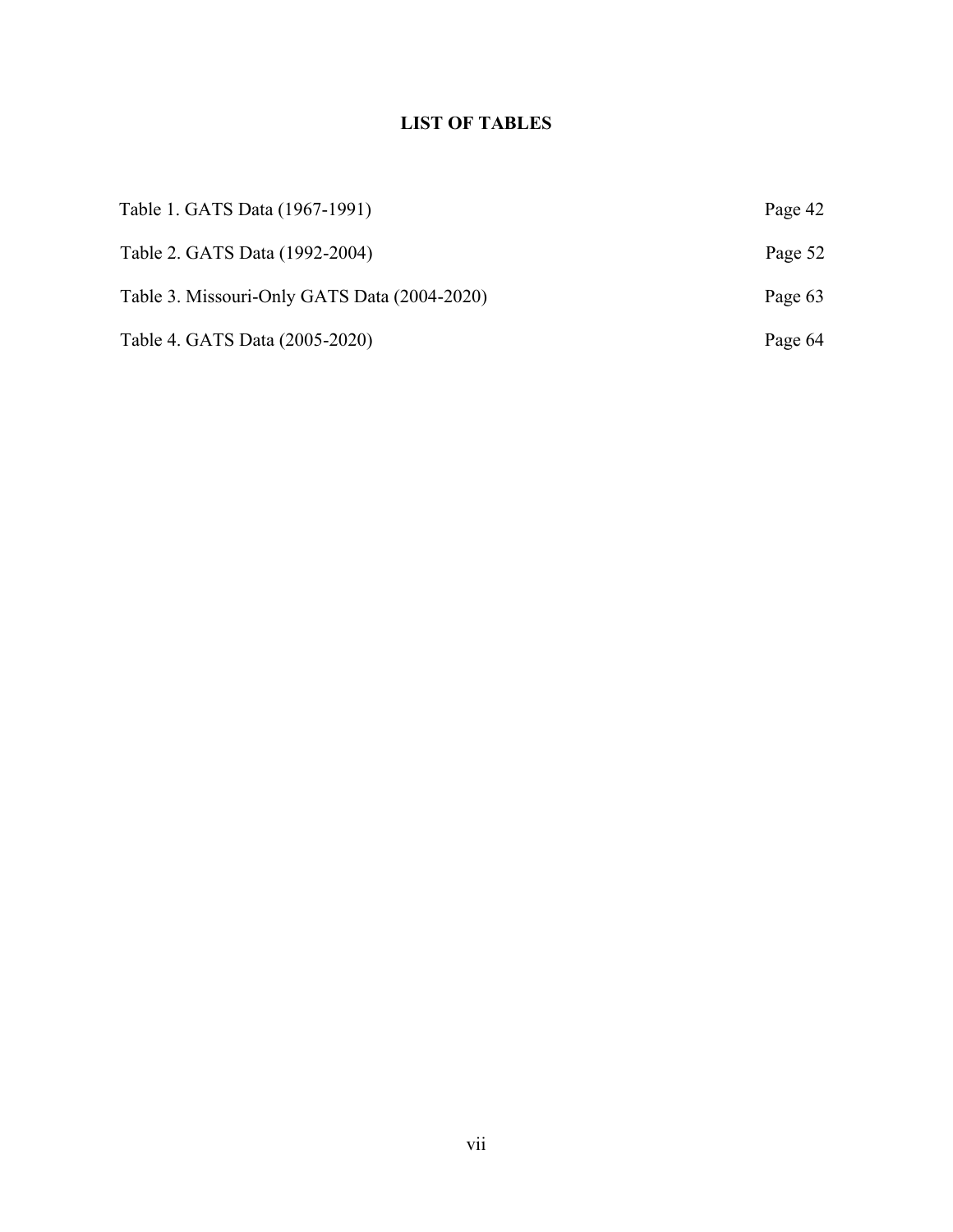## **LIST OF TABLES**

| Table 1. GATS Data (1967-1991)               | Page 42 |
|----------------------------------------------|---------|
| Table 2. GATS Data (1992-2004)               | Page 52 |
| Table 3. Missouri-Only GATS Data (2004-2020) | Page 63 |
| Table 4. GATS Data (2005-2020)               | Page 64 |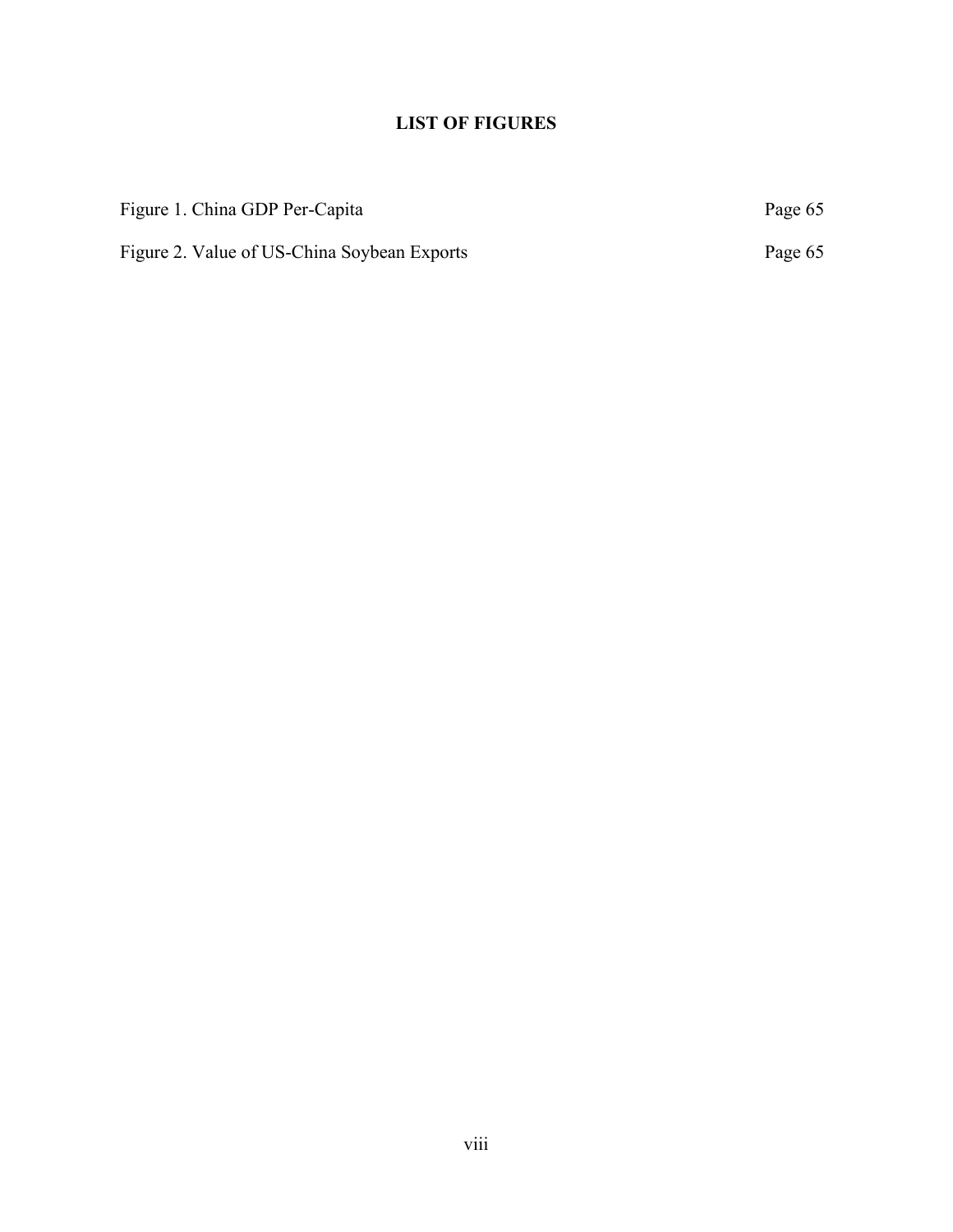## **LIST OF FIGURES**

| Figure 1. China GDP Per-Capita              | Page 65 |
|---------------------------------------------|---------|
| Figure 2. Value of US-China Soybean Exports | Page 65 |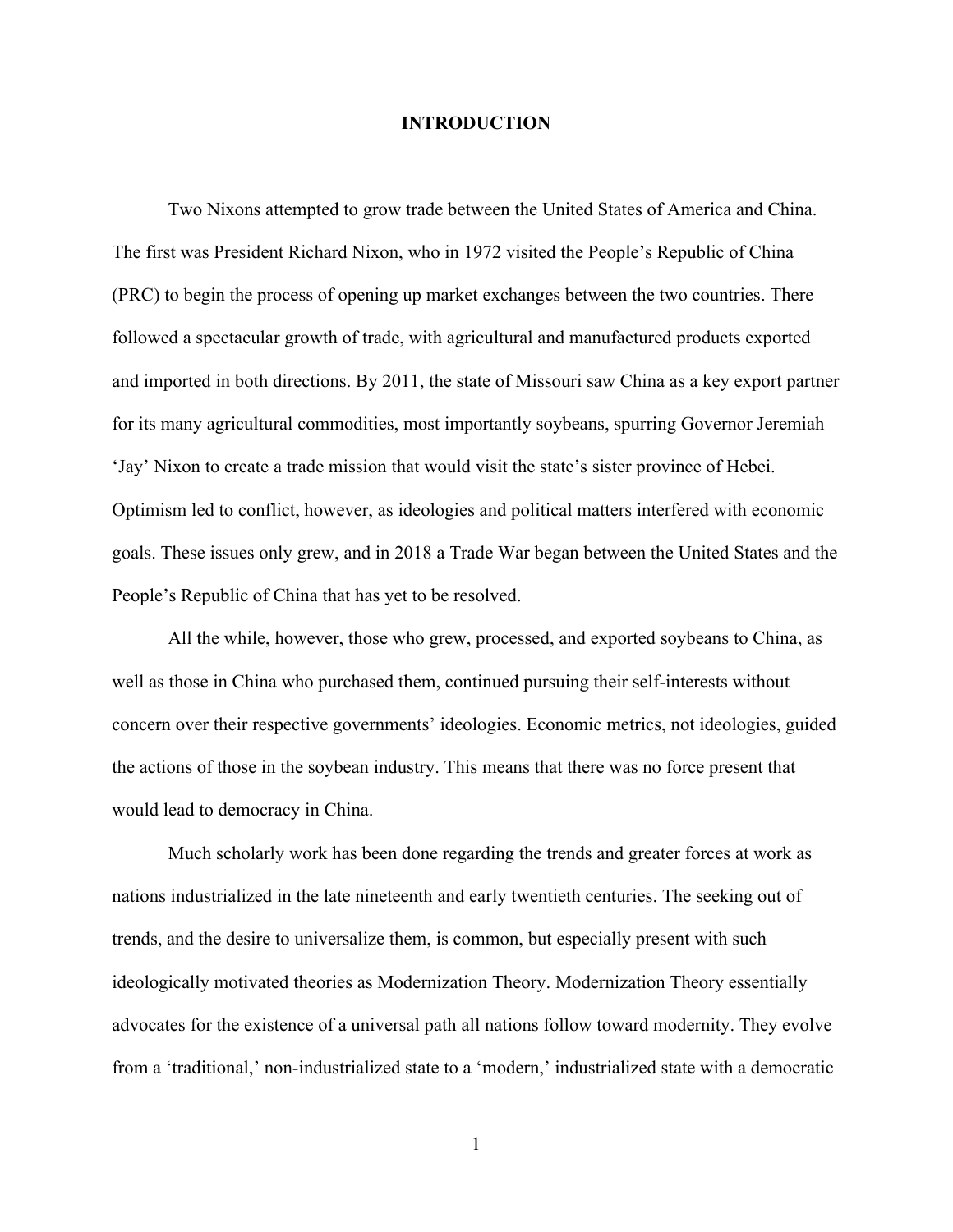### **INTRODUCTION**

Two Nixons attempted to grow trade between the United States of America and China. The first was President Richard Nixon, who in 1972 visited the People's Republic of China (PRC) to begin the process of opening up market exchanges between the two countries. There followed a spectacular growth of trade, with agricultural and manufactured products exported and imported in both directions. By 2011, the state of Missouri saw China as a key export partner for its many agricultural commodities, most importantly soybeans, spurring Governor Jeremiah 'Jay' Nixon to create a trade mission that would visit the state's sister province of Hebei. Optimism led to conflict, however, as ideologies and political matters interfered with economic goals. These issues only grew, and in 2018 a Trade War began between the United States and the People's Republic of China that has yet to be resolved.

All the while, however, those who grew, processed, and exported soybeans to China, as well as those in China who purchased them, continued pursuing their self-interests without concern over their respective governments' ideologies. Economic metrics, not ideologies, guided the actions of those in the soybean industry. This means that there was no force present that would lead to democracy in China.

Much scholarly work has been done regarding the trends and greater forces at work as nations industrialized in the late nineteenth and early twentieth centuries. The seeking out of trends, and the desire to universalize them, is common, but especially present with such ideologically motivated theories as Modernization Theory. Modernization Theory essentially advocates for the existence of a universal path all nations follow toward modernity. They evolve from a 'traditional,' non-industrialized state to a 'modern,' industrialized state with a democratic

1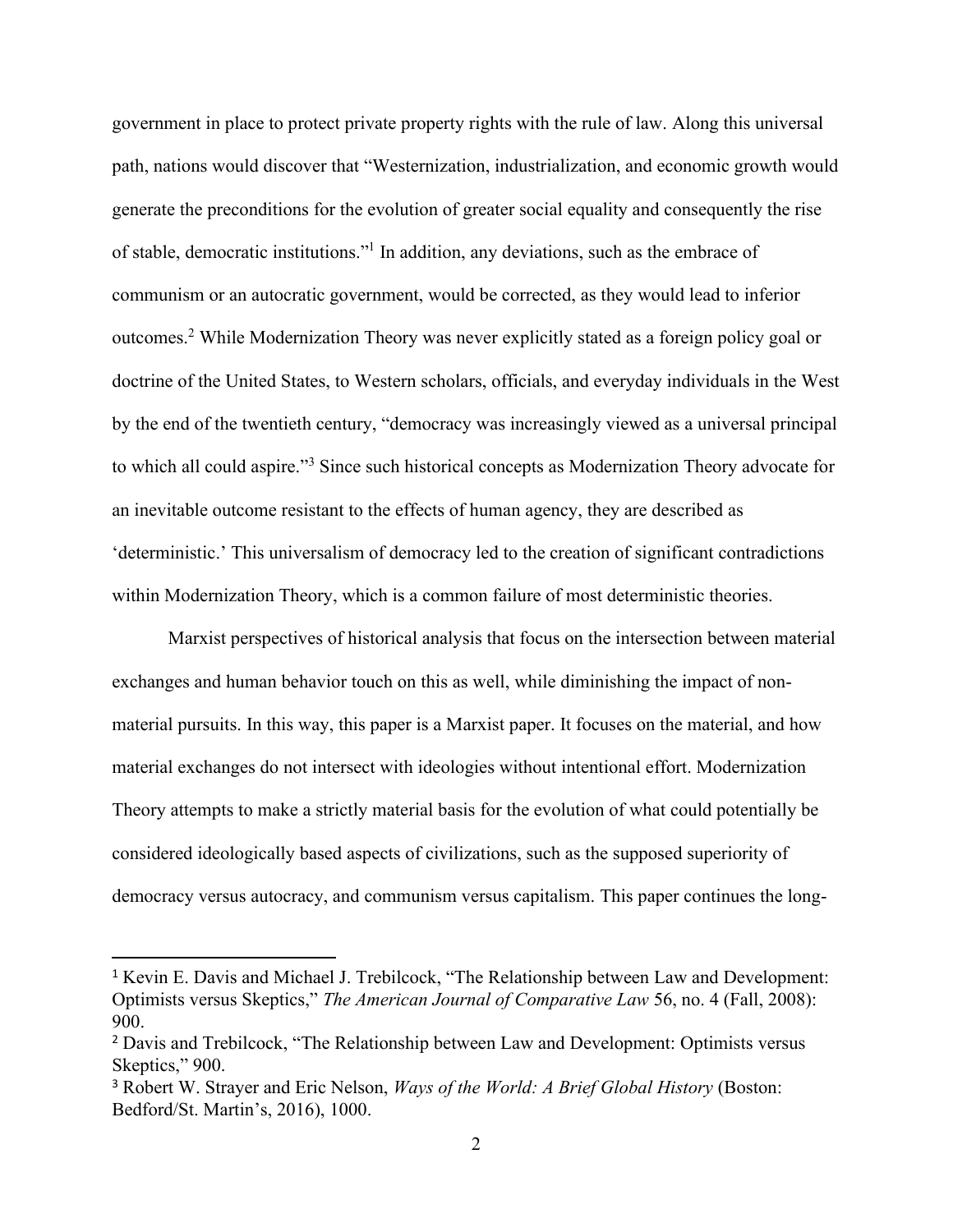government in place to protect private property rights with the rule of law. Along this universal path, nations would discover that "Westernization, industrialization, and economic growth would generate the preconditions for the evolution of greater social equality and consequently the rise of stable, democratic institutions."<sup>1</sup> In addition, any deviations, such as the embrace of communism or an autocratic government, would be corrected, as they would lead to inferior outcomes.<sup>2</sup> While Modernization Theory was never explicitly stated as a foreign policy goal or doctrine of the United States, to Western scholars, officials, and everyday individuals in the West by the end of the twentieth century, "democracy was increasingly viewed as a universal principal to which all could aspire."<sup>3</sup> Since such historical concepts as Modernization Theory advocate for an inevitable outcome resistant to the effects of human agency, they are described as 'deterministic.' This universalism of democracy led to the creation of significant contradictions within Modernization Theory, which is a common failure of most deterministic theories.

Marxist perspectives of historical analysis that focus on the intersection between material exchanges and human behavior touch on this as well, while diminishing the impact of nonmaterial pursuits. In this way, this paper is a Marxist paper. It focuses on the material, and how material exchanges do not intersect with ideologies without intentional effort. Modernization Theory attempts to make a strictly material basis for the evolution of what could potentially be considered ideologically based aspects of civilizations, such as the supposed superiority of democracy versus autocracy, and communism versus capitalism. This paper continues the long-

<sup>1</sup> Kevin E. Davis and Michael J. Trebilcock, "The Relationship between Law and Development: Optimists versus Skeptics," *The American Journal of Comparative Law* 56, no. 4 (Fall, 2008): 900.

<sup>&</sup>lt;sup>2</sup> Davis and Trebilcock, "The Relationship between Law and Development: Optimists versus Skeptics," 900.

<sup>&</sup>lt;sup>3</sup> Robert W. Strayer and Eric Nelson, *Ways of the World: A Brief Global History* (Boston: Bedford/St. Martin's, 2016), 1000.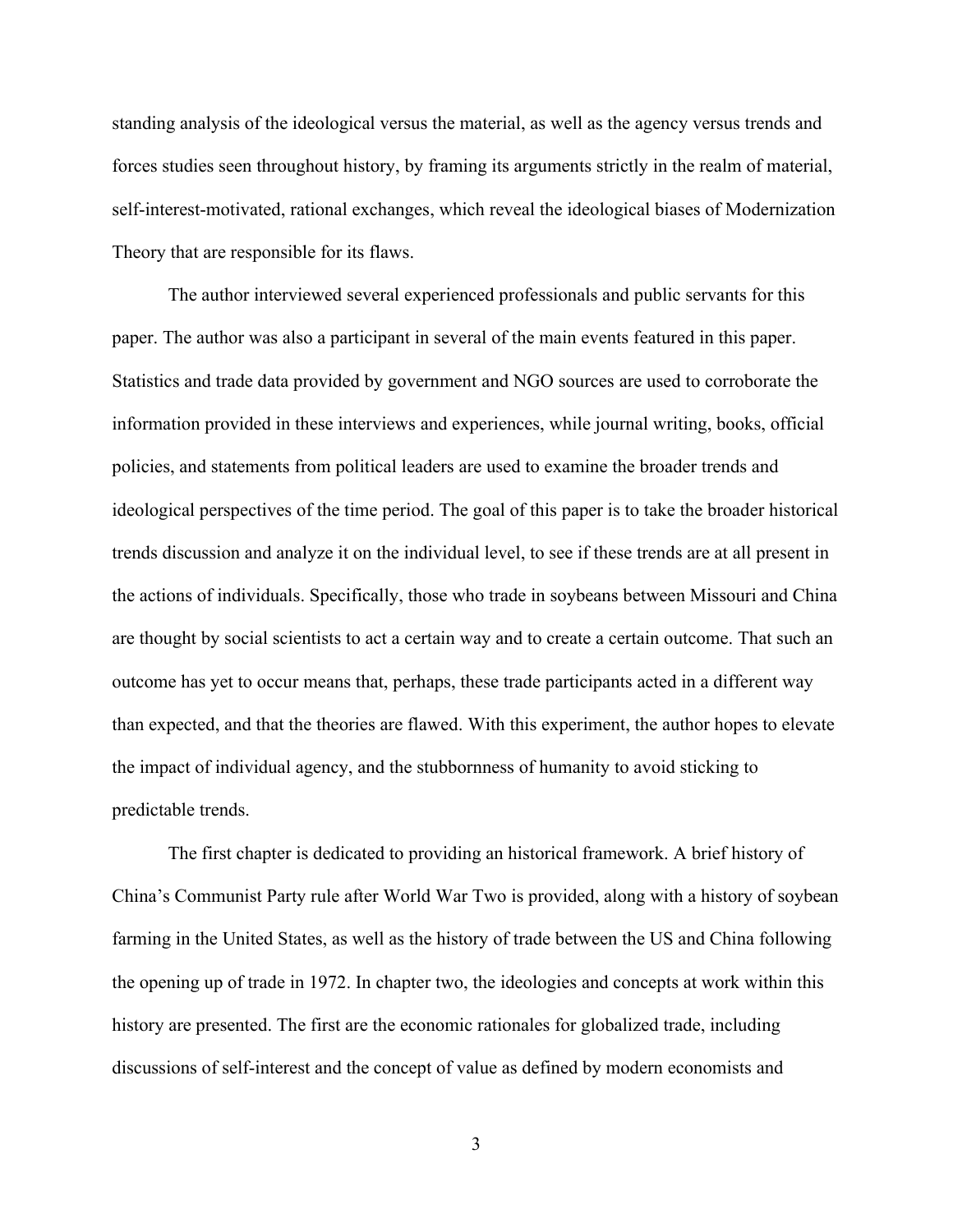standing analysis of the ideological versus the material, as well as the agency versus trends and forces studies seen throughout history, by framing its arguments strictly in the realm of material, self-interest-motivated, rational exchanges, which reveal the ideological biases of Modernization Theory that are responsible for its flaws.

The author interviewed several experienced professionals and public servants for this paper. The author was also a participant in several of the main events featured in this paper. Statistics and trade data provided by government and NGO sources are used to corroborate the information provided in these interviews and experiences, while journal writing, books, official policies, and statements from political leaders are used to examine the broader trends and ideological perspectives of the time period. The goal of this paper is to take the broader historical trends discussion and analyze it on the individual level, to see if these trends are at all present in the actions of individuals. Specifically, those who trade in soybeans between Missouri and China are thought by social scientists to act a certain way and to create a certain outcome. That such an outcome has yet to occur means that, perhaps, these trade participants acted in a different way than expected, and that the theories are flawed. With this experiment, the author hopes to elevate the impact of individual agency, and the stubbornness of humanity to avoid sticking to predictable trends.

The first chapter is dedicated to providing an historical framework. A brief history of China's Communist Party rule after World War Two is provided, along with a history of soybean farming in the United States, as well as the history of trade between the US and China following the opening up of trade in 1972. In chapter two, the ideologies and concepts at work within this history are presented. The first are the economic rationales for globalized trade, including discussions of self-interest and the concept of value as defined by modern economists and

3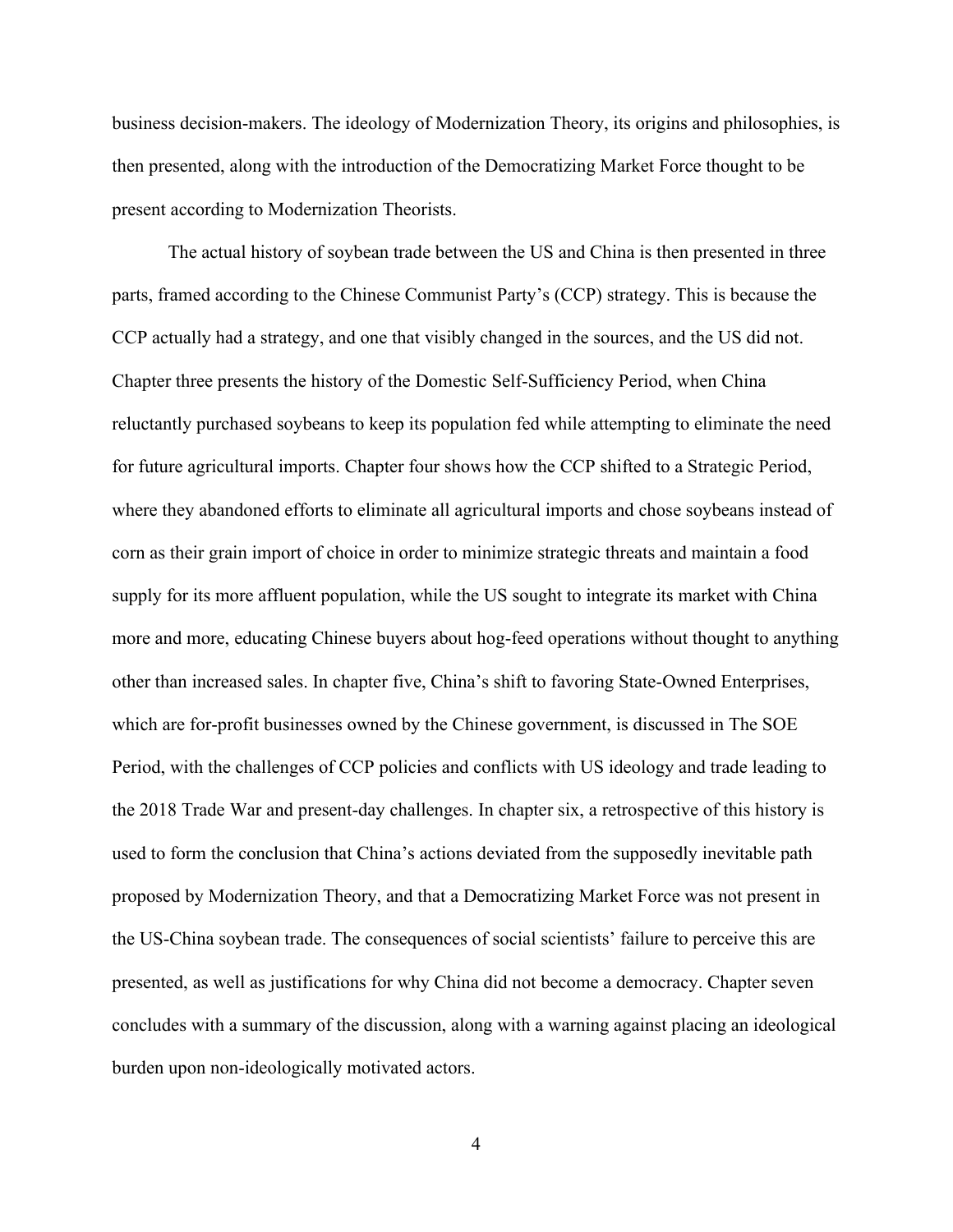business decision-makers. The ideology of Modernization Theory, its origins and philosophies, is then presented, along with the introduction of the Democratizing Market Force thought to be present according to Modernization Theorists.

The actual history of soybean trade between the US and China is then presented in three parts, framed according to the Chinese Communist Party's (CCP) strategy. This is because the CCP actually had a strategy, and one that visibly changed in the sources, and the US did not. Chapter three presents the history of the Domestic Self-Sufficiency Period, when China reluctantly purchased soybeans to keep its population fed while attempting to eliminate the need for future agricultural imports. Chapter four shows how the CCP shifted to a Strategic Period, where they abandoned efforts to eliminate all agricultural imports and chose soybeans instead of corn as their grain import of choice in order to minimize strategic threats and maintain a food supply for its more affluent population, while the US sought to integrate its market with China more and more, educating Chinese buyers about hog-feed operations without thought to anything other than increased sales. In chapter five, China's shift to favoring State-Owned Enterprises, which are for-profit businesses owned by the Chinese government, is discussed in The SOE Period, with the challenges of CCP policies and conflicts with US ideology and trade leading to the 2018 Trade War and present-day challenges. In chapter six, a retrospective of this history is used to form the conclusion that China's actions deviated from the supposedly inevitable path proposed by Modernization Theory, and that a Democratizing Market Force was not present in the US-China soybean trade. The consequences of social scientists' failure to perceive this are presented, as well as justifications for why China did not become a democracy. Chapter seven concludes with a summary of the discussion, along with a warning against placing an ideological burden upon non-ideologically motivated actors.

4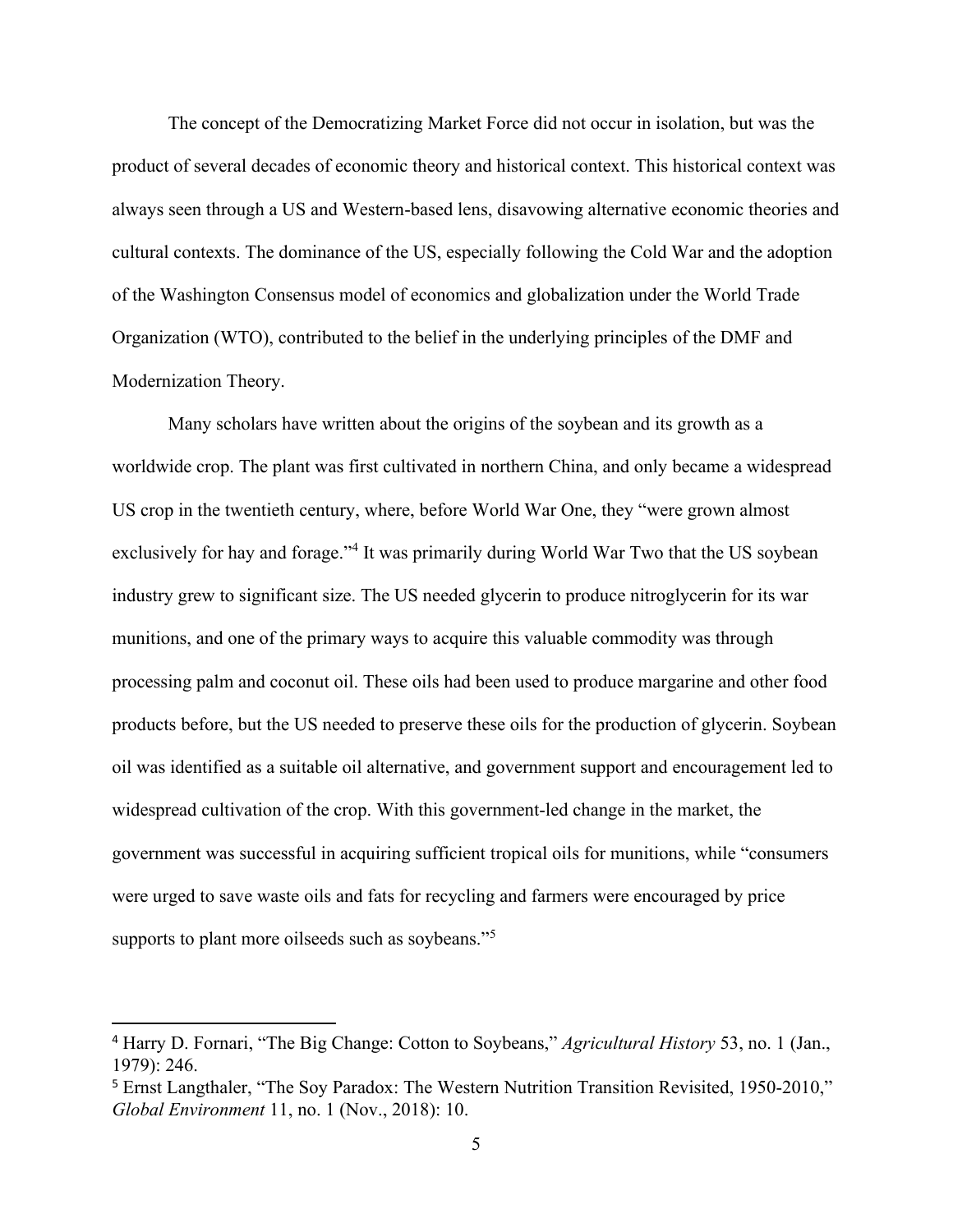The concept of the Democratizing Market Force did not occur in isolation, but was the product of several decades of economic theory and historical context. This historical context was always seen through a US and Western-based lens, disavowing alternative economic theories and cultural contexts. The dominance of the US, especially following the Cold War and the adoption of the Washington Consensus model of economics and globalization under the World Trade Organization (WTO), contributed to the belief in the underlying principles of the DMF and Modernization Theory.

Many scholars have written about the origins of the soybean and its growth as a worldwide crop. The plant was first cultivated in northern China, and only became a widespread US crop in the twentieth century, where, before World War One, they "were grown almost exclusively for hay and forage."<sup>4</sup> It was primarily during World War Two that the US soybean industry grew to significant size. The US needed glycerin to produce nitroglycerin for its war munitions, and one of the primary ways to acquire this valuable commodity was through processing palm and coconut oil. These oils had been used to produce margarine and other food products before, but the US needed to preserve these oils for the production of glycerin. Soybean oil was identified as a suitable oil alternative, and government support and encouragement led to widespread cultivation of the crop. With this government-led change in the market, the government was successful in acquiring sufficient tropical oils for munitions, while "consumers were urged to save waste oils and fats for recycling and farmers were encouraged by price supports to plant more oilseeds such as soybeans."<sup>5</sup>

<sup>4</sup> Harry D. Fornari, "The Big Change: Cotton to Soybeans," *Agricultural History* 53, no. 1 (Jan., 1979): 246.

<sup>5</sup> Ernst Langthaler, "The Soy Paradox: The Western Nutrition Transition Revisited, 1950-2010," *Global Environment* 11, no. 1 (Nov., 2018): 10.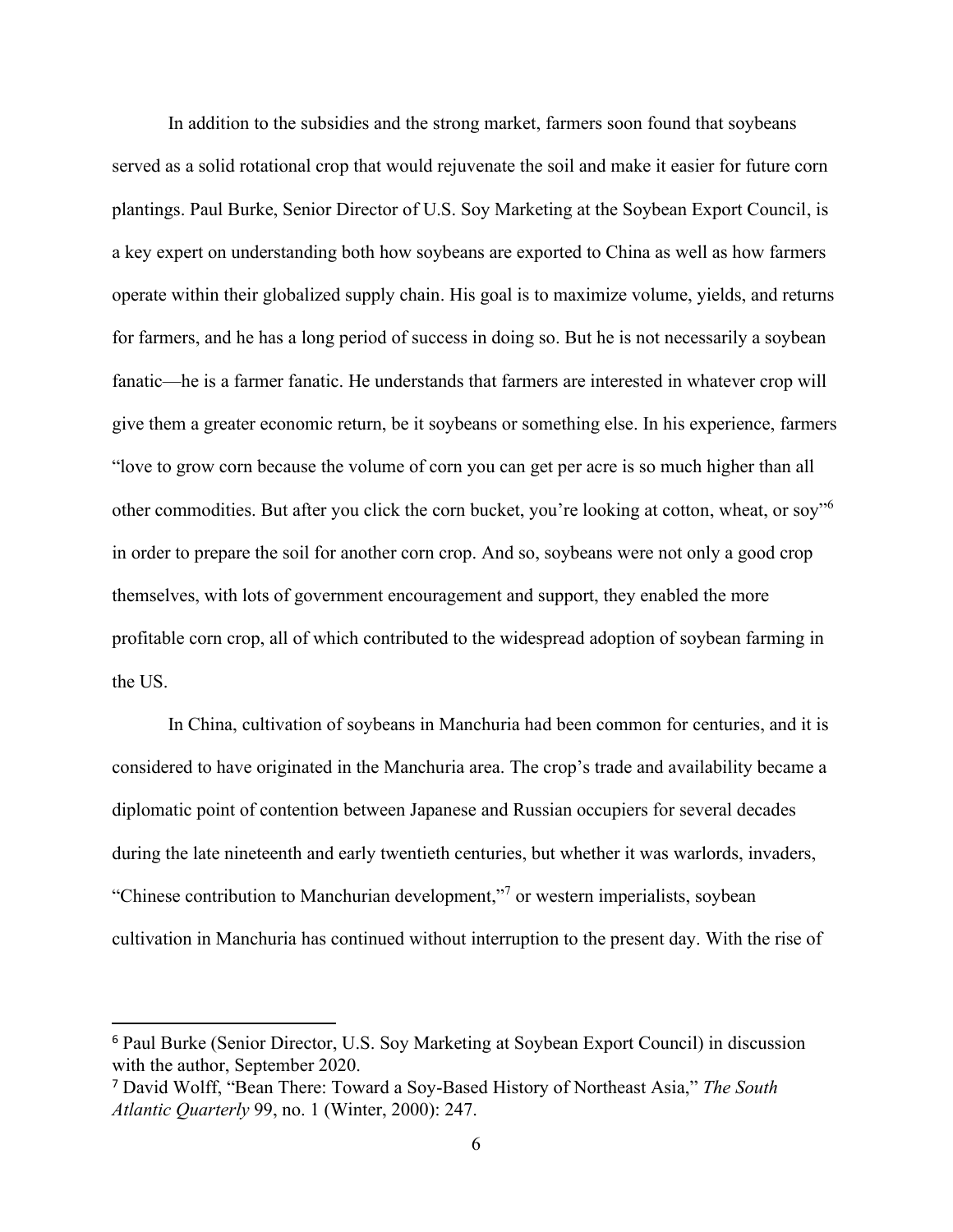In addition to the subsidies and the strong market, farmers soon found that soybeans served as a solid rotational crop that would rejuvenate the soil and make it easier for future corn plantings. Paul Burke, Senior Director of U.S. Soy Marketing at the Soybean Export Council, is a key expert on understanding both how soybeans are exported to China as well as how farmers operate within their globalized supply chain. His goal is to maximize volume, yields, and returns for farmers, and he has a long period of success in doing so. But he is not necessarily a soybean fanatic—he is a farmer fanatic. He understands that farmers are interested in whatever crop will give them a greater economic return, be it soybeans or something else. In his experience, farmers "love to grow corn because the volume of corn you can get per acre is so much higher than all other commodities. But after you click the corn bucket, you're looking at cotton, wheat, or soy"<sup>6</sup> in order to prepare the soil for another corn crop. And so, soybeans were not only a good crop themselves, with lots of government encouragement and support, they enabled the more profitable corn crop, all of which contributed to the widespread adoption of soybean farming in the US.

In China, cultivation of soybeans in Manchuria had been common for centuries, and it is considered to have originated in the Manchuria area. The crop's trade and availability became a diplomatic point of contention between Japanese and Russian occupiers for several decades during the late nineteenth and early twentieth centuries, but whether it was warlords, invaders, "Chinese contribution to Manchurian development,"<sup>7</sup> or western imperialists, soybean cultivation in Manchuria has continued without interruption to the present day. With the rise of

<sup>6</sup> Paul Burke (Senior Director, U.S. Soy Marketing at Soybean Export Council) in discussion with the author, September 2020.

<sup>7</sup> David Wolff, "Bean There: Toward a Soy-Based History of Northeast Asia," *The South Atlantic Quarterly* 99, no. 1 (Winter, 2000): 247.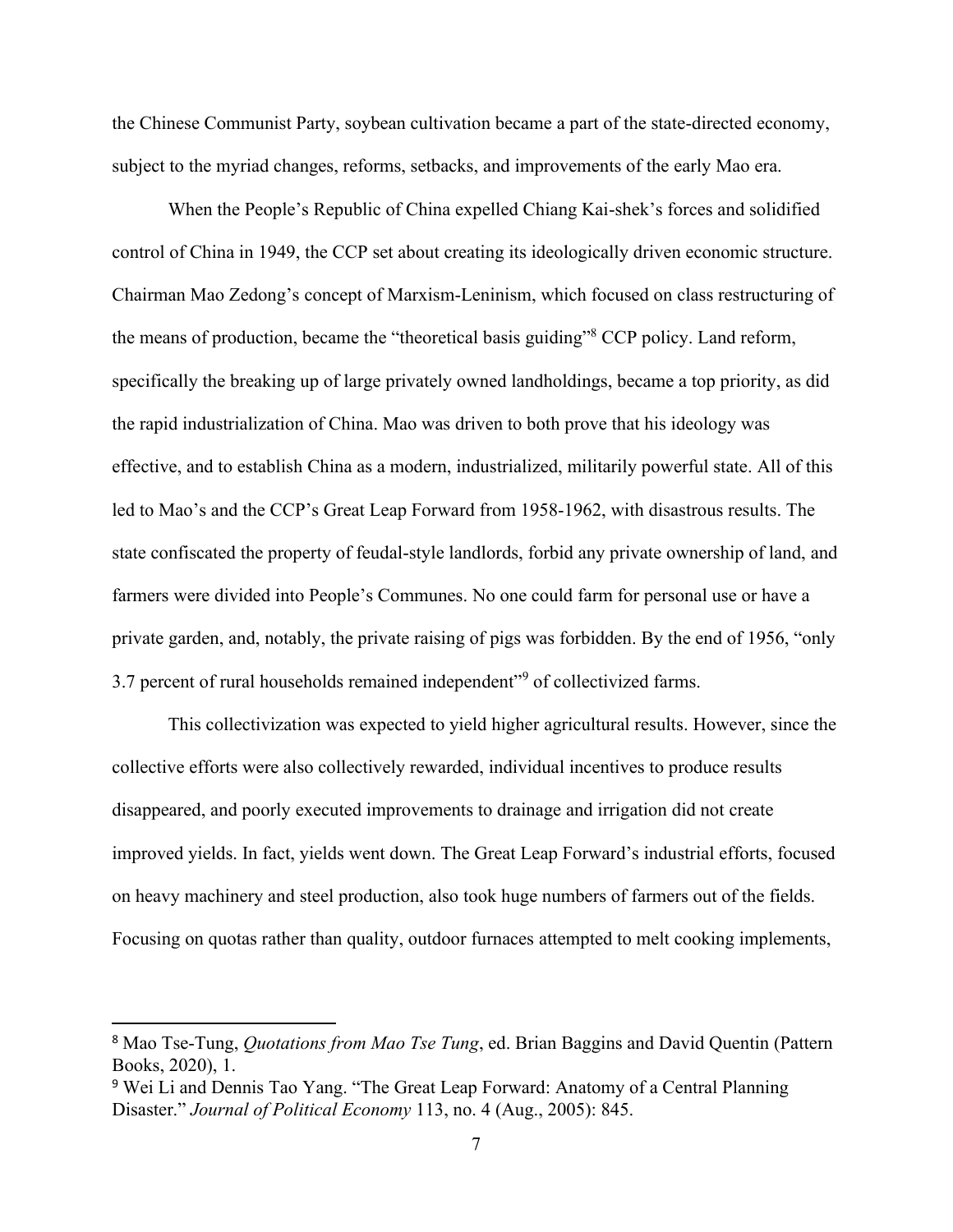the Chinese Communist Party, soybean cultivation became a part of the state-directed economy, subject to the myriad changes, reforms, setbacks, and improvements of the early Mao era.

When the People's Republic of China expelled Chiang Kai-shek's forces and solidified control of China in 1949, the CCP set about creating its ideologically driven economic structure. Chairman Mao Zedong's concept of Marxism-Leninism, which focused on class restructuring of the means of production, became the "theoretical basis guiding"<sup>8</sup> CCP policy. Land reform, specifically the breaking up of large privately owned landholdings, became a top priority, as did the rapid industrialization of China. Mao was driven to both prove that his ideology was effective, and to establish China as a modern, industrialized, militarily powerful state. All of this led to Mao's and the CCP's Great Leap Forward from 1958-1962, with disastrous results. The state confiscated the property of feudal-style landlords, forbid any private ownership of land, and farmers were divided into People's Communes. No one could farm for personal use or have a private garden, and, notably, the private raising of pigs was forbidden. By the end of 1956, "only 3.7 percent of rural households remained independent"<sup>9</sup> of collectivized farms.

This collectivization was expected to yield higher agricultural results. However, since the collective efforts were also collectively rewarded, individual incentives to produce results disappeared, and poorly executed improvements to drainage and irrigation did not create improved yields. In fact, yields went down. The Great Leap Forward's industrial efforts, focused on heavy machinery and steel production, also took huge numbers of farmers out of the fields. Focusing on quotas rather than quality, outdoor furnaces attempted to melt cooking implements,

<sup>8</sup> Mao Tse-Tung, *Quotations from Mao Tse Tung*, ed. Brian Baggins and David Quentin (Pattern Books, 2020), 1.

<sup>9</sup> Wei Li and Dennis Tao Yang. "The Great Leap Forward: Anatomy of a Central Planning Disaster." *Journal of Political Economy* 113, no. 4 (Aug., 2005): 845.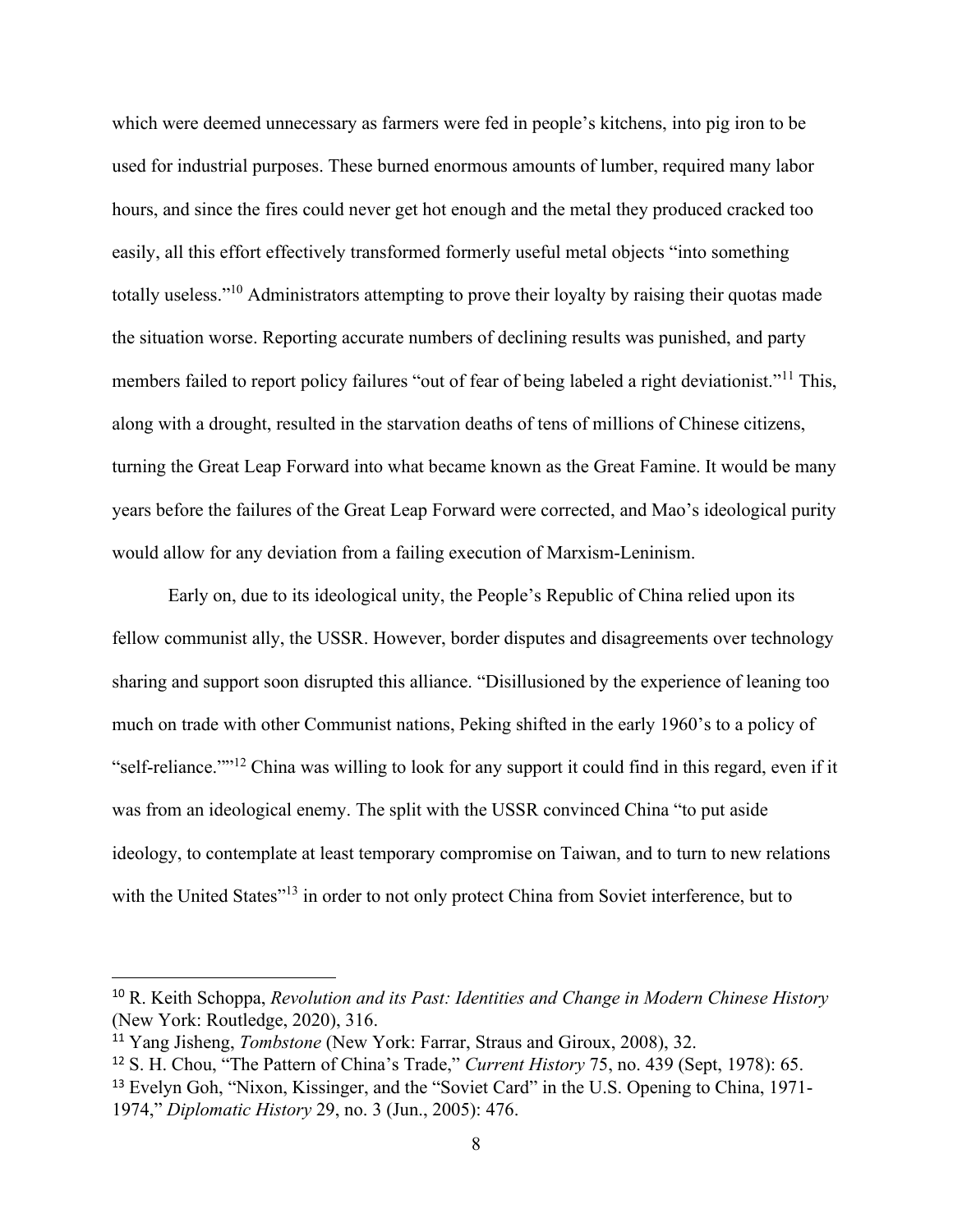which were deemed unnecessary as farmers were fed in people's kitchens, into pig iron to be used for industrial purposes. These burned enormous amounts of lumber, required many labor hours, and since the fires could never get hot enough and the metal they produced cracked too easily, all this effort effectively transformed formerly useful metal objects "into something totally useless."<sup>10</sup> Administrators attempting to prove their loyalty by raising their quotas made the situation worse. Reporting accurate numbers of declining results was punished, and party members failed to report policy failures "out of fear of being labeled a right deviationist."<sup>11</sup> This, along with a drought, resulted in the starvation deaths of tens of millions of Chinese citizens, turning the Great Leap Forward into what became known as the Great Famine. It would be many years before the failures of the Great Leap Forward were corrected, and Mao's ideological purity would allow for any deviation from a failing execution of Marxism-Leninism.

Early on, due to its ideological unity, the People's Republic of China relied upon its fellow communist ally, the USSR. However, border disputes and disagreements over technology sharing and support soon disrupted this alliance. "Disillusioned by the experience of leaning too much on trade with other Communist nations, Peking shifted in the early 1960's to a policy of "self-reliance.""<sup>12</sup> China was willing to look for any support it could find in this regard, even if it was from an ideological enemy. The split with the USSR convinced China "to put aside ideology, to contemplate at least temporary compromise on Taiwan, and to turn to new relations with the United States"<sup>13</sup> in order to not only protect China from Soviet interference, but to

<sup>10</sup> R. Keith Schoppa, *Revolution and its Past: Identities and Change in Modern Chinese History* (New York: Routledge, 2020), 316.

<sup>11</sup> Yang Jisheng, *Tombstone* (New York: Farrar, Straus and Giroux, 2008), 32.

<sup>12</sup> S. H. Chou, "The Pattern of China's Trade," *Current History* 75, no. 439 (Sept, 1978): 65. <sup>13</sup> Evelyn Goh, "Nixon, Kissinger, and the "Soviet Card" in the U.S. Opening to China, 1971-1974," *Diplomatic History* 29, no. 3 (Jun., 2005): 476.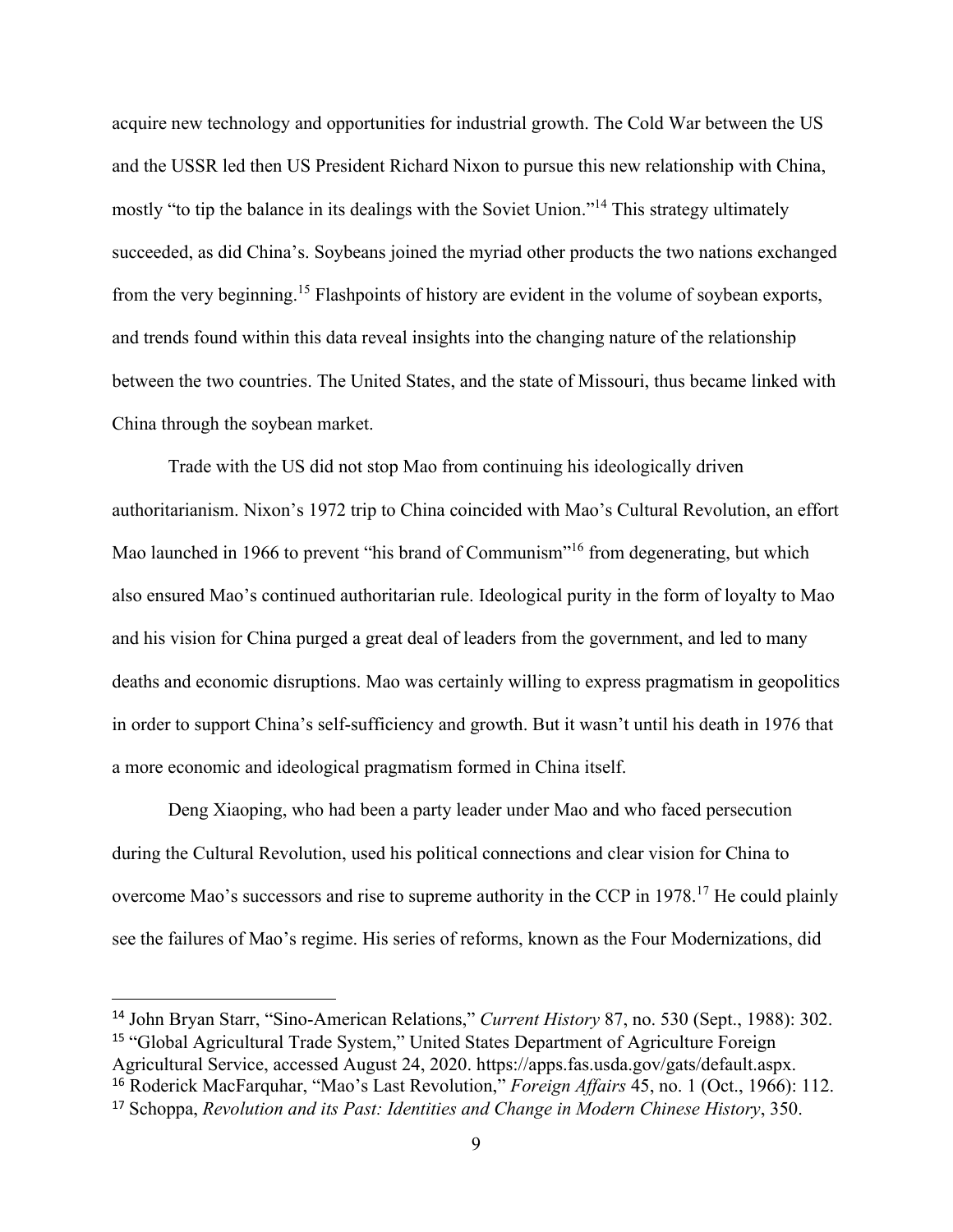acquire new technology and opportunities for industrial growth. The Cold War between the US and the USSR led then US President Richard Nixon to pursue this new relationship with China, mostly "to tip the balance in its dealings with the Soviet Union."<sup>14</sup> This strategy ultimately succeeded, as did China's. Soybeans joined the myriad other products the two nations exchanged from the very beginning.<sup>15</sup> Flashpoints of history are evident in the volume of soybean exports, and trends found within this data reveal insights into the changing nature of the relationship between the two countries. The United States, and the state of Missouri, thus became linked with China through the soybean market.

Trade with the US did not stop Mao from continuing his ideologically driven authoritarianism. Nixon's 1972 trip to China coincided with Mao's Cultural Revolution, an effort Mao launched in 1966 to prevent "his brand of Communism"<sup>16</sup> from degenerating, but which also ensured Mao's continued authoritarian rule. Ideological purity in the form of loyalty to Mao and his vision for China purged a great deal of leaders from the government, and led to many deaths and economic disruptions. Mao was certainly willing to express pragmatism in geopolitics in order to support China's self-sufficiency and growth. But it wasn't until his death in 1976 that a more economic and ideological pragmatism formed in China itself.

Deng Xiaoping, who had been a party leader under Mao and who faced persecution during the Cultural Revolution, used his political connections and clear vision for China to overcome Mao's successors and rise to supreme authority in the CCP in 1978.<sup>17</sup> He could plainly see the failures of Mao's regime. His series of reforms, known as the Four Modernizations, did

<sup>14</sup> John Bryan Starr, "Sino-American Relations," *Current History* 87, no. 530 (Sept., 1988): 302. <sup>15</sup> "Global Agricultural Trade System," United States Department of Agriculture Foreign Agricultural Service, accessed August 24, 2020. https://apps.fas.usda.gov/gats/default.aspx. <sup>16</sup> Roderick MacFarquhar, "Mao's Last Revolution," *Foreign Affairs* 45, no. 1 (Oct., 1966): 112.

<sup>17</sup> Schoppa, *Revolution and its Past: Identities and Change in Modern Chinese History*, 350.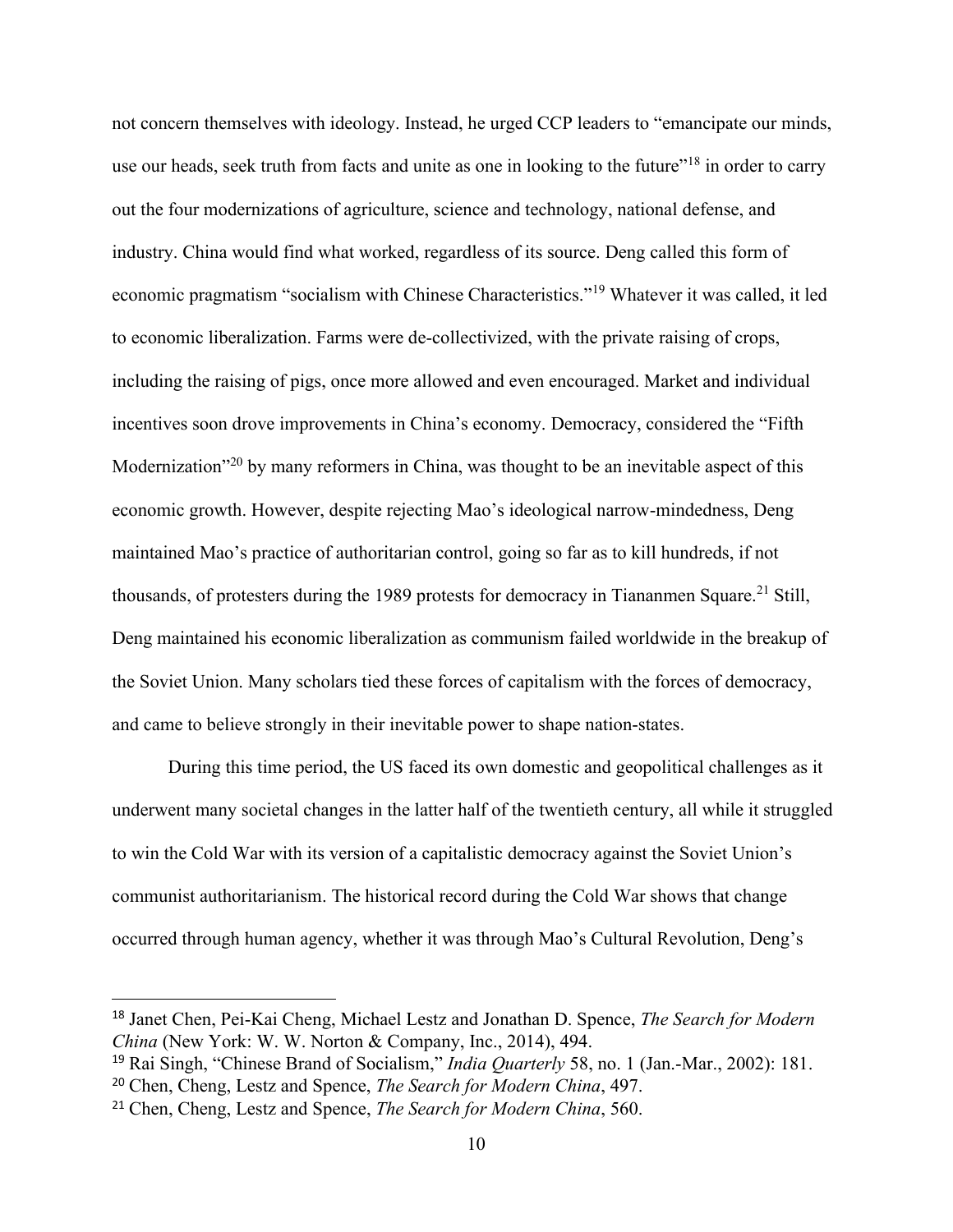not concern themselves with ideology. Instead, he urged CCP leaders to "emancipate our minds, use our heads, seek truth from facts and unite as one in looking to the future"<sup>18</sup> in order to carry out the four modernizations of agriculture, science and technology, national defense, and industry. China would find what worked, regardless of its source. Deng called this form of economic pragmatism "socialism with Chinese Characteristics."<sup>19</sup> Whatever it was called, it led to economic liberalization. Farms were de-collectivized, with the private raising of crops, including the raising of pigs, once more allowed and even encouraged. Market and individual incentives soon drove improvements in China's economy. Democracy, considered the "Fifth Modernization<sup>320</sup> by many reformers in China, was thought to be an inevitable aspect of this economic growth. However, despite rejecting Mao's ideological narrow-mindedness, Deng maintained Mao's practice of authoritarian control, going so far as to kill hundreds, if not thousands, of protesters during the 1989 protests for democracy in Tiananmen Square.<sup>21</sup> Still, Deng maintained his economic liberalization as communism failed worldwide in the breakup of the Soviet Union. Many scholars tied these forces of capitalism with the forces of democracy, and came to believe strongly in their inevitable power to shape nation-states.

During this time period, the US faced its own domestic and geopolitical challenges as it underwent many societal changes in the latter half of the twentieth century, all while it struggled to win the Cold War with its version of a capitalistic democracy against the Soviet Union's communist authoritarianism. The historical record during the Cold War shows that change occurred through human agency, whether it was through Mao's Cultural Revolution, Deng's

<sup>18</sup> Janet Chen, Pei-Kai Cheng, Michael Lestz and Jonathan D. Spence, *The Search for Modern China* (New York: W. W. Norton & Company, Inc., 2014), 494.

<sup>19</sup> Rai Singh, "Chinese Brand of Socialism," *India Quarterly* 58, no. 1 (Jan.-Mar., 2002): 181. <sup>20</sup> Chen, Cheng, Lestz and Spence, *The Search for Modern China*, 497.

<sup>21</sup> Chen, Cheng, Lestz and Spence, *The Search for Modern China*, 560.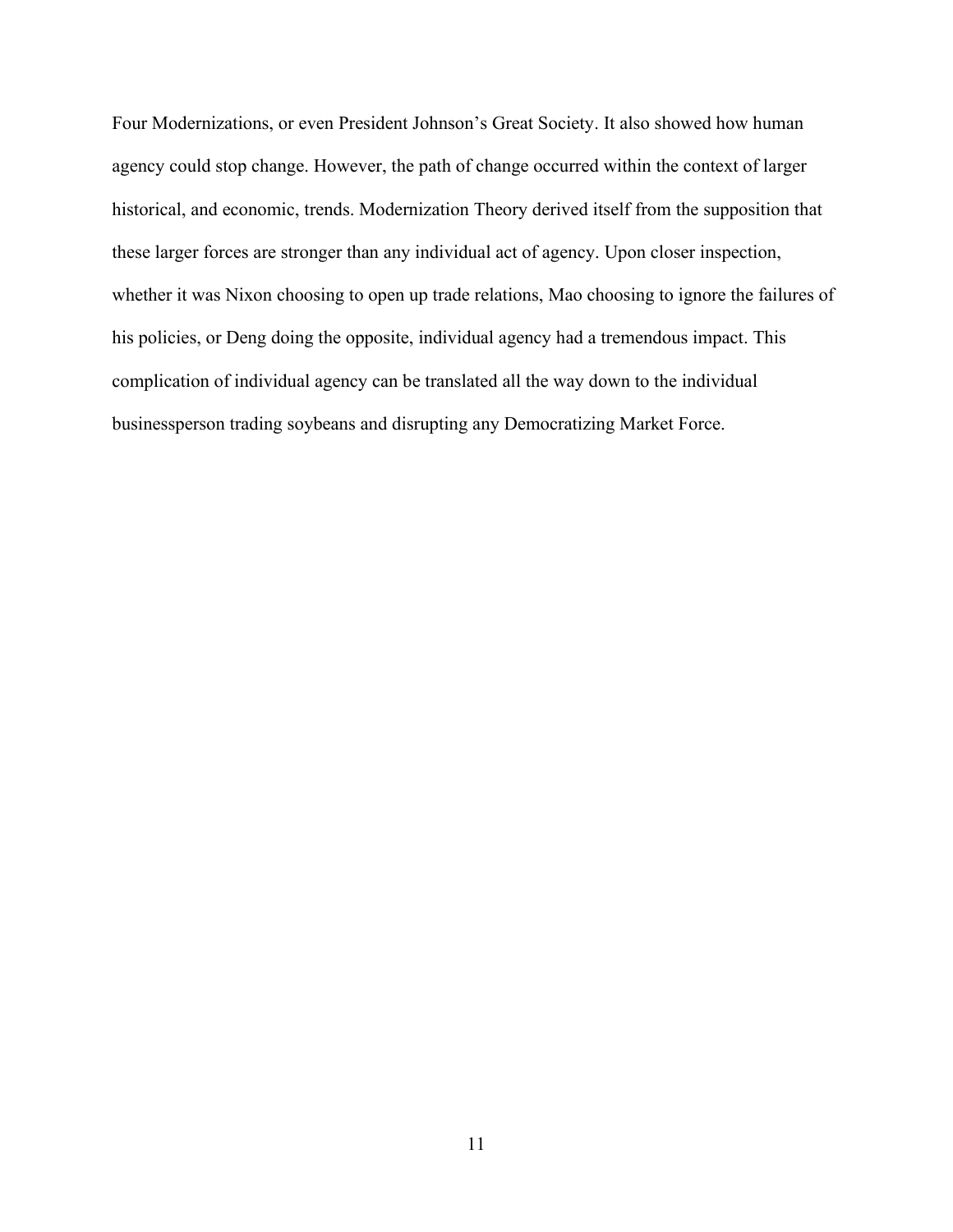Four Modernizations, or even President Johnson's Great Society. It also showed how human agency could stop change. However, the path of change occurred within the context of larger historical, and economic, trends. Modernization Theory derived itself from the supposition that these larger forces are stronger than any individual act of agency. Upon closer inspection, whether it was Nixon choosing to open up trade relations, Mao choosing to ignore the failures of his policies, or Deng doing the opposite, individual agency had a tremendous impact. This complication of individual agency can be translated all the way down to the individual businessperson trading soybeans and disrupting any Democratizing Market Force.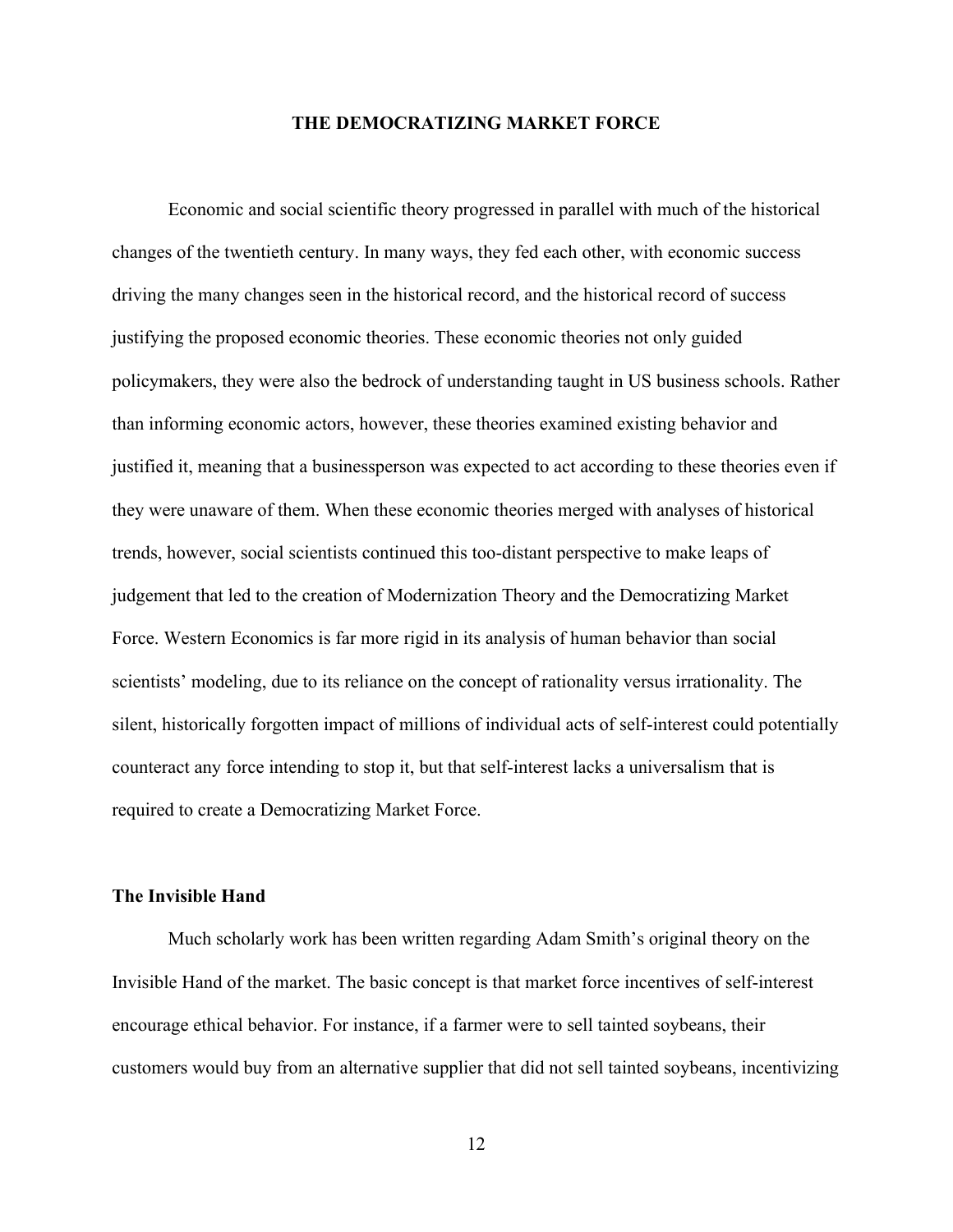### **THE DEMOCRATIZING MARKET FORCE**

Economic and social scientific theory progressed in parallel with much of the historical changes of the twentieth century. In many ways, they fed each other, with economic success driving the many changes seen in the historical record, and the historical record of success justifying the proposed economic theories. These economic theories not only guided policymakers, they were also the bedrock of understanding taught in US business schools. Rather than informing economic actors, however, these theories examined existing behavior and justified it, meaning that a businessperson was expected to act according to these theories even if they were unaware of them. When these economic theories merged with analyses of historical trends, however, social scientists continued this too-distant perspective to make leaps of judgement that led to the creation of Modernization Theory and the Democratizing Market Force. Western Economics is far more rigid in its analysis of human behavior than social scientists' modeling, due to its reliance on the concept of rationality versus irrationality. The silent, historically forgotten impact of millions of individual acts of self-interest could potentially counteract any force intending to stop it, but that self-interest lacks a universalism that is required to create a Democratizing Market Force.

### **The Invisible Hand**

Much scholarly work has been written regarding Adam Smith's original theory on the Invisible Hand of the market. The basic concept is that market force incentives of self-interest encourage ethical behavior. For instance, if a farmer were to sell tainted soybeans, their customers would buy from an alternative supplier that did not sell tainted soybeans, incentivizing

12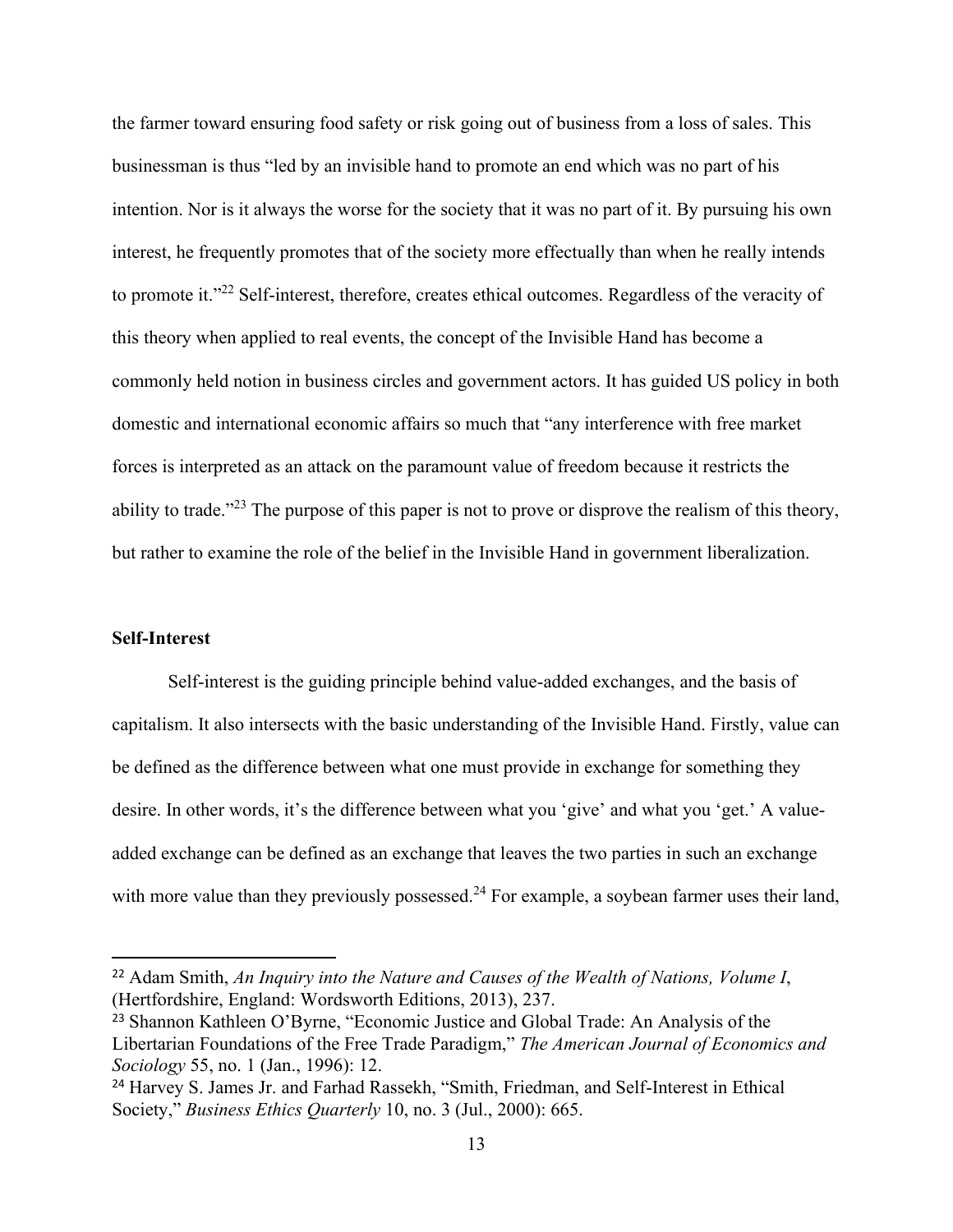the farmer toward ensuring food safety or risk going out of business from a loss of sales. This businessman is thus "led by an invisible hand to promote an end which was no part of his intention. Nor is it always the worse for the society that it was no part of it. By pursuing his own interest, he frequently promotes that of the society more effectually than when he really intends to promote it."<sup>22</sup> Self-interest, therefore, creates ethical outcomes. Regardless of the veracity of this theory when applied to real events, the concept of the Invisible Hand has become a commonly held notion in business circles and government actors. It has guided US policy in both domestic and international economic affairs so much that "any interference with free market forces is interpreted as an attack on the paramount value of freedom because it restricts the ability to trade."<sup>23</sup> The purpose of this paper is not to prove or disprove the realism of this theory, but rather to examine the role of the belief in the Invisible Hand in government liberalization.

### **Self-Interest**

Self-interest is the guiding principle behind value-added exchanges, and the basis of capitalism. It also intersects with the basic understanding of the Invisible Hand. Firstly, value can be defined as the difference between what one must provide in exchange for something they desire. In other words, it's the difference between what you 'give' and what you 'get.' A valueadded exchange can be defined as an exchange that leaves the two parties in such an exchange with more value than they previously possessed.<sup>24</sup> For example, a soybean farmer uses their land,

<sup>22</sup> Adam Smith, *An Inquiry into the Nature and Causes of the Wealth of Nations, Volume I*, (Hertfordshire, England: Wordsworth Editions, 2013), 237.

<sup>23</sup> Shannon Kathleen O'Byrne, "Economic Justice and Global Trade: An Analysis of the Libertarian Foundations of the Free Trade Paradigm," *The American Journal of Economics and Sociology* 55, no. 1 (Jan., 1996): 12.

<sup>&</sup>lt;sup>24</sup> Harvey S. James Jr. and Farhad Rassekh, "Smith, Friedman, and Self-Interest in Ethical Society," *Business Ethics Quarterly* 10, no. 3 (Jul., 2000): 665.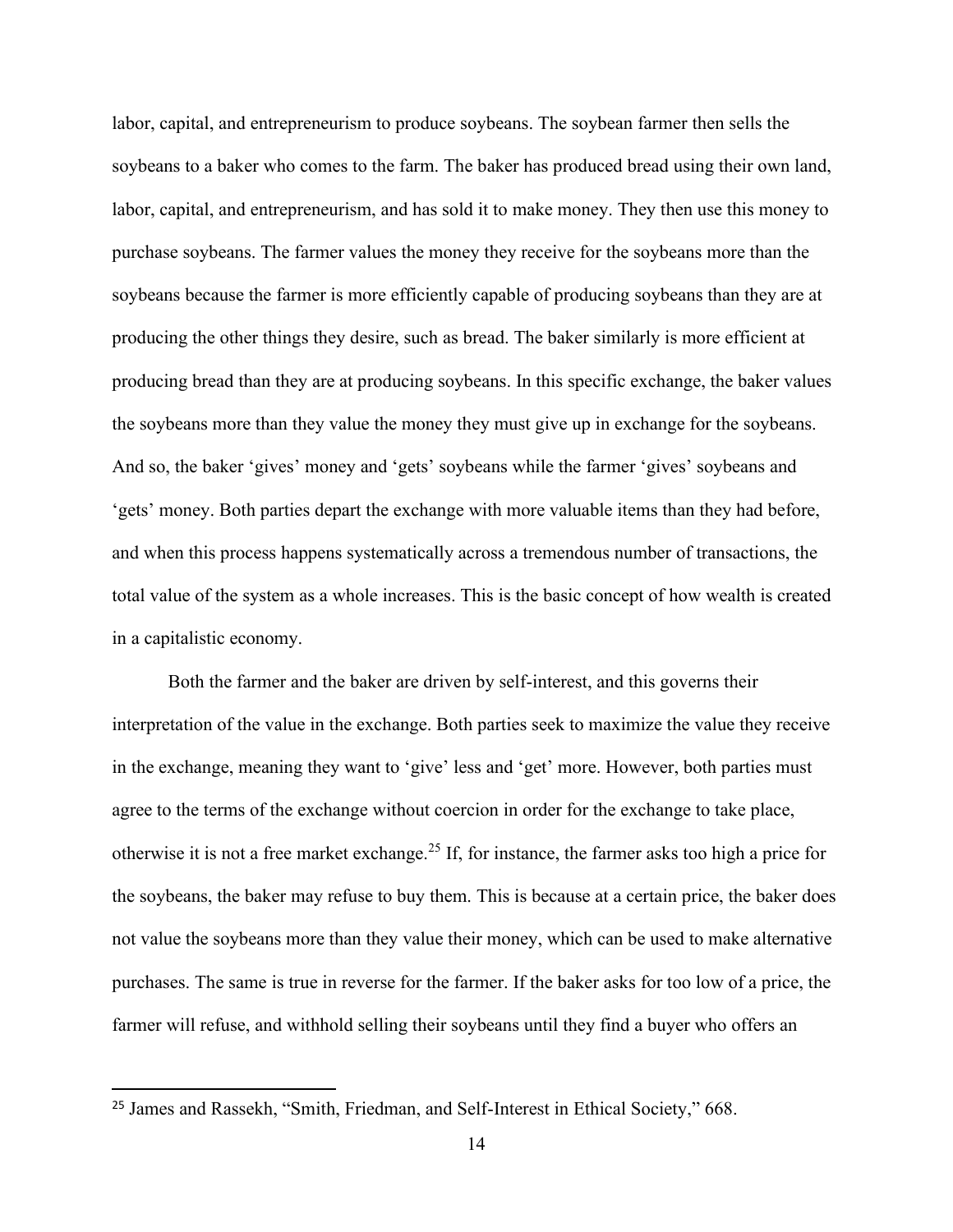labor, capital, and entrepreneurism to produce soybeans. The soybean farmer then sells the soybeans to a baker who comes to the farm. The baker has produced bread using their own land, labor, capital, and entrepreneurism, and has sold it to make money. They then use this money to purchase soybeans. The farmer values the money they receive for the soybeans more than the soybeans because the farmer is more efficiently capable of producing soybeans than they are at producing the other things they desire, such as bread. The baker similarly is more efficient at producing bread than they are at producing soybeans. In this specific exchange, the baker values the soybeans more than they value the money they must give up in exchange for the soybeans. And so, the baker 'gives' money and 'gets' soybeans while the farmer 'gives' soybeans and 'gets' money. Both parties depart the exchange with more valuable items than they had before, and when this process happens systematically across a tremendous number of transactions, the total value of the system as a whole increases. This is the basic concept of how wealth is created in a capitalistic economy.

Both the farmer and the baker are driven by self-interest, and this governs their interpretation of the value in the exchange. Both parties seek to maximize the value they receive in the exchange, meaning they want to 'give' less and 'get' more. However, both parties must agree to the terms of the exchange without coercion in order for the exchange to take place, otherwise it is not a free market exchange.<sup>25</sup> If, for instance, the farmer asks too high a price for the soybeans, the baker may refuse to buy them. This is because at a certain price, the baker does not value the soybeans more than they value their money, which can be used to make alternative purchases. The same is true in reverse for the farmer. If the baker asks for too low of a price, the farmer will refuse, and withhold selling their soybeans until they find a buyer who offers an

<sup>25</sup> James and Rassekh, "Smith, Friedman, and Self-Interest in Ethical Society," 668.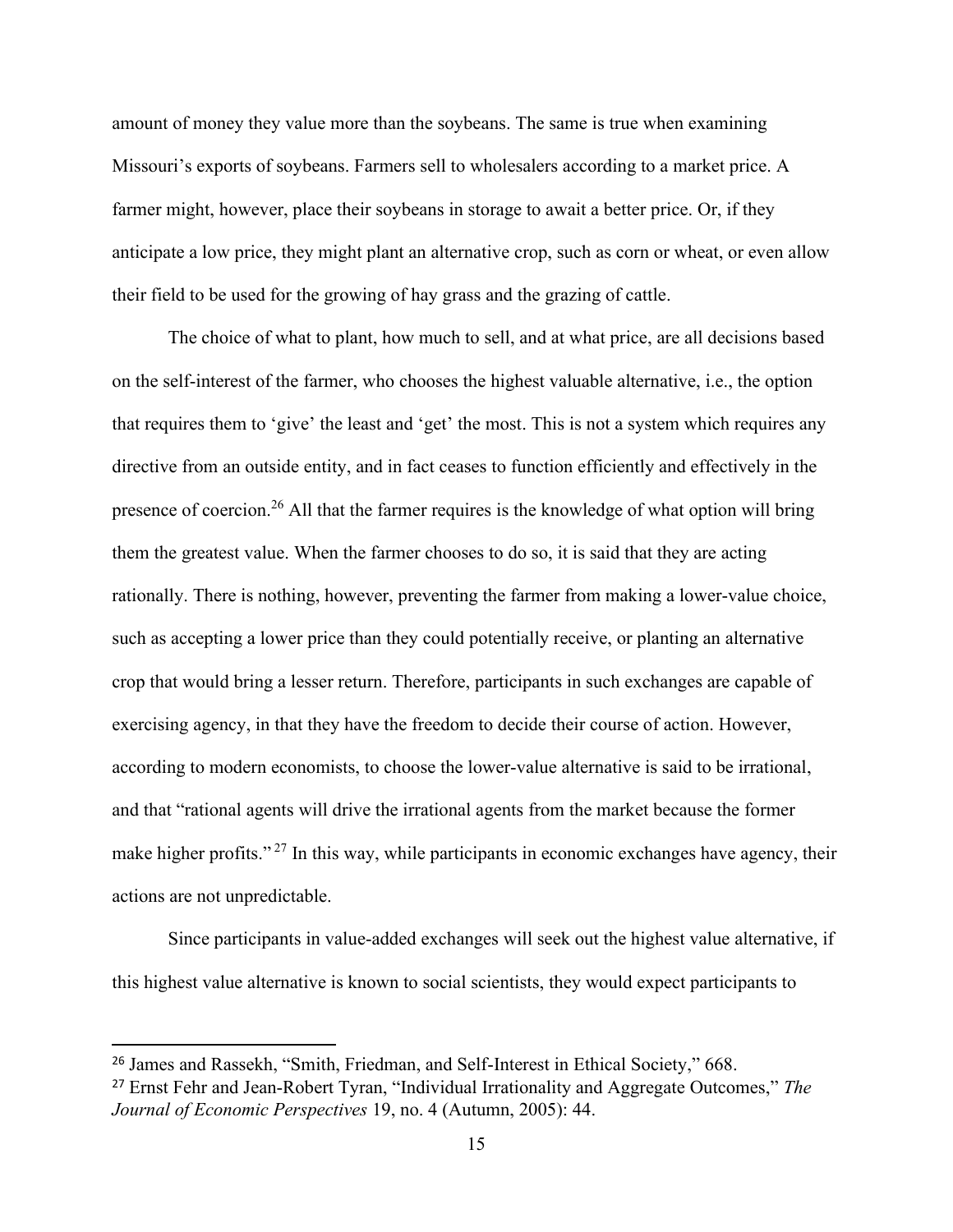amount of money they value more than the soybeans. The same is true when examining Missouri's exports of soybeans. Farmers sell to wholesalers according to a market price. A farmer might, however, place their soybeans in storage to await a better price. Or, if they anticipate a low price, they might plant an alternative crop, such as corn or wheat, or even allow their field to be used for the growing of hay grass and the grazing of cattle.

The choice of what to plant, how much to sell, and at what price, are all decisions based on the self-interest of the farmer, who chooses the highest valuable alternative, i.e., the option that requires them to 'give' the least and 'get' the most. This is not a system which requires any directive from an outside entity, and in fact ceases to function efficiently and effectively in the presence of coercion.<sup>26</sup> All that the farmer requires is the knowledge of what option will bring them the greatest value. When the farmer chooses to do so, it is said that they are acting rationally. There is nothing, however, preventing the farmer from making a lower-value choice, such as accepting a lower price than they could potentially receive, or planting an alternative crop that would bring a lesser return. Therefore, participants in such exchanges are capable of exercising agency, in that they have the freedom to decide their course of action. However, according to modern economists, to choose the lower-value alternative is said to be irrational, and that "rational agents will drive the irrational agents from the market because the former make higher profits."<sup>27</sup> In this way, while participants in economic exchanges have agency, their actions are not unpredictable.

Since participants in value-added exchanges will seek out the highest value alternative, if this highest value alternative is known to social scientists, they would expect participants to

<sup>26</sup> James and Rassekh, "Smith, Friedman, and Self-Interest in Ethical Society," 668.

<sup>27</sup> Ernst Fehr and Jean-Robert Tyran, "Individual Irrationality and Aggregate Outcomes," *The Journal of Economic Perspectives* 19, no. 4 (Autumn, 2005): 44.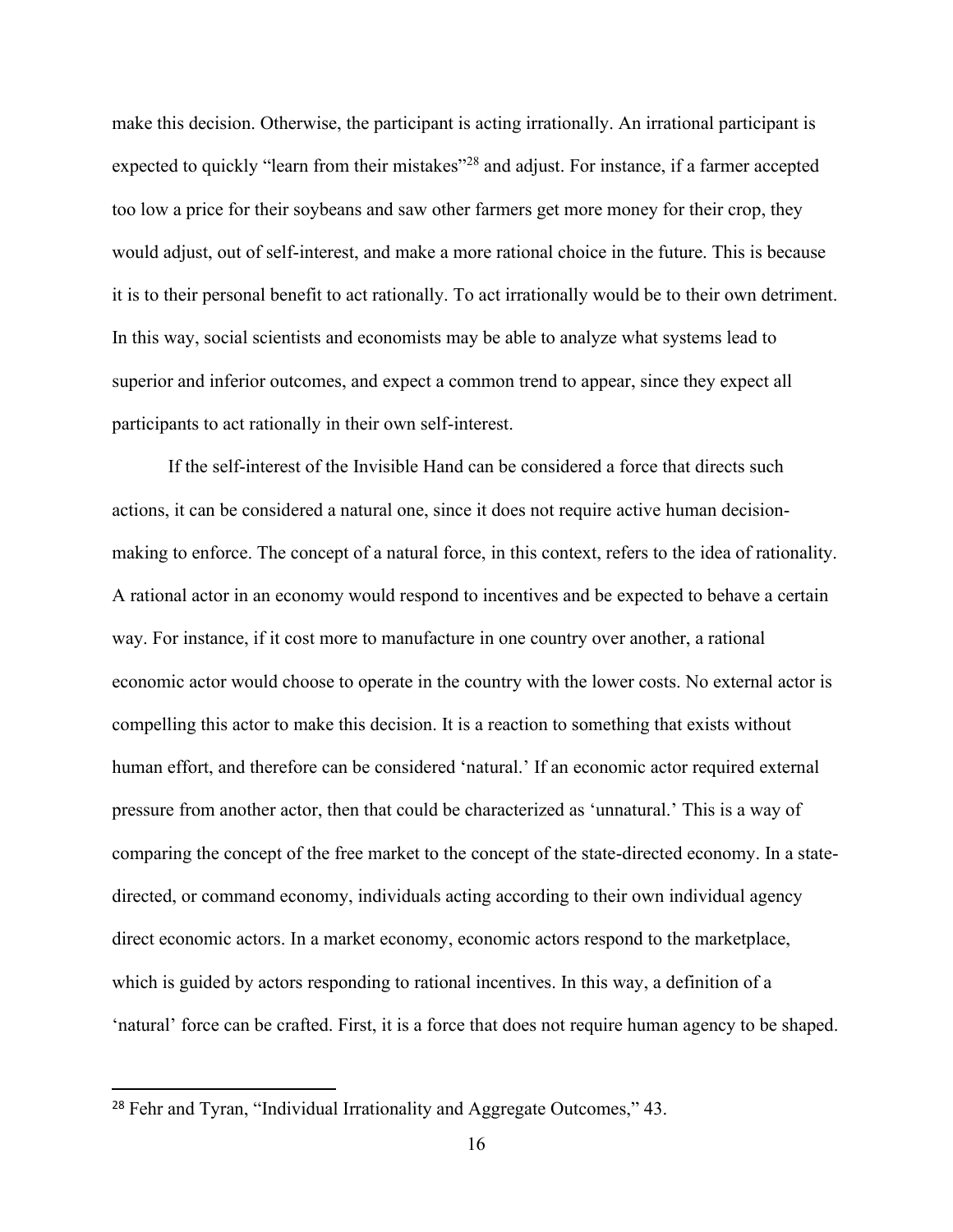make this decision. Otherwise, the participant is acting irrationally. An irrational participant is expected to quickly "learn from their mistakes"<sup>28</sup> and adjust. For instance, if a farmer accepted too low a price for their soybeans and saw other farmers get more money for their crop, they would adjust, out of self-interest, and make a more rational choice in the future. This is because it is to their personal benefit to act rationally. To act irrationally would be to their own detriment. In this way, social scientists and economists may be able to analyze what systems lead to superior and inferior outcomes, and expect a common trend to appear, since they expect all participants to act rationally in their own self-interest.

If the self-interest of the Invisible Hand can be considered a force that directs such actions, it can be considered a natural one, since it does not require active human decisionmaking to enforce. The concept of a natural force, in this context, refers to the idea of rationality. A rational actor in an economy would respond to incentives and be expected to behave a certain way. For instance, if it cost more to manufacture in one country over another, a rational economic actor would choose to operate in the country with the lower costs. No external actor is compelling this actor to make this decision. It is a reaction to something that exists without human effort, and therefore can be considered 'natural.' If an economic actor required external pressure from another actor, then that could be characterized as 'unnatural.' This is a way of comparing the concept of the free market to the concept of the state-directed economy. In a statedirected, or command economy, individuals acting according to their own individual agency direct economic actors. In a market economy, economic actors respond to the marketplace, which is guided by actors responding to rational incentives. In this way, a definition of a 'natural' force can be crafted. First, it is a force that does not require human agency to be shaped.

<sup>&</sup>lt;sup>28</sup> Fehr and Tyran, "Individual Irrationality and Aggregate Outcomes," 43.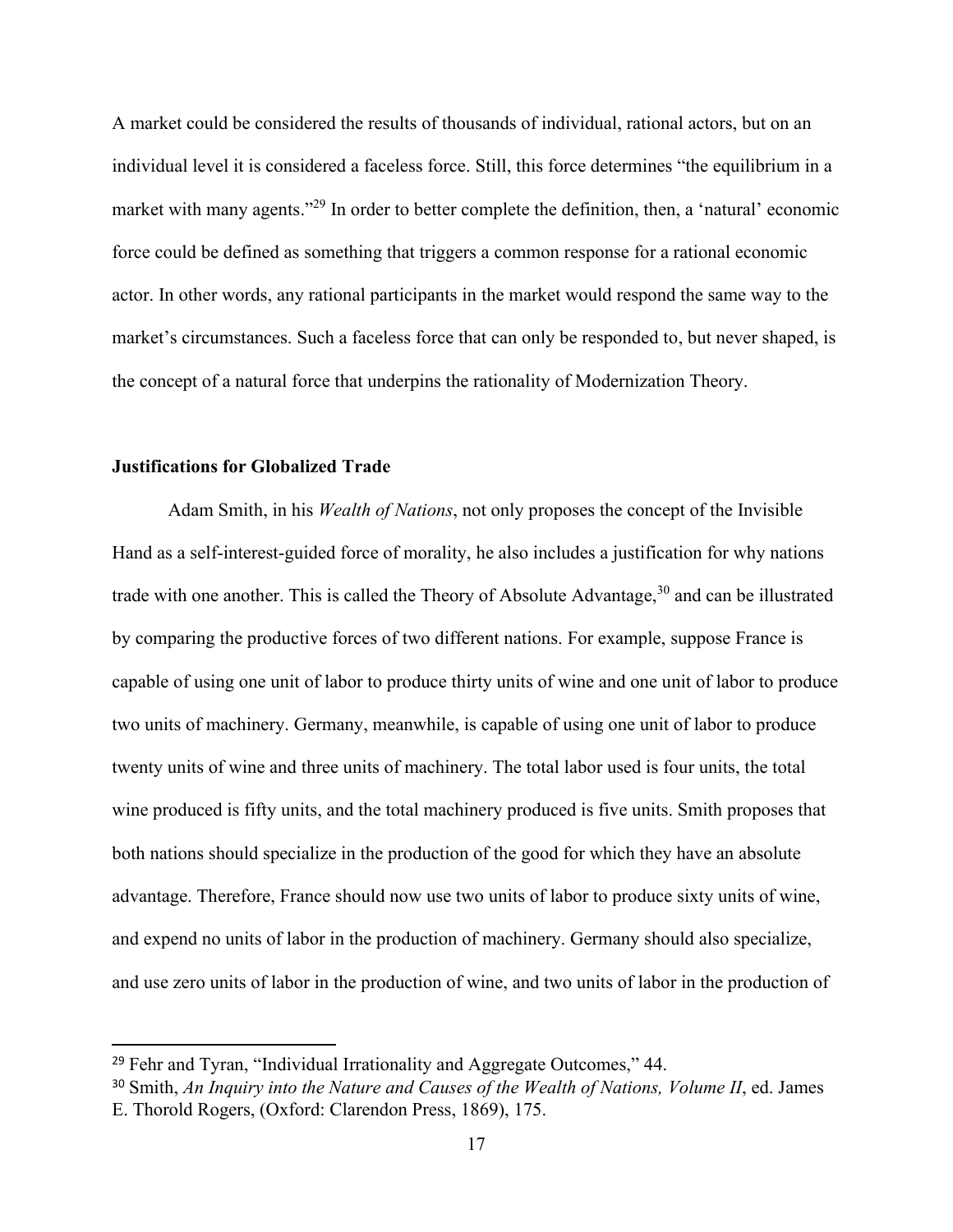A market could be considered the results of thousands of individual, rational actors, but on an individual level it is considered a faceless force. Still, this force determines "the equilibrium in a market with many agents."<sup>29</sup> In order to better complete the definition, then, a 'natural' economic force could be defined as something that triggers a common response for a rational economic actor. In other words, any rational participants in the market would respond the same way to the market's circumstances. Such a faceless force that can only be responded to, but never shaped, is the concept of a natural force that underpins the rationality of Modernization Theory.

### **Justifications for Globalized Trade**

Adam Smith, in his *Wealth of Nations*, not only proposes the concept of the Invisible Hand as a self-interest-guided force of morality, he also includes a justification for why nations trade with one another. This is called the Theory of Absolute Advantage,  $30$  and can be illustrated by comparing the productive forces of two different nations. For example, suppose France is capable of using one unit of labor to produce thirty units of wine and one unit of labor to produce two units of machinery. Germany, meanwhile, is capable of using one unit of labor to produce twenty units of wine and three units of machinery. The total labor used is four units, the total wine produced is fifty units, and the total machinery produced is five units. Smith proposes that both nations should specialize in the production of the good for which they have an absolute advantage. Therefore, France should now use two units of labor to produce sixty units of wine, and expend no units of labor in the production of machinery. Germany should also specialize, and use zero units of labor in the production of wine, and two units of labor in the production of

 $29$  Fehr and Tyran, "Individual Irrationality and Aggregate Outcomes," 44.

<sup>30</sup> Smith, *An Inquiry into the Nature and Causes of the Wealth of Nations, Volume II*, ed. James E. Thorold Rogers, (Oxford: Clarendon Press, 1869), 175.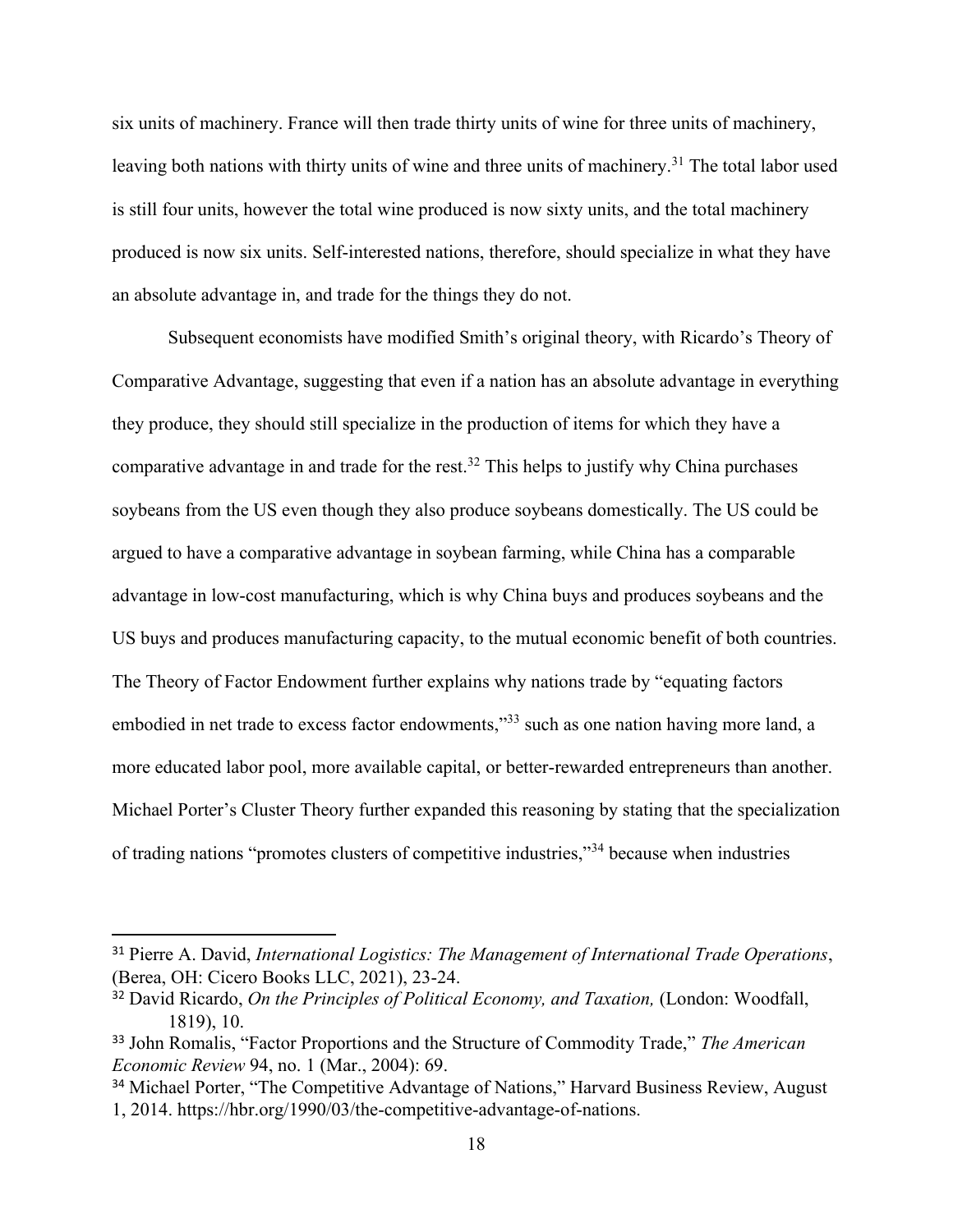six units of machinery. France will then trade thirty units of wine for three units of machinery, leaving both nations with thirty units of wine and three units of machinery.<sup>31</sup> The total labor used is still four units, however the total wine produced is now sixty units, and the total machinery produced is now six units. Self-interested nations, therefore, should specialize in what they have an absolute advantage in, and trade for the things they do not.

Subsequent economists have modified Smith's original theory, with Ricardo's Theory of Comparative Advantage, suggesting that even if a nation has an absolute advantage in everything they produce, they should still specialize in the production of items for which they have a comparative advantage in and trade for the rest.<sup>32</sup> This helps to justify why China purchases soybeans from the US even though they also produce soybeans domestically. The US could be argued to have a comparative advantage in soybean farming, while China has a comparable advantage in low-cost manufacturing, which is why China buys and produces soybeans and the US buys and produces manufacturing capacity, to the mutual economic benefit of both countries. The Theory of Factor Endowment further explains why nations trade by "equating factors embodied in net trade to excess factor endowments,"<sup>33</sup> such as one nation having more land, a more educated labor pool, more available capital, or better-rewarded entrepreneurs than another. Michael Porter's Cluster Theory further expanded this reasoning by stating that the specialization of trading nations "promotes clusters of competitive industries,"<sup>34</sup> because when industries

<sup>31</sup> Pierre A. David, *International Logistics: The Management of International Trade Operations*, (Berea, OH: Cicero Books LLC, 2021), 23-24.

<sup>32</sup> David Ricardo, *On the Principles of Political Economy, and Taxation,* (London: Woodfall, 1819), 10.

<sup>33</sup> John Romalis, "Factor Proportions and the Structure of Commodity Trade," *The American Economic Review* 94, no. 1 (Mar., 2004): 69.

<sup>&</sup>lt;sup>34</sup> Michael Porter, "The Competitive Advantage of Nations," Harvard Business Review, August 1, 2014. https://hbr.org/1990/03/the-competitive-advantage-of-nations.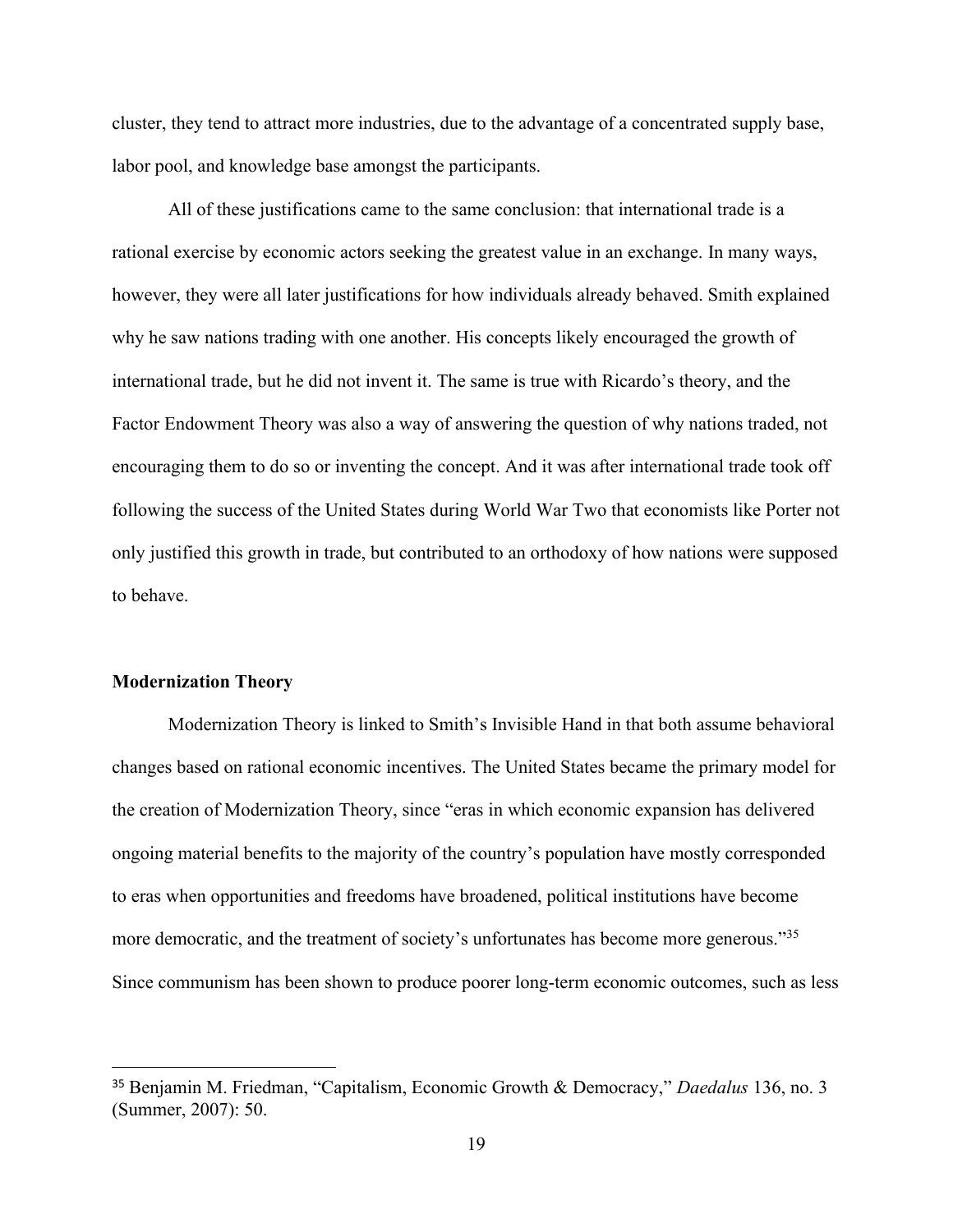cluster, they tend to attract more industries, due to the advantage of a concentrated supply base, labor pool, and knowledge base amongst the participants.

All of these justifications came to the same conclusion: that international trade is a rational exercise by economic actors seeking the greatest value in an exchange. In many ways, however, they were all later justifications for how individuals already behaved. Smith explained why he saw nations trading with one another. His concepts likely encouraged the growth of international trade, but he did not invent it. The same is true with Ricardo's theory, and the Factor Endowment Theory was also a way of answering the question of why nations traded, not encouraging them to do so or inventing the concept. And it was after international trade took off following the success of the United States during World War Two that economists like Porter not only justified this growth in trade, but contributed to an orthodoxy of how nations were supposed to behave.

#### **Modernization Theory**

Modernization Theory is linked to Smith's Invisible Hand in that both assume behavioral changes based on rational economic incentives. The United States became the primary model for the creation of Modernization Theory, since "eras in which economic expansion has delivered ongoing material benefits to the majority of the country's population have mostly corresponded to eras when opportunities and freedoms have broadened, political institutions have become more democratic, and the treatment of society's unfortunates has become more generous."<sup>35</sup> Since communism has been shown to produce poorer long-term economic outcomes, such as less

<sup>35</sup> Benjamin M. Friedman, "Capitalism, Economic Growth & Democracy," *Daedalus* 136, no. 3 (Summer, 2007): 50.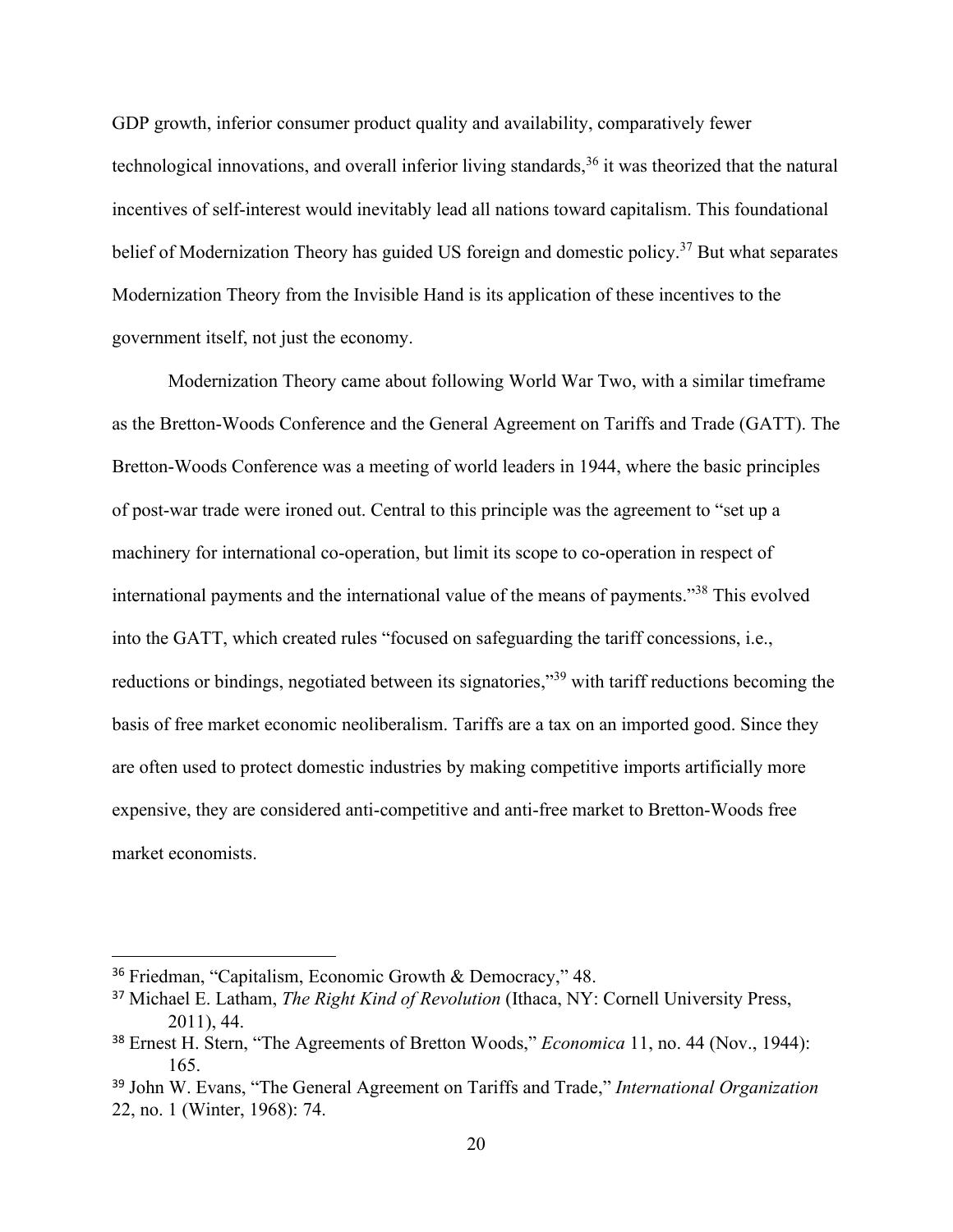GDP growth, inferior consumer product quality and availability, comparatively fewer technological innovations, and overall inferior living standards,  $36$  it was theorized that the natural incentives of self-interest would inevitably lead all nations toward capitalism. This foundational belief of Modernization Theory has guided US foreign and domestic policy.<sup>37</sup> But what separates Modernization Theory from the Invisible Hand is its application of these incentives to the government itself, not just the economy.

Modernization Theory came about following World War Two, with a similar timeframe as the Bretton-Woods Conference and the General Agreement on Tariffs and Trade (GATT). The Bretton-Woods Conference was a meeting of world leaders in 1944, where the basic principles of post-war trade were ironed out. Central to this principle was the agreement to "set up a machinery for international co-operation, but limit its scope to co-operation in respect of international payments and the international value of the means of payments."<sup>38</sup> This evolved into the GATT, which created rules "focused on safeguarding the tariff concessions, i.e., reductions or bindings, negotiated between its signatories,"<sup>39</sup> with tariff reductions becoming the basis of free market economic neoliberalism. Tariffs are a tax on an imported good. Since they are often used to protect domestic industries by making competitive imports artificially more expensive, they are considered anti-competitive and anti-free market to Bretton-Woods free market economists.

<sup>36</sup> Friedman, "Capitalism, Economic Growth & Democracy," 48.

<sup>37</sup> Michael E. Latham, *The Right Kind of Revolution* (Ithaca, NY: Cornell University Press, 2011), 44.

<sup>38</sup> Ernest H. Stern, "The Agreements of Bretton Woods," *Economica* 11, no. 44 (Nov., 1944): 165.

<sup>39</sup> John W. Evans, "The General Agreement on Tariffs and Trade," *International Organization* 22, no. 1 (Winter, 1968): 74.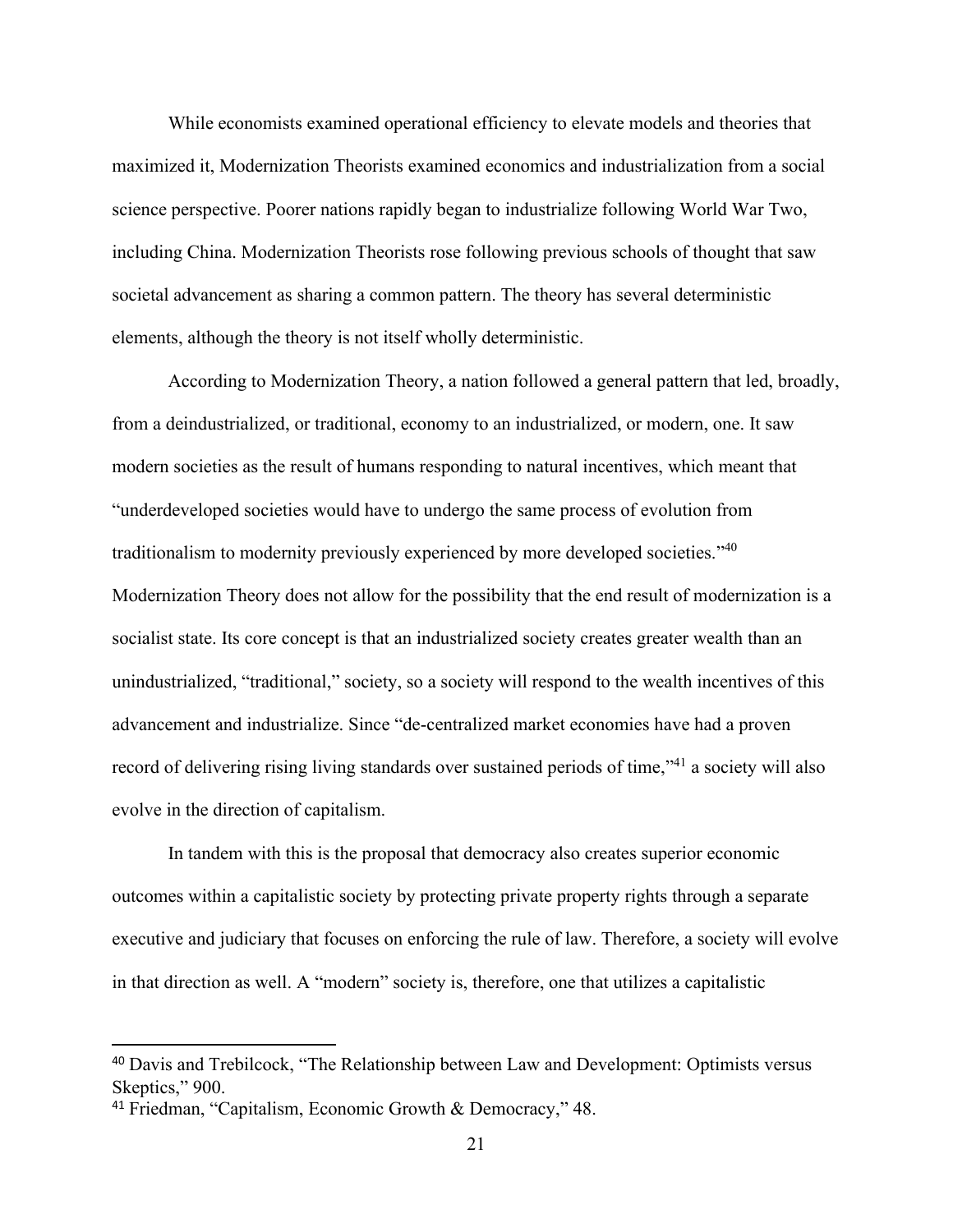While economists examined operational efficiency to elevate models and theories that maximized it, Modernization Theorists examined economics and industrialization from a social science perspective. Poorer nations rapidly began to industrialize following World War Two, including China. Modernization Theorists rose following previous schools of thought that saw societal advancement as sharing a common pattern. The theory has several deterministic elements, although the theory is not itself wholly deterministic.

According to Modernization Theory, a nation followed a general pattern that led, broadly, from a deindustrialized, or traditional, economy to an industrialized, or modern, one. It saw modern societies as the result of humans responding to natural incentives, which meant that "underdeveloped societies would have to undergo the same process of evolution from traditionalism to modernity previously experienced by more developed societies."<sup>40</sup> Modernization Theory does not allow for the possibility that the end result of modernization is a socialist state. Its core concept is that an industrialized society creates greater wealth than an unindustrialized, "traditional," society, so a society will respond to the wealth incentives of this advancement and industrialize. Since "de-centralized market economies have had a proven record of delivering rising living standards over sustained periods of time,"<sup>41</sup> a society will also evolve in the direction of capitalism.

In tandem with this is the proposal that democracy also creates superior economic outcomes within a capitalistic society by protecting private property rights through a separate executive and judiciary that focuses on enforcing the rule of law. Therefore, a society will evolve in that direction as well. A "modern" society is, therefore, one that utilizes a capitalistic

<sup>&</sup>lt;sup>40</sup> Davis and Trebilcock, "The Relationship between Law and Development: Optimists versus Skeptics," 900.

<sup>41</sup> Friedman, "Capitalism, Economic Growth & Democracy," 48.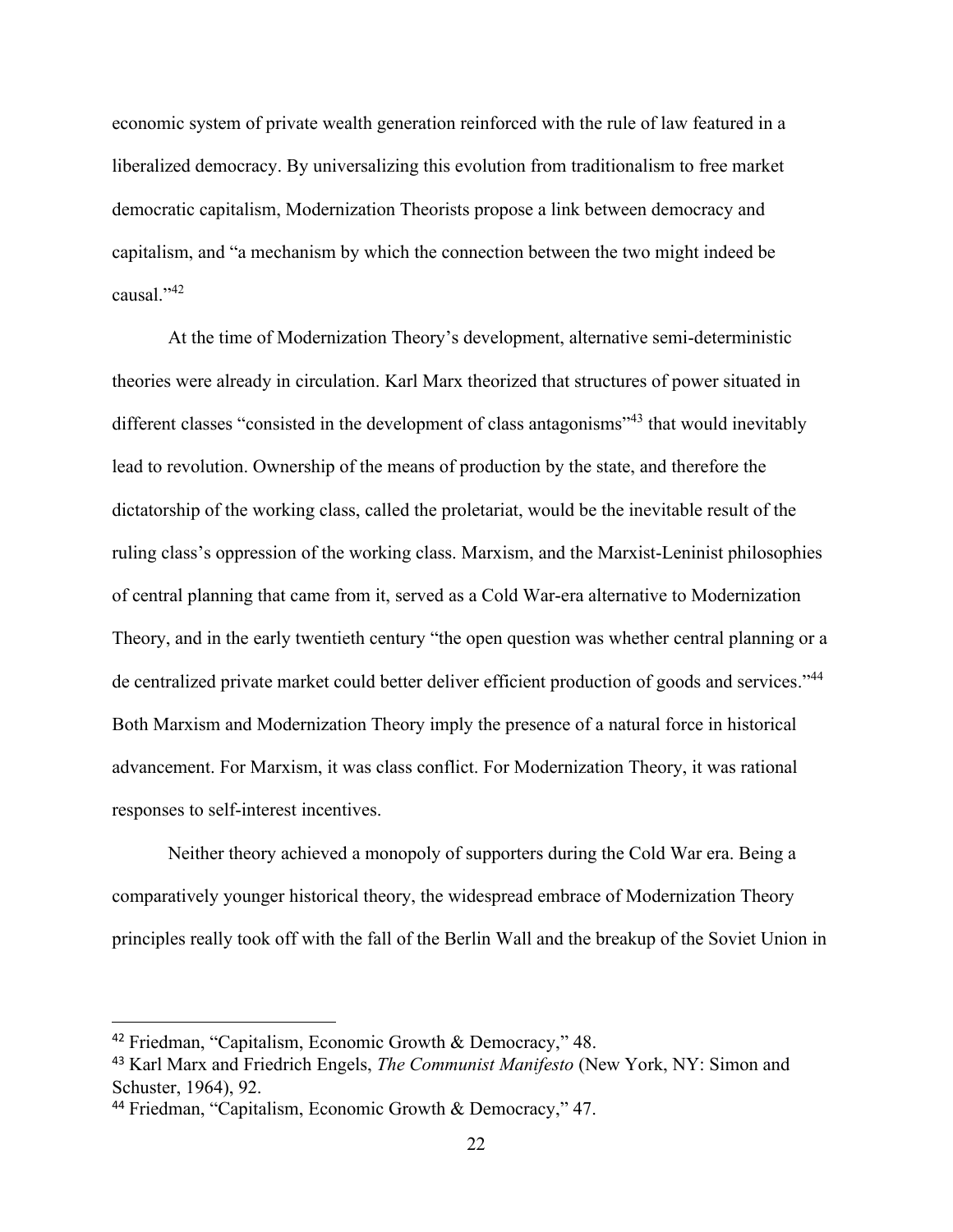economic system of private wealth generation reinforced with the rule of law featured in a liberalized democracy. By universalizing this evolution from traditionalism to free market democratic capitalism, Modernization Theorists propose a link between democracy and capitalism, and "a mechanism by which the connection between the two might indeed be causal."<sup>42</sup>

At the time of Modernization Theory's development, alternative semi-deterministic theories were already in circulation. Karl Marx theorized that structures of power situated in different classes "consisted in the development of class antagonisms"<sup>43</sup> that would inevitably lead to revolution. Ownership of the means of production by the state, and therefore the dictatorship of the working class, called the proletariat, would be the inevitable result of the ruling class's oppression of the working class. Marxism, and the Marxist-Leninist philosophies of central planning that came from it, served as a Cold War-era alternative to Modernization Theory, and in the early twentieth century "the open question was whether central planning or a de centralized private market could better deliver efficient production of goods and services."<sup>44</sup> Both Marxism and Modernization Theory imply the presence of a natural force in historical advancement. For Marxism, it was class conflict. For Modernization Theory, it was rational responses to self-interest incentives.

Neither theory achieved a monopoly of supporters during the Cold War era. Being a comparatively younger historical theory, the widespread embrace of Modernization Theory principles really took off with the fall of the Berlin Wall and the breakup of the Soviet Union in

<sup>42</sup> Friedman, "Capitalism, Economic Growth & Democracy," 48.

<sup>43</sup> Karl Marx and Friedrich Engels, *The Communist Manifesto* (New York, NY: Simon and Schuster, 1964), 92.

<sup>44</sup> Friedman, "Capitalism, Economic Growth & Democracy," 47.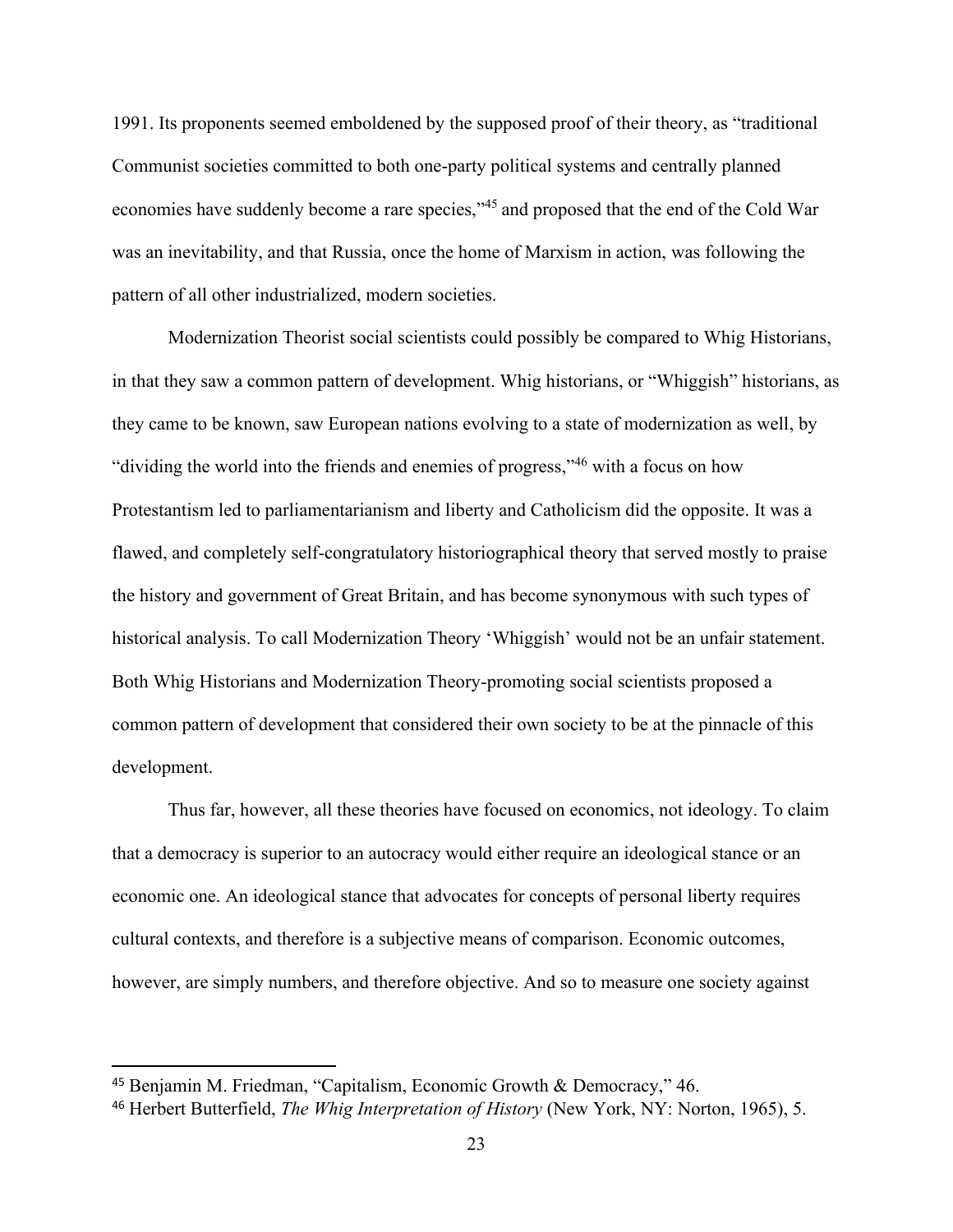1991. Its proponents seemed emboldened by the supposed proof of their theory, as "traditional Communist societies committed to both one-party political systems and centrally planned economies have suddenly become a rare species,"<sup>45</sup> and proposed that the end of the Cold War was an inevitability, and that Russia, once the home of Marxism in action, was following the pattern of all other industrialized, modern societies.

Modernization Theorist social scientists could possibly be compared to Whig Historians, in that they saw a common pattern of development. Whig historians, or "Whiggish" historians, as they came to be known, saw European nations evolving to a state of modernization as well, by "dividing the world into the friends and enemies of progress,"<sup>46</sup> with a focus on how Protestantism led to parliamentarianism and liberty and Catholicism did the opposite. It was a flawed, and completely self-congratulatory historiographical theory that served mostly to praise the history and government of Great Britain, and has become synonymous with such types of historical analysis. To call Modernization Theory 'Whiggish' would not be an unfair statement. Both Whig Historians and Modernization Theory-promoting social scientists proposed a common pattern of development that considered their own society to be at the pinnacle of this development.

Thus far, however, all these theories have focused on economics, not ideology. To claim that a democracy is superior to an autocracy would either require an ideological stance or an economic one. An ideological stance that advocates for concepts of personal liberty requires cultural contexts, and therefore is a subjective means of comparison. Economic outcomes, however, are simply numbers, and therefore objective. And so to measure one society against

<sup>45</sup> Benjamin M. Friedman, "Capitalism, Economic Growth & Democracy," 46.

<sup>46</sup> Herbert Butterfield, *The Whig Interpretation of History* (New York, NY: Norton, 1965), 5.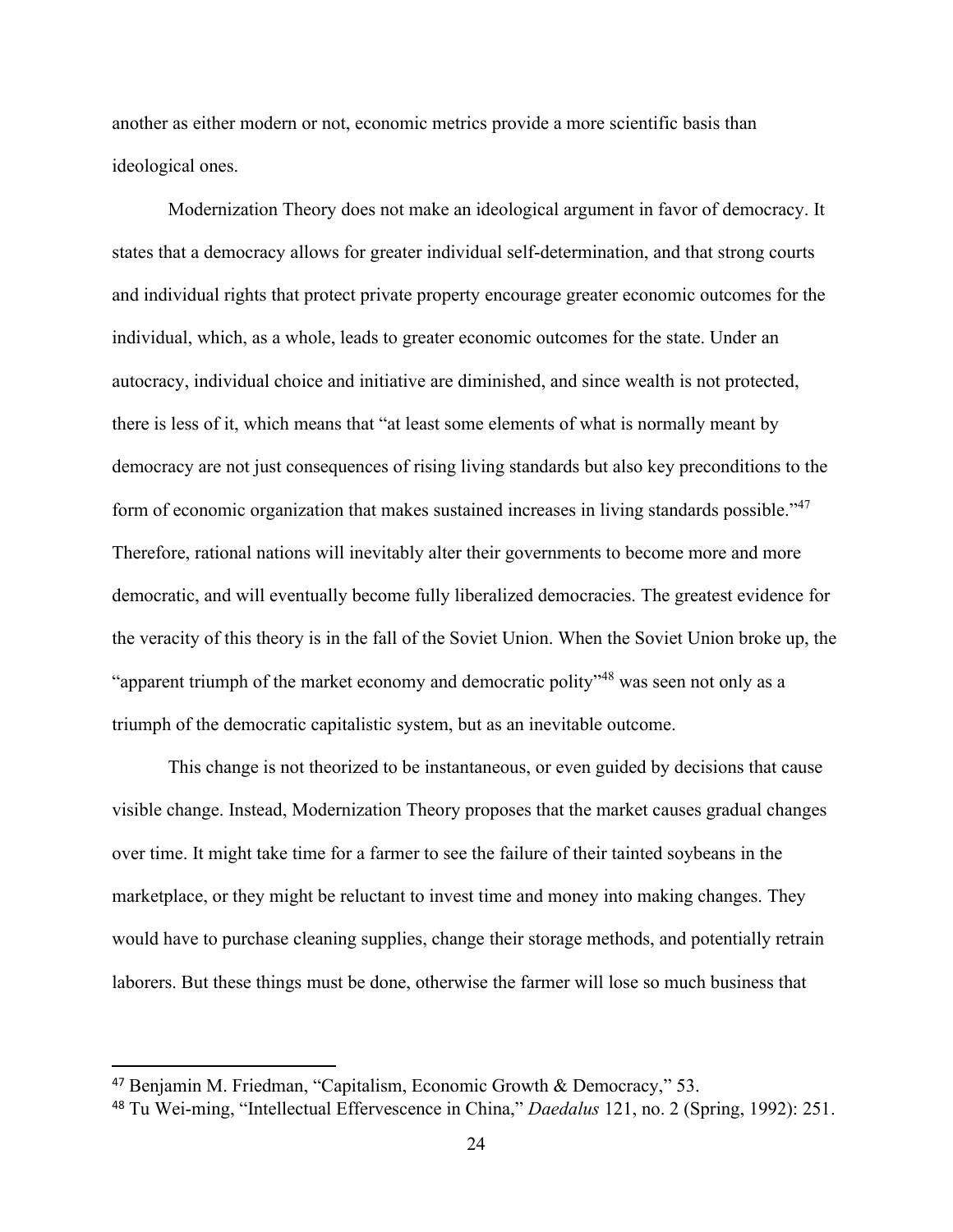another as either modern or not, economic metrics provide a more scientific basis than ideological ones.

Modernization Theory does not make an ideological argument in favor of democracy. It states that a democracy allows for greater individual self-determination, and that strong courts and individual rights that protect private property encourage greater economic outcomes for the individual, which, as a whole, leads to greater economic outcomes for the state. Under an autocracy, individual choice and initiative are diminished, and since wealth is not protected, there is less of it, which means that "at least some elements of what is normally meant by democracy are not just consequences of rising living standards but also key preconditions to the form of economic organization that makes sustained increases in living standards possible."<sup>47</sup> Therefore, rational nations will inevitably alter their governments to become more and more democratic, and will eventually become fully liberalized democracies. The greatest evidence for the veracity of this theory is in the fall of the Soviet Union. When the Soviet Union broke up, the "apparent triumph of the market economy and democratic polity"<sup>48</sup> was seen not only as a triumph of the democratic capitalistic system, but as an inevitable outcome.

This change is not theorized to be instantaneous, or even guided by decisions that cause visible change. Instead, Modernization Theory proposes that the market causes gradual changes over time. It might take time for a farmer to see the failure of their tainted soybeans in the marketplace, or they might be reluctant to invest time and money into making changes. They would have to purchase cleaning supplies, change their storage methods, and potentially retrain laborers. But these things must be done, otherwise the farmer will lose so much business that

<sup>47</sup> Benjamin M. Friedman, "Capitalism, Economic Growth & Democracy," 53.

<sup>48</sup> Tu Wei-ming, "Intellectual Effervescence in China," *Daedalus* 121, no. 2 (Spring, 1992): 251.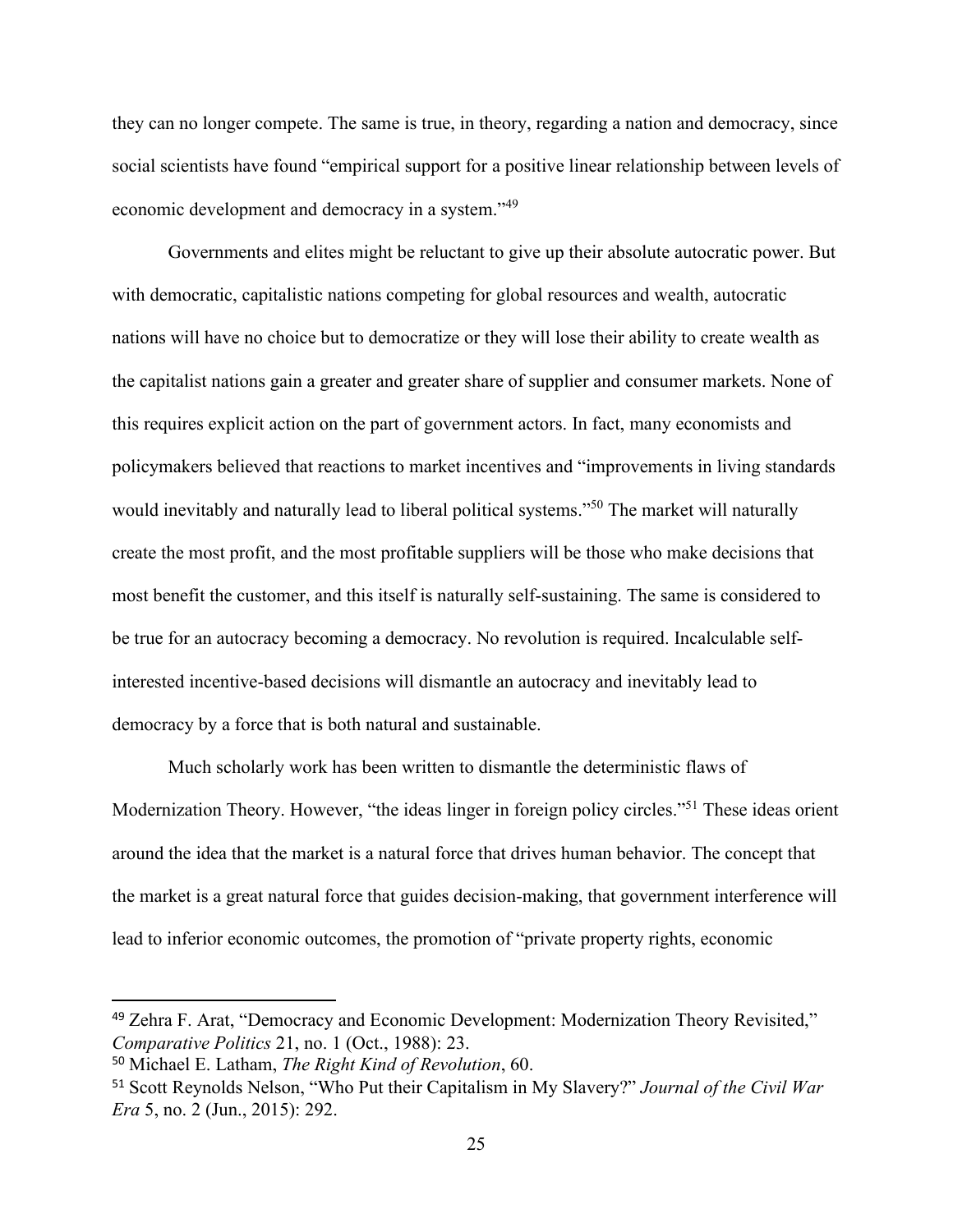they can no longer compete. The same is true, in theory, regarding a nation and democracy, since social scientists have found "empirical support for a positive linear relationship between levels of economic development and democracy in a system."<sup>49</sup>

Governments and elites might be reluctant to give up their absolute autocratic power. But with democratic, capitalistic nations competing for global resources and wealth, autocratic nations will have no choice but to democratize or they will lose their ability to create wealth as the capitalist nations gain a greater and greater share of supplier and consumer markets. None of this requires explicit action on the part of government actors. In fact, many economists and policymakers believed that reactions to market incentives and "improvements in living standards would inevitably and naturally lead to liberal political systems."<sup>50</sup> The market will naturally create the most profit, and the most profitable suppliers will be those who make decisions that most benefit the customer, and this itself is naturally self-sustaining. The same is considered to be true for an autocracy becoming a democracy. No revolution is required. Incalculable selfinterested incentive-based decisions will dismantle an autocracy and inevitably lead to democracy by a force that is both natural and sustainable.

Much scholarly work has been written to dismantle the deterministic flaws of Modernization Theory. However, "the ideas linger in foreign policy circles."<sup>51</sup> These ideas orient around the idea that the market is a natural force that drives human behavior. The concept that the market is a great natural force that guides decision-making, that government interference will lead to inferior economic outcomes, the promotion of "private property rights, economic

<sup>49</sup> Zehra F. Arat, "Democracy and Economic Development: Modernization Theory Revisited," *Comparative Politics* 21, no. 1 (Oct., 1988): 23.

<sup>50</sup> Michael E. Latham, *The Right Kind of Revolution*, 60.

<sup>51</sup> Scott Reynolds Nelson, "Who Put their Capitalism in My Slavery?" *Journal of the Civil War Era* 5, no. 2 (Jun., 2015): 292.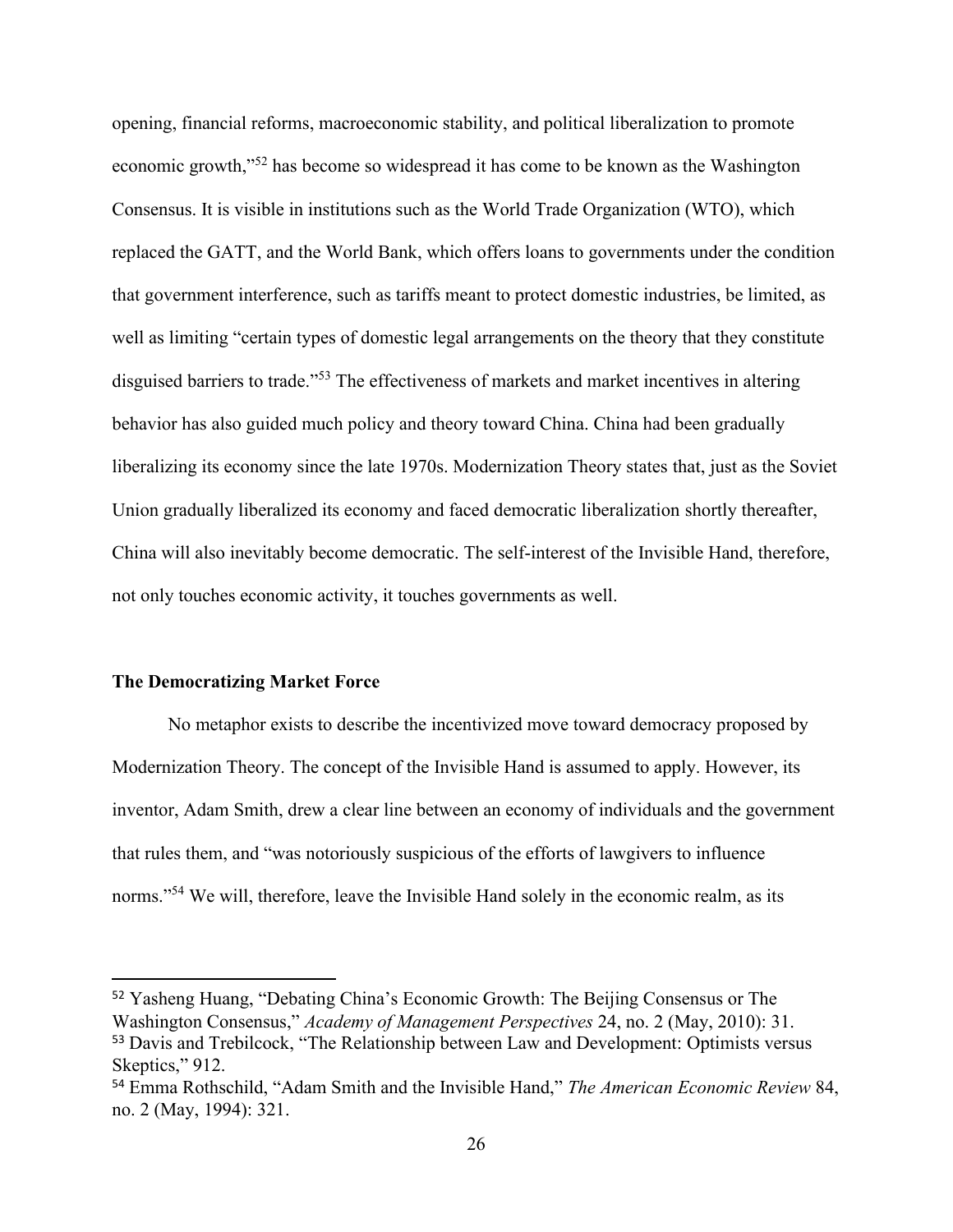opening, financial reforms, macroeconomic stability, and political liberalization to promote economic growth,"<sup>52</sup> has become so widespread it has come to be known as the Washington Consensus. It is visible in institutions such as the World Trade Organization (WTO), which replaced the GATT, and the World Bank, which offers loans to governments under the condition that government interference, such as tariffs meant to protect domestic industries, be limited, as well as limiting "certain types of domestic legal arrangements on the theory that they constitute disguised barriers to trade."<sup>53</sup> The effectiveness of markets and market incentives in altering behavior has also guided much policy and theory toward China. China had been gradually liberalizing its economy since the late 1970s. Modernization Theory states that, just as the Soviet Union gradually liberalized its economy and faced democratic liberalization shortly thereafter, China will also inevitably become democratic. The self-interest of the Invisible Hand, therefore, not only touches economic activity, it touches governments as well.

### **The Democratizing Market Force**

No metaphor exists to describe the incentivized move toward democracy proposed by Modernization Theory. The concept of the Invisible Hand is assumed to apply. However, its inventor, Adam Smith, drew a clear line between an economy of individuals and the government that rules them, and "was notoriously suspicious of the efforts of lawgivers to influence norms."<sup>54</sup> We will, therefore, leave the Invisible Hand solely in the economic realm, as its

<sup>52</sup> Yasheng Huang, "Debating China's Economic Growth: The Beijing Consensus or The Washington Consensus," *Academy of Management Perspectives* 24, no. 2 (May, 2010): 31. <sup>53</sup> Davis and Trebilcock, "The Relationship between Law and Development: Optimists versus Skeptics," 912.

<sup>54</sup> Emma Rothschild, "Adam Smith and the Invisible Hand," *The American Economic Review* 84, no. 2 (May, 1994): 321.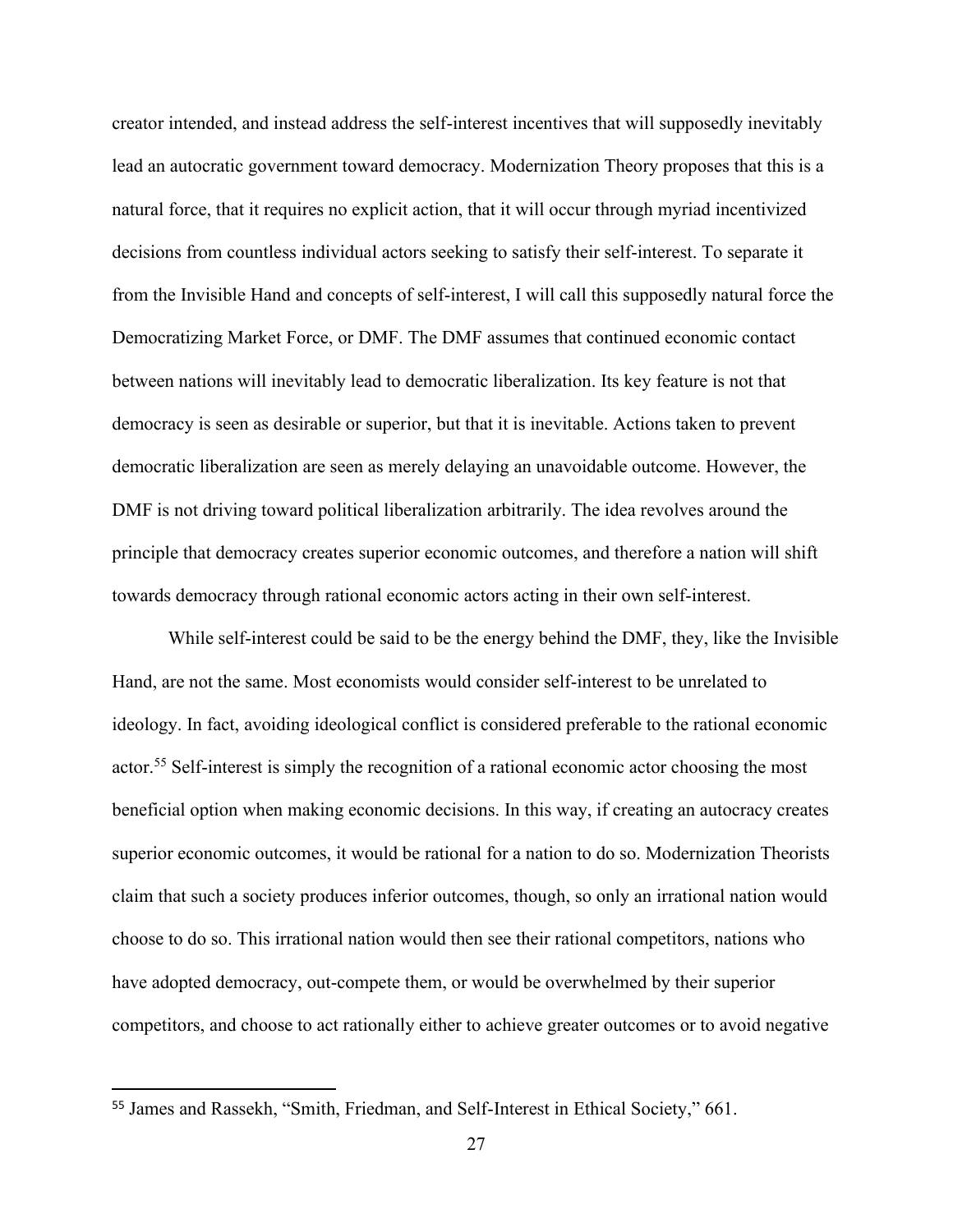creator intended, and instead address the self-interest incentives that will supposedly inevitably lead an autocratic government toward democracy. Modernization Theory proposes that this is a natural force, that it requires no explicit action, that it will occur through myriad incentivized decisions from countless individual actors seeking to satisfy their self-interest. To separate it from the Invisible Hand and concepts of self-interest, I will call this supposedly natural force the Democratizing Market Force, or DMF. The DMF assumes that continued economic contact between nations will inevitably lead to democratic liberalization. Its key feature is not that democracy is seen as desirable or superior, but that it is inevitable. Actions taken to prevent democratic liberalization are seen as merely delaying an unavoidable outcome. However, the DMF is not driving toward political liberalization arbitrarily. The idea revolves around the principle that democracy creates superior economic outcomes, and therefore a nation will shift towards democracy through rational economic actors acting in their own self-interest.

While self-interest could be said to be the energy behind the DMF, they, like the Invisible Hand, are not the same. Most economists would consider self-interest to be unrelated to ideology. In fact, avoiding ideological conflict is considered preferable to the rational economic actor.<sup>55</sup> Self-interest is simply the recognition of a rational economic actor choosing the most beneficial option when making economic decisions. In this way, if creating an autocracy creates superior economic outcomes, it would be rational for a nation to do so. Modernization Theorists claim that such a society produces inferior outcomes, though, so only an irrational nation would choose to do so. This irrational nation would then see their rational competitors, nations who have adopted democracy, out-compete them, or would be overwhelmed by their superior competitors, and choose to act rationally either to achieve greater outcomes or to avoid negative

<sup>55</sup> James and Rassekh, "Smith, Friedman, and Self-Interest in Ethical Society," 661.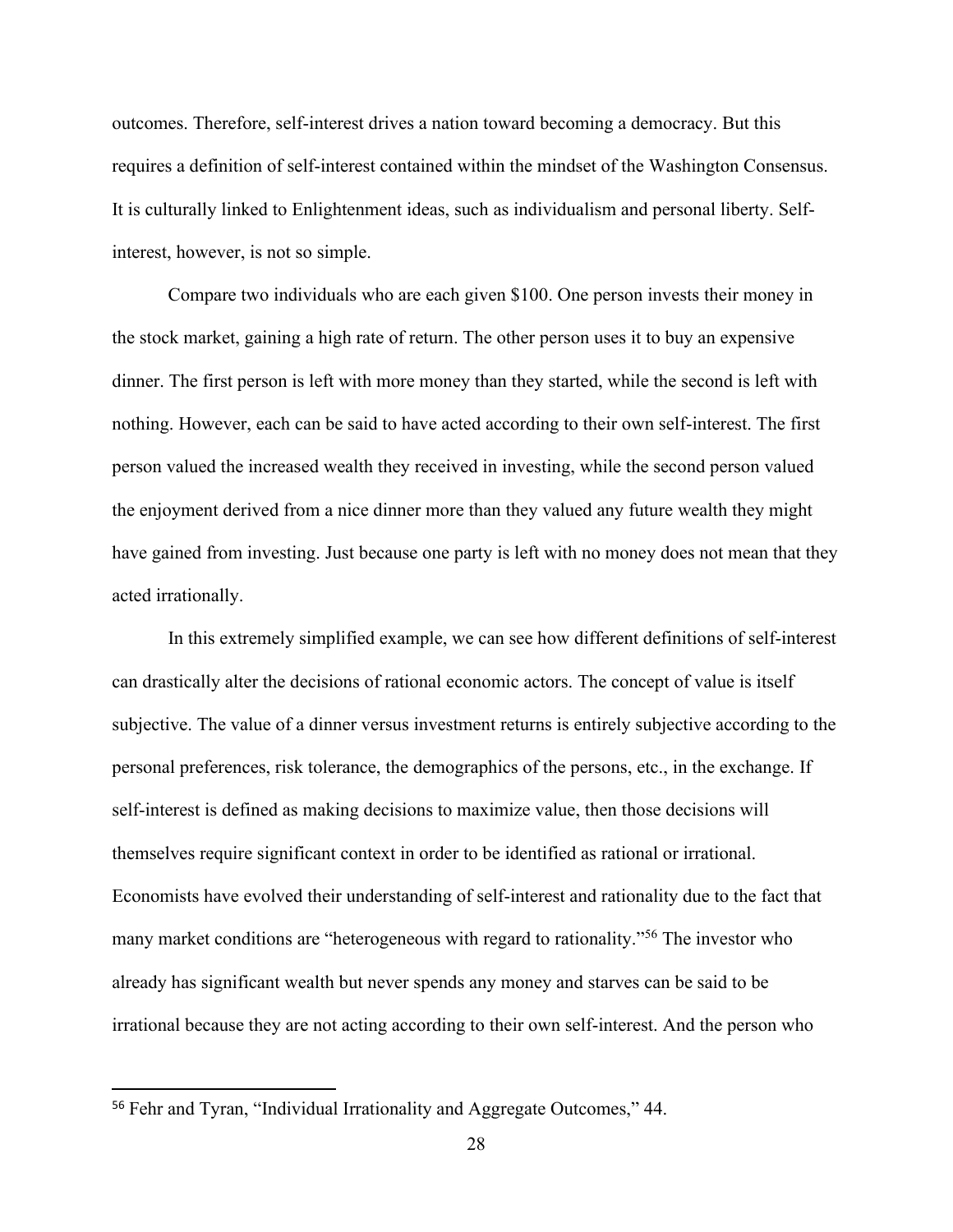outcomes. Therefore, self-interest drives a nation toward becoming a democracy. But this requires a definition of self-interest contained within the mindset of the Washington Consensus. It is culturally linked to Enlightenment ideas, such as individualism and personal liberty. Selfinterest, however, is not so simple.

Compare two individuals who are each given \$100. One person invests their money in the stock market, gaining a high rate of return. The other person uses it to buy an expensive dinner. The first person is left with more money than they started, while the second is left with nothing. However, each can be said to have acted according to their own self-interest. The first person valued the increased wealth they received in investing, while the second person valued the enjoyment derived from a nice dinner more than they valued any future wealth they might have gained from investing. Just because one party is left with no money does not mean that they acted irrationally.

In this extremely simplified example, we can see how different definitions of self-interest can drastically alter the decisions of rational economic actors. The concept of value is itself subjective. The value of a dinner versus investment returns is entirely subjective according to the personal preferences, risk tolerance, the demographics of the persons, etc., in the exchange. If self-interest is defined as making decisions to maximize value, then those decisions will themselves require significant context in order to be identified as rational or irrational. Economists have evolved their understanding of self-interest and rationality due to the fact that many market conditions are "heterogeneous with regard to rationality."<sup>56</sup> The investor who already has significant wealth but never spends any money and starves can be said to be irrational because they are not acting according to their own self-interest. And the person who

<sup>56</sup> Fehr and Tyran, "Individual Irrationality and Aggregate Outcomes," 44.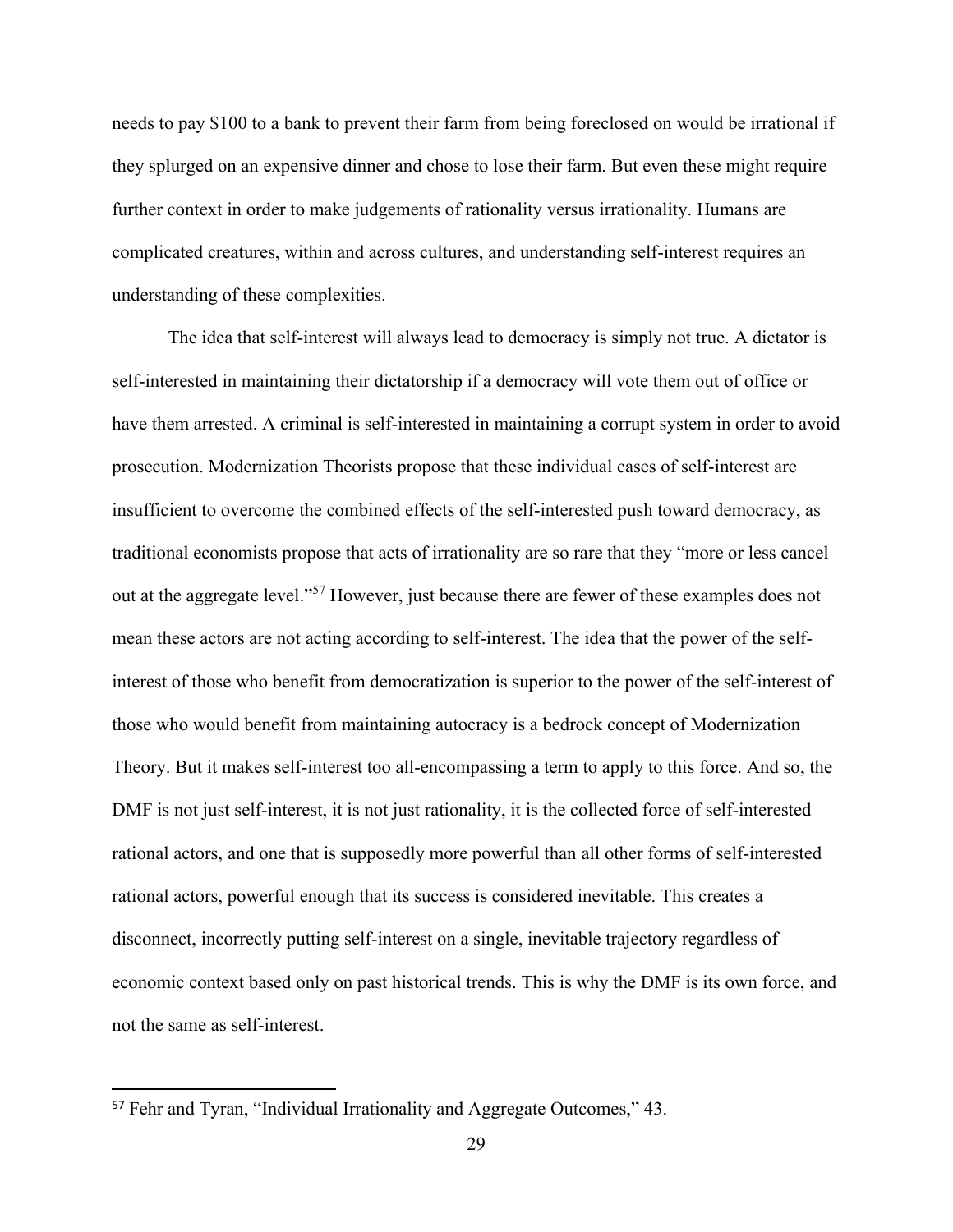needs to pay \$100 to a bank to prevent their farm from being foreclosed on would be irrational if they splurged on an expensive dinner and chose to lose their farm. But even these might require further context in order to make judgements of rationality versus irrationality. Humans are complicated creatures, within and across cultures, and understanding self-interest requires an understanding of these complexities.

The idea that self-interest will always lead to democracy is simply not true. A dictator is self-interested in maintaining their dictatorship if a democracy will vote them out of office or have them arrested. A criminal is self-interested in maintaining a corrupt system in order to avoid prosecution. Modernization Theorists propose that these individual cases of self-interest are insufficient to overcome the combined effects of the self-interested push toward democracy, as traditional economists propose that acts of irrationality are so rare that they "more or less cancel out at the aggregate level."<sup>57</sup> However, just because there are fewer of these examples does not mean these actors are not acting according to self-interest. The idea that the power of the selfinterest of those who benefit from democratization is superior to the power of the self-interest of those who would benefit from maintaining autocracy is a bedrock concept of Modernization Theory. But it makes self-interest too all-encompassing a term to apply to this force. And so, the DMF is not just self-interest, it is not just rationality, it is the collected force of self-interested rational actors, and one that is supposedly more powerful than all other forms of self-interested rational actors, powerful enough that its success is considered inevitable. This creates a disconnect, incorrectly putting self-interest on a single, inevitable trajectory regardless of economic context based only on past historical trends. This is why the DMF is its own force, and not the same as self-interest.

<sup>57</sup> Fehr and Tyran, "Individual Irrationality and Aggregate Outcomes," 43.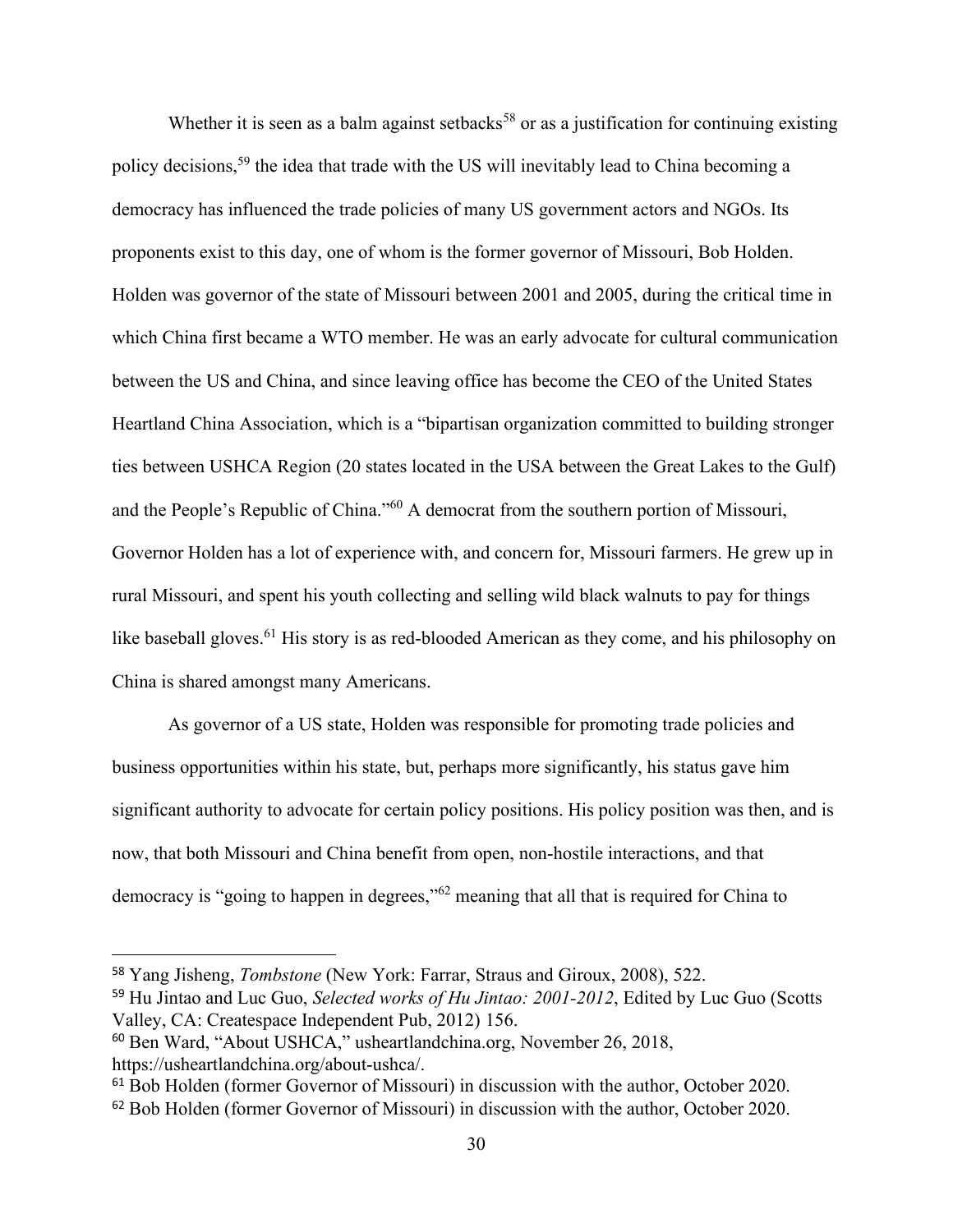Whether it is seen as a balm against setbacks<sup>58</sup> or as a justification for continuing existing policy decisions,<sup>59</sup> the idea that trade with the US will inevitably lead to China becoming a democracy has influenced the trade policies of many US government actors and NGOs. Its proponents exist to this day, one of whom is the former governor of Missouri, Bob Holden. Holden was governor of the state of Missouri between 2001 and 2005, during the critical time in which China first became a WTO member. He was an early advocate for cultural communication between the US and China, and since leaving office has become the CEO of the United States Heartland China Association, which is a "bipartisan organization committed to building stronger ties between USHCA Region (20 states located in the USA between the Great Lakes to the Gulf) and the People's Republic of China."<sup>60</sup> A democrat from the southern portion of Missouri, Governor Holden has a lot of experience with, and concern for, Missouri farmers. He grew up in rural Missouri, and spent his youth collecting and selling wild black walnuts to pay for things like baseball gloves.<sup>61</sup> His story is as red-blooded American as they come, and his philosophy on China is shared amongst many Americans.

As governor of a US state, Holden was responsible for promoting trade policies and business opportunities within his state, but, perhaps more significantly, his status gave him significant authority to advocate for certain policy positions. His policy position was then, and is now, that both Missouri and China benefit from open, non-hostile interactions, and that democracy is "going to happen in degrees,"<sup>62</sup> meaning that all that is required for China to

<sup>58</sup> Yang Jisheng, *Tombstone* (New York: Farrar, Straus and Giroux, 2008), 522.

<sup>59</sup> Hu Jintao and Luc Guo, *Selected works of Hu Jintao: 2001-2012*, Edited by Luc Guo (Scotts Valley, CA: Createspace Independent Pub, 2012) 156.

<sup>60</sup> Ben Ward, "About USHCA," usheartlandchina.org, November 26, 2018, https://usheartlandchina.org/about-ushca/.

<sup>&</sup>lt;sup>61</sup> Bob Holden (former Governor of Missouri) in discussion with the author, October 2020.

<sup>62</sup> Bob Holden (former Governor of Missouri) in discussion with the author, October 2020.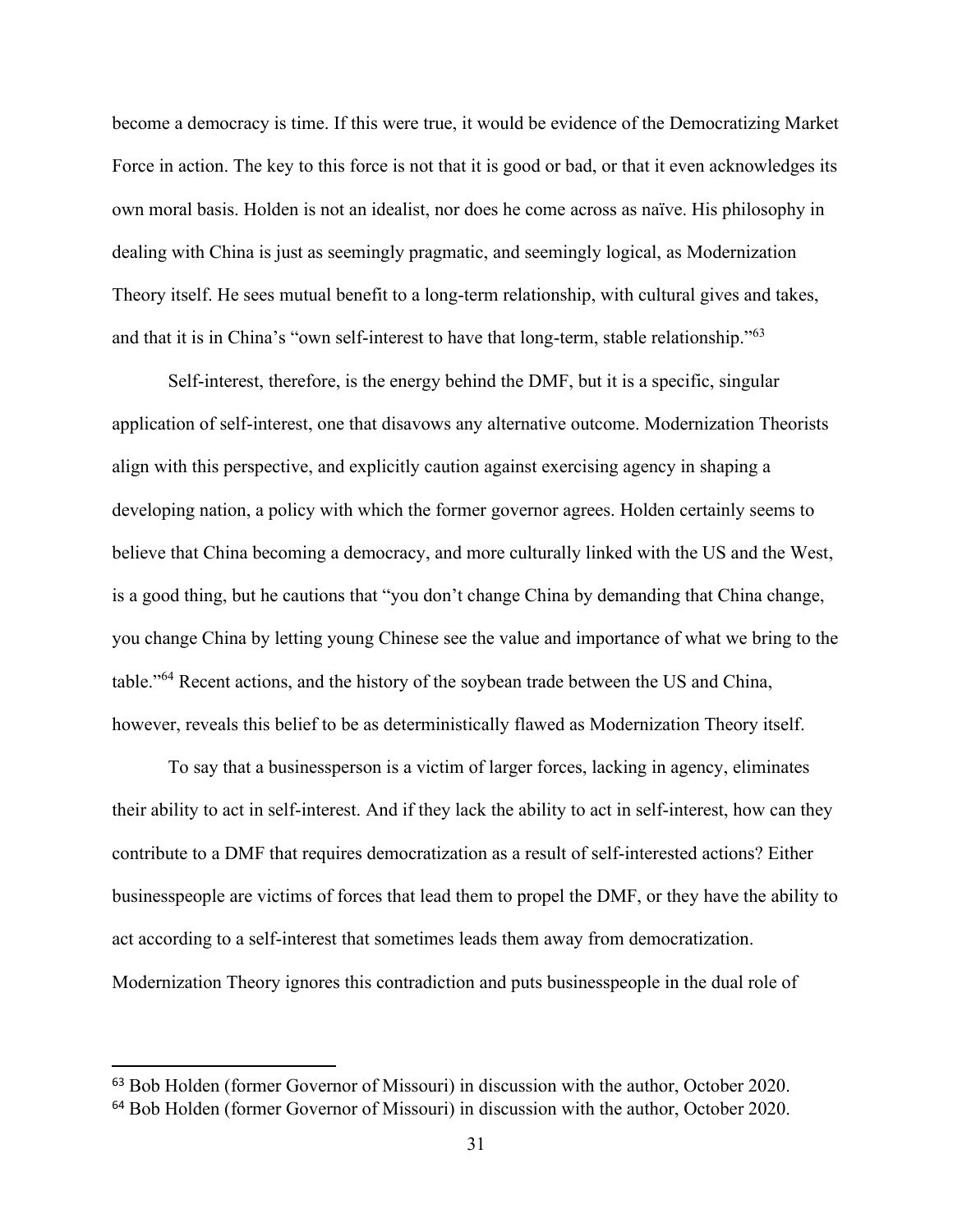become a democracy is time. If this were true, it would be evidence of the Democratizing Market Force in action. The key to this force is not that it is good or bad, or that it even acknowledges its own moral basis. Holden is not an idealist, nor does he come across as naïve. His philosophy in dealing with China is just as seemingly pragmatic, and seemingly logical, as Modernization Theory itself. He sees mutual benefit to a long-term relationship, with cultural gives and takes, and that it is in China's "own self-interest to have that long-term, stable relationship."<sup>63</sup>

Self-interest, therefore, is the energy behind the DMF, but it is a specific, singular application of self-interest, one that disavows any alternative outcome. Modernization Theorists align with this perspective, and explicitly caution against exercising agency in shaping a developing nation, a policy with which the former governor agrees. Holden certainly seems to believe that China becoming a democracy, and more culturally linked with the US and the West, is a good thing, but he cautions that "you don't change China by demanding that China change, you change China by letting young Chinese see the value and importance of what we bring to the table."<sup>64</sup> Recent actions, and the history of the soybean trade between the US and China, however, reveals this belief to be as deterministically flawed as Modernization Theory itself.

To say that a businessperson is a victim of larger forces, lacking in agency, eliminates their ability to act in self-interest. And if they lack the ability to act in self-interest, how can they contribute to a DMF that requires democratization as a result of self-interested actions? Either businesspeople are victims of forces that lead them to propel the DMF, or they have the ability to act according to a self-interest that sometimes leads them away from democratization. Modernization Theory ignores this contradiction and puts businesspeople in the dual role of

<sup>63</sup> Bob Holden (former Governor of Missouri) in discussion with the author, October 2020.

<sup>64</sup> Bob Holden (former Governor of Missouri) in discussion with the author, October 2020.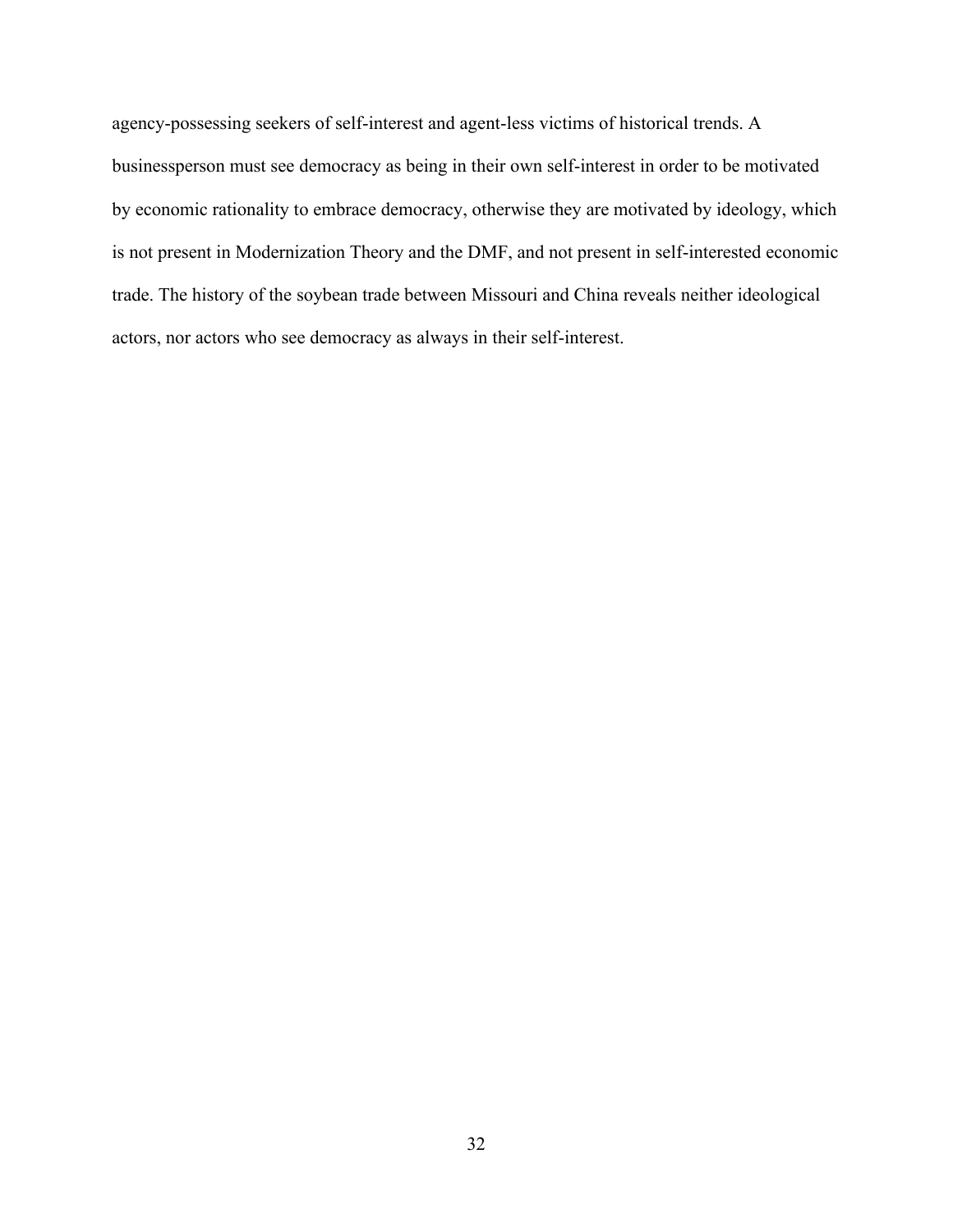agency-possessing seekers of self-interest and agent-less victims of historical trends. A businessperson must see democracy as being in their own self-interest in order to be motivated by economic rationality to embrace democracy, otherwise they are motivated by ideology, which is not present in Modernization Theory and the DMF, and not present in self-interested economic trade. The history of the soybean trade between Missouri and China reveals neither ideological actors, nor actors who see democracy as always in their self-interest.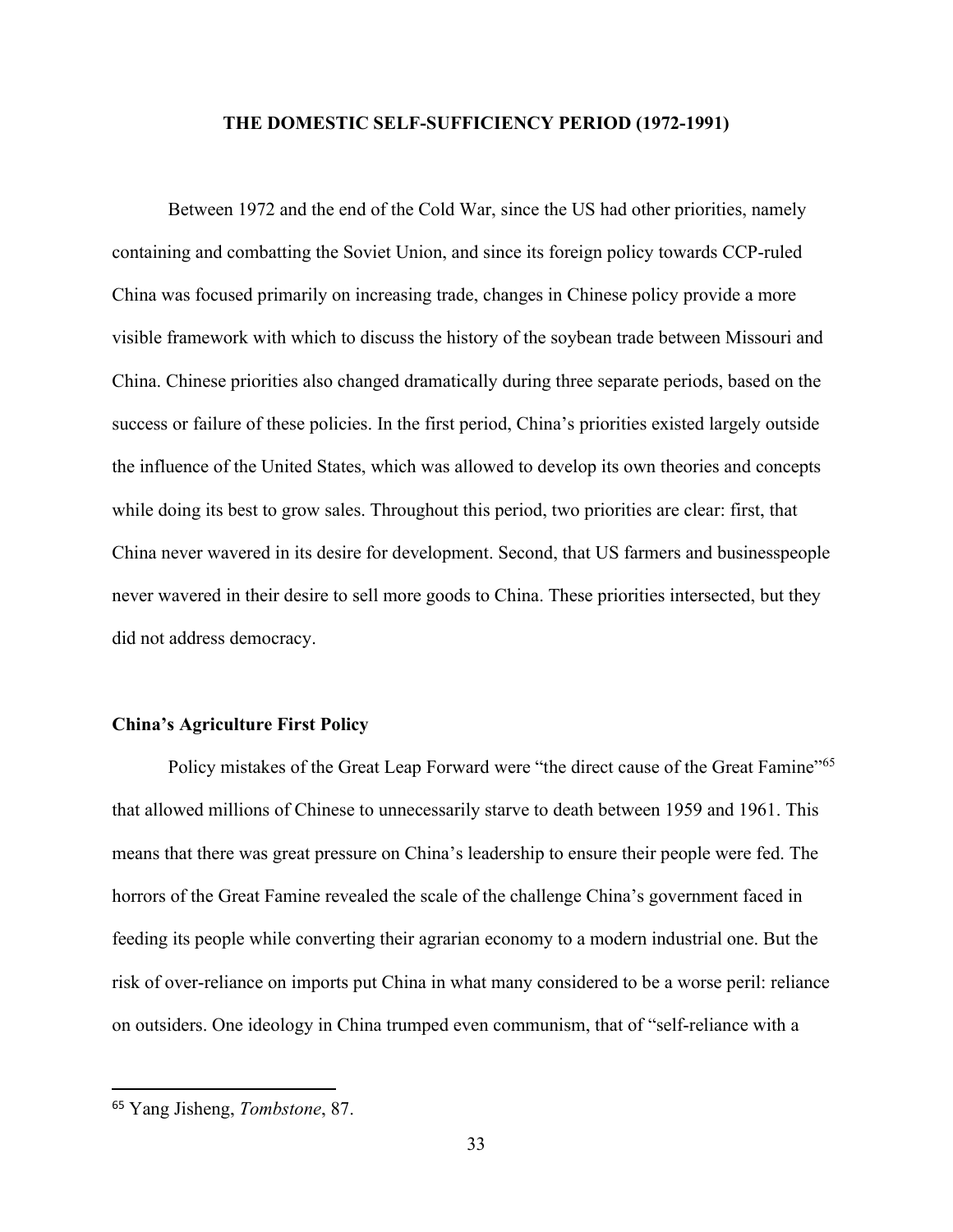### **THE DOMESTIC SELF-SUFFICIENCY PERIOD (1972-1991)**

Between 1972 and the end of the Cold War, since the US had other priorities, namely containing and combatting the Soviet Union, and since its foreign policy towards CCP-ruled China was focused primarily on increasing trade, changes in Chinese policy provide a more visible framework with which to discuss the history of the soybean trade between Missouri and China. Chinese priorities also changed dramatically during three separate periods, based on the success or failure of these policies. In the first period, China's priorities existed largely outside the influence of the United States, which was allowed to develop its own theories and concepts while doing its best to grow sales. Throughout this period, two priorities are clear: first, that China never wavered in its desire for development. Second, that US farmers and businesspeople never wavered in their desire to sell more goods to China. These priorities intersected, but they did not address democracy.

#### **China's Agriculture First Policy**

Policy mistakes of the Great Leap Forward were "the direct cause of the Great Famine"<sup>65</sup> that allowed millions of Chinese to unnecessarily starve to death between 1959 and 1961. This means that there was great pressure on China's leadership to ensure their people were fed. The horrors of the Great Famine revealed the scale of the challenge China's government faced in feeding its people while converting their agrarian economy to a modern industrial one. But the risk of over-reliance on imports put China in what many considered to be a worse peril: reliance on outsiders. One ideology in China trumped even communism, that of "self-reliance with a

<sup>65</sup> Yang Jisheng, *Tombstone*, 87.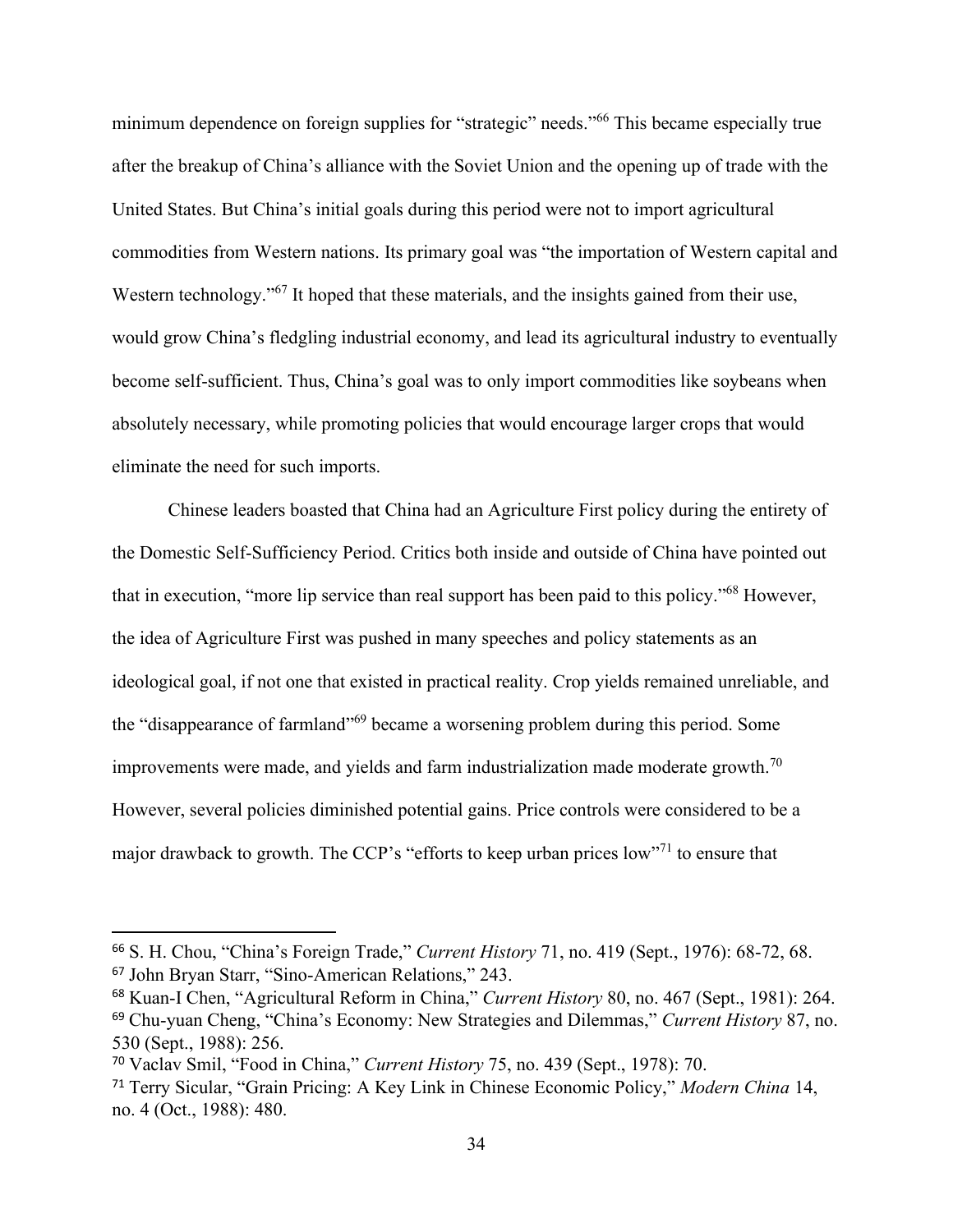minimum dependence on foreign supplies for "strategic" needs."<sup>66</sup> This became especially true after the breakup of China's alliance with the Soviet Union and the opening up of trade with the United States. But China's initial goals during this period were not to import agricultural commodities from Western nations. Its primary goal was "the importation of Western capital and Western technology."<sup>67</sup> It hoped that these materials, and the insights gained from their use, would grow China's fledgling industrial economy, and lead its agricultural industry to eventually become self-sufficient. Thus, China's goal was to only import commodities like soybeans when absolutely necessary, while promoting policies that would encourage larger crops that would eliminate the need for such imports.

Chinese leaders boasted that China had an Agriculture First policy during the entirety of the Domestic Self-Sufficiency Period. Critics both inside and outside of China have pointed out that in execution, "more lip service than real support has been paid to this policy."<sup>68</sup> However, the idea of Agriculture First was pushed in many speeches and policy statements as an ideological goal, if not one that existed in practical reality. Crop yields remained unreliable, and the "disappearance of farmland"<sup>69</sup> became a worsening problem during this period. Some improvements were made, and yields and farm industrialization made moderate growth.<sup>70</sup> However, several policies diminished potential gains. Price controls were considered to be a major drawback to growth. The CCP's "efforts to keep urban prices  $\text{low}^{\cdot}$ " to ensure that

<sup>66</sup> S. H. Chou, "China's Foreign Trade," *Current History* 71, no. 419 (Sept., 1976): 68-72, 68. <sup>67</sup> John Bryan Starr, "Sino-American Relations," 243.

<sup>68</sup> Kuan-I Chen, "Agricultural Reform in China," *Current History* 80, no. 467 (Sept., 1981): 264. <sup>69</sup> Chu-yuan Cheng, "China's Economy: New Strategies and Dilemmas," *Current History* 87, no. 530 (Sept., 1988): 256.

<sup>70</sup> Vaclav Smil, "Food in China," *Current History* 75, no. 439 (Sept., 1978): 70.

<sup>71</sup> Terry Sicular, "Grain Pricing: A Key Link in Chinese Economic Policy," *Modern China* 14, no. 4 (Oct., 1988): 480.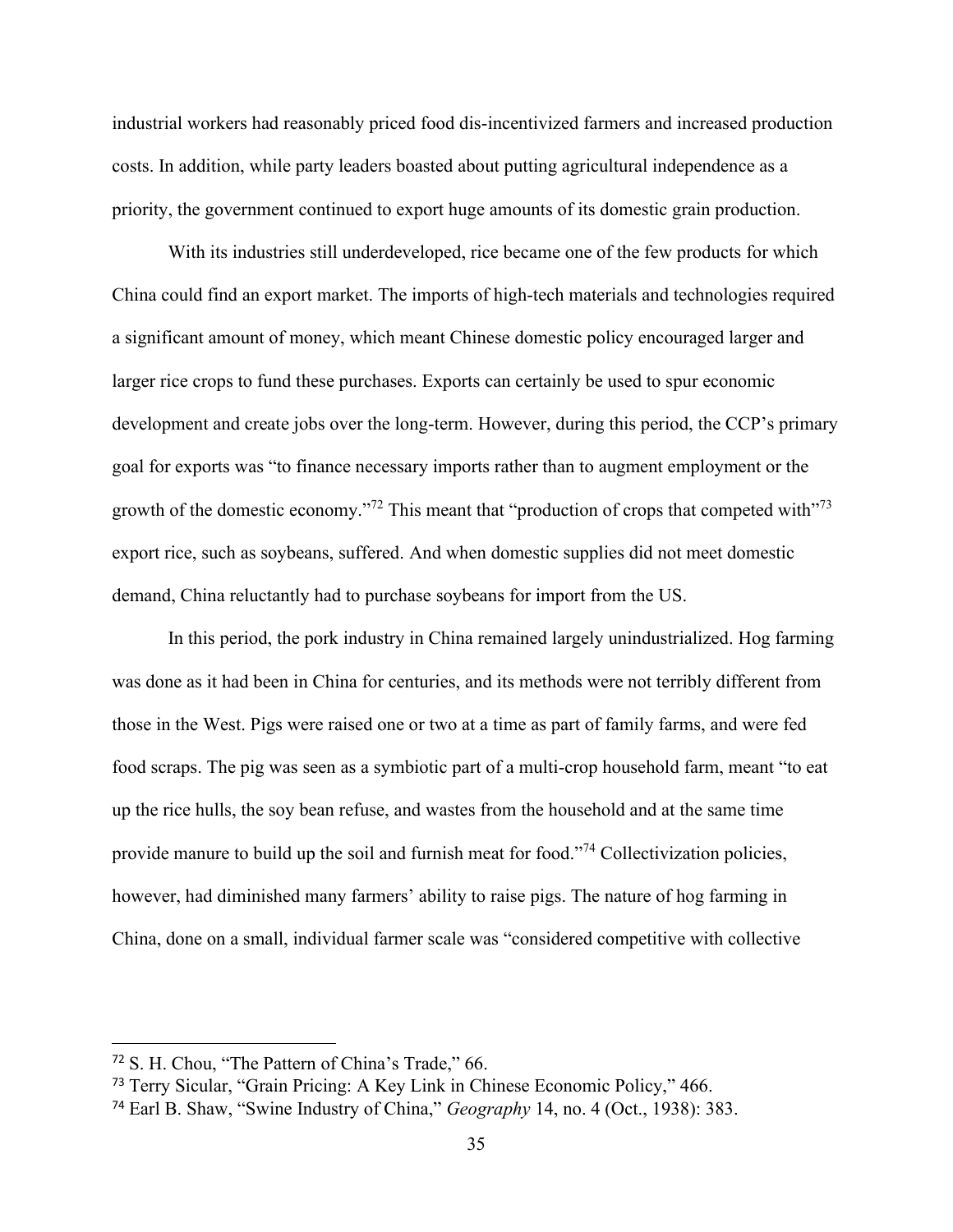industrial workers had reasonably priced food dis-incentivized farmers and increased production costs. In addition, while party leaders boasted about putting agricultural independence as a priority, the government continued to export huge amounts of its domestic grain production.

With its industries still underdeveloped, rice became one of the few products for which China could find an export market. The imports of high-tech materials and technologies required a significant amount of money, which meant Chinese domestic policy encouraged larger and larger rice crops to fund these purchases. Exports can certainly be used to spur economic development and create jobs over the long-term. However, during this period, the CCP's primary goal for exports was "to finance necessary imports rather than to augment employment or the growth of the domestic economy."<sup>72</sup> This meant that "production of crops that competed with"<sup>73</sup> export rice, such as soybeans, suffered. And when domestic supplies did not meet domestic demand, China reluctantly had to purchase soybeans for import from the US.

In this period, the pork industry in China remained largely unindustrialized. Hog farming was done as it had been in China for centuries, and its methods were not terribly different from those in the West. Pigs were raised one or two at a time as part of family farms, and were fed food scraps. The pig was seen as a symbiotic part of a multi-crop household farm, meant "to eat up the rice hulls, the soy bean refuse, and wastes from the household and at the same time provide manure to build up the soil and furnish meat for food."<sup>74</sup> Collectivization policies, however, had diminished many farmers' ability to raise pigs. The nature of hog farming in China, done on a small, individual farmer scale was "considered competitive with collective

<sup>72</sup> S. H. Chou, "The Pattern of China's Trade," 66.

<sup>73</sup> Terry Sicular, "Grain Pricing: A Key Link in Chinese Economic Policy," 466.

<sup>74</sup> Earl B. Shaw, "Swine Industry of China," *Geography* 14, no. 4 (Oct., 1938): 383.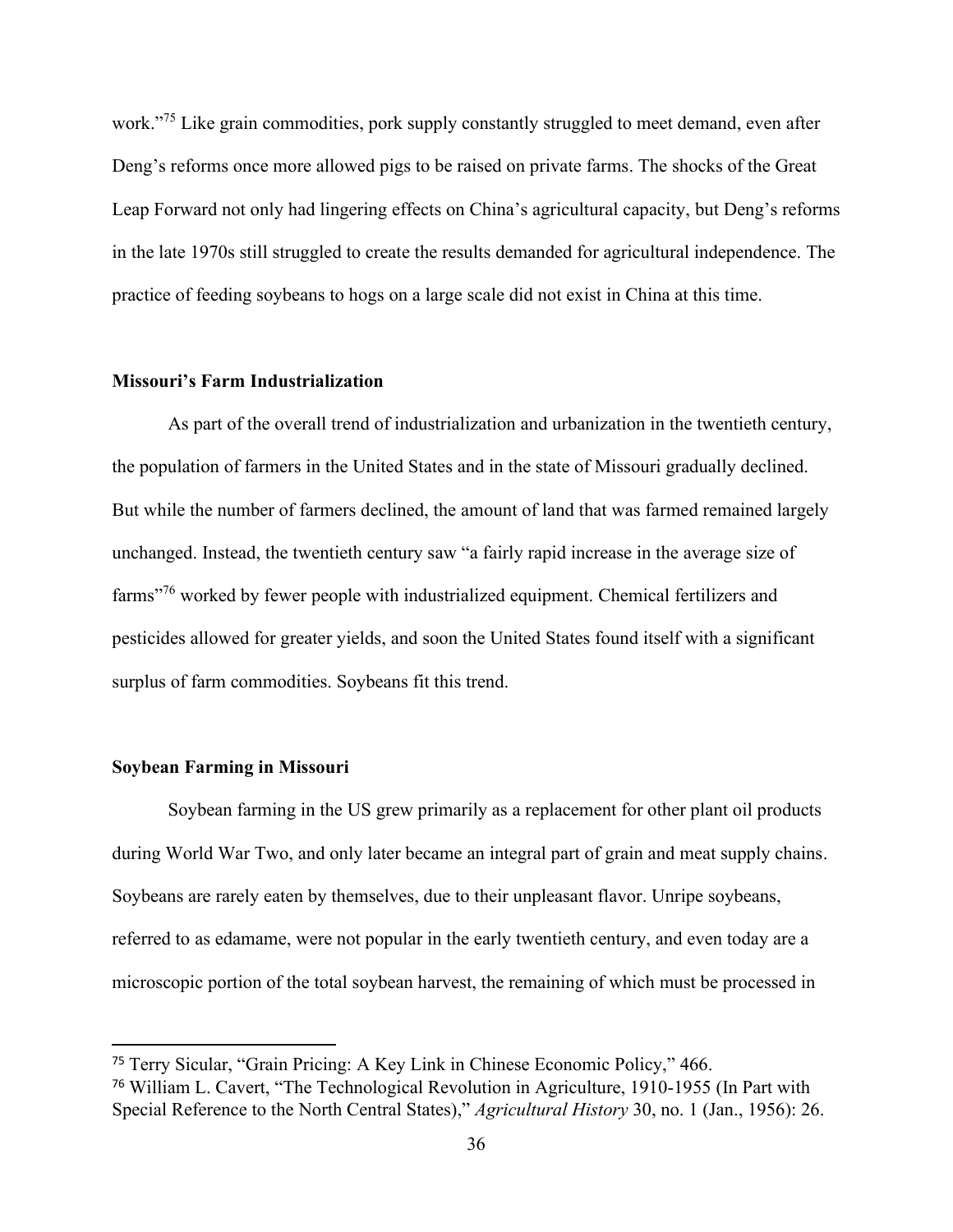work."<sup>75</sup> Like grain commodities, pork supply constantly struggled to meet demand, even after Deng's reforms once more allowed pigs to be raised on private farms. The shocks of the Great Leap Forward not only had lingering effects on China's agricultural capacity, but Deng's reforms in the late 1970s still struggled to create the results demanded for agricultural independence. The practice of feeding soybeans to hogs on a large scale did not exist in China at this time.

## **Missouri's Farm Industrialization**

As part of the overall trend of industrialization and urbanization in the twentieth century, the population of farmers in the United States and in the state of Missouri gradually declined. But while the number of farmers declined, the amount of land that was farmed remained largely unchanged. Instead, the twentieth century saw "a fairly rapid increase in the average size of farms"<sup>76</sup> worked by fewer people with industrialized equipment. Chemical fertilizers and pesticides allowed for greater yields, and soon the United States found itself with a significant surplus of farm commodities. Soybeans fit this trend.

# **Soybean Farming in Missouri**

Soybean farming in the US grew primarily as a replacement for other plant oil products during World War Two, and only later became an integral part of grain and meat supply chains. Soybeans are rarely eaten by themselves, due to their unpleasant flavor. Unripe soybeans, referred to as edamame, were not popular in the early twentieth century, and even today are a microscopic portion of the total soybean harvest, the remaining of which must be processed in

<sup>75</sup> Terry Sicular, "Grain Pricing: A Key Link in Chinese Economic Policy," 466. <sup>76</sup> William L. Cavert, "The Technological Revolution in Agriculture, 1910-1955 (In Part with Special Reference to the North Central States)," *Agricultural History* 30, no. 1 (Jan., 1956): 26.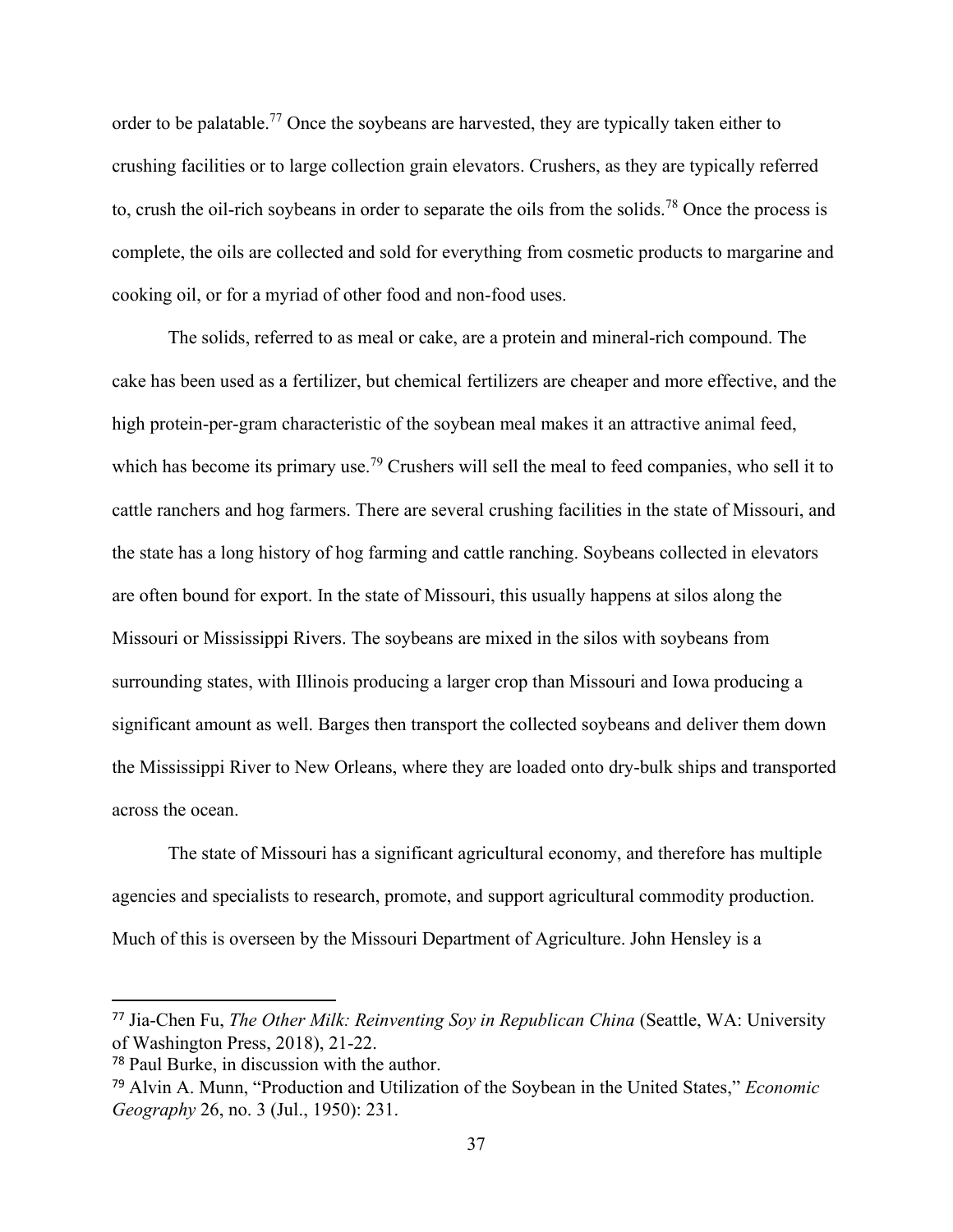order to be palatable.<sup>77</sup> Once the soybeans are harvested, they are typically taken either to crushing facilities or to large collection grain elevators. Crushers, as they are typically referred to, crush the oil-rich soybeans in order to separate the oils from the solids.<sup>78</sup> Once the process is complete, the oils are collected and sold for everything from cosmetic products to margarine and cooking oil, or for a myriad of other food and non-food uses.

The solids, referred to as meal or cake, are a protein and mineral-rich compound. The cake has been used as a fertilizer, but chemical fertilizers are cheaper and more effective, and the high protein-per-gram characteristic of the soybean meal makes it an attractive animal feed, which has become its primary use.<sup>79</sup> Crushers will sell the meal to feed companies, who sell it to cattle ranchers and hog farmers. There are several crushing facilities in the state of Missouri, and the state has a long history of hog farming and cattle ranching. Soybeans collected in elevators are often bound for export. In the state of Missouri, this usually happens at silos along the Missouri or Mississippi Rivers. The soybeans are mixed in the silos with soybeans from surrounding states, with Illinois producing a larger crop than Missouri and Iowa producing a significant amount as well. Barges then transport the collected soybeans and deliver them down the Mississippi River to New Orleans, where they are loaded onto dry-bulk ships and transported across the ocean.

The state of Missouri has a significant agricultural economy, and therefore has multiple agencies and specialists to research, promote, and support agricultural commodity production. Much of this is overseen by the Missouri Department of Agriculture. John Hensley is a

<sup>77</sup> Jia-Chen Fu, *The Other Milk: Reinventing Soy in Republican China* (Seattle, WA: University of Washington Press, 2018), 21-22.

<sup>78</sup> Paul Burke, in discussion with the author.

<sup>79</sup> Alvin A. Munn, "Production and Utilization of the Soybean in the United States," *Economic Geography* 26, no. 3 (Jul., 1950): 231.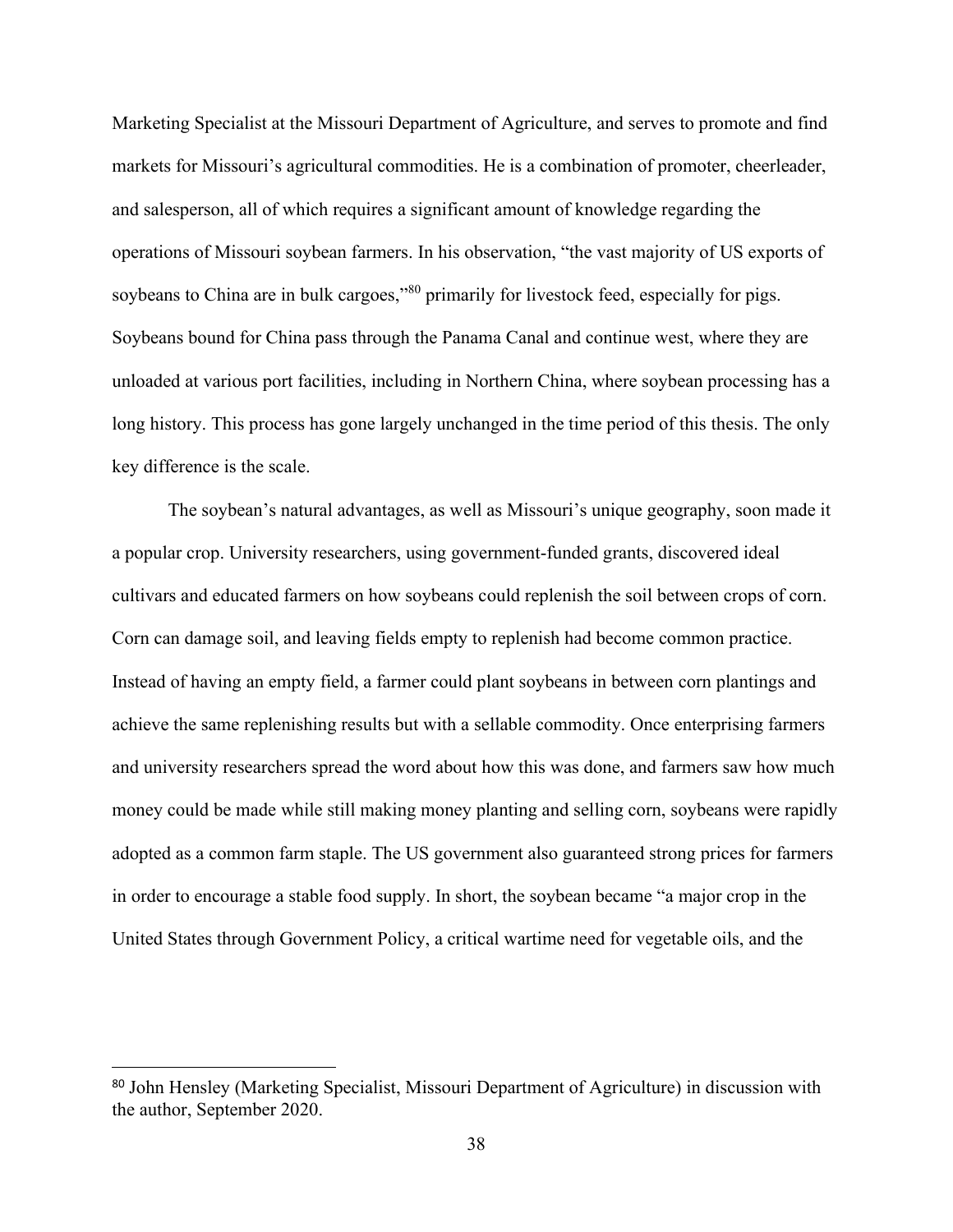Marketing Specialist at the Missouri Department of Agriculture, and serves to promote and find markets for Missouri's agricultural commodities. He is a combination of promoter, cheerleader, and salesperson, all of which requires a significant amount of knowledge regarding the operations of Missouri soybean farmers. In his observation, "the vast majority of US exports of soybeans to China are in bulk cargoes,"<sup>80</sup> primarily for livestock feed, especially for pigs. Soybeans bound for China pass through the Panama Canal and continue west, where they are unloaded at various port facilities, including in Northern China, where soybean processing has a long history. This process has gone largely unchanged in the time period of this thesis. The only key difference is the scale.

The soybean's natural advantages, as well as Missouri's unique geography, soon made it a popular crop. University researchers, using government-funded grants, discovered ideal cultivars and educated farmers on how soybeans could replenish the soil between crops of corn. Corn can damage soil, and leaving fields empty to replenish had become common practice. Instead of having an empty field, a farmer could plant soybeans in between corn plantings and achieve the same replenishing results but with a sellable commodity. Once enterprising farmers and university researchers spread the word about how this was done, and farmers saw how much money could be made while still making money planting and selling corn, soybeans were rapidly adopted as a common farm staple. The US government also guaranteed strong prices for farmers in order to encourage a stable food supply. In short, the soybean became "a major crop in the United States through Government Policy, a critical wartime need for vegetable oils, and the

<sup>80</sup> John Hensley (Marketing Specialist, Missouri Department of Agriculture) in discussion with the author, September 2020.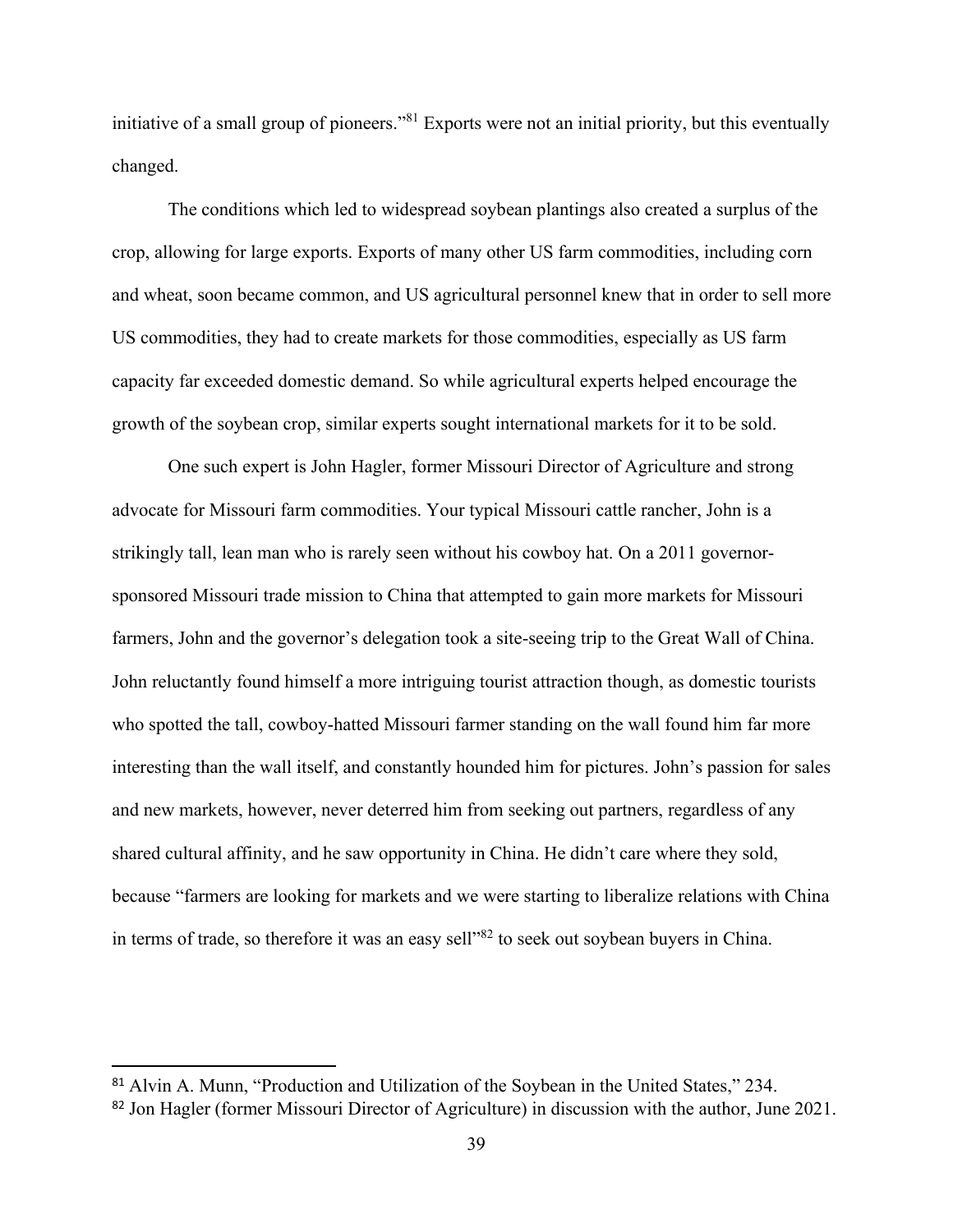initiative of a small group of pioneers."<sup>81</sup> Exports were not an initial priority, but this eventually changed.

The conditions which led to widespread soybean plantings also created a surplus of the crop, allowing for large exports. Exports of many other US farm commodities, including corn and wheat, soon became common, and US agricultural personnel knew that in order to sell more US commodities, they had to create markets for those commodities, especially as US farm capacity far exceeded domestic demand. So while agricultural experts helped encourage the growth of the soybean crop, similar experts sought international markets for it to be sold.

One such expert is John Hagler, former Missouri Director of Agriculture and strong advocate for Missouri farm commodities. Your typical Missouri cattle rancher, John is a strikingly tall, lean man who is rarely seen without his cowboy hat. On a 2011 governorsponsored Missouri trade mission to China that attempted to gain more markets for Missouri farmers, John and the governor's delegation took a site-seeing trip to the Great Wall of China. John reluctantly found himself a more intriguing tourist attraction though, as domestic tourists who spotted the tall, cowboy-hatted Missouri farmer standing on the wall found him far more interesting than the wall itself, and constantly hounded him for pictures. John's passion for sales and new markets, however, never deterred him from seeking out partners, regardless of any shared cultural affinity, and he saw opportunity in China. He didn't care where they sold, because "farmers are looking for markets and we were starting to liberalize relations with China in terms of trade, so therefore it was an easy sell<sup>382</sup> to seek out soybean buyers in China.

<sup>81</sup> Alvin A. Munn, "Production and Utilization of the Soybean in the United States," 234.

<sup>&</sup>lt;sup>82</sup> Jon Hagler (former Missouri Director of Agriculture) in discussion with the author, June 2021.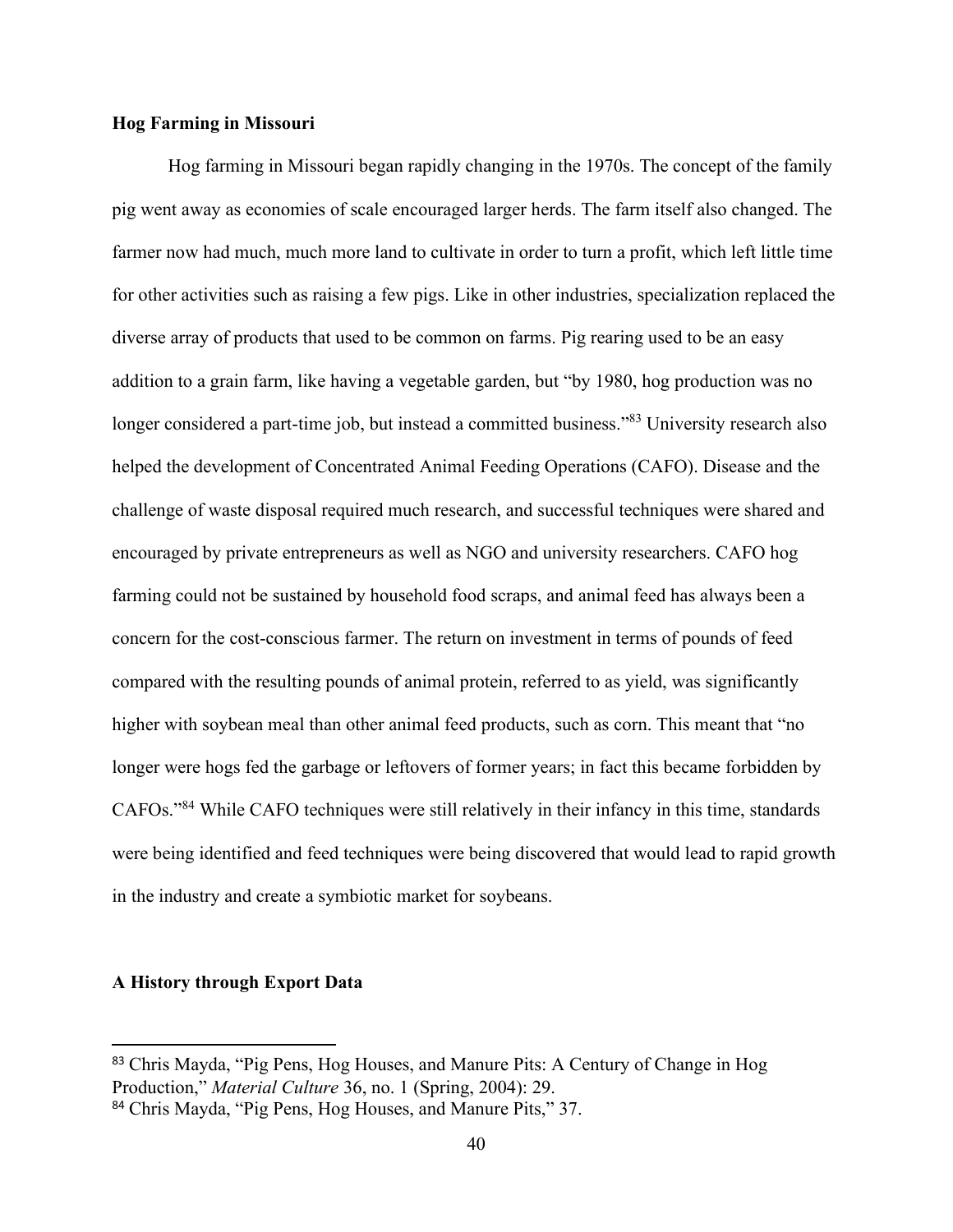## **Hog Farming in Missouri**

Hog farming in Missouri began rapidly changing in the 1970s. The concept of the family pig went away as economies of scale encouraged larger herds. The farm itself also changed. The farmer now had much, much more land to cultivate in order to turn a profit, which left little time for other activities such as raising a few pigs. Like in other industries, specialization replaced the diverse array of products that used to be common on farms. Pig rearing used to be an easy addition to a grain farm, like having a vegetable garden, but "by 1980, hog production was no longer considered a part-time job, but instead a committed business."<sup>83</sup> University research also helped the development of Concentrated Animal Feeding Operations (CAFO). Disease and the challenge of waste disposal required much research, and successful techniques were shared and encouraged by private entrepreneurs as well as NGO and university researchers. CAFO hog farming could not be sustained by household food scraps, and animal feed has always been a concern for the cost-conscious farmer. The return on investment in terms of pounds of feed compared with the resulting pounds of animal protein, referred to as yield, was significantly higher with soybean meal than other animal feed products, such as corn. This meant that "no longer were hogs fed the garbage or leftovers of former years; in fact this became forbidden by CAFOs."<sup>84</sup> While CAFO techniques were still relatively in their infancy in this time, standards were being identified and feed techniques were being discovered that would lead to rapid growth in the industry and create a symbiotic market for soybeans.

## **A History through Export Data**

<sup>83</sup> Chris Mayda, "Pig Pens, Hog Houses, and Manure Pits: A Century of Change in Hog Production," *Material Culture* 36, no. 1 (Spring, 2004): 29.

<sup>84</sup> Chris Mayda, "Pig Pens, Hog Houses, and Manure Pits," 37.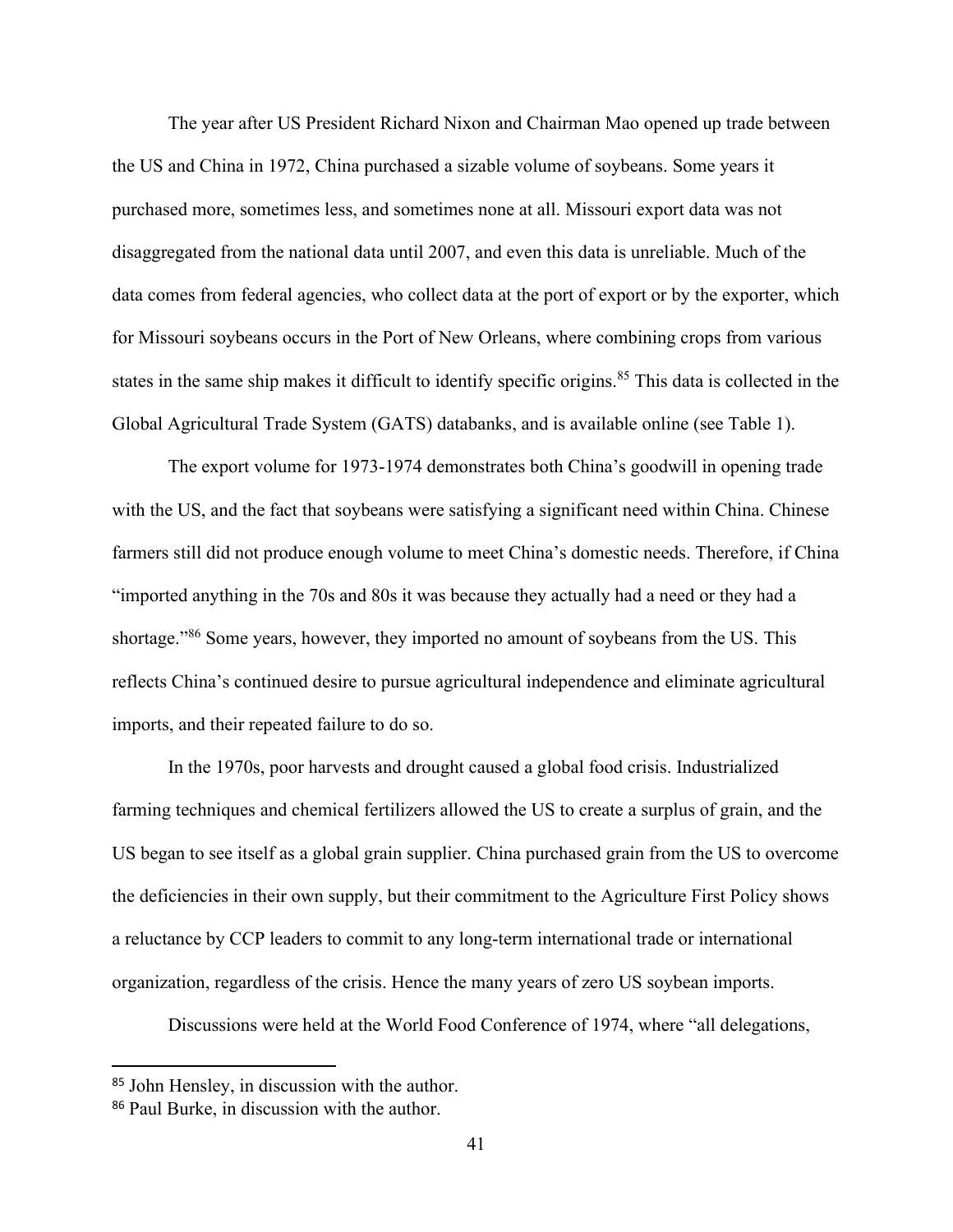The year after US President Richard Nixon and Chairman Mao opened up trade between the US and China in 1972, China purchased a sizable volume of soybeans. Some years it purchased more, sometimes less, and sometimes none at all. Missouri export data was not disaggregated from the national data until 2007, and even this data is unreliable. Much of the data comes from federal agencies, who collect data at the port of export or by the exporter, which for Missouri soybeans occurs in the Port of New Orleans, where combining crops from various states in the same ship makes it difficult to identify specific origins.<sup>85</sup> This data is collected in the Global Agricultural Trade System (GATS) databanks, and is available online (see Table 1).

The export volume for 1973-1974 demonstrates both China's goodwill in opening trade with the US, and the fact that soybeans were satisfying a significant need within China. Chinese farmers still did not produce enough volume to meet China's domestic needs. Therefore, if China "imported anything in the 70s and 80s it was because they actually had a need or they had a shortage."<sup>86</sup> Some years, however, they imported no amount of soybeans from the US. This reflects China's continued desire to pursue agricultural independence and eliminate agricultural imports, and their repeated failure to do so.

In the 1970s, poor harvests and drought caused a global food crisis. Industrialized farming techniques and chemical fertilizers allowed the US to create a surplus of grain, and the US began to see itself as a global grain supplier. China purchased grain from the US to overcome the deficiencies in their own supply, but their commitment to the Agriculture First Policy shows a reluctance by CCP leaders to commit to any long-term international trade or international organization, regardless of the crisis. Hence the many years of zero US soybean imports.

Discussions were held at the World Food Conference of 1974, where "all delegations,

<sup>85</sup> John Hensley, in discussion with the author.

<sup>86</sup> Paul Burke, in discussion with the author.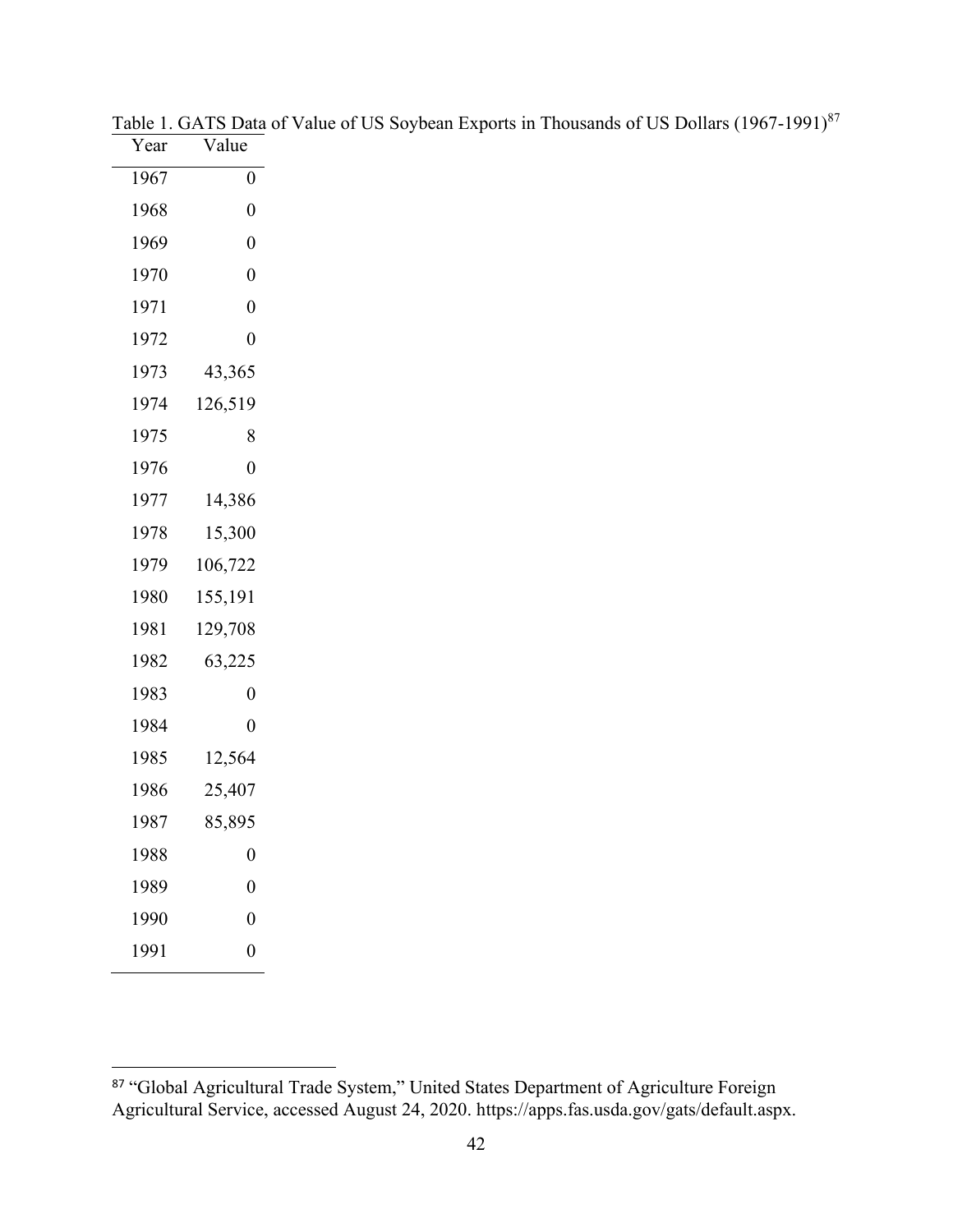| Year | Value            |  |
|------|------------------|--|
| 1967 | $\boldsymbol{0}$ |  |
| 1968 | $\overline{0}$   |  |
| 1969 | $\overline{0}$   |  |
| 1970 | $\overline{0}$   |  |
| 1971 | $\overline{0}$   |  |
| 1972 | $\boldsymbol{0}$ |  |
| 1973 | 43,365           |  |
| 1974 | 126,519          |  |
| 1975 | 8                |  |
| 1976 | 0                |  |
| 1977 | 14,386           |  |
| 1978 | 15,300           |  |
| 1979 | 106,722          |  |
| 1980 | 155,191          |  |
| 1981 | 129,708          |  |
| 1982 | 63,225           |  |
| 1983 | $\boldsymbol{0}$ |  |
| 1984 | 0                |  |
| 1985 | 12,564           |  |
| 1986 | 25,407           |  |
| 1987 | 85,895           |  |
| 1988 | $\boldsymbol{0}$ |  |
| 1989 | $\overline{0}$   |  |
| 1990 | $\overline{0}$   |  |
| 1991 | $\overline{0}$   |  |

|                                    | Table 1. GATS Data of Value of US Soybean Exports in Thousands of US Dollars (1967-1991) <sup>87</sup> |  |  |
|------------------------------------|--------------------------------------------------------------------------------------------------------|--|--|
| $V_{\text{com}} = V_{\text{char}}$ |                                                                                                        |  |  |

<sup>87 &</sup>quot;Global Agricultural Trade System," United States Department of Agriculture Foreign Agricultural Service, accessed August 24, 2020. https://apps.fas.usda.gov/gats/default.aspx.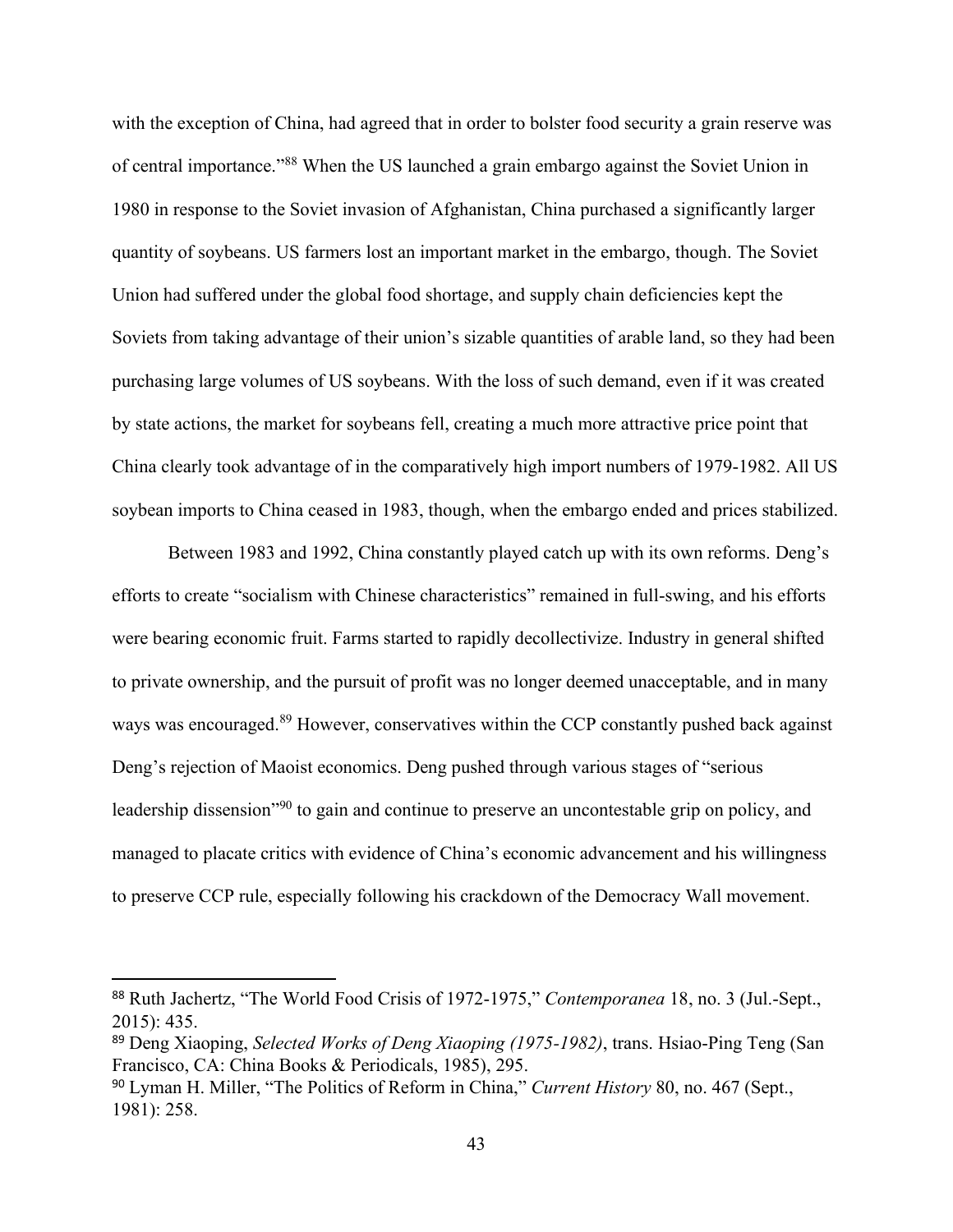with the exception of China, had agreed that in order to bolster food security a grain reserve was of central importance."<sup>88</sup> When the US launched a grain embargo against the Soviet Union in 1980 in response to the Soviet invasion of Afghanistan, China purchased a significantly larger quantity of soybeans. US farmers lost an important market in the embargo, though. The Soviet Union had suffered under the global food shortage, and supply chain deficiencies kept the Soviets from taking advantage of their union's sizable quantities of arable land, so they had been purchasing large volumes of US soybeans. With the loss of such demand, even if it was created by state actions, the market for soybeans fell, creating a much more attractive price point that China clearly took advantage of in the comparatively high import numbers of 1979-1982. All US soybean imports to China ceased in 1983, though, when the embargo ended and prices stabilized.

Between 1983 and 1992, China constantly played catch up with its own reforms. Deng's efforts to create "socialism with Chinese characteristics" remained in full-swing, and his efforts were bearing economic fruit. Farms started to rapidly decollectivize. Industry in general shifted to private ownership, and the pursuit of profit was no longer deemed unacceptable, and in many ways was encouraged.<sup>89</sup> However, conservatives within the CCP constantly pushed back against Deng's rejection of Maoist economics. Deng pushed through various stages of "serious leadership dissension<sup>"90</sup> to gain and continue to preserve an uncontestable grip on policy, and managed to placate critics with evidence of China's economic advancement and his willingness to preserve CCP rule, especially following his crackdown of the Democracy Wall movement.

<sup>88</sup> Ruth Jachertz, "The World Food Crisis of 1972-1975," *Contemporanea* 18, no. 3 (Jul.-Sept., 2015): 435.

<sup>89</sup> Deng Xiaoping, *Selected Works of Deng Xiaoping (1975-1982)*, trans. Hsiao-Ping Teng (San Francisco, CA: China Books & Periodicals, 1985), 295.

<sup>90</sup> Lyman H. Miller, "The Politics of Reform in China," *Current History* 80, no. 467 (Sept., 1981): 258.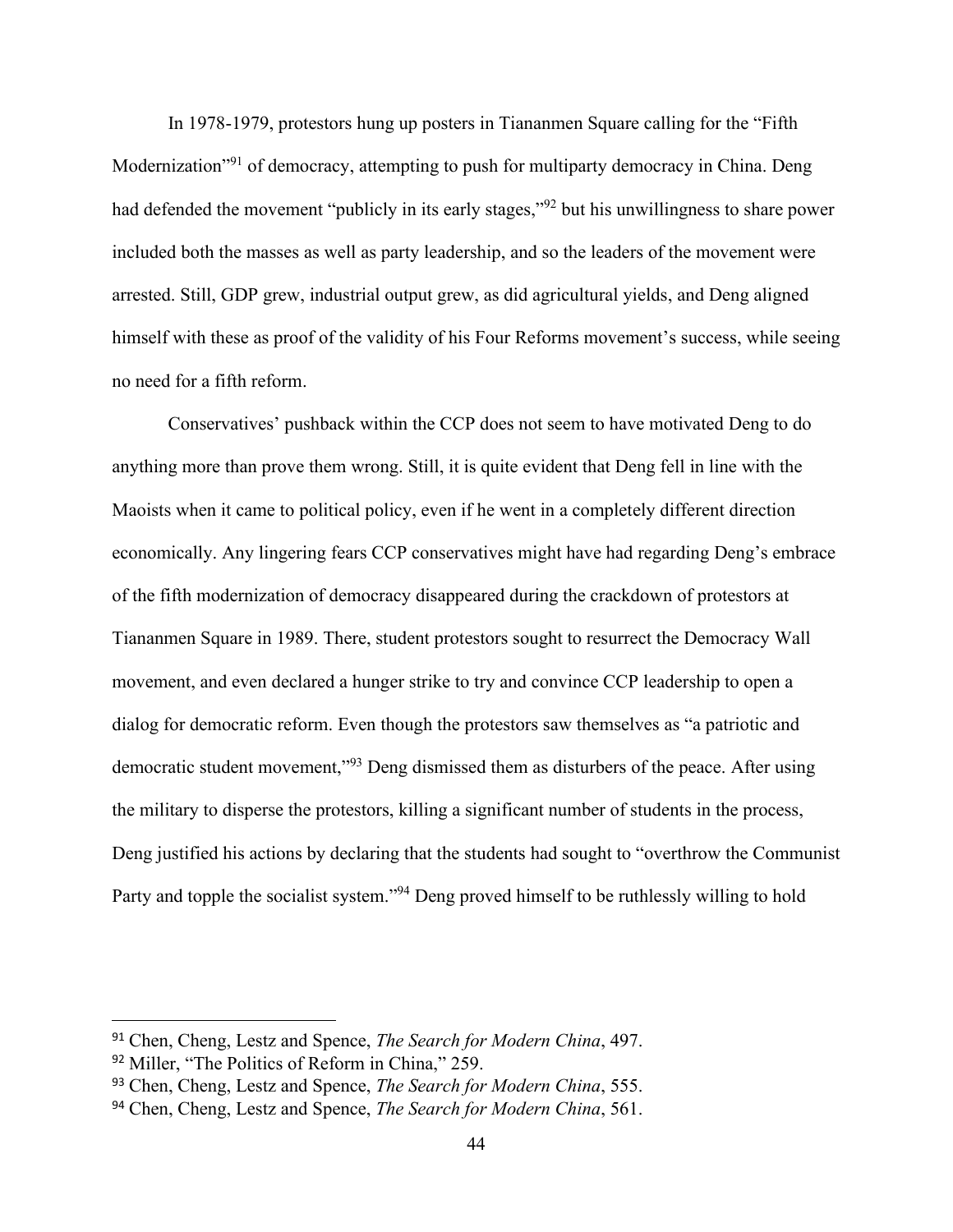In 1978-1979, protestors hung up posters in Tiananmen Square calling for the "Fifth Modernization<sup>", 91</sup> of democracy, attempting to push for multiparty democracy in China. Deng had defended the movement "publicly in its early stages,"<sup>92</sup> but his unwillingness to share power included both the masses as well as party leadership, and so the leaders of the movement were arrested. Still, GDP grew, industrial output grew, as did agricultural yields, and Deng aligned himself with these as proof of the validity of his Four Reforms movement's success, while seeing no need for a fifth reform.

Conservatives' pushback within the CCP does not seem to have motivated Deng to do anything more than prove them wrong. Still, it is quite evident that Deng fell in line with the Maoists when it came to political policy, even if he went in a completely different direction economically. Any lingering fears CCP conservatives might have had regarding Deng's embrace of the fifth modernization of democracy disappeared during the crackdown of protestors at Tiananmen Square in 1989. There, student protestors sought to resurrect the Democracy Wall movement, and even declared a hunger strike to try and convince CCP leadership to open a dialog for democratic reform. Even though the protestors saw themselves as "a patriotic and democratic student movement,"<sup>93</sup> Deng dismissed them as disturbers of the peace. After using the military to disperse the protestors, killing a significant number of students in the process, Deng justified his actions by declaring that the students had sought to "overthrow the Communist Party and topple the socialist system."<sup>94</sup> Deng proved himself to be ruthlessly willing to hold

<sup>91</sup> Chen, Cheng, Lestz and Spence, *The Search for Modern China*, 497.

<sup>92</sup> Miller, "The Politics of Reform in China," 259.

<sup>93</sup> Chen, Cheng, Lestz and Spence, *The Search for Modern China*, 555.

<sup>94</sup> Chen, Cheng, Lestz and Spence, *The Search for Modern China*, 561.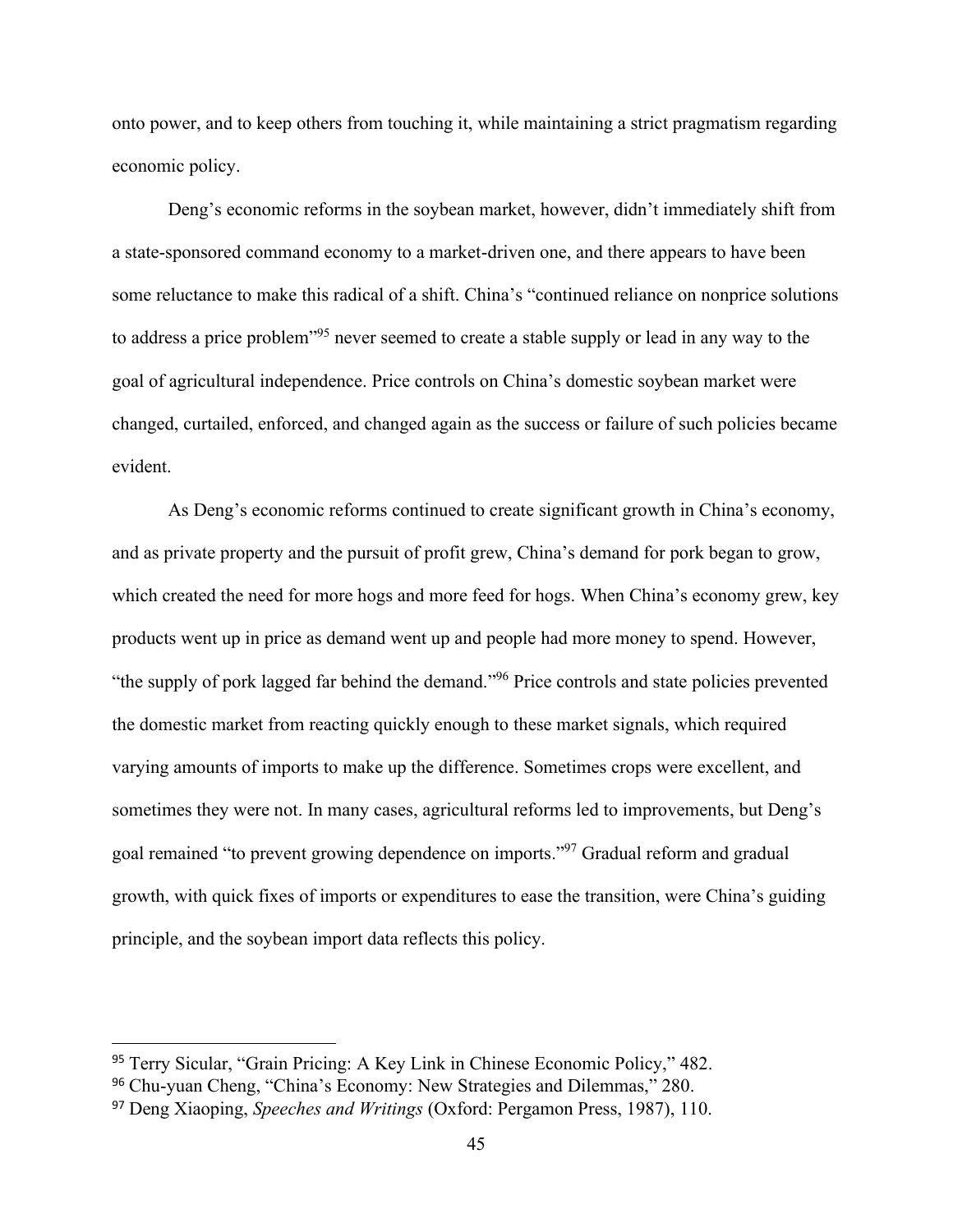onto power, and to keep others from touching it, while maintaining a strict pragmatism regarding economic policy.

Deng's economic reforms in the soybean market, however, didn't immediately shift from a state-sponsored command economy to a market-driven one, and there appears to have been some reluctance to make this radical of a shift. China's "continued reliance on nonprice solutions to address a price problem<sup>195</sup> never seemed to create a stable supply or lead in any way to the goal of agricultural independence. Price controls on China's domestic soybean market were changed, curtailed, enforced, and changed again as the success or failure of such policies became evident.

As Deng's economic reforms continued to create significant growth in China's economy, and as private property and the pursuit of profit grew, China's demand for pork began to grow, which created the need for more hogs and more feed for hogs. When China's economy grew, key products went up in price as demand went up and people had more money to spend. However, "the supply of pork lagged far behind the demand."<sup>96</sup> Price controls and state policies prevented the domestic market from reacting quickly enough to these market signals, which required varying amounts of imports to make up the difference. Sometimes crops were excellent, and sometimes they were not. In many cases, agricultural reforms led to improvements, but Deng's goal remained "to prevent growing dependence on imports."<sup>97</sup> Gradual reform and gradual growth, with quick fixes of imports or expenditures to ease the transition, were China's guiding principle, and the soybean import data reflects this policy.

<sup>95</sup> Terry Sicular, "Grain Pricing: A Key Link in Chinese Economic Policy," 482.

<sup>96</sup> Chu-yuan Cheng, "China's Economy: New Strategies and Dilemmas," 280.

<sup>97</sup> Deng Xiaoping, *Speeches and Writings* (Oxford: Pergamon Press, 1987), 110.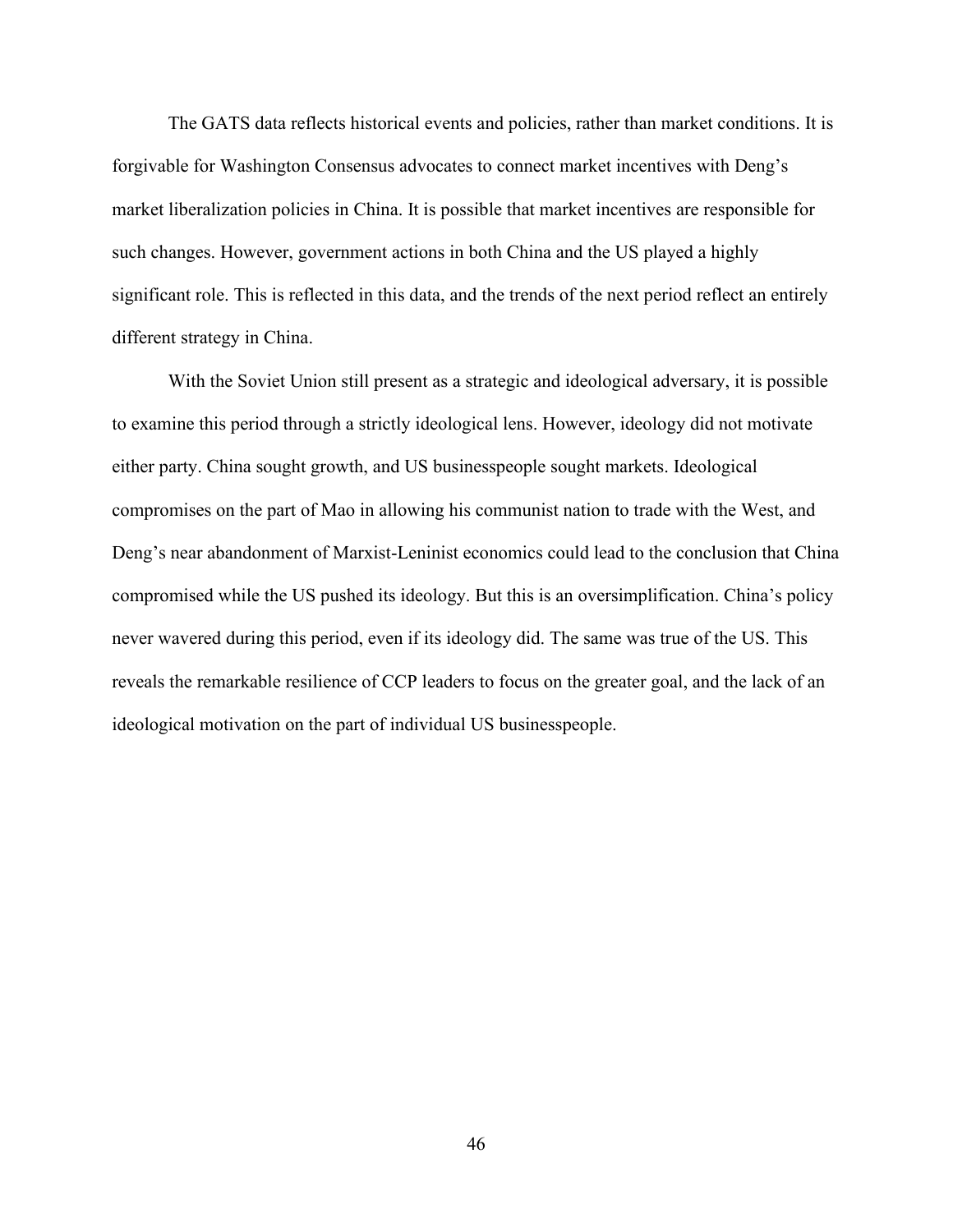The GATS data reflects historical events and policies, rather than market conditions. It is forgivable for Washington Consensus advocates to connect market incentives with Deng's market liberalization policies in China. It is possible that market incentives are responsible for such changes. However, government actions in both China and the US played a highly significant role. This is reflected in this data, and the trends of the next period reflect an entirely different strategy in China.

With the Soviet Union still present as a strategic and ideological adversary, it is possible to examine this period through a strictly ideological lens. However, ideology did not motivate either party. China sought growth, and US businesspeople sought markets. Ideological compromises on the part of Mao in allowing his communist nation to trade with the West, and Deng's near abandonment of Marxist-Leninist economics could lead to the conclusion that China compromised while the US pushed its ideology. But this is an oversimplification. China's policy never wavered during this period, even if its ideology did. The same was true of the US. This reveals the remarkable resilience of CCP leaders to focus on the greater goal, and the lack of an ideological motivation on the part of individual US businesspeople.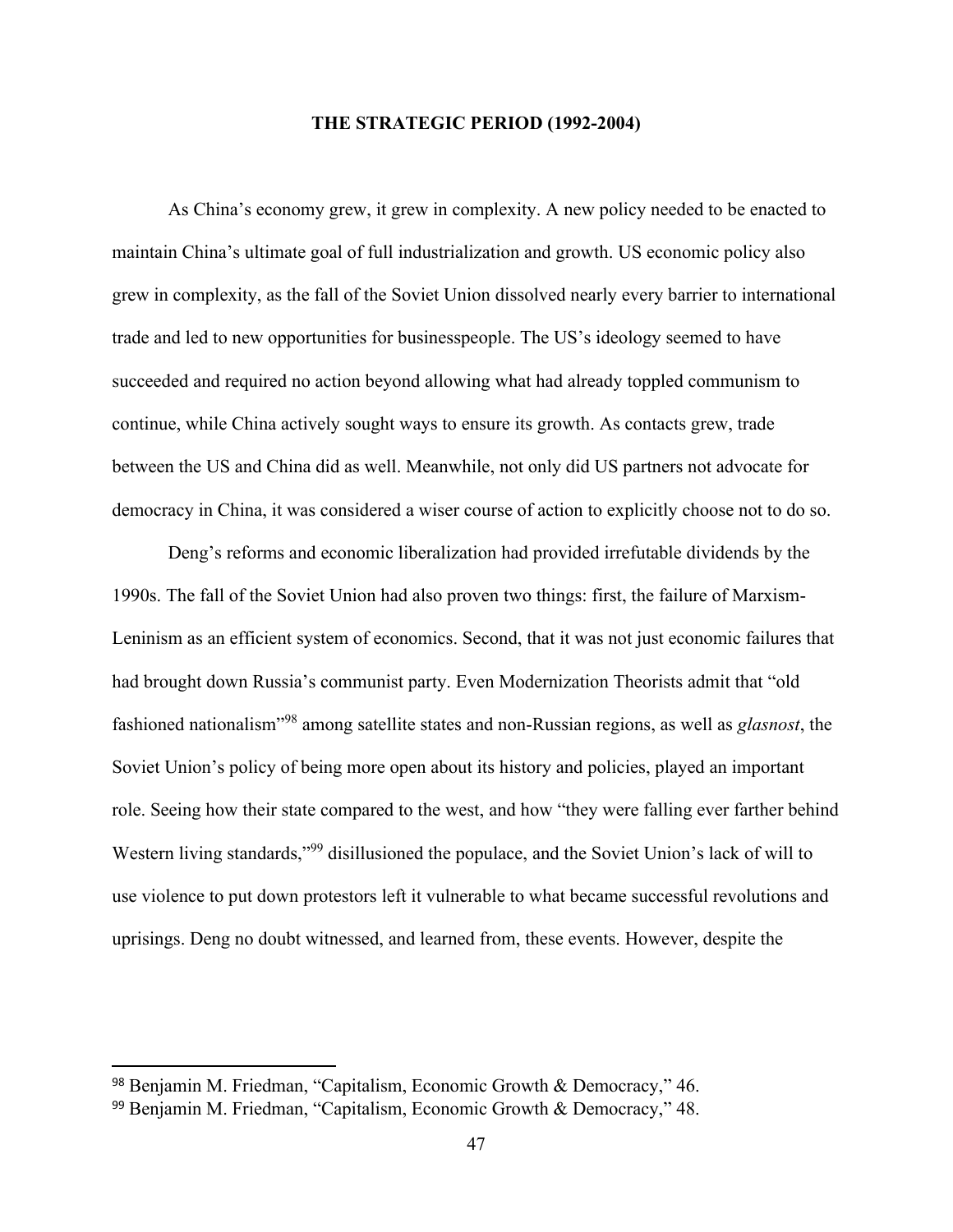## **THE STRATEGIC PERIOD (1992-2004)**

As China's economy grew, it grew in complexity. A new policy needed to be enacted to maintain China's ultimate goal of full industrialization and growth. US economic policy also grew in complexity, as the fall of the Soviet Union dissolved nearly every barrier to international trade and led to new opportunities for businesspeople. The US's ideology seemed to have succeeded and required no action beyond allowing what had already toppled communism to continue, while China actively sought ways to ensure its growth. As contacts grew, trade between the US and China did as well. Meanwhile, not only did US partners not advocate for democracy in China, it was considered a wiser course of action to explicitly choose not to do so.

Deng's reforms and economic liberalization had provided irrefutable dividends by the 1990s. The fall of the Soviet Union had also proven two things: first, the failure of Marxism-Leninism as an efficient system of economics. Second, that it was not just economic failures that had brought down Russia's communist party. Even Modernization Theorists admit that "old fashioned nationalism"<sup>98</sup> among satellite states and non-Russian regions, as well as *glasnost*, the Soviet Union's policy of being more open about its history and policies, played an important role. Seeing how their state compared to the west, and how "they were falling ever farther behind Western living standards,"<sup>99</sup> disillusioned the populace, and the Soviet Union's lack of will to use violence to put down protestors left it vulnerable to what became successful revolutions and uprisings. Deng no doubt witnessed, and learned from, these events. However, despite the

<sup>98</sup> Benjamin M. Friedman, "Capitalism, Economic Growth & Democracy," 46.

<sup>99</sup> Benjamin M. Friedman, "Capitalism, Economic Growth & Democracy," 48.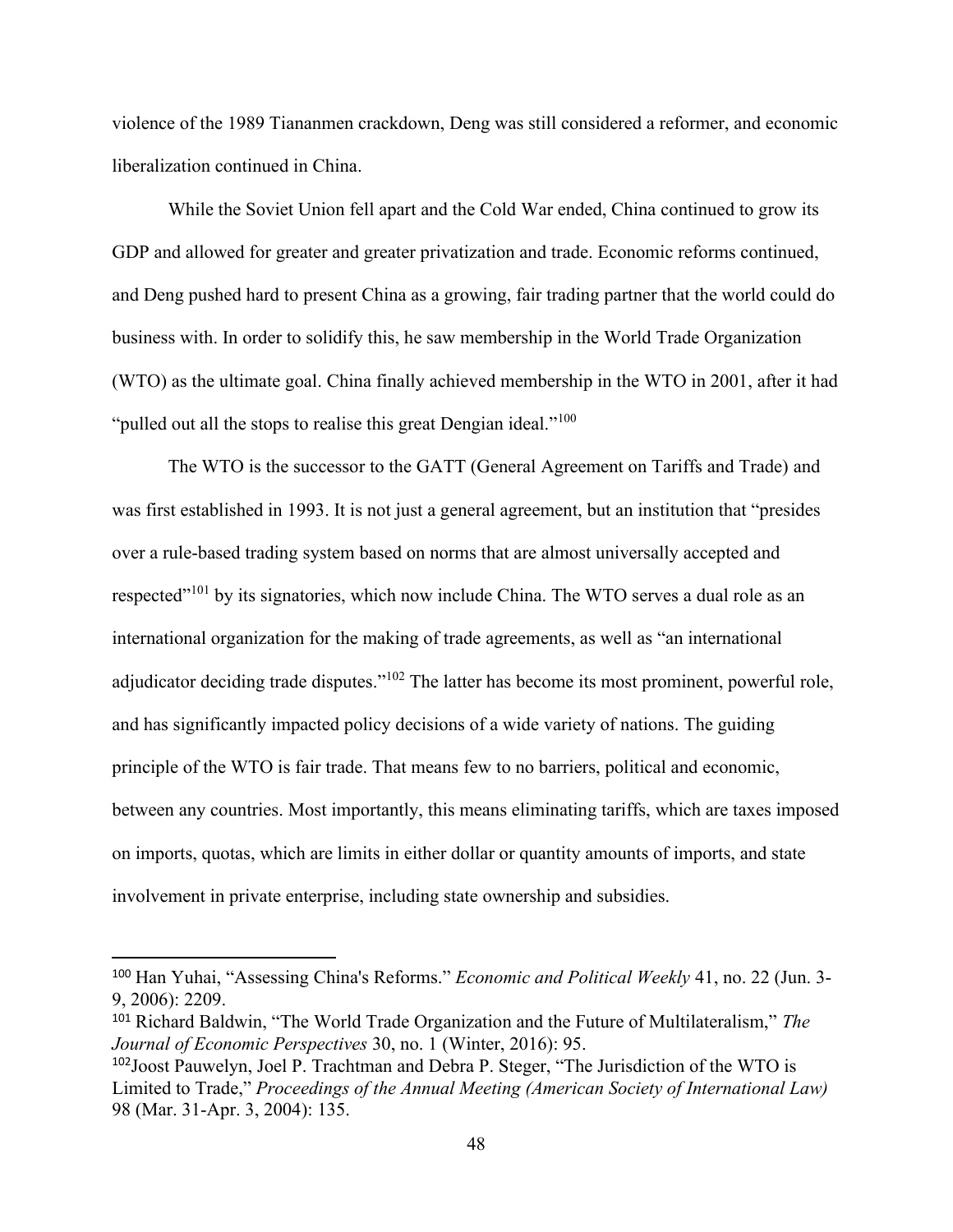violence of the 1989 Tiananmen crackdown, Deng was still considered a reformer, and economic liberalization continued in China.

While the Soviet Union fell apart and the Cold War ended, China continued to grow its GDP and allowed for greater and greater privatization and trade. Economic reforms continued, and Deng pushed hard to present China as a growing, fair trading partner that the world could do business with. In order to solidify this, he saw membership in the World Trade Organization (WTO) as the ultimate goal. China finally achieved membership in the WTO in 2001, after it had "pulled out all the stops to realise this great Dengian ideal."<sup>100</sup>

The WTO is the successor to the GATT (General Agreement on Tariffs and Trade) and was first established in 1993. It is not just a general agreement, but an institution that "presides over a rule-based trading system based on norms that are almost universally accepted and respected"<sup>101</sup> by its signatories, which now include China. The WTO serves a dual role as an international organization for the making of trade agreements, as well as "an international adjudicator deciding trade disputes."<sup>102</sup> The latter has become its most prominent, powerful role, and has significantly impacted policy decisions of a wide variety of nations. The guiding principle of the WTO is fair trade. That means few to no barriers, political and economic, between any countries. Most importantly, this means eliminating tariffs, which are taxes imposed on imports, quotas, which are limits in either dollar or quantity amounts of imports, and state involvement in private enterprise, including state ownership and subsidies.

<sup>100</sup> Han Yuhai, "Assessing China's Reforms." *Economic and Political Weekly* 41, no. 22 (Jun. 3- 9, 2006): 2209.

<sup>101</sup> Richard Baldwin, "The World Trade Organization and the Future of Multilateralism," *The Journal of Economic Perspectives* 30, no. 1 (Winter, 2016): 95.

<sup>102</sup>Joost Pauwelyn, Joel P. Trachtman and Debra P. Steger, "The Jurisdiction of the WTO is Limited to Trade," *Proceedings of the Annual Meeting (American Society of International Law)* 98 (Mar. 31-Apr. 3, 2004): 135.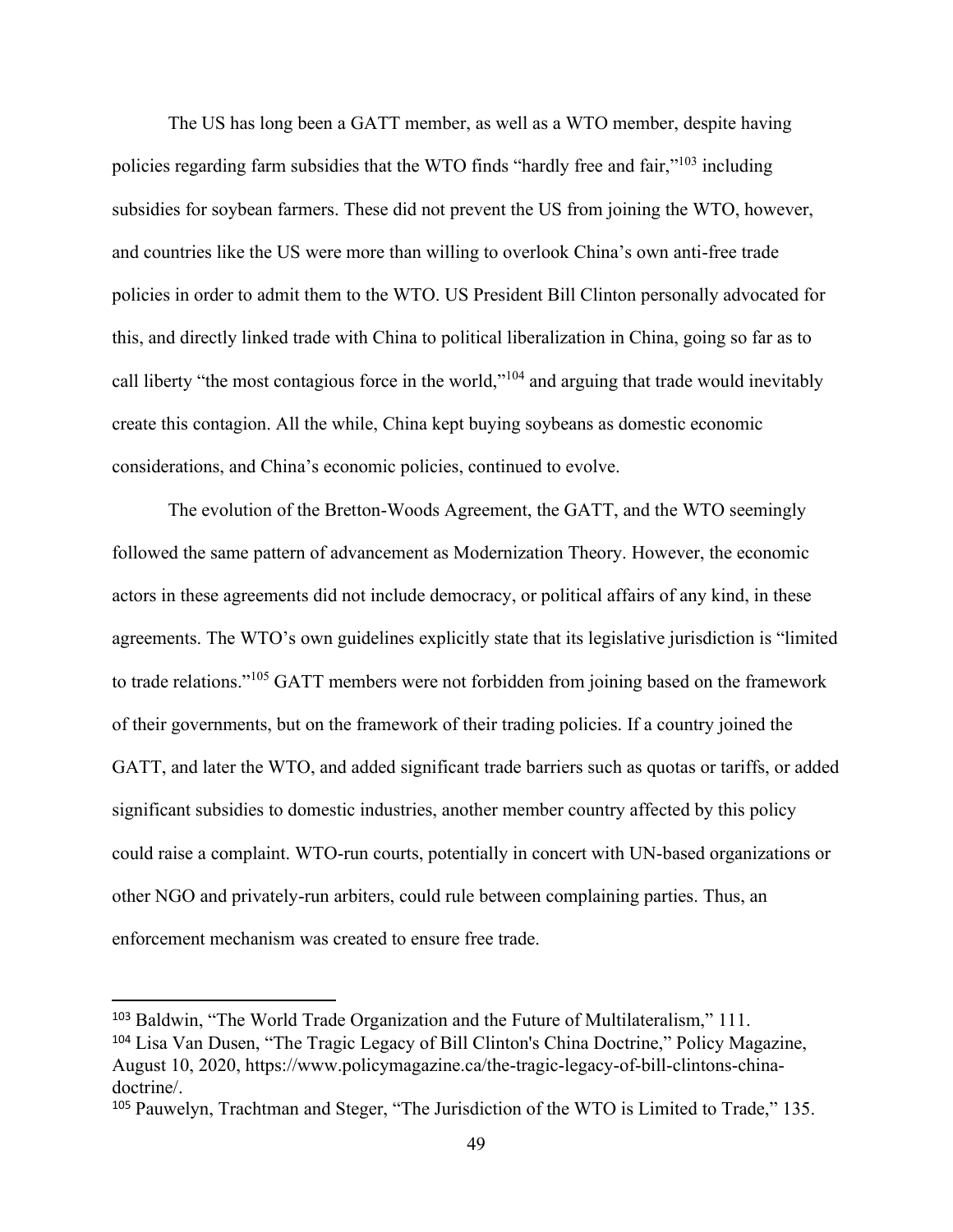The US has long been a GATT member, as well as a WTO member, despite having policies regarding farm subsidies that the WTO finds "hardly free and fair,"<sup>103</sup> including subsidies for soybean farmers. These did not prevent the US from joining the WTO, however, and countries like the US were more than willing to overlook China's own anti-free trade policies in order to admit them to the WTO. US President Bill Clinton personally advocated for this, and directly linked trade with China to political liberalization in China, going so far as to call liberty "the most contagious force in the world,"<sup>104</sup> and arguing that trade would inevitably create this contagion. All the while, China kept buying soybeans as domestic economic considerations, and China's economic policies, continued to evolve.

The evolution of the Bretton-Woods Agreement, the GATT, and the WTO seemingly followed the same pattern of advancement as Modernization Theory. However, the economic actors in these agreements did not include democracy, or political affairs of any kind, in these agreements. The WTO's own guidelines explicitly state that its legislative jurisdiction is "limited to trade relations."<sup>105</sup> GATT members were not forbidden from joining based on the framework of their governments, but on the framework of their trading policies. If a country joined the GATT, and later the WTO, and added significant trade barriers such as quotas or tariffs, or added significant subsidies to domestic industries, another member country affected by this policy could raise a complaint. WTO-run courts, potentially in concert with UN-based organizations or other NGO and privately-run arbiters, could rule between complaining parties. Thus, an enforcement mechanism was created to ensure free trade.

<sup>103</sup> Baldwin, "The World Trade Organization and the Future of Multilateralism," 111. <sup>104</sup> Lisa Van Dusen, "The Tragic Legacy of Bill Clinton's China Doctrine," Policy Magazine, August 10, 2020, https://www.policymagazine.ca/the-tragic-legacy-of-bill-clintons-chinadoctrine/.

<sup>105</sup> Pauwelyn, Trachtman and Steger, "The Jurisdiction of the WTO is Limited to Trade," 135.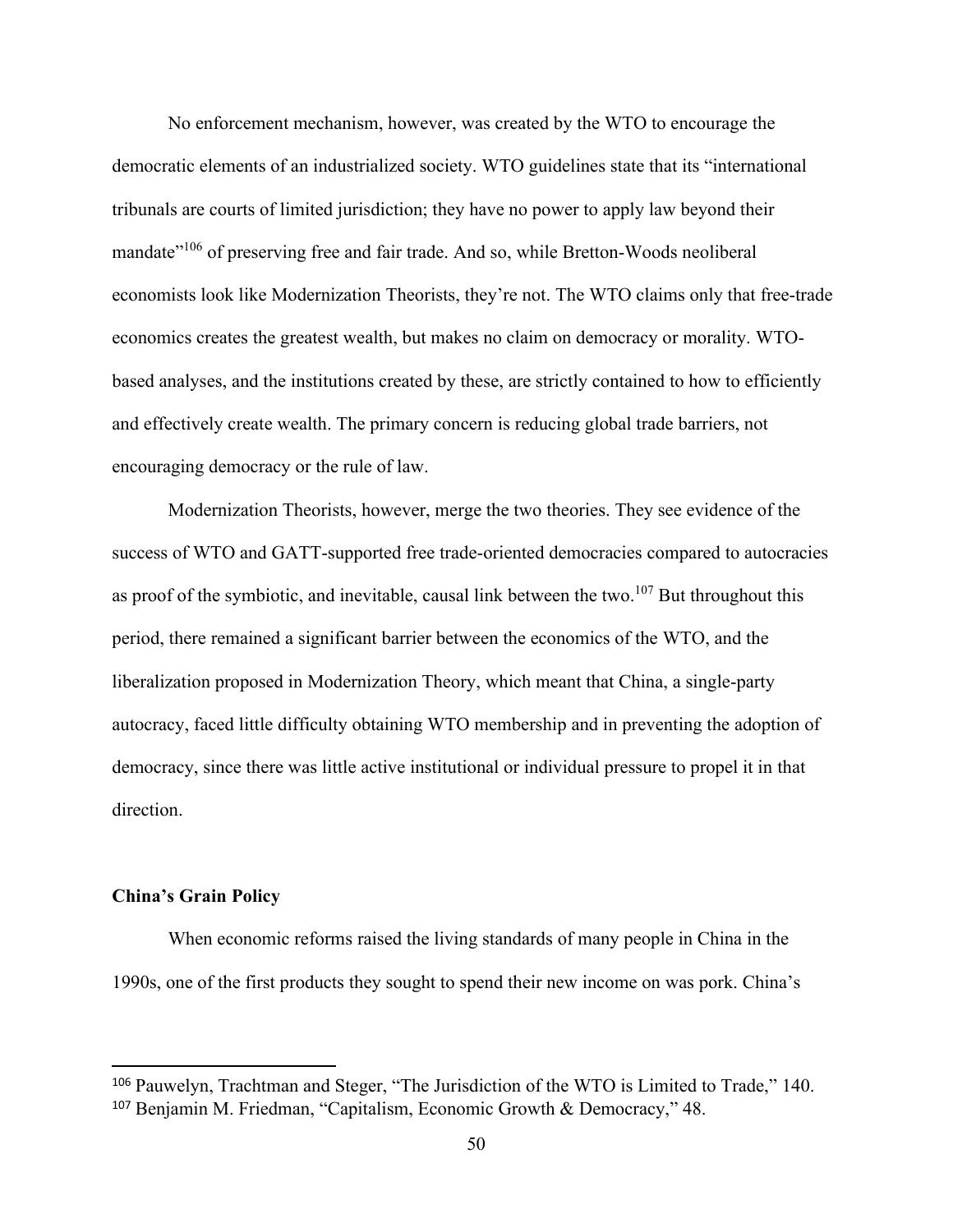No enforcement mechanism, however, was created by the WTO to encourage the democratic elements of an industrialized society. WTO guidelines state that its "international tribunals are courts of limited jurisdiction; they have no power to apply law beyond their mandate<sup>"106</sup> of preserving free and fair trade. And so, while Bretton-Woods neoliberal economists look like Modernization Theorists, they're not. The WTO claims only that free-trade economics creates the greatest wealth, but makes no claim on democracy or morality. WTObased analyses, and the institutions created by these, are strictly contained to how to efficiently and effectively create wealth. The primary concern is reducing global trade barriers, not encouraging democracy or the rule of law.

Modernization Theorists, however, merge the two theories. They see evidence of the success of WTO and GATT-supported free trade-oriented democracies compared to autocracies as proof of the symbiotic, and inevitable, causal link between the two. $107$  But throughout this period, there remained a significant barrier between the economics of the WTO, and the liberalization proposed in Modernization Theory, which meant that China, a single-party autocracy, faced little difficulty obtaining WTO membership and in preventing the adoption of democracy, since there was little active institutional or individual pressure to propel it in that direction.

## **China's Grain Policy**

When economic reforms raised the living standards of many people in China in the 1990s, one of the first products they sought to spend their new income on was pork. China's

<sup>106</sup> Pauwelyn, Trachtman and Steger, "The Jurisdiction of the WTO is Limited to Trade," 140. <sup>107</sup> Benjamin M. Friedman, "Capitalism, Economic Growth & Democracy," 48.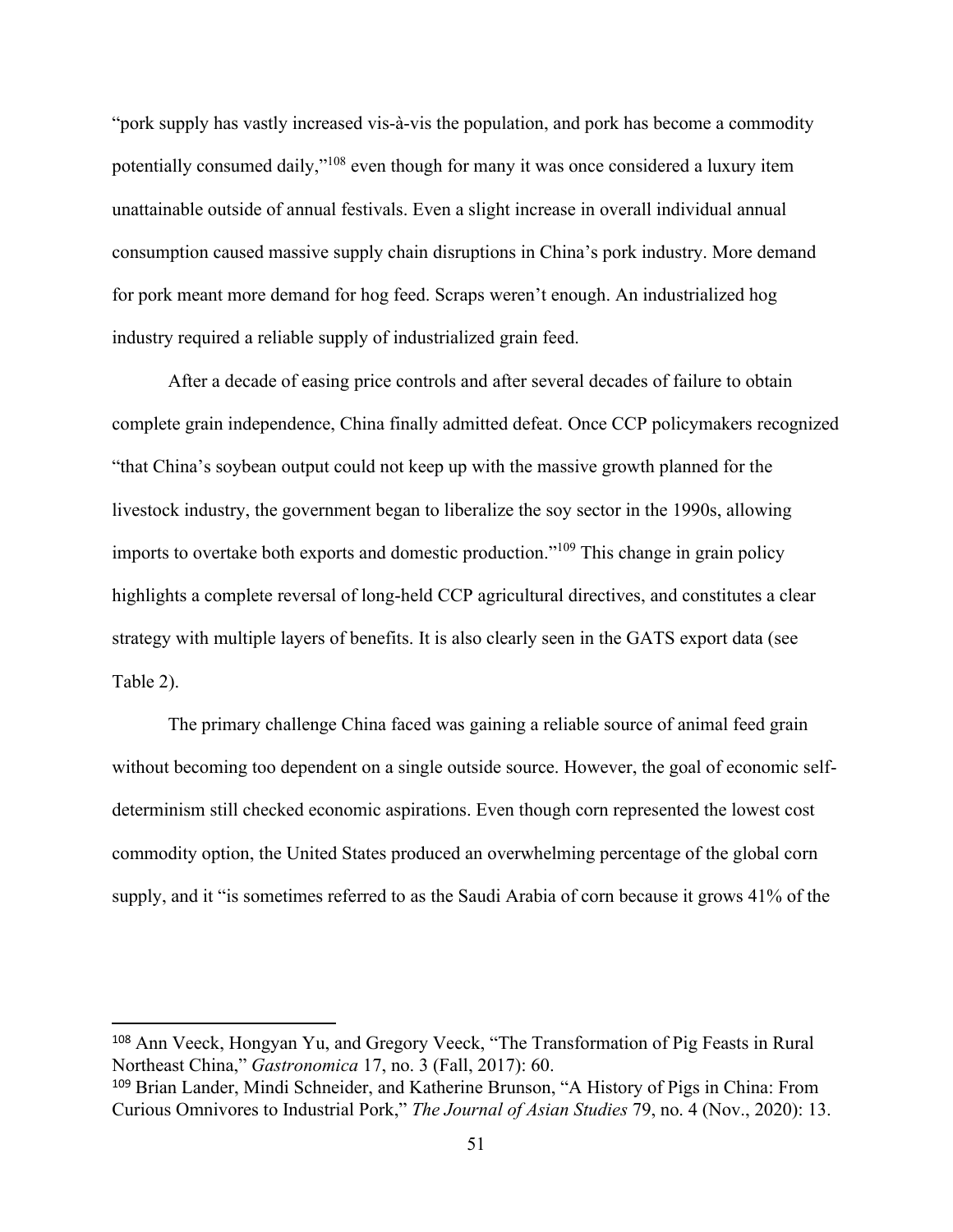"pork supply has vastly increased vis-à-vis the population, and pork has become a commodity potentially consumed daily,"<sup>108</sup> even though for many it was once considered a luxury item unattainable outside of annual festivals. Even a slight increase in overall individual annual consumption caused massive supply chain disruptions in China's pork industry. More demand for pork meant more demand for hog feed. Scraps weren't enough. An industrialized hog industry required a reliable supply of industrialized grain feed.

After a decade of easing price controls and after several decades of failure to obtain complete grain independence, China finally admitted defeat. Once CCP policymakers recognized "that China's soybean output could not keep up with the massive growth planned for the livestock industry, the government began to liberalize the soy sector in the 1990s, allowing imports to overtake both exports and domestic production."<sup>109</sup> This change in grain policy highlights a complete reversal of long-held CCP agricultural directives, and constitutes a clear strategy with multiple layers of benefits. It is also clearly seen in the GATS export data (see Table 2).

The primary challenge China faced was gaining a reliable source of animal feed grain without becoming too dependent on a single outside source. However, the goal of economic selfdeterminism still checked economic aspirations. Even though corn represented the lowest cost commodity option, the United States produced an overwhelming percentage of the global corn supply, and it "is sometimes referred to as the Saudi Arabia of corn because it grows 41% of the

<sup>108</sup> Ann Veeck, Hongyan Yu, and Gregory Veeck, "The Transformation of Pig Feasts in Rural Northeast China," *Gastronomica* 17, no. 3 (Fall, 2017): 60.

<sup>109</sup> Brian Lander, Mindi Schneider, and Katherine Brunson, "A History of Pigs in China: From Curious Omnivores to Industrial Pork," *The Journal of Asian Studies* 79, no. 4 (Nov., 2020): 13.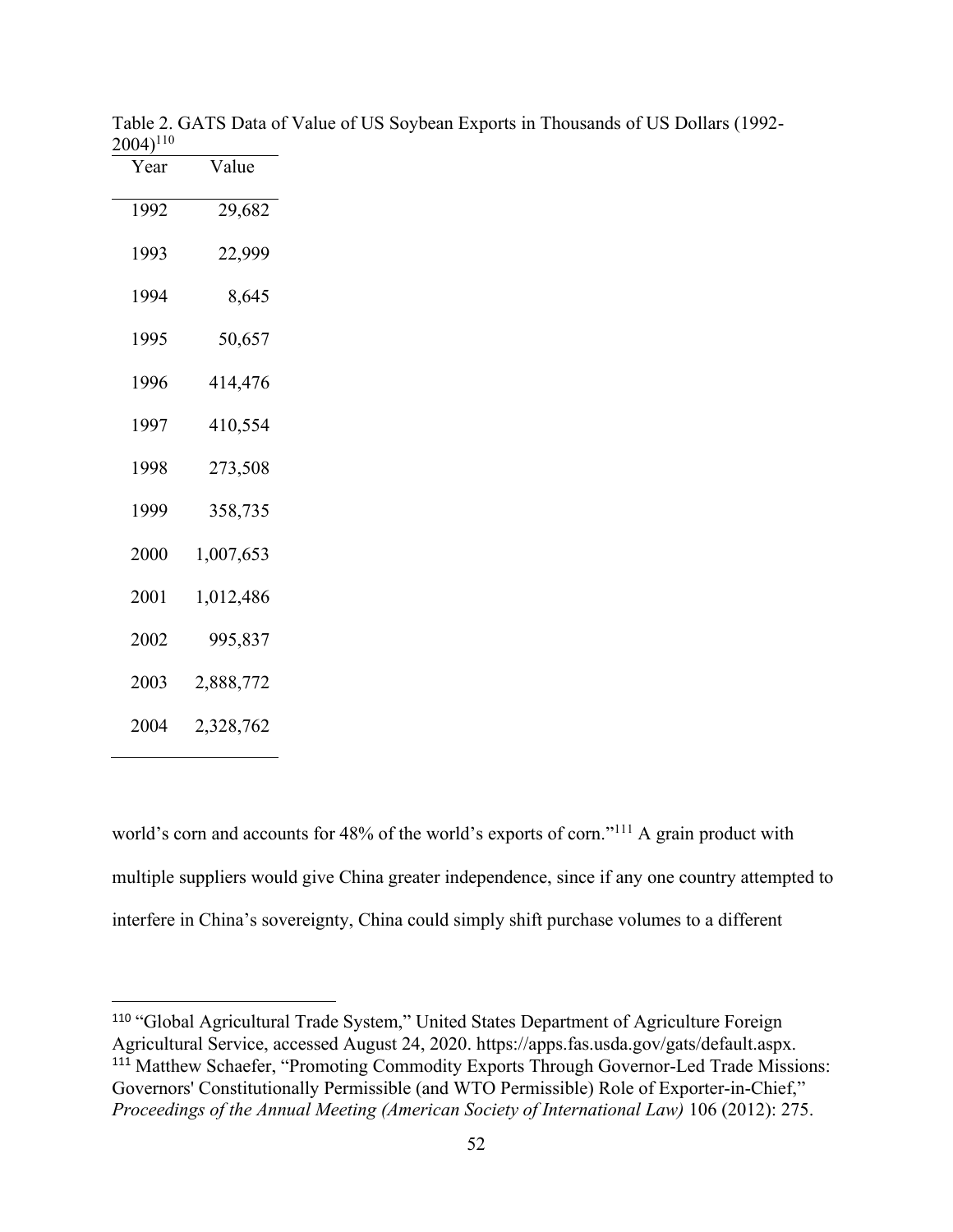| Year | Value     |  |  |
|------|-----------|--|--|
| 1992 | 29,682    |  |  |
| 1993 | 22,999    |  |  |
| 1994 | 8,645     |  |  |
| 1995 | 50,657    |  |  |
| 1996 | 414,476   |  |  |
| 1997 | 410,554   |  |  |
| 1998 | 273,508   |  |  |
| 1999 | 358,735   |  |  |
| 2000 | 1,007,653 |  |  |
| 2001 | 1,012,486 |  |  |
| 2002 | 995,837   |  |  |
| 2003 | 2,888,772 |  |  |
| 2004 | 2,328,762 |  |  |

Table 2. GATS Data of Value of US Soybean Exports in Thousands of US Dollars (1992- <sup>110</sup>

world's corn and accounts for 48% of the world's exports of corn."<sup>111</sup> A grain product with multiple suppliers would give China greater independence, since if any one country attempted to interfere in China's sovereignty, China could simply shift purchase volumes to a different

 "Global Agricultural Trade System," United States Department of Agriculture Foreign Agricultural Service, accessed August 24, 2020. https://apps.fas.usda.gov/gats/default.aspx. <sup>111</sup> Matthew Schaefer, "Promoting Commodity Exports Through Governor-Led Trade Missions: Governors' Constitutionally Permissible (and WTO Permissible) Role of Exporter-in-Chief," *Proceedings of the Annual Meeting (American Society of International Law)* 106 (2012): 275.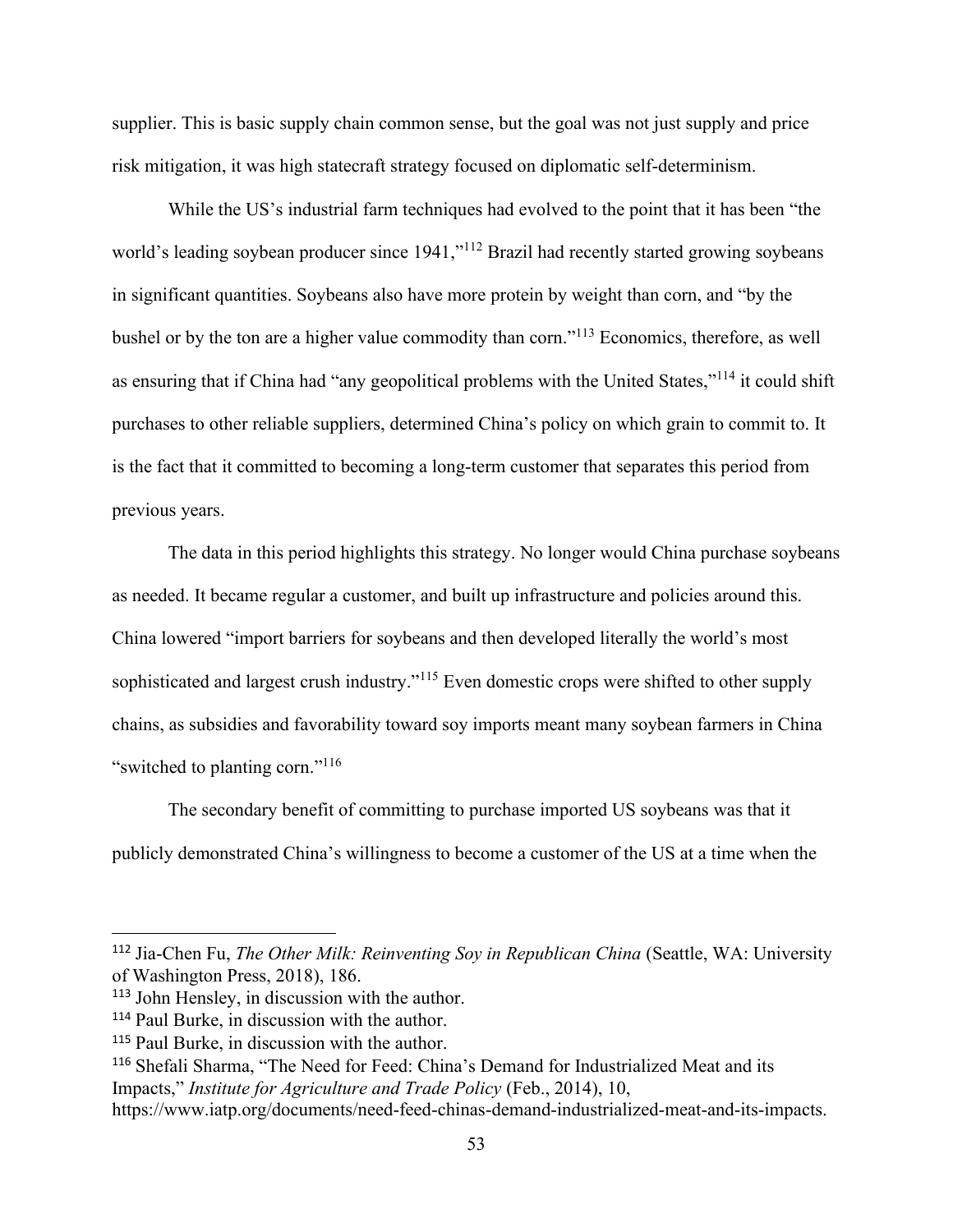supplier. This is basic supply chain common sense, but the goal was not just supply and price risk mitigation, it was high statecraft strategy focused on diplomatic self-determinism.

While the US's industrial farm techniques had evolved to the point that it has been "the world's leading soybean producer since 1941,"<sup>112</sup> Brazil had recently started growing soybeans in significant quantities. Soybeans also have more protein by weight than corn, and "by the bushel or by the ton are a higher value commodity than corn."<sup>113</sup> Economics, therefore, as well as ensuring that if China had "any geopolitical problems with the United States,"<sup>114</sup> it could shift purchases to other reliable suppliers, determined China's policy on which grain to commit to. It is the fact that it committed to becoming a long-term customer that separates this period from previous years.

The data in this period highlights this strategy. No longer would China purchase soybeans as needed. It became regular a customer, and built up infrastructure and policies around this. China lowered "import barriers for soybeans and then developed literally the world's most sophisticated and largest crush industry."<sup>115</sup> Even domestic crops were shifted to other supply chains, as subsidies and favorability toward soy imports meant many soybean farmers in China "switched to planting corn."<sup>116</sup>

The secondary benefit of committing to purchase imported US soybeans was that it publicly demonstrated China's willingness to become a customer of the US at a time when the

<sup>112</sup> Jia-Chen Fu, *The Other Milk: Reinventing Soy in Republican China* (Seattle, WA: University of Washington Press, 2018), 186.

<sup>113</sup> John Hensley, in discussion with the author.

<sup>114</sup> Paul Burke, in discussion with the author.

<sup>115</sup> Paul Burke, in discussion with the author.

<sup>116</sup> Shefali Sharma, "The Need for Feed: China's Demand for Industrialized Meat and its Impacts," *Institute for Agriculture and Trade Policy* (Feb., 2014), 10,

https://www.iatp.org/documents/need-feed-chinas-demand-industrialized-meat-and-its-impacts.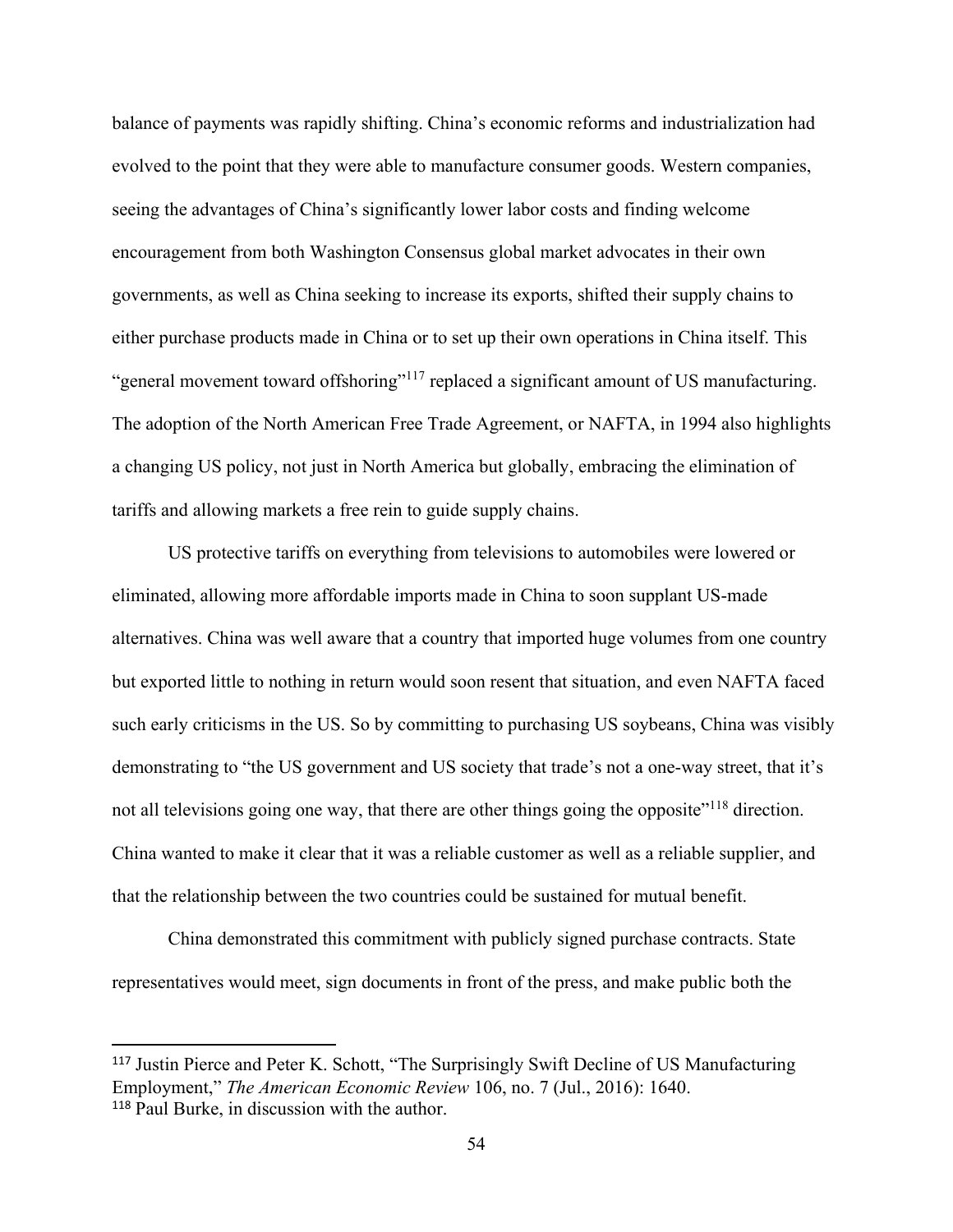balance of payments was rapidly shifting. China's economic reforms and industrialization had evolved to the point that they were able to manufacture consumer goods. Western companies, seeing the advantages of China's significantly lower labor costs and finding welcome encouragement from both Washington Consensus global market advocates in their own governments, as well as China seeking to increase its exports, shifted their supply chains to either purchase products made in China or to set up their own operations in China itself. This "general movement toward offshoring"<sup>117</sup> replaced a significant amount of US manufacturing. The adoption of the North American Free Trade Agreement, or NAFTA, in 1994 also highlights a changing US policy, not just in North America but globally, embracing the elimination of tariffs and allowing markets a free rein to guide supply chains.

US protective tariffs on everything from televisions to automobiles were lowered or eliminated, allowing more affordable imports made in China to soon supplant US-made alternatives. China was well aware that a country that imported huge volumes from one country but exported little to nothing in return would soon resent that situation, and even NAFTA faced such early criticisms in the US. So by committing to purchasing US soybeans, China was visibly demonstrating to "the US government and US society that trade's not a one-way street, that it's not all televisions going one way, that there are other things going the opposite<sup>"118</sup> direction. China wanted to make it clear that it was a reliable customer as well as a reliable supplier, and that the relationship between the two countries could be sustained for mutual benefit.

China demonstrated this commitment with publicly signed purchase contracts. State representatives would meet, sign documents in front of the press, and make public both the

<sup>117</sup> Justin Pierce and Peter K. Schott, "The Surprisingly Swift Decline of US Manufacturing Employment," *The American Economic Review* 106, no. 7 (Jul., 2016): 1640. <sup>118</sup> Paul Burke, in discussion with the author.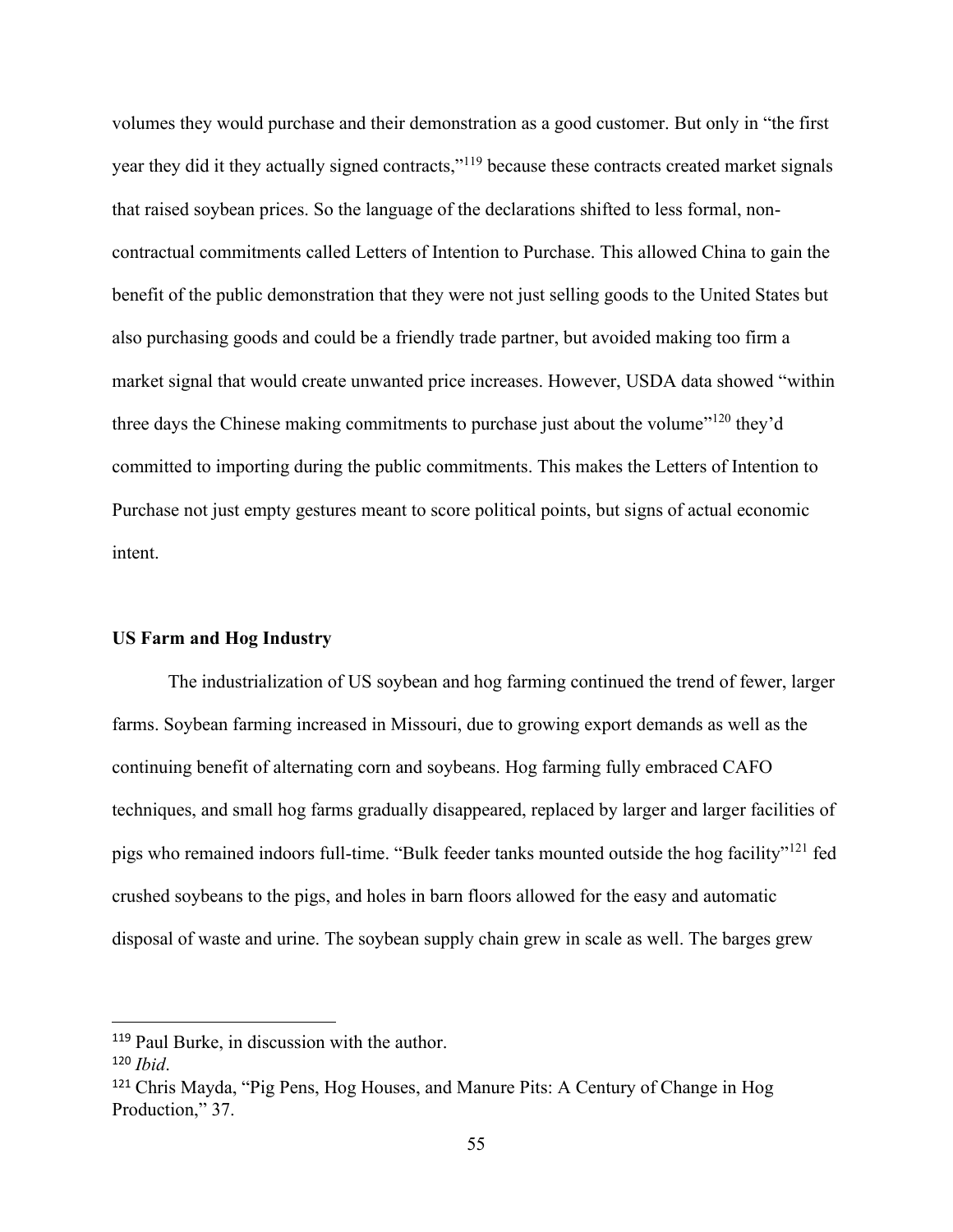volumes they would purchase and their demonstration as a good customer. But only in "the first year they did it they actually signed contracts,"<sup>119</sup> because these contracts created market signals that raised soybean prices. So the language of the declarations shifted to less formal, noncontractual commitments called Letters of Intention to Purchase. This allowed China to gain the benefit of the public demonstration that they were not just selling goods to the United States but also purchasing goods and could be a friendly trade partner, but avoided making too firm a market signal that would create unwanted price increases. However, USDA data showed "within three days the Chinese making commitments to purchase just about the volume"<sup>120</sup> they'd committed to importing during the public commitments. This makes the Letters of Intention to Purchase not just empty gestures meant to score political points, but signs of actual economic intent.

## **US Farm and Hog Industry**

The industrialization of US soybean and hog farming continued the trend of fewer, larger farms. Soybean farming increased in Missouri, due to growing export demands as well as the continuing benefit of alternating corn and soybeans. Hog farming fully embraced CAFO techniques, and small hog farms gradually disappeared, replaced by larger and larger facilities of pigs who remained indoors full-time. "Bulk feeder tanks mounted outside the hog facility"<sup>121</sup> fed crushed soybeans to the pigs, and holes in barn floors allowed for the easy and automatic disposal of waste and urine. The soybean supply chain grew in scale as well. The barges grew

<sup>119</sup> Paul Burke, in discussion with the author.

<sup>120</sup> *Ibid*.

<sup>121</sup> Chris Mayda, "Pig Pens, Hog Houses, and Manure Pits: A Century of Change in Hog Production," 37.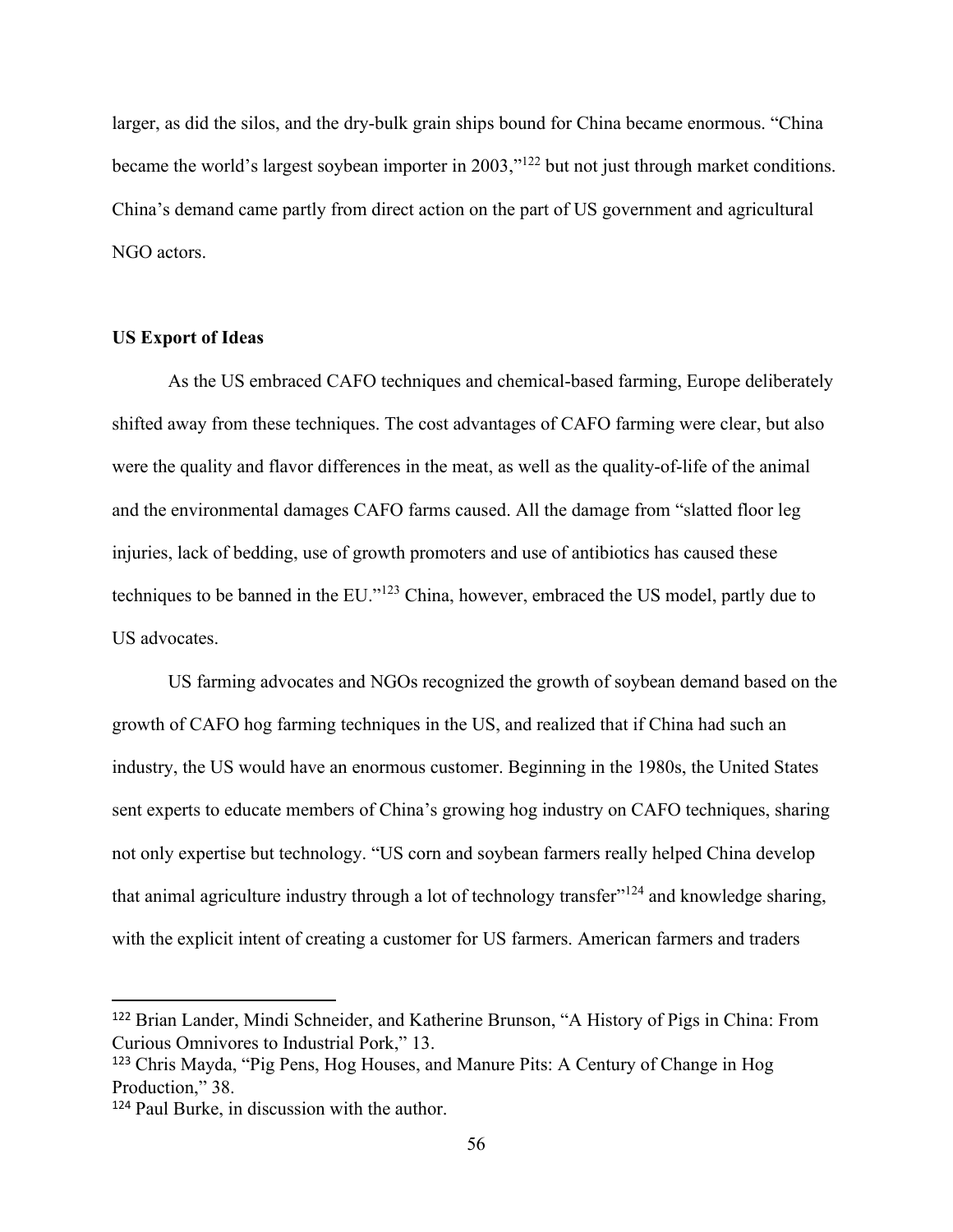larger, as did the silos, and the dry-bulk grain ships bound for China became enormous. "China became the world's largest soybean importer in 2003,"<sup>122</sup> but not just through market conditions. China's demand came partly from direct action on the part of US government and agricultural NGO actors.

## **US Export of Ideas**

As the US embraced CAFO techniques and chemical-based farming, Europe deliberately shifted away from these techniques. The cost advantages of CAFO farming were clear, but also were the quality and flavor differences in the meat, as well as the quality-of-life of the animal and the environmental damages CAFO farms caused. All the damage from "slatted floor leg injuries, lack of bedding, use of growth promoters and use of antibiotics has caused these techniques to be banned in the EU."<sup>123</sup> China, however, embraced the US model, partly due to US advocates.

US farming advocates and NGOs recognized the growth of soybean demand based on the growth of CAFO hog farming techniques in the US, and realized that if China had such an industry, the US would have an enormous customer. Beginning in the 1980s, the United States sent experts to educate members of China's growing hog industry on CAFO techniques, sharing not only expertise but technology. "US corn and soybean farmers really helped China develop that animal agriculture industry through a lot of technology transfer"<sup>124</sup> and knowledge sharing, with the explicit intent of creating a customer for US farmers. American farmers and traders

<sup>122</sup> Brian Lander, Mindi Schneider, and Katherine Brunson, "A History of Pigs in China: From Curious Omnivores to Industrial Pork," 13.

<sup>123</sup> Chris Mayda, "Pig Pens, Hog Houses, and Manure Pits: A Century of Change in Hog Production," 38.

<sup>124</sup> Paul Burke, in discussion with the author.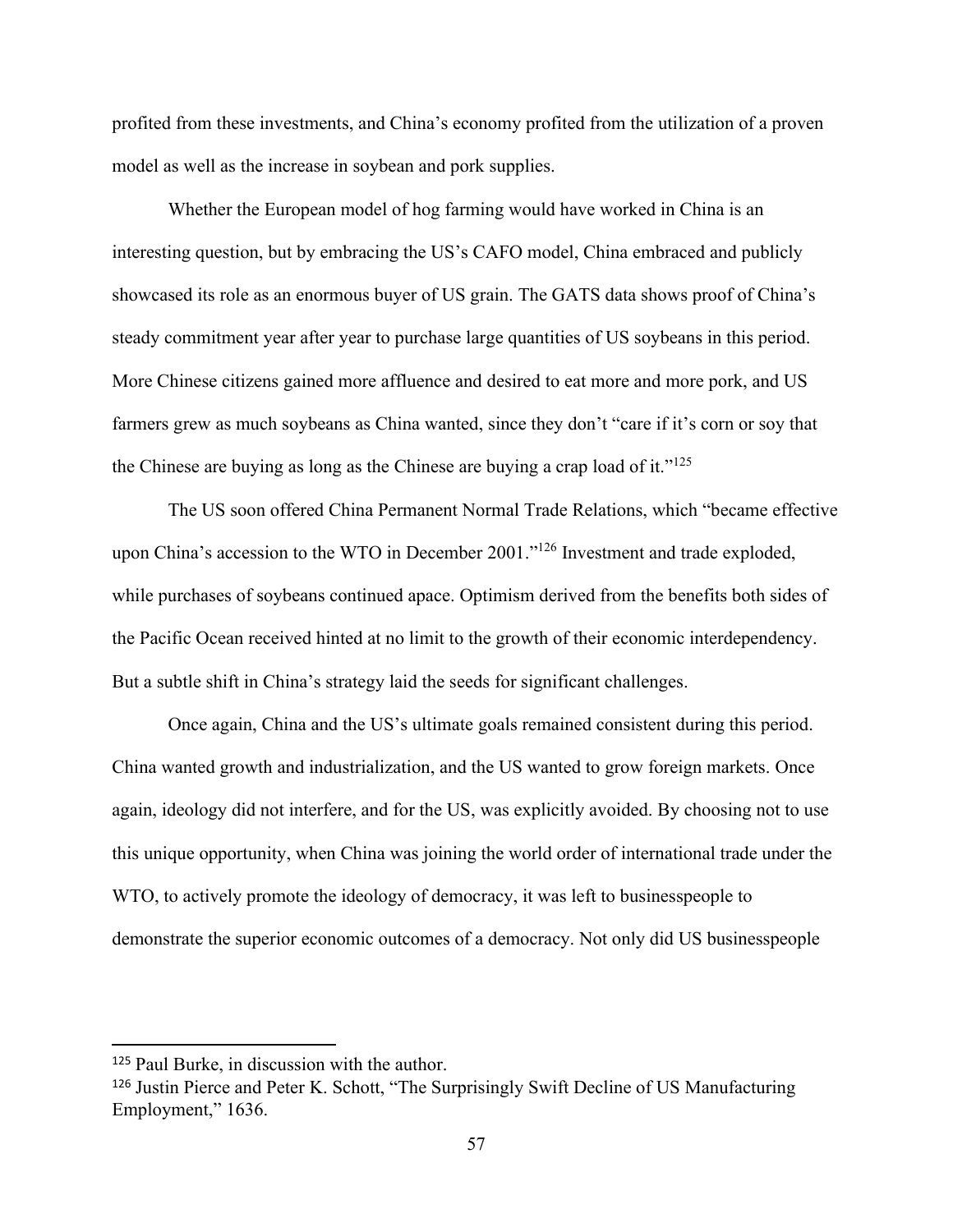profited from these investments, and China's economy profited from the utilization of a proven model as well as the increase in soybean and pork supplies.

Whether the European model of hog farming would have worked in China is an interesting question, but by embracing the US's CAFO model, China embraced and publicly showcased its role as an enormous buyer of US grain. The GATS data shows proof of China's steady commitment year after year to purchase large quantities of US soybeans in this period. More Chinese citizens gained more affluence and desired to eat more and more pork, and US farmers grew as much soybeans as China wanted, since they don't "care if it's corn or soy that the Chinese are buying as long as the Chinese are buying a crap load of it." $125$ 

The US soon offered China Permanent Normal Trade Relations, which "became effective upon China's accession to the WTO in December 2001."<sup>126</sup> Investment and trade exploded, while purchases of soybeans continued apace. Optimism derived from the benefits both sides of the Pacific Ocean received hinted at no limit to the growth of their economic interdependency. But a subtle shift in China's strategy laid the seeds for significant challenges.

Once again, China and the US's ultimate goals remained consistent during this period. China wanted growth and industrialization, and the US wanted to grow foreign markets. Once again, ideology did not interfere, and for the US, was explicitly avoided. By choosing not to use this unique opportunity, when China was joining the world order of international trade under the WTO, to actively promote the ideology of democracy, it was left to businesspeople to demonstrate the superior economic outcomes of a democracy. Not only did US businesspeople

<sup>125</sup> Paul Burke, in discussion with the author.

<sup>126</sup> Justin Pierce and Peter K. Schott, "The Surprisingly Swift Decline of US Manufacturing Employment," 1636.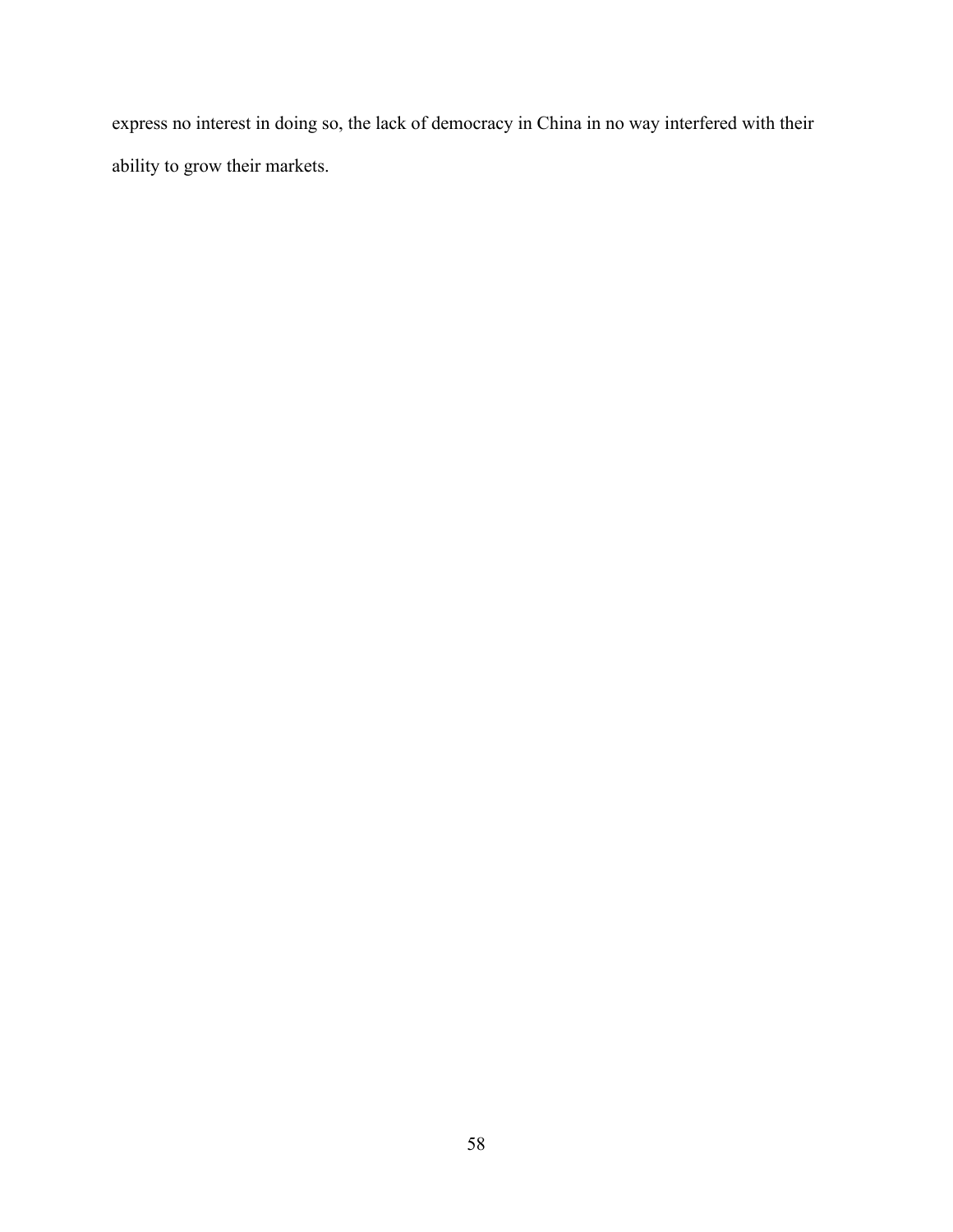express no interest in doing so, the lack of democracy in China in no way interfered with their ability to grow their markets.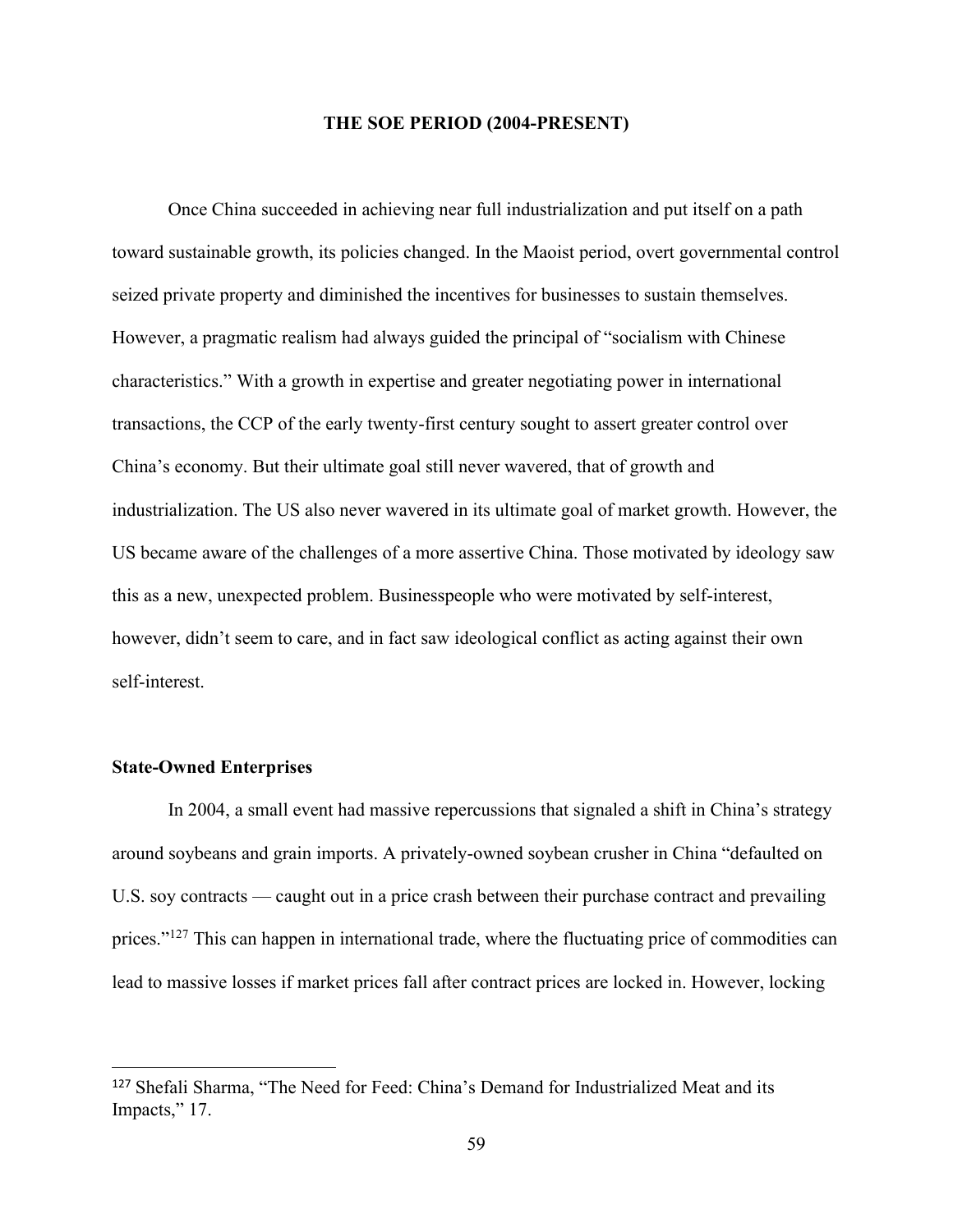#### **THE SOE PERIOD (2004-PRESENT)**

Once China succeeded in achieving near full industrialization and put itself on a path toward sustainable growth, its policies changed. In the Maoist period, overt governmental control seized private property and diminished the incentives for businesses to sustain themselves. However, a pragmatic realism had always guided the principal of "socialism with Chinese characteristics." With a growth in expertise and greater negotiating power in international transactions, the CCP of the early twenty-first century sought to assert greater control over China's economy. But their ultimate goal still never wavered, that of growth and industrialization. The US also never wavered in its ultimate goal of market growth. However, the US became aware of the challenges of a more assertive China. Those motivated by ideology saw this as a new, unexpected problem. Businesspeople who were motivated by self-interest, however, didn't seem to care, and in fact saw ideological conflict as acting against their own self-interest.

#### **State-Owned Enterprises**

In 2004, a small event had massive repercussions that signaled a shift in China's strategy around soybeans and grain imports. A privately-owned soybean crusher in China "defaulted on U.S. soy contracts — caught out in a price crash between their purchase contract and prevailing prices."<sup>127</sup> This can happen in international trade, where the fluctuating price of commodities can lead to massive losses if market prices fall after contract prices are locked in. However, locking

<sup>127</sup> Shefali Sharma, "The Need for Feed: China's Demand for Industrialized Meat and its Impacts," 17.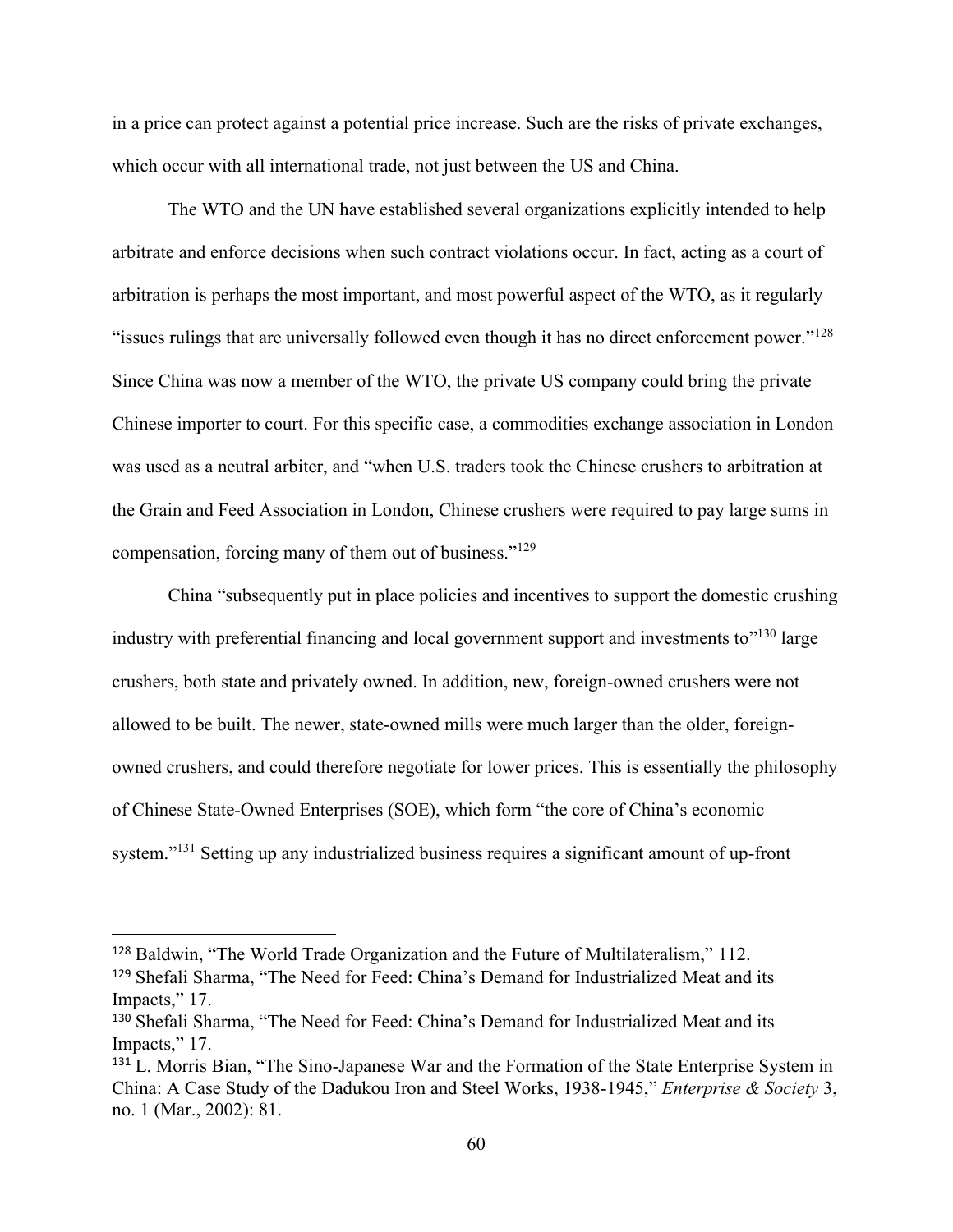in a price can protect against a potential price increase. Such are the risks of private exchanges, which occur with all international trade, not just between the US and China.

The WTO and the UN have established several organizations explicitly intended to help arbitrate and enforce decisions when such contract violations occur. In fact, acting as a court of arbitration is perhaps the most important, and most powerful aspect of the WTO, as it regularly "issues rulings that are universally followed even though it has no direct enforcement power."<sup>128</sup> Since China was now a member of the WTO, the private US company could bring the private Chinese importer to court. For this specific case, a commodities exchange association in London was used as a neutral arbiter, and "when U.S. traders took the Chinese crushers to arbitration at the Grain and Feed Association in London, Chinese crushers were required to pay large sums in compensation, forcing many of them out of business."<sup>129</sup>

China "subsequently put in place policies and incentives to support the domestic crushing industry with preferential financing and local government support and investments to"<sup>130</sup> large crushers, both state and privately owned. In addition, new, foreign-owned crushers were not allowed to be built. The newer, state-owned mills were much larger than the older, foreignowned crushers, and could therefore negotiate for lower prices. This is essentially the philosophy of Chinese State-Owned Enterprises (SOE), which form "the core of China's economic system."<sup>131</sup> Setting up any industrialized business requires a significant amount of up-front

<sup>128</sup> Baldwin, "The World Trade Organization and the Future of Multilateralism," 112. <sup>129</sup> Shefali Sharma, "The Need for Feed: China's Demand for Industrialized Meat and its

Impacts," 17.

<sup>130</sup> Shefali Sharma, "The Need for Feed: China's Demand for Industrialized Meat and its Impacts," 17.

<sup>&</sup>lt;sup>131</sup> L. Morris Bian, "The Sino-Japanese War and the Formation of the State Enterprise System in China: A Case Study of the Dadukou Iron and Steel Works, 1938-1945," *Enterprise & Society* 3, no. 1 (Mar., 2002): 81.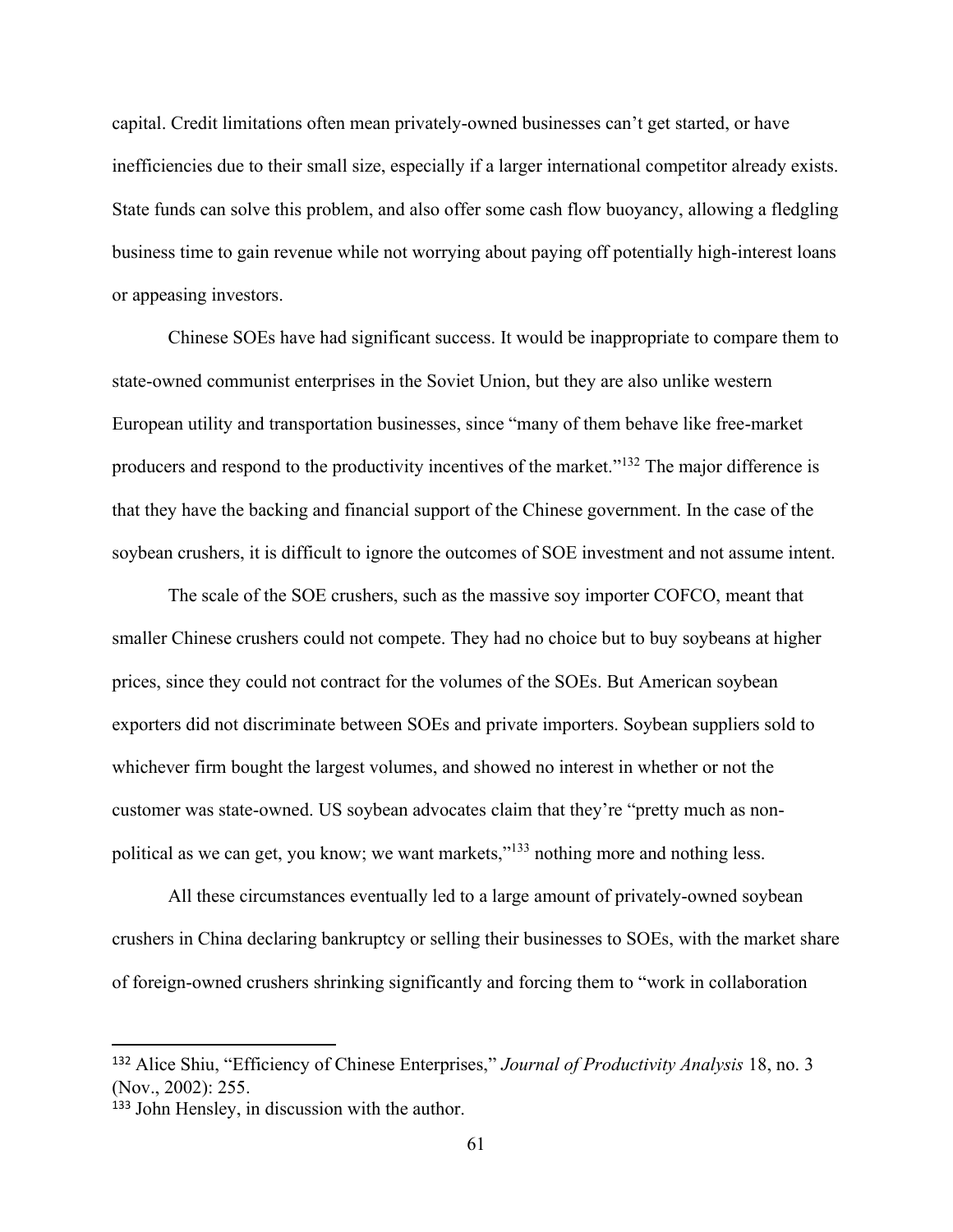capital. Credit limitations often mean privately-owned businesses can't get started, or have inefficiencies due to their small size, especially if a larger international competitor already exists. State funds can solve this problem, and also offer some cash flow buoyancy, allowing a fledgling business time to gain revenue while not worrying about paying off potentially high-interest loans or appeasing investors.

Chinese SOEs have had significant success. It would be inappropriate to compare them to state-owned communist enterprises in the Soviet Union, but they are also unlike western European utility and transportation businesses, since "many of them behave like free-market producers and respond to the productivity incentives of the market."<sup>132</sup> The major difference is that they have the backing and financial support of the Chinese government. In the case of the soybean crushers, it is difficult to ignore the outcomes of SOE investment and not assume intent.

The scale of the SOE crushers, such as the massive soy importer COFCO, meant that smaller Chinese crushers could not compete. They had no choice but to buy soybeans at higher prices, since they could not contract for the volumes of the SOEs. But American soybean exporters did not discriminate between SOEs and private importers. Soybean suppliers sold to whichever firm bought the largest volumes, and showed no interest in whether or not the customer was state-owned. US soybean advocates claim that they're "pretty much as nonpolitical as we can get, you know; we want markets,"<sup>133</sup> nothing more and nothing less.

All these circumstances eventually led to a large amount of privately-owned soybean crushers in China declaring bankruptcy or selling their businesses to SOEs, with the market share of foreign-owned crushers shrinking significantly and forcing them to "work in collaboration

<sup>132</sup> Alice Shiu, "Efficiency of Chinese Enterprises," *Journal of Productivity Analysis* 18, no. 3 (Nov., 2002): 255.

<sup>133</sup> John Hensley, in discussion with the author.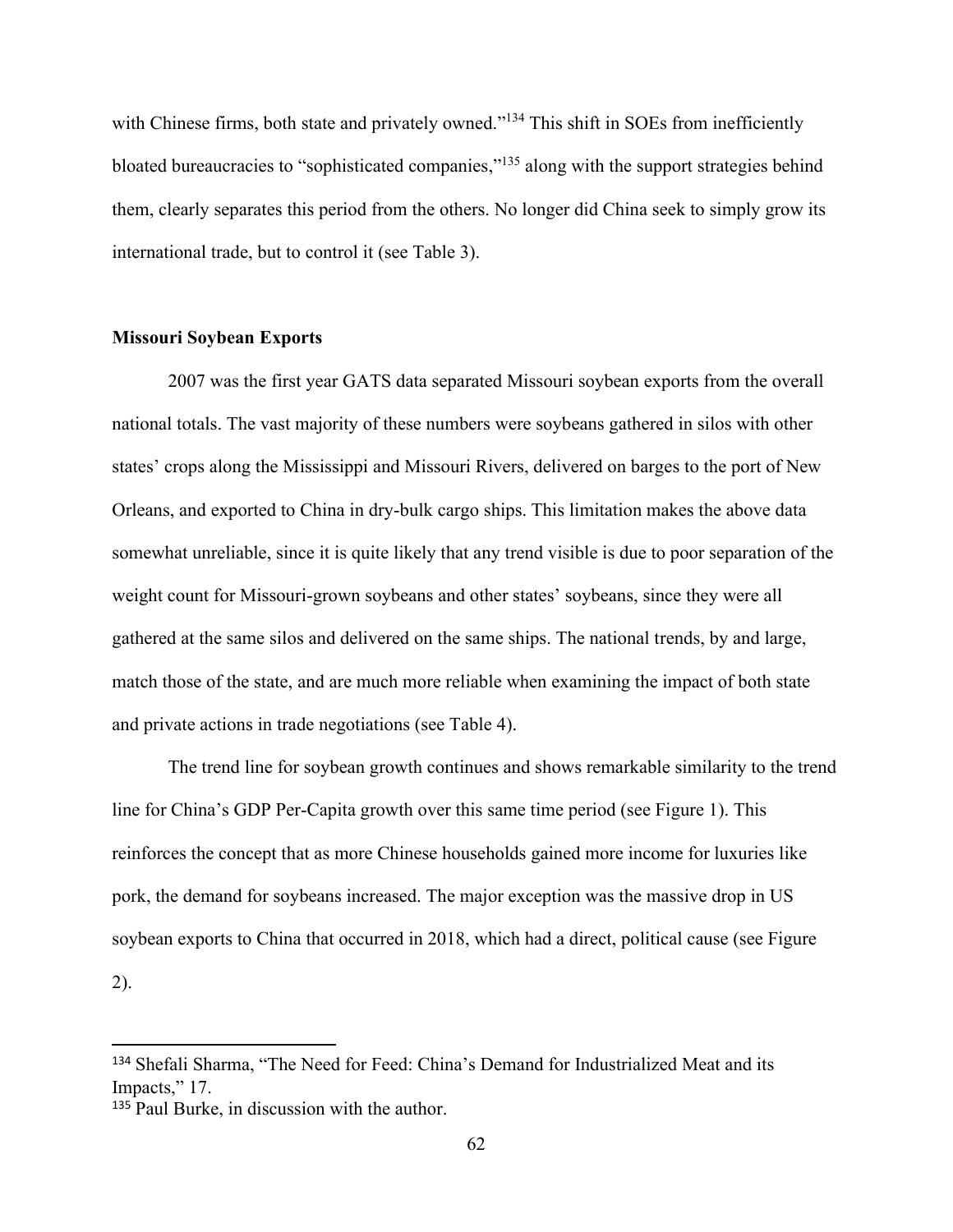with Chinese firms, both state and privately owned."<sup>134</sup> This shift in SOEs from inefficiently bloated bureaucracies to "sophisticated companies,"<sup>135</sup> along with the support strategies behind them, clearly separates this period from the others. No longer did China seek to simply grow its international trade, but to control it (see Table 3).

## **Missouri Soybean Exports**

2007 was the first year GATS data separated Missouri soybean exports from the overall national totals. The vast majority of these numbers were soybeans gathered in silos with other states' crops along the Mississippi and Missouri Rivers, delivered on barges to the port of New Orleans, and exported to China in dry-bulk cargo ships. This limitation makes the above data somewhat unreliable, since it is quite likely that any trend visible is due to poor separation of the weight count for Missouri-grown soybeans and other states' soybeans, since they were all gathered at the same silos and delivered on the same ships. The national trends, by and large, match those of the state, and are much more reliable when examining the impact of both state and private actions in trade negotiations (see Table 4).

The trend line for soybean growth continues and shows remarkable similarity to the trend line for China's GDP Per-Capita growth over this same time period (see Figure 1). This reinforces the concept that as more Chinese households gained more income for luxuries like pork, the demand for soybeans increased. The major exception was the massive drop in US soybean exports to China that occurred in 2018, which had a direct, political cause (see Figure 2).

<sup>134</sup> Shefali Sharma, "The Need for Feed: China's Demand for Industrialized Meat and its Impacts," 17.

<sup>135</sup> Paul Burke, in discussion with the author.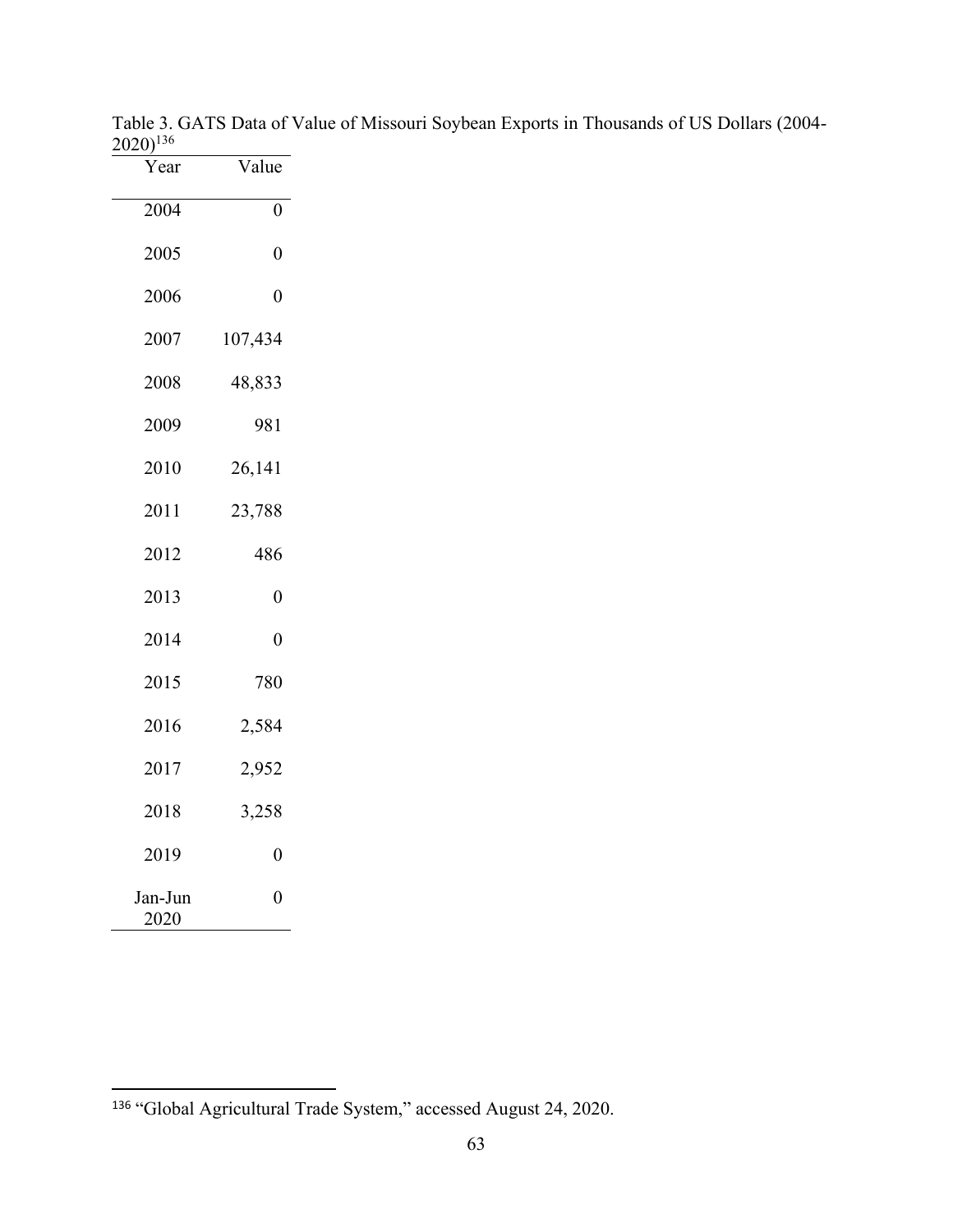| Year            | Value          |
|-----------------|----------------|
| 2004            | 0              |
| 2005            | $\overline{0}$ |
| 2006            | $\overline{0}$ |
| 2007            | 107,434        |
| 2008            | 48,833         |
| 2009            | 981            |
| 2010            | 26,141         |
| 2011            | 23,788         |
| 2012            | 486            |
| 2013            | $\overline{0}$ |
| 2014            | $\overline{0}$ |
| 2015            | 780            |
| 2016            | 2,584          |
| 2017            | 2,952          |
| 2018            | 3,258          |
| 2019            | 0              |
| Jan-Jun<br>2020 | $\overline{0}$ |

Table 3. GATS Data of Value of Missouri Soybean Exports in Thousands of US Dollars (2004-  $(2020)^{136}$ 

"Global Agricultural Trade System," accessed August 24, 2020.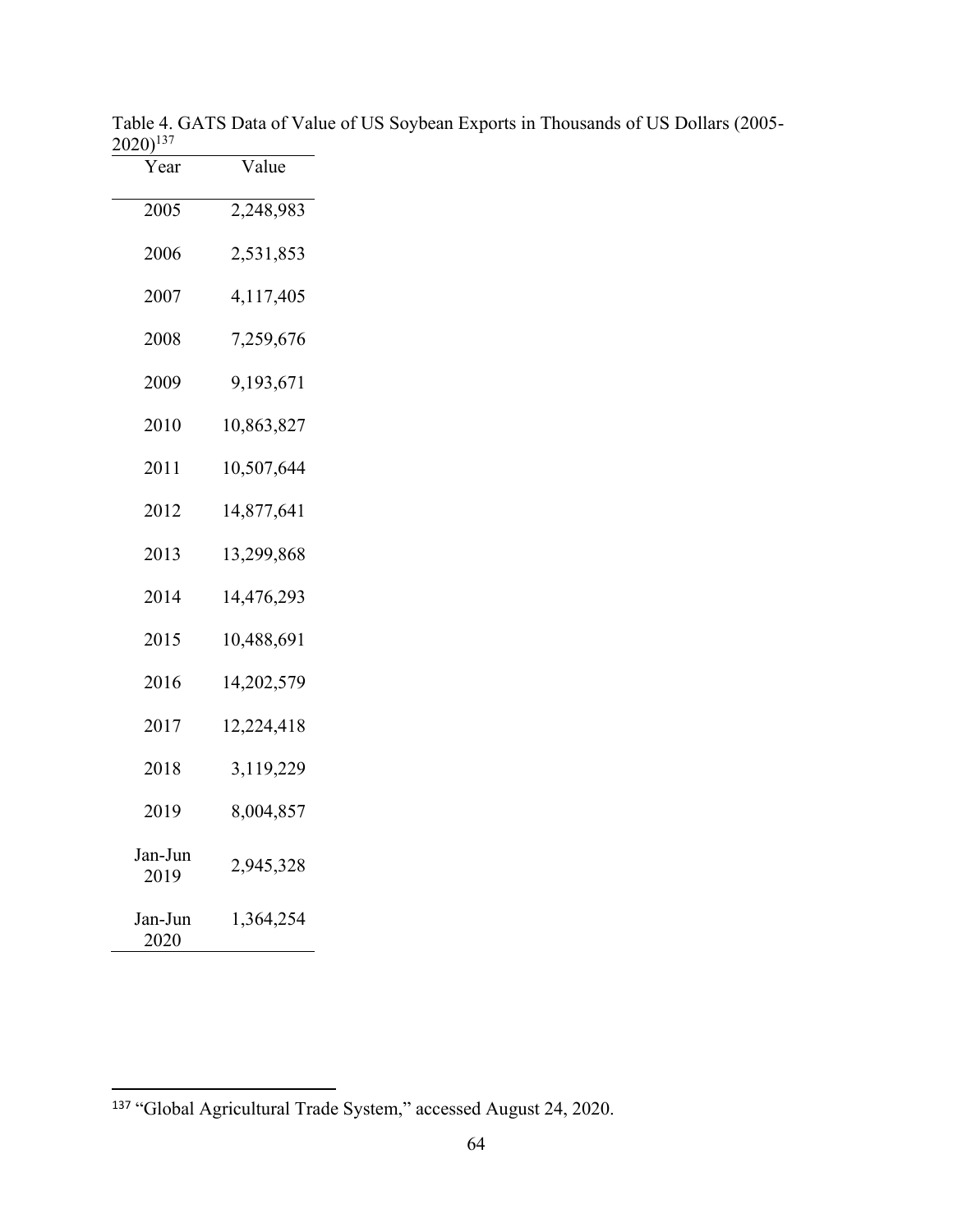| Year            | Value      |
|-----------------|------------|
| 2005            | 2,248,983  |
| 2006            | 2,531,853  |
| 2007            | 4,117,405  |
| 2008            | 7,259,676  |
| 2009            | 9,193,671  |
| 2010            | 10,863,827 |
| 2011            | 10,507,644 |
| 2012            | 14,877,641 |
| 2013            | 13,299,868 |
| 2014            | 14,476,293 |
| 2015            | 10,488,691 |
| 2016            | 14,202,579 |
| 2017            | 12,224,418 |
| 2018            | 3,119,229  |
| 2019            | 8,004,857  |
| Jan-Jun<br>2019 | 2,945,328  |
| Jan-Jun<br>2020 | 1,364,254  |

Table 4. GATS Data of Value of US Soybean Exports in Thousands of US Dollars (2005-  $(2020)^{137}$ 

"Global Agricultural Trade System," accessed August 24, 2020.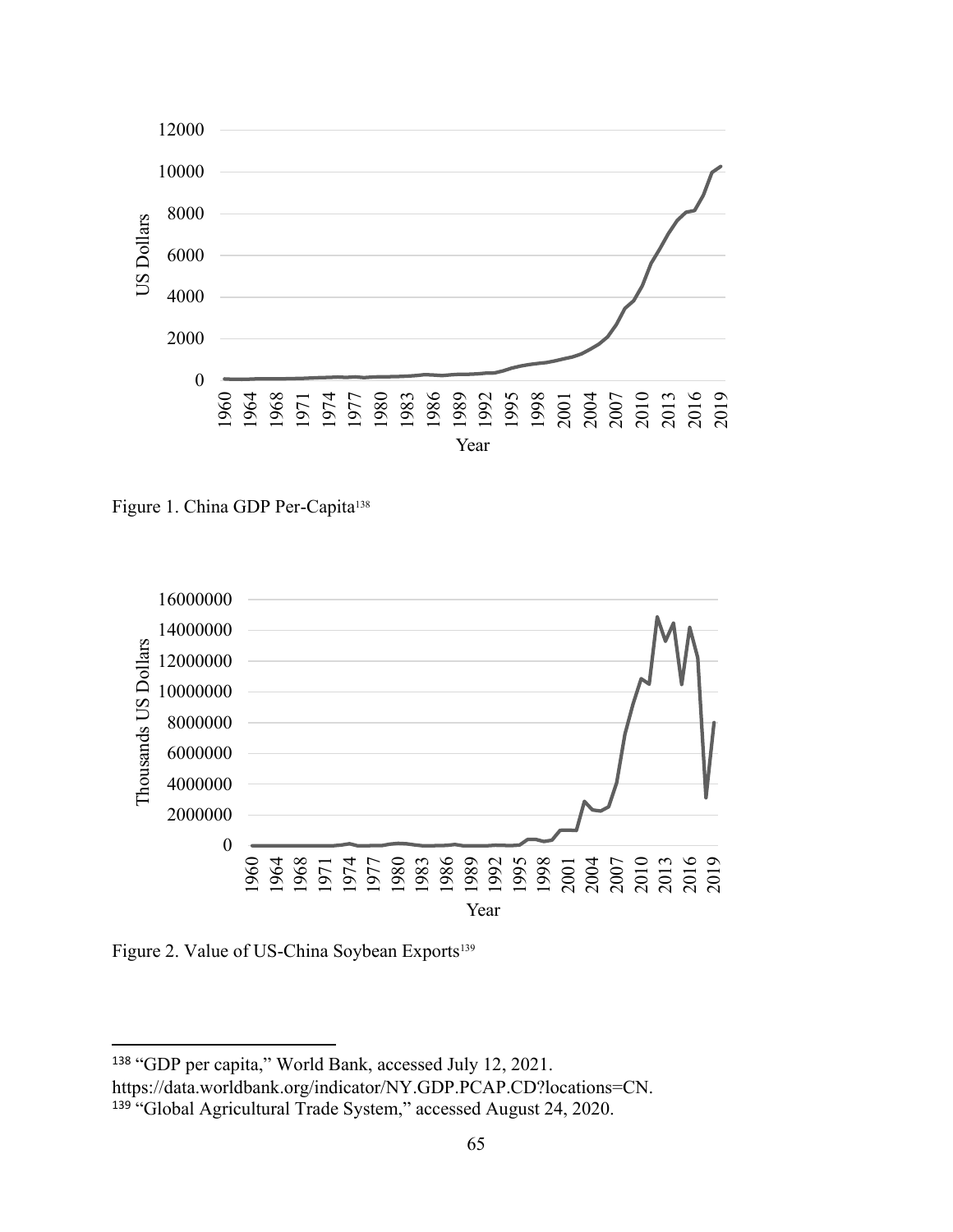

Figure 1. China GDP Per-Capita<sup>138</sup>



Figure 2. Value of US-China Soybean Exports<sup>139</sup>

"GDP per capita," World Bank, accessed July 12, 2021.

https://data.worldbank.org/indicator/NY.GDP.PCAP.CD?locations=CN.

<sup>&</sup>lt;sup>139</sup> "Global Agricultural Trade System," accessed August 24, 2020.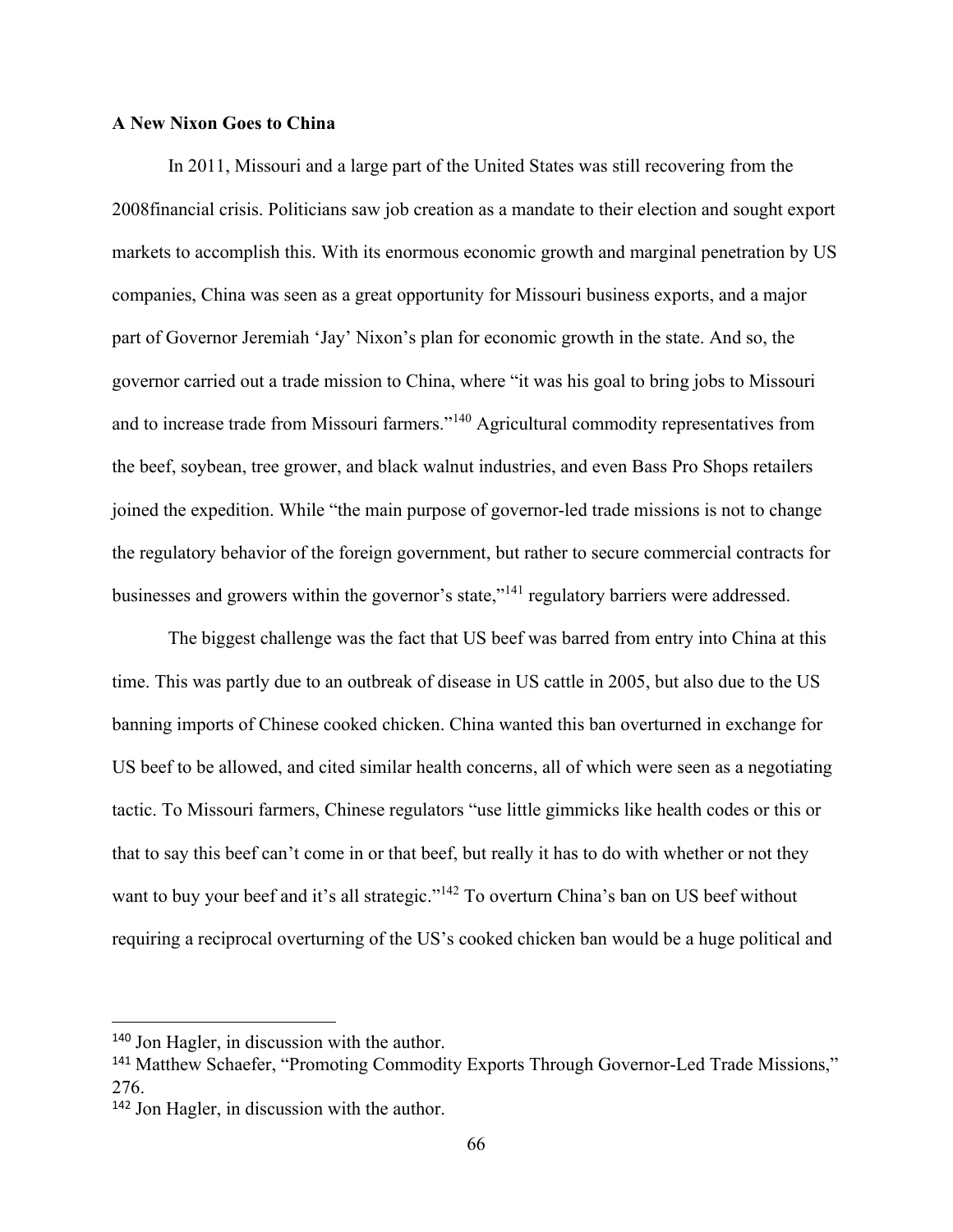# **A New Nixon Goes to China**

In 2011, Missouri and a large part of the United States was still recovering from the 2008financial crisis. Politicians saw job creation as a mandate to their election and sought export markets to accomplish this. With its enormous economic growth and marginal penetration by US companies, China was seen as a great opportunity for Missouri business exports, and a major part of Governor Jeremiah 'Jay' Nixon's plan for economic growth in the state. And so, the governor carried out a trade mission to China, where "it was his goal to bring jobs to Missouri and to increase trade from Missouri farmers."<sup>140</sup> Agricultural commodity representatives from the beef, soybean, tree grower, and black walnut industries, and even Bass Pro Shops retailers joined the expedition. While "the main purpose of governor-led trade missions is not to change the regulatory behavior of the foreign government, but rather to secure commercial contracts for businesses and growers within the governor's state,"<sup>141</sup> regulatory barriers were addressed.

The biggest challenge was the fact that US beef was barred from entry into China at this time. This was partly due to an outbreak of disease in US cattle in 2005, but also due to the US banning imports of Chinese cooked chicken. China wanted this ban overturned in exchange for US beef to be allowed, and cited similar health concerns, all of which were seen as a negotiating tactic. To Missouri farmers, Chinese regulators "use little gimmicks like health codes or this or that to say this beef can't come in or that beef, but really it has to do with whether or not they want to buy your beef and it's all strategic."<sup>142</sup> To overturn China's ban on US beef without requiring a reciprocal overturning of the US's cooked chicken ban would be a huge political and

<sup>140</sup> Jon Hagler, in discussion with the author.

<sup>&</sup>lt;sup>141</sup> Matthew Schaefer, "Promoting Commodity Exports Through Governor-Led Trade Missions," 276.

<sup>142</sup> Jon Hagler, in discussion with the author.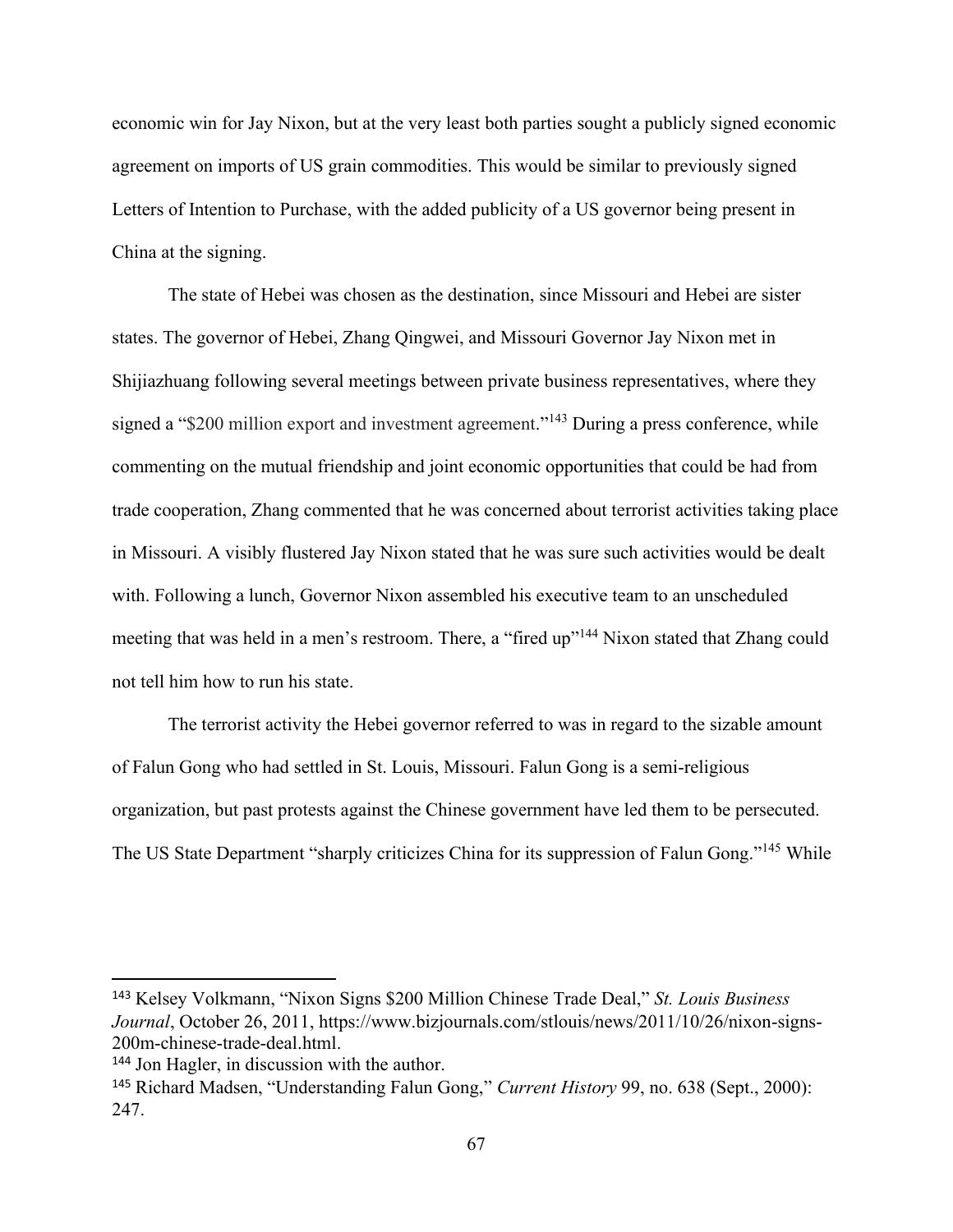economic win for Jay Nixon, but at the very least both parties sought a publicly signed economic agreement on imports of US grain commodities. This would be similar to previously signed Letters of Intention to Purchase, with the added publicity of a US governor being present in China at the signing.

The state of Hebei was chosen as the destination, since Missouri and Hebei are sister states. The governor of Hebei, Zhang Qingwei, and Missouri Governor Jay Nixon met in Shijiazhuang following several meetings between private business representatives, where they signed a "\$200 million export and investment agreement."<sup>143</sup> During a press conference, while commenting on the mutual friendship and joint economic opportunities that could be had from trade cooperation, Zhang commented that he was concerned about terrorist activities taking place in Missouri. A visibly flustered Jay Nixon stated that he was sure such activities would be dealt with. Following a lunch, Governor Nixon assembled his executive team to an unscheduled meeting that was held in a men's restroom. There, a "fired up"<sup>144</sup> Nixon stated that Zhang could not tell him how to run his state.

The terrorist activity the Hebei governor referred to was in regard to the sizable amount of Falun Gong who had settled in St. Louis, Missouri. Falun Gong is a semi-religious organization, but past protests against the Chinese government have led them to be persecuted. The US State Department "sharply criticizes China for its suppression of Falun Gong."<sup>145</sup> While

<sup>143</sup> Kelsey Volkmann, "Nixon Signs \$200 Million Chinese Trade Deal," *St. Louis Business Journal*, October 26, 2011, https://www.bizjournals.com/stlouis/news/2011/10/26/nixon-signs-200m-chinese-trade-deal.html.

<sup>144</sup> Jon Hagler, in discussion with the author.

<sup>145</sup> Richard Madsen, "Understanding Falun Gong," *Current History* 99, no. 638 (Sept., 2000): 247.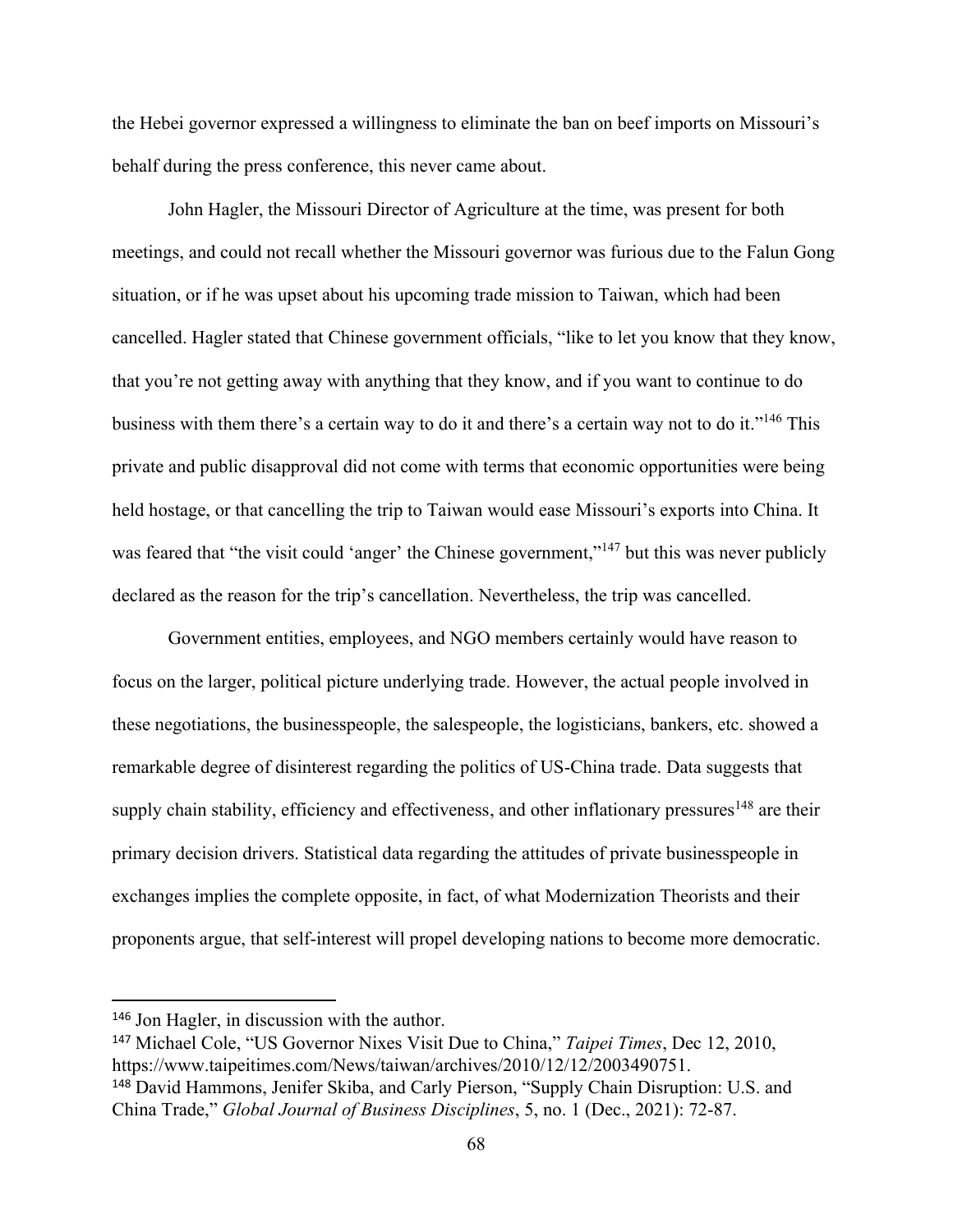the Hebei governor expressed a willingness to eliminate the ban on beef imports on Missouri's behalf during the press conference, this never came about.

John Hagler, the Missouri Director of Agriculture at the time, was present for both meetings, and could not recall whether the Missouri governor was furious due to the Falun Gong situation, or if he was upset about his upcoming trade mission to Taiwan, which had been cancelled. Hagler stated that Chinese government officials, "like to let you know that they know, that you're not getting away with anything that they know, and if you want to continue to do business with them there's a certain way to do it and there's a certain way not to do it."<sup>146</sup> This private and public disapproval did not come with terms that economic opportunities were being held hostage, or that cancelling the trip to Taiwan would ease Missouri's exports into China. It was feared that "the visit could 'anger' the Chinese government,"<sup>147</sup> but this was never publicly declared as the reason for the trip's cancellation. Nevertheless, the trip was cancelled.

Government entities, employees, and NGO members certainly would have reason to focus on the larger, political picture underlying trade. However, the actual people involved in these negotiations, the businesspeople, the salespeople, the logisticians, bankers, etc. showed a remarkable degree of disinterest regarding the politics of US-China trade. Data suggests that supply chain stability, efficiency and effectiveness, and other inflationary pressures<sup>148</sup> are their primary decision drivers. Statistical data regarding the attitudes of private businesspeople in exchanges implies the complete opposite, in fact, of what Modernization Theorists and their proponents argue, that self-interest will propel developing nations to become more democratic.

<sup>146</sup> Jon Hagler, in discussion with the author.

<sup>147</sup> Michael Cole, "US Governor Nixes Visit Due to China," *Taipei Times*, Dec 12, 2010, https://www.taipeitimes.com/News/taiwan/archives/2010/12/12/2003490751. <sup>148</sup> David Hammons, Jenifer Skiba, and Carly Pierson, "Supply Chain Disruption: U.S. and China Trade," *Global Journal of Business Disciplines*, 5, no. 1 (Dec., 2021): 72-87.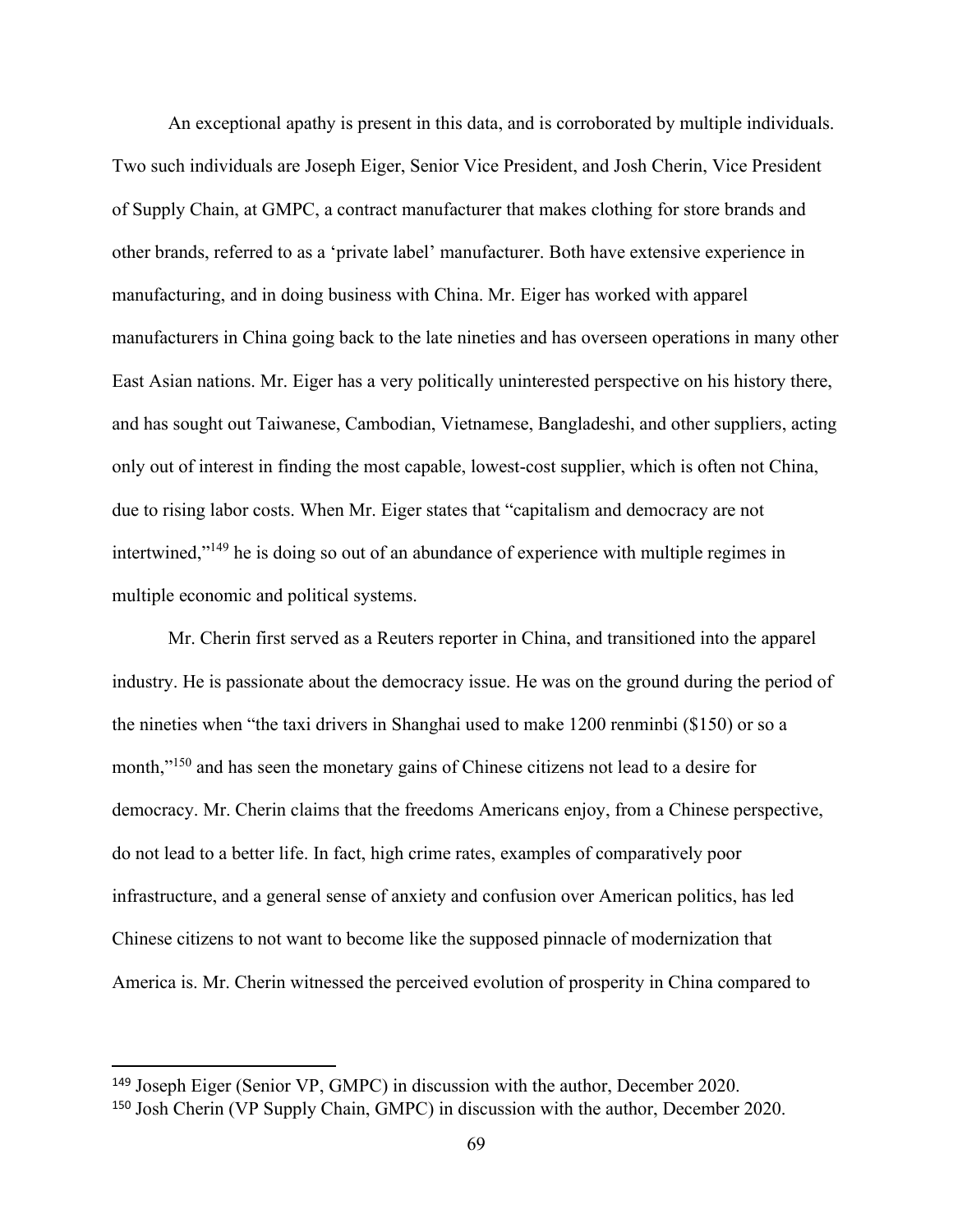An exceptional apathy is present in this data, and is corroborated by multiple individuals. Two such individuals are Joseph Eiger, Senior Vice President, and Josh Cherin, Vice President of Supply Chain, at GMPC, a contract manufacturer that makes clothing for store brands and other brands, referred to as a 'private label' manufacturer. Both have extensive experience in manufacturing, and in doing business with China. Mr. Eiger has worked with apparel manufacturers in China going back to the late nineties and has overseen operations in many other East Asian nations. Mr. Eiger has a very politically uninterested perspective on his history there, and has sought out Taiwanese, Cambodian, Vietnamese, Bangladeshi, and other suppliers, acting only out of interest in finding the most capable, lowest-cost supplier, which is often not China, due to rising labor costs. When Mr. Eiger states that "capitalism and democracy are not intertwined,"<sup>149</sup> he is doing so out of an abundance of experience with multiple regimes in multiple economic and political systems.

Mr. Cherin first served as a Reuters reporter in China, and transitioned into the apparel industry. He is passionate about the democracy issue. He was on the ground during the period of the nineties when "the taxi drivers in Shanghai used to make 1200 renminbi (\$150) or so a month,"<sup>150</sup> and has seen the monetary gains of Chinese citizens not lead to a desire for democracy. Mr. Cherin claims that the freedoms Americans enjoy, from a Chinese perspective, do not lead to a better life. In fact, high crime rates, examples of comparatively poor infrastructure, and a general sense of anxiety and confusion over American politics, has led Chinese citizens to not want to become like the supposed pinnacle of modernization that America is. Mr. Cherin witnessed the perceived evolution of prosperity in China compared to

<sup>149</sup> Joseph Eiger (Senior VP, GMPC) in discussion with the author, December 2020.

<sup>150</sup> Josh Cherin (VP Supply Chain, GMPC) in discussion with the author, December 2020.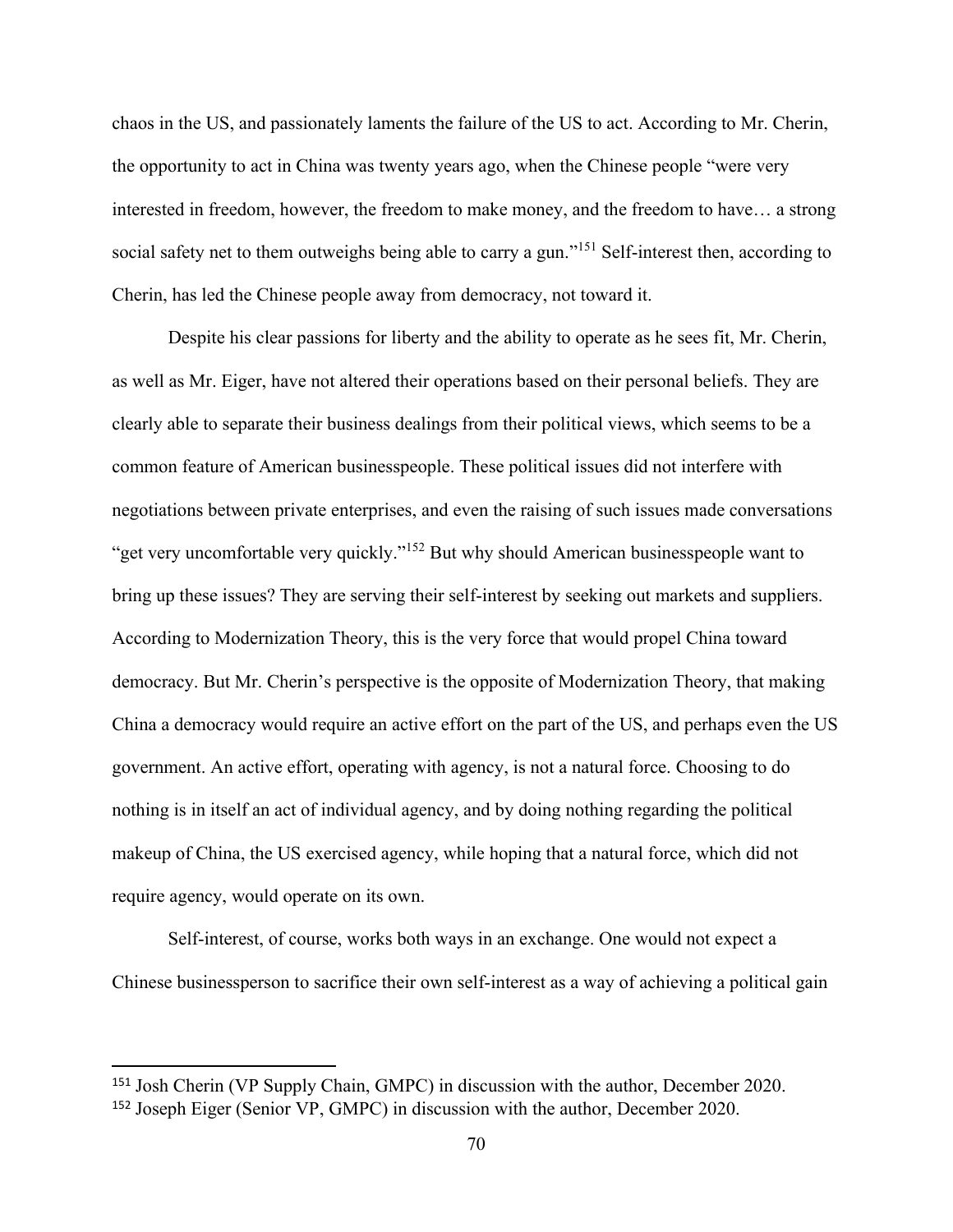chaos in the US, and passionately laments the failure of the US to act. According to Mr. Cherin, the opportunity to act in China was twenty years ago, when the Chinese people "were very interested in freedom, however, the freedom to make money, and the freedom to have… a strong social safety net to them outweighs being able to carry a gun."<sup>151</sup> Self-interest then, according to Cherin, has led the Chinese people away from democracy, not toward it.

Despite his clear passions for liberty and the ability to operate as he sees fit, Mr. Cherin, as well as Mr. Eiger, have not altered their operations based on their personal beliefs. They are clearly able to separate their business dealings from their political views, which seems to be a common feature of American businesspeople. These political issues did not interfere with negotiations between private enterprises, and even the raising of such issues made conversations "get very uncomfortable very quickly."<sup>152</sup> But why should American businesspeople want to bring up these issues? They are serving their self-interest by seeking out markets and suppliers. According to Modernization Theory, this is the very force that would propel China toward democracy. But Mr. Cherin's perspective is the opposite of Modernization Theory, that making China a democracy would require an active effort on the part of the US, and perhaps even the US government. An active effort, operating with agency, is not a natural force. Choosing to do nothing is in itself an act of individual agency, and by doing nothing regarding the political makeup of China, the US exercised agency, while hoping that a natural force, which did not require agency, would operate on its own.

Self-interest, of course, works both ways in an exchange. One would not expect a Chinese businessperson to sacrifice their own self-interest as a way of achieving a political gain

<sup>151</sup> Josh Cherin (VP Supply Chain, GMPC) in discussion with the author, December 2020. <sup>152</sup> Joseph Eiger (Senior VP, GMPC) in discussion with the author, December 2020.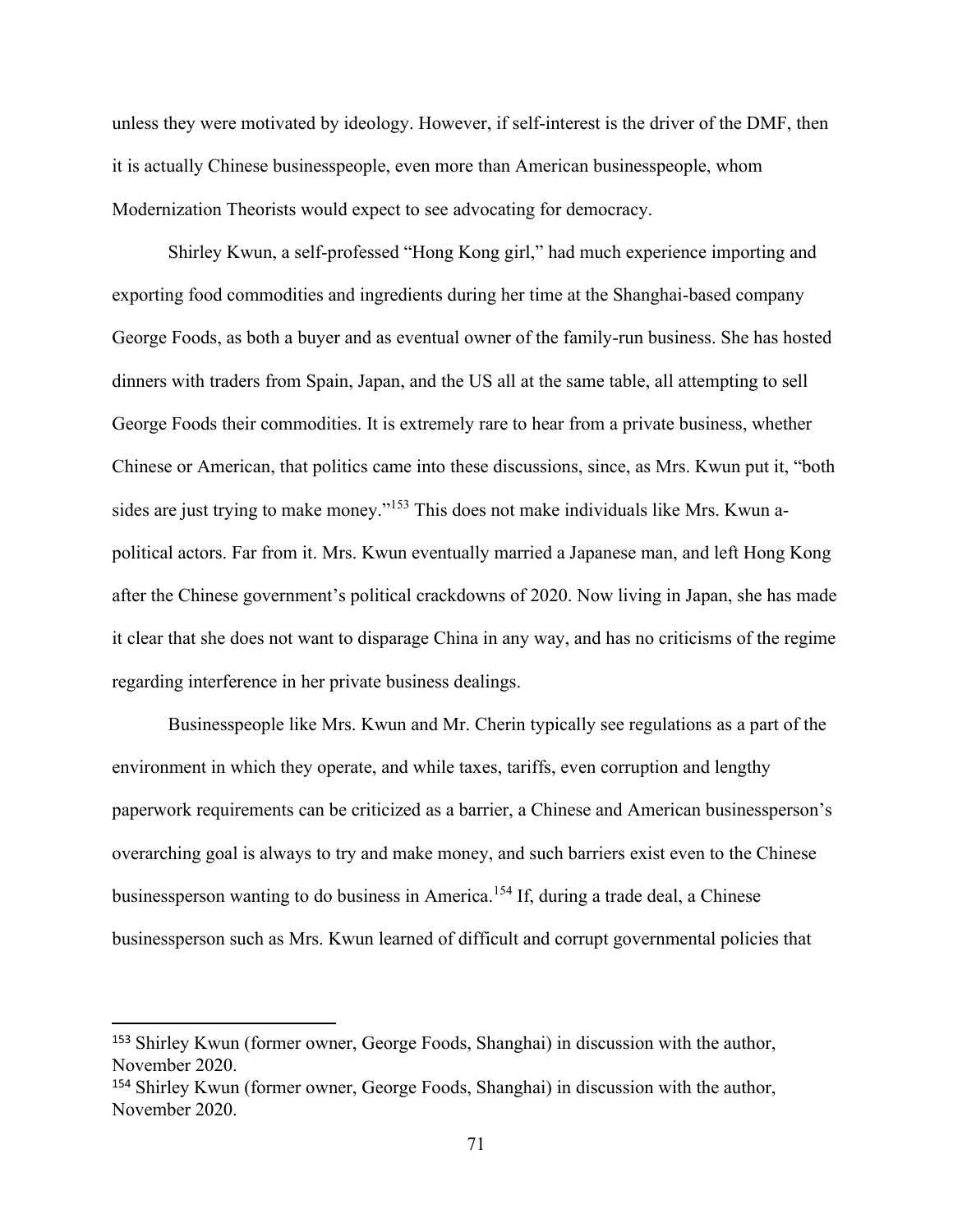unless they were motivated by ideology. However, if self-interest is the driver of the DMF, then it is actually Chinese businesspeople, even more than American businesspeople, whom Modernization Theorists would expect to see advocating for democracy.

Shirley Kwun, a self-professed "Hong Kong girl," had much experience importing and exporting food commodities and ingredients during her time at the Shanghai-based company George Foods, as both a buyer and as eventual owner of the family-run business. She has hosted dinners with traders from Spain, Japan, and the US all at the same table, all attempting to sell George Foods their commodities. It is extremely rare to hear from a private business, whether Chinese or American, that politics came into these discussions, since, as Mrs. Kwun put it, "both sides are just trying to make money."<sup>153</sup> This does not make individuals like Mrs. Kwun apolitical actors. Far from it. Mrs. Kwun eventually married a Japanese man, and left Hong Kong after the Chinese government's political crackdowns of 2020. Now living in Japan, she has made it clear that she does not want to disparage China in any way, and has no criticisms of the regime regarding interference in her private business dealings.

Businesspeople like Mrs. Kwun and Mr. Cherin typically see regulations as a part of the environment in which they operate, and while taxes, tariffs, even corruption and lengthy paperwork requirements can be criticized as a barrier, a Chinese and American businessperson's overarching goal is always to try and make money, and such barriers exist even to the Chinese businessperson wanting to do business in America.<sup>154</sup> If, during a trade deal, a Chinese businessperson such as Mrs. Kwun learned of difficult and corrupt governmental policies that

<sup>153</sup> Shirley Kwun (former owner, George Foods, Shanghai) in discussion with the author, November 2020.

<sup>154</sup> Shirley Kwun (former owner, George Foods, Shanghai) in discussion with the author, November 2020.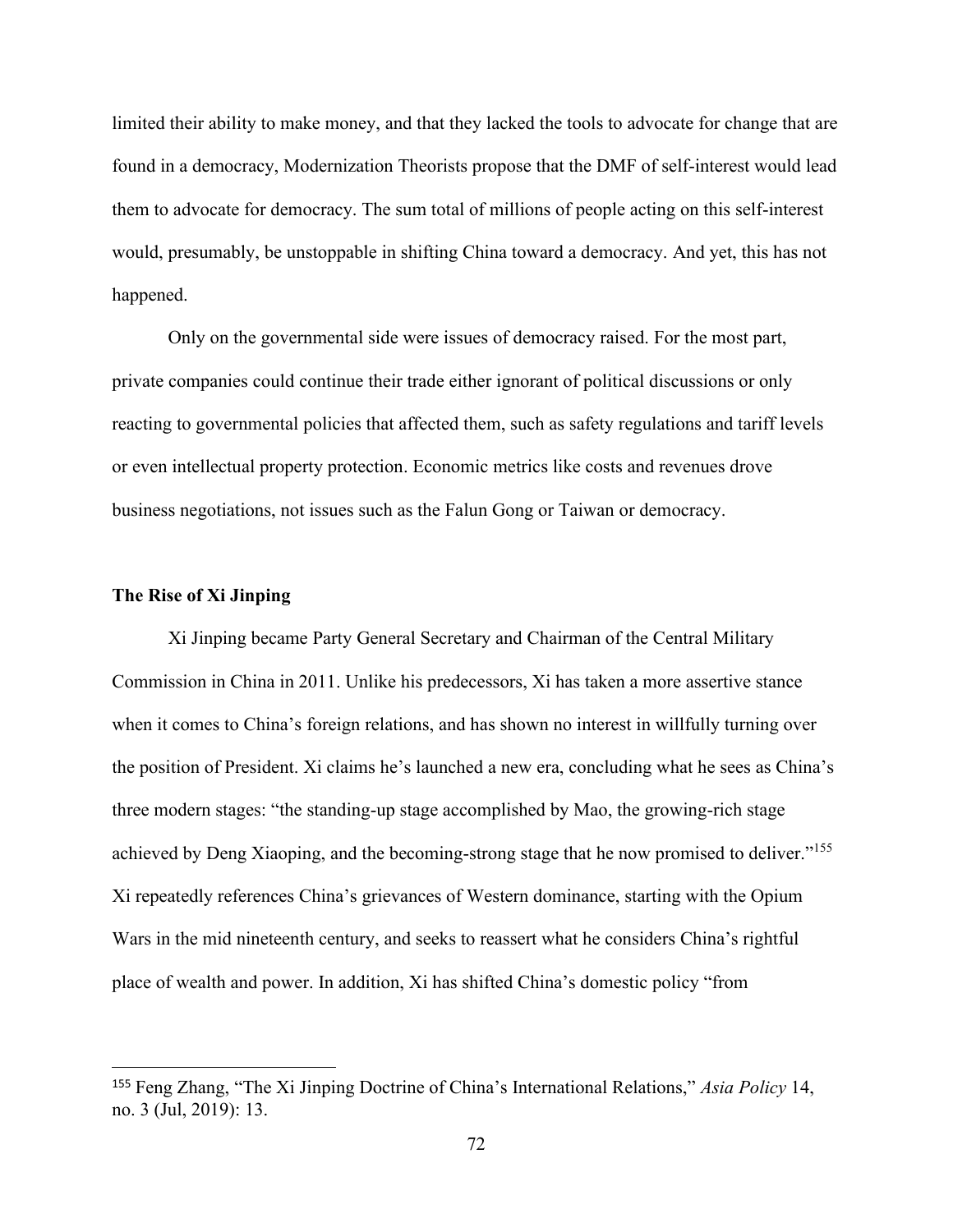limited their ability to make money, and that they lacked the tools to advocate for change that are found in a democracy, Modernization Theorists propose that the DMF of self-interest would lead them to advocate for democracy. The sum total of millions of people acting on this self-interest would, presumably, be unstoppable in shifting China toward a democracy. And yet, this has not happened.

Only on the governmental side were issues of democracy raised. For the most part, private companies could continue their trade either ignorant of political discussions or only reacting to governmental policies that affected them, such as safety regulations and tariff levels or even intellectual property protection. Economic metrics like costs and revenues drove business negotiations, not issues such as the Falun Gong or Taiwan or democracy.

### **The Rise of Xi Jinping**

Xi Jinping became Party General Secretary and Chairman of the Central Military Commission in China in 2011. Unlike his predecessors, Xi has taken a more assertive stance when it comes to China's foreign relations, and has shown no interest in willfully turning over the position of President. Xi claims he's launched a new era, concluding what he sees as China's three modern stages: "the standing-up stage accomplished by Mao, the growing-rich stage achieved by Deng Xiaoping, and the becoming-strong stage that he now promised to deliver."<sup>155</sup> Xi repeatedly references China's grievances of Western dominance, starting with the Opium Wars in the mid nineteenth century, and seeks to reassert what he considers China's rightful place of wealth and power. In addition, Xi has shifted China's domestic policy "from

<sup>155</sup> Feng Zhang, "The Xi Jinping Doctrine of China's International Relations," *Asia Policy* 14, no. 3 (Jul, 2019): 13.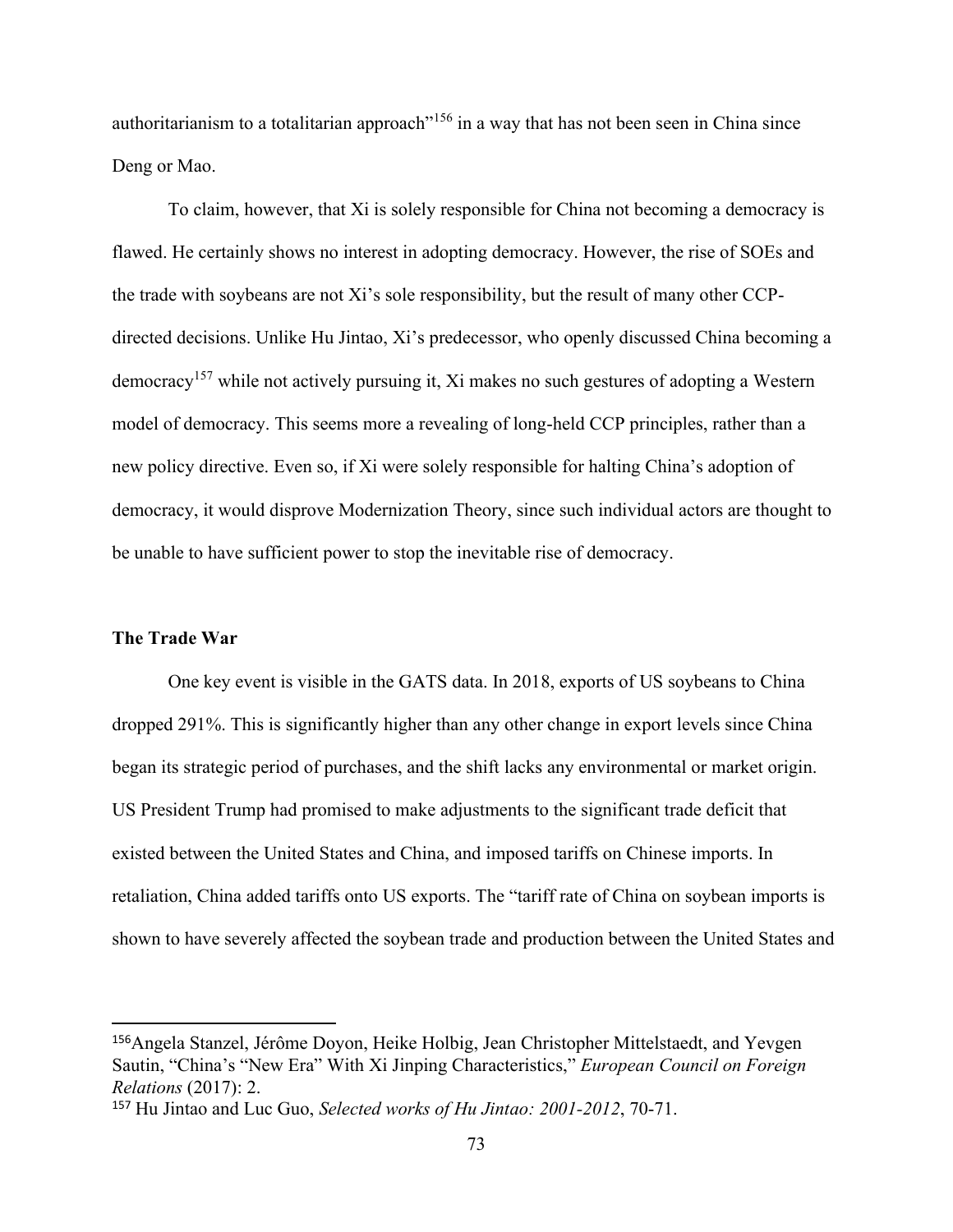authoritarianism to a totalitarian approach<sup>"156</sup> in a way that has not been seen in China since Deng or Mao.

To claim, however, that Xi is solely responsible for China not becoming a democracy is flawed. He certainly shows no interest in adopting democracy. However, the rise of SOEs and the trade with soybeans are not Xi's sole responsibility, but the result of many other CCPdirected decisions. Unlike Hu Jintao, Xi's predecessor, who openly discussed China becoming a democracy<sup>157</sup> while not actively pursuing it, Xi makes no such gestures of adopting a Western model of democracy. This seems more a revealing of long-held CCP principles, rather than a new policy directive. Even so, if Xi were solely responsible for halting China's adoption of democracy, it would disprove Modernization Theory, since such individual actors are thought to be unable to have sufficient power to stop the inevitable rise of democracy.

### **The Trade War**

One key event is visible in the GATS data. In 2018, exports of US soybeans to China dropped 291%. This is significantly higher than any other change in export levels since China began its strategic period of purchases, and the shift lacks any environmental or market origin. US President Trump had promised to make adjustments to the significant trade deficit that existed between the United States and China, and imposed tariffs on Chinese imports. In retaliation, China added tariffs onto US exports. The "tariff rate of China on soybean imports is shown to have severely affected the soybean trade and production between the United States and

<sup>156</sup>Angela Stanzel, Jérôme Doyon, Heike Holbig, Jean Christopher Mittelstaedt, and Yevgen Sautin, "China's "New Era" With Xi Jinping Characteristics," *European Council on Foreign Relations* (2017): 2.

<sup>157</sup> Hu Jintao and Luc Guo, *Selected works of Hu Jintao: 2001-2012*, 70-71.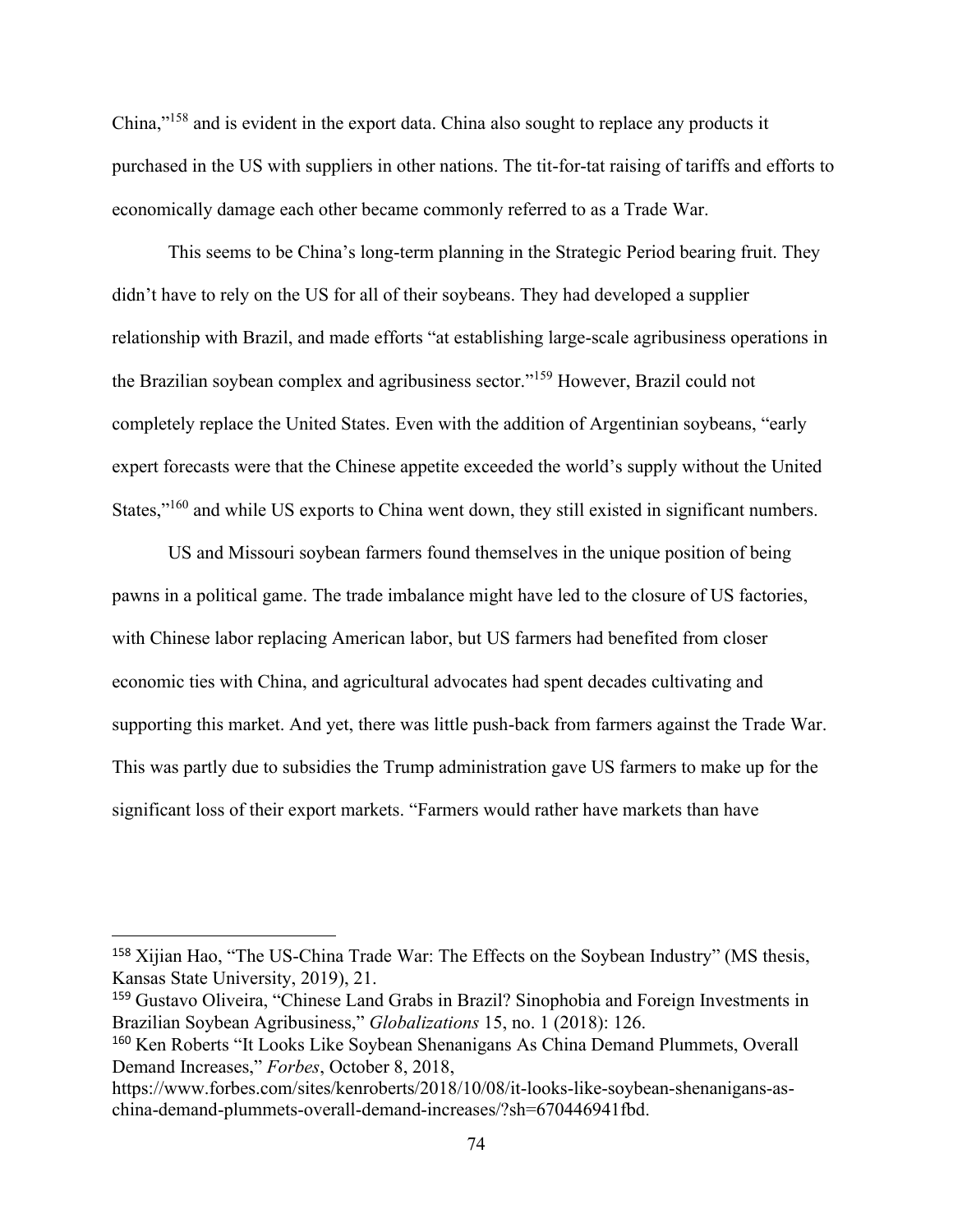China,"<sup>158</sup> and is evident in the export data. China also sought to replace any products it purchased in the US with suppliers in other nations. The tit-for-tat raising of tariffs and efforts to economically damage each other became commonly referred to as a Trade War.

This seems to be China's long-term planning in the Strategic Period bearing fruit. They didn't have to rely on the US for all of their soybeans. They had developed a supplier relationship with Brazil, and made efforts "at establishing large-scale agribusiness operations in the Brazilian soybean complex and agribusiness sector."<sup>159</sup> However, Brazil could not completely replace the United States. Even with the addition of Argentinian soybeans, "early expert forecasts were that the Chinese appetite exceeded the world's supply without the United States,"<sup>160</sup> and while US exports to China went down, they still existed in significant numbers.

US and Missouri soybean farmers found themselves in the unique position of being pawns in a political game. The trade imbalance might have led to the closure of US factories, with Chinese labor replacing American labor, but US farmers had benefited from closer economic ties with China, and agricultural advocates had spent decades cultivating and supporting this market. And yet, there was little push-back from farmers against the Trade War. This was partly due to subsidies the Trump administration gave US farmers to make up for the significant loss of their export markets. "Farmers would rather have markets than have

<sup>158</sup> Xijian Hao, "The US-China Trade War: The Effects on the Soybean Industry" (MS thesis, Kansas State University, 2019), 21.

<sup>159</sup> Gustavo Oliveira, "Chinese Land Grabs in Brazil? Sinophobia and Foreign Investments in Brazilian Soybean Agribusiness," *Globalizations* 15, no. 1 (2018): 126.

<sup>160</sup> Ken Roberts "It Looks Like Soybean Shenanigans As China Demand Plummets, Overall Demand Increases," *Forbes*, October 8, 2018,

https://www.forbes.com/sites/kenroberts/2018/10/08/it-looks-like-soybean-shenanigans-aschina-demand-plummets-overall-demand-increases/?sh=670446941fbd.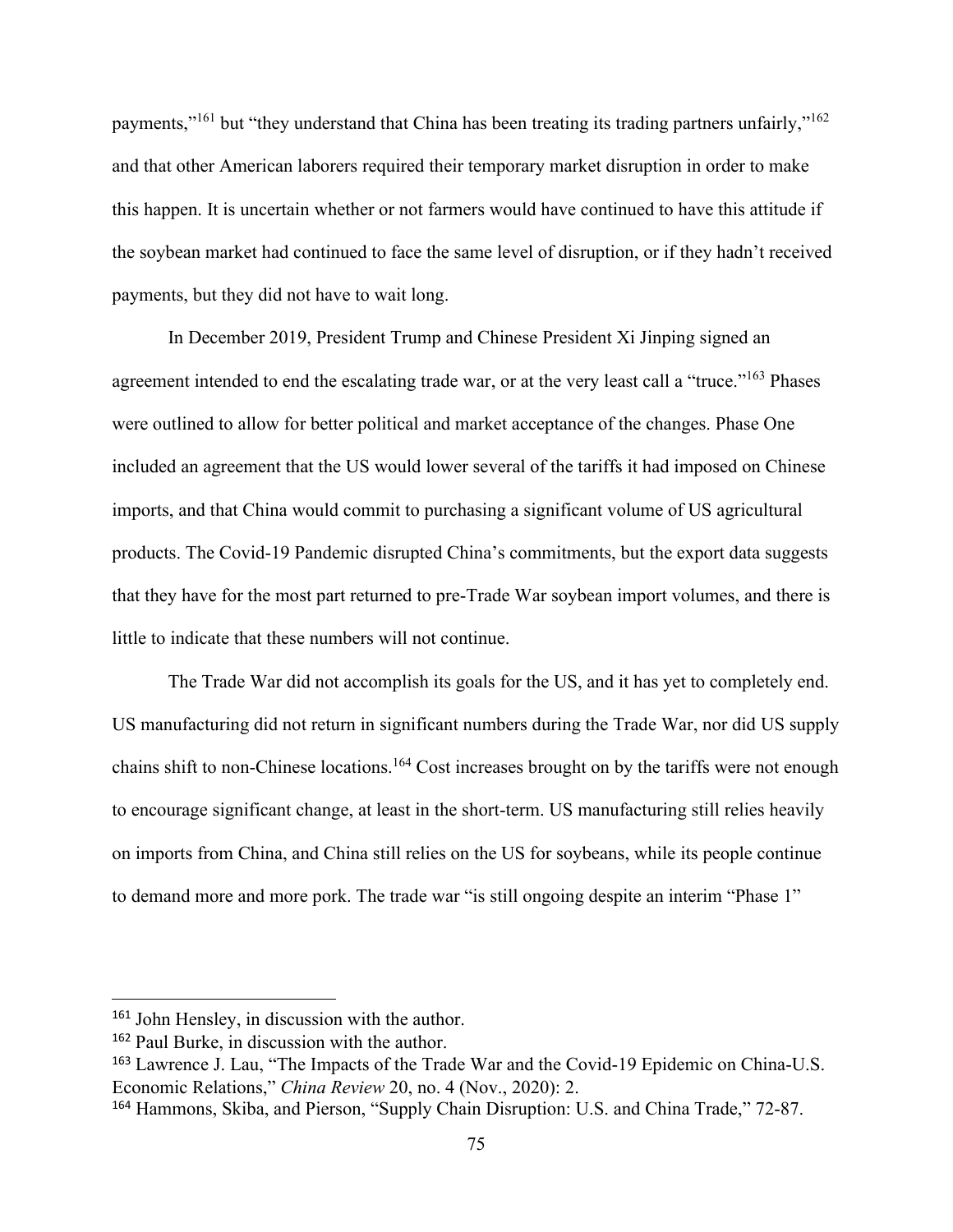payments,"<sup>161</sup> but "they understand that China has been treating its trading partners unfairly,"<sup>162</sup> and that other American laborers required their temporary market disruption in order to make this happen. It is uncertain whether or not farmers would have continued to have this attitude if the soybean market had continued to face the same level of disruption, or if they hadn't received payments, but they did not have to wait long.

In December 2019, President Trump and Chinese President Xi Jinping signed an agreement intended to end the escalating trade war, or at the very least call a "truce."<sup>163</sup> Phases were outlined to allow for better political and market acceptance of the changes. Phase One included an agreement that the US would lower several of the tariffs it had imposed on Chinese imports, and that China would commit to purchasing a significant volume of US agricultural products. The Covid-19 Pandemic disrupted China's commitments, but the export data suggests that they have for the most part returned to pre-Trade War soybean import volumes, and there is little to indicate that these numbers will not continue.

The Trade War did not accomplish its goals for the US, and it has yet to completely end. US manufacturing did not return in significant numbers during the Trade War, nor did US supply chains shift to non-Chinese locations.<sup>164</sup> Cost increases brought on by the tariffs were not enough to encourage significant change, at least in the short-term. US manufacturing still relies heavily on imports from China, and China still relies on the US for soybeans, while its people continue to demand more and more pork. The trade war "is still ongoing despite an interim "Phase 1"

<sup>161</sup> John Hensley, in discussion with the author.

<sup>162</sup> Paul Burke, in discussion with the author.

<sup>163</sup> Lawrence J. Lau, "The Impacts of the Trade War and the Covid-19 Epidemic on China-U.S. Economic Relations," *China Review* 20, no. 4 (Nov., 2020): 2.

<sup>164</sup> Hammons, Skiba, and Pierson, "Supply Chain Disruption: U.S. and China Trade," 72-87.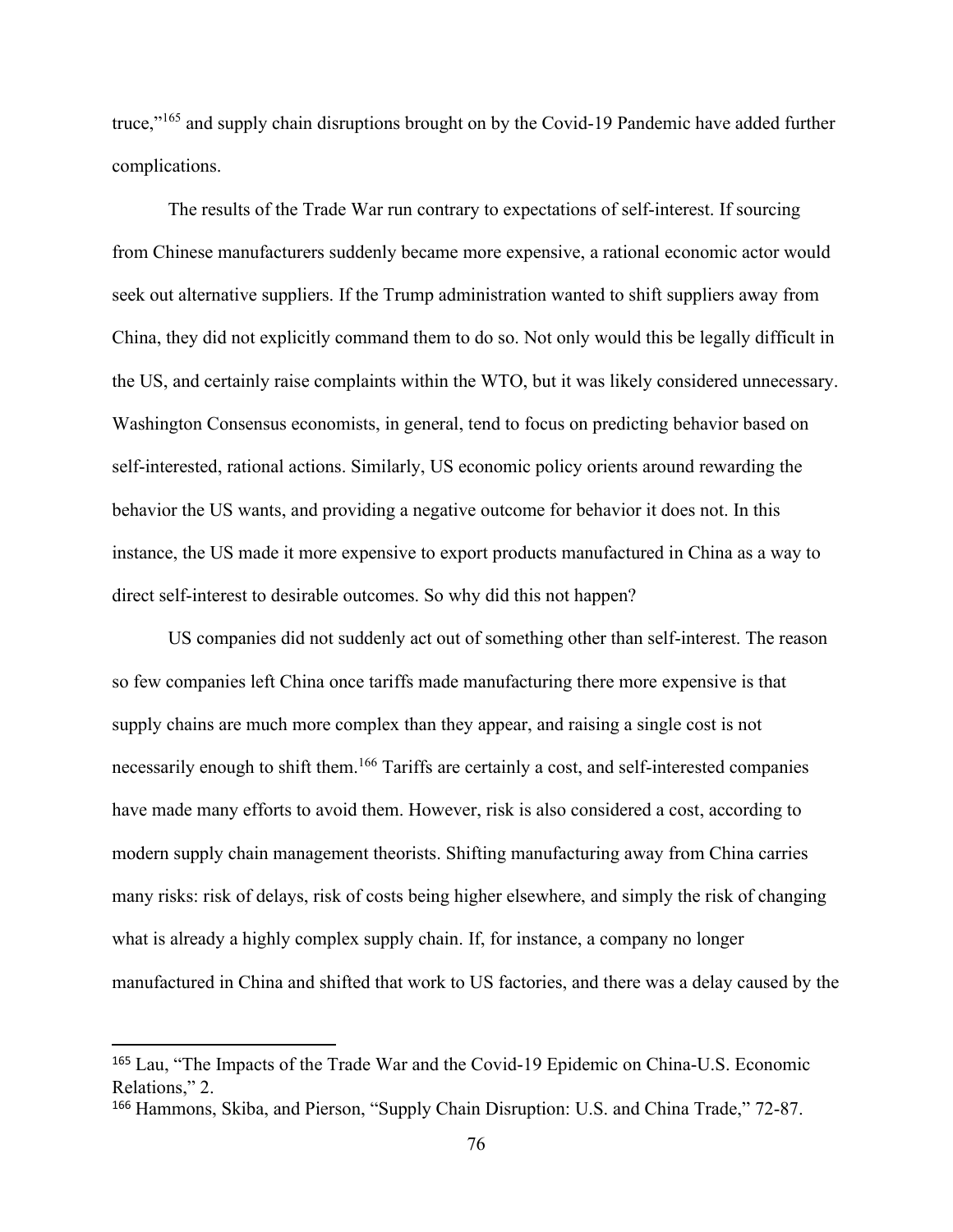truce,"<sup>165</sup> and supply chain disruptions brought on by the Covid-19 Pandemic have added further complications.

The results of the Trade War run contrary to expectations of self-interest. If sourcing from Chinese manufacturers suddenly became more expensive, a rational economic actor would seek out alternative suppliers. If the Trump administration wanted to shift suppliers away from China, they did not explicitly command them to do so. Not only would this be legally difficult in the US, and certainly raise complaints within the WTO, but it was likely considered unnecessary. Washington Consensus economists, in general, tend to focus on predicting behavior based on self-interested, rational actions. Similarly, US economic policy orients around rewarding the behavior the US wants, and providing a negative outcome for behavior it does not. In this instance, the US made it more expensive to export products manufactured in China as a way to direct self-interest to desirable outcomes. So why did this not happen?

US companies did not suddenly act out of something other than self-interest. The reason so few companies left China once tariffs made manufacturing there more expensive is that supply chains are much more complex than they appear, and raising a single cost is not necessarily enough to shift them.<sup>166</sup> Tariffs are certainly a cost, and self-interested companies have made many efforts to avoid them. However, risk is also considered a cost, according to modern supply chain management theorists. Shifting manufacturing away from China carries many risks: risk of delays, risk of costs being higher elsewhere, and simply the risk of changing what is already a highly complex supply chain. If, for instance, a company no longer manufactured in China and shifted that work to US factories, and there was a delay caused by the

<sup>165</sup> Lau, "The Impacts of the Trade War and the Covid-19 Epidemic on China-U.S. Economic Relations," 2.

<sup>166</sup> Hammons, Skiba, and Pierson, "Supply Chain Disruption: U.S. and China Trade," 72-87.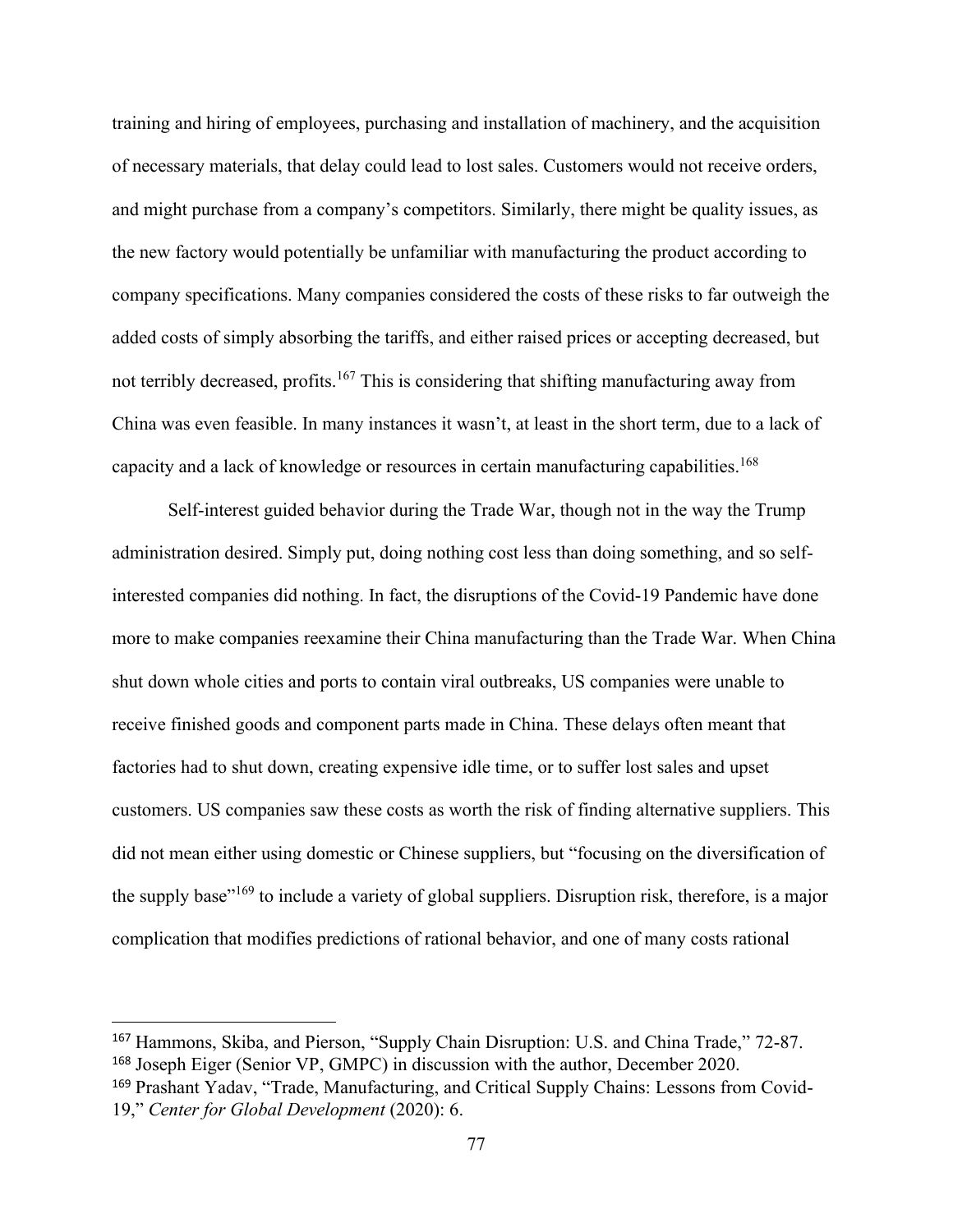training and hiring of employees, purchasing and installation of machinery, and the acquisition of necessary materials, that delay could lead to lost sales. Customers would not receive orders, and might purchase from a company's competitors. Similarly, there might be quality issues, as the new factory would potentially be unfamiliar with manufacturing the product according to company specifications. Many companies considered the costs of these risks to far outweigh the added costs of simply absorbing the tariffs, and either raised prices or accepting decreased, but not terribly decreased, profits.<sup>167</sup> This is considering that shifting manufacturing away from China was even feasible. In many instances it wasn't, at least in the short term, due to a lack of capacity and a lack of knowledge or resources in certain manufacturing capabilities.<sup>168</sup>

Self-interest guided behavior during the Trade War, though not in the way the Trump administration desired. Simply put, doing nothing cost less than doing something, and so selfinterested companies did nothing. In fact, the disruptions of the Covid-19 Pandemic have done more to make companies reexamine their China manufacturing than the Trade War. When China shut down whole cities and ports to contain viral outbreaks, US companies were unable to receive finished goods and component parts made in China. These delays often meant that factories had to shut down, creating expensive idle time, or to suffer lost sales and upset customers. US companies saw these costs as worth the risk of finding alternative suppliers. This did not mean either using domestic or Chinese suppliers, but "focusing on the diversification of the supply base"<sup>169</sup> to include a variety of global suppliers. Disruption risk, therefore, is a major complication that modifies predictions of rational behavior, and one of many costs rational

<sup>167</sup> Hammons, Skiba, and Pierson, "Supply Chain Disruption: U.S. and China Trade," 72-87.

<sup>168</sup> Joseph Eiger (Senior VP, GMPC) in discussion with the author, December 2020.

<sup>169</sup> Prashant Yadav, "Trade, Manufacturing, and Critical Supply Chains: Lessons from Covid-19," *Center for Global Development* (2020): 6.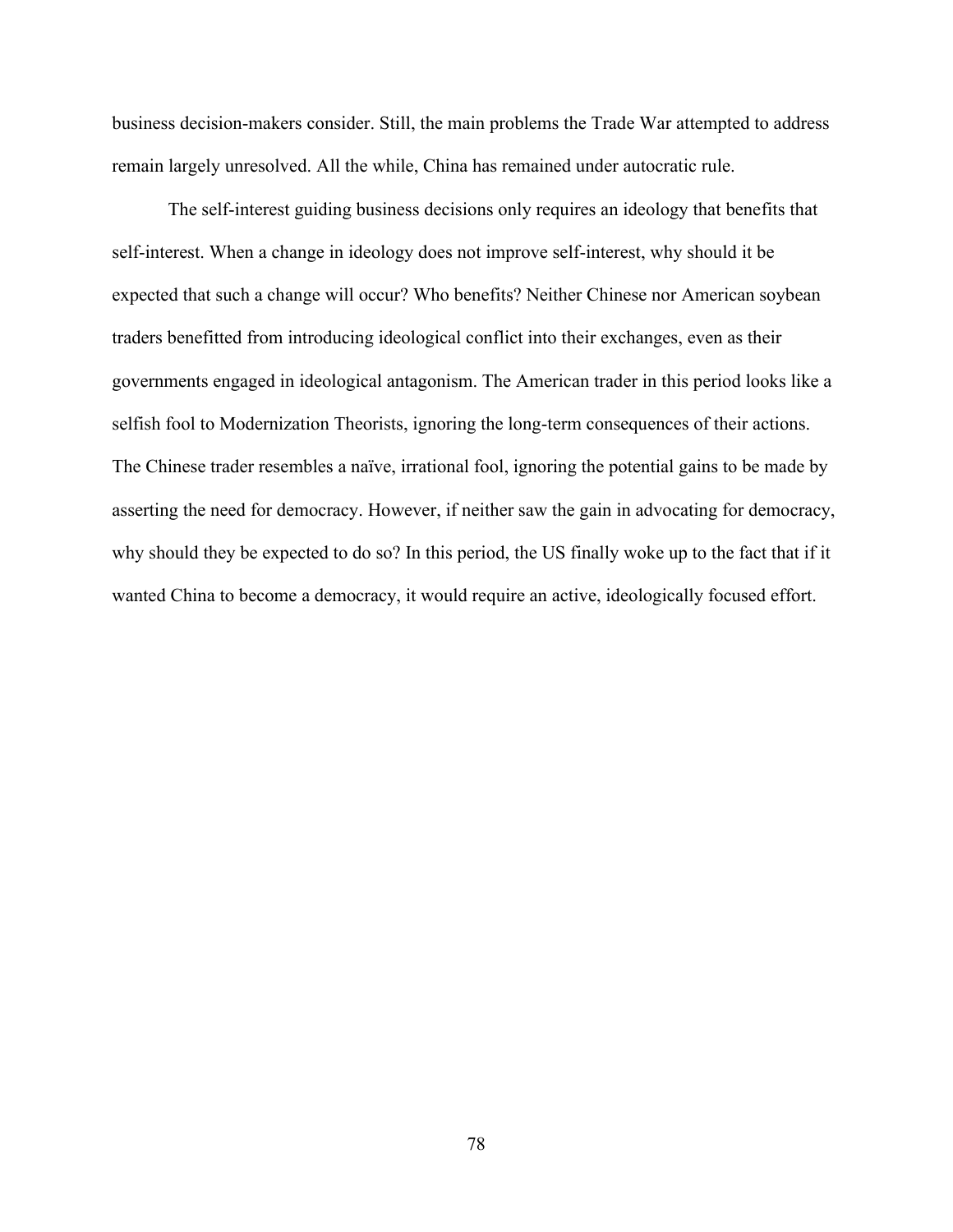business decision-makers consider. Still, the main problems the Trade War attempted to address remain largely unresolved. All the while, China has remained under autocratic rule.

The self-interest guiding business decisions only requires an ideology that benefits that self-interest. When a change in ideology does not improve self-interest, why should it be expected that such a change will occur? Who benefits? Neither Chinese nor American soybean traders benefitted from introducing ideological conflict into their exchanges, even as their governments engaged in ideological antagonism. The American trader in this period looks like a selfish fool to Modernization Theorists, ignoring the long-term consequences of their actions. The Chinese trader resembles a naïve, irrational fool, ignoring the potential gains to be made by asserting the need for democracy. However, if neither saw the gain in advocating for democracy, why should they be expected to do so? In this period, the US finally woke up to the fact that if it wanted China to become a democracy, it would require an active, ideologically focused effort.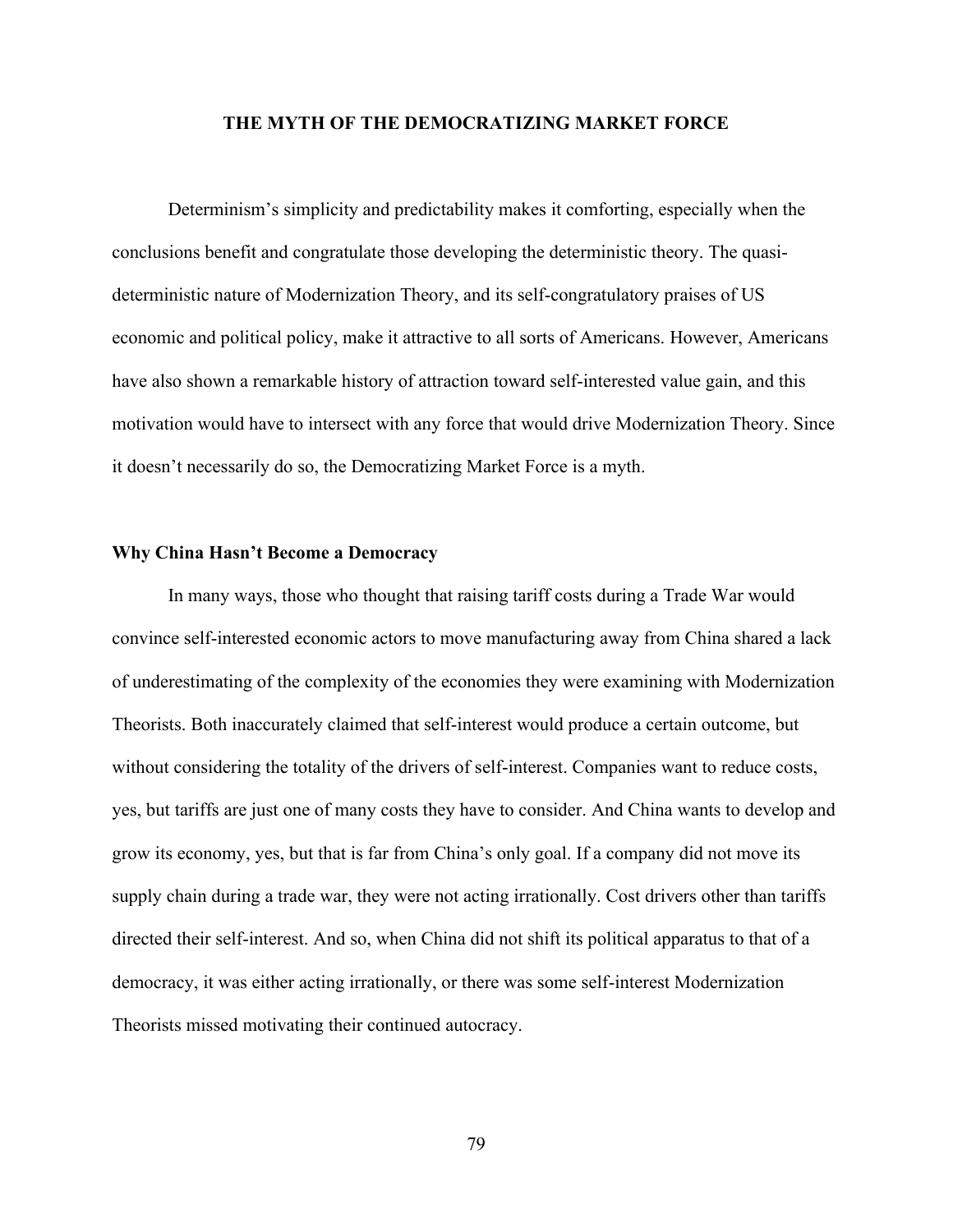## **THE MYTH OF THE DEMOCRATIZING MARKET FORCE**

Determinism's simplicity and predictability makes it comforting, especially when the conclusions benefit and congratulate those developing the deterministic theory. The quasideterministic nature of Modernization Theory, and its self-congratulatory praises of US economic and political policy, make it attractive to all sorts of Americans. However, Americans have also shown a remarkable history of attraction toward self-interested value gain, and this motivation would have to intersect with any force that would drive Modernization Theory. Since it doesn't necessarily do so, the Democratizing Market Force is a myth.

### **Why China Hasn't Become a Democracy**

In many ways, those who thought that raising tariff costs during a Trade War would convince self-interested economic actors to move manufacturing away from China shared a lack of underestimating of the complexity of the economies they were examining with Modernization Theorists. Both inaccurately claimed that self-interest would produce a certain outcome, but without considering the totality of the drivers of self-interest. Companies want to reduce costs, yes, but tariffs are just one of many costs they have to consider. And China wants to develop and grow its economy, yes, but that is far from China's only goal. If a company did not move its supply chain during a trade war, they were not acting irrationally. Cost drivers other than tariffs directed their self-interest. And so, when China did not shift its political apparatus to that of a democracy, it was either acting irrationally, or there was some self-interest Modernization Theorists missed motivating their continued autocracy.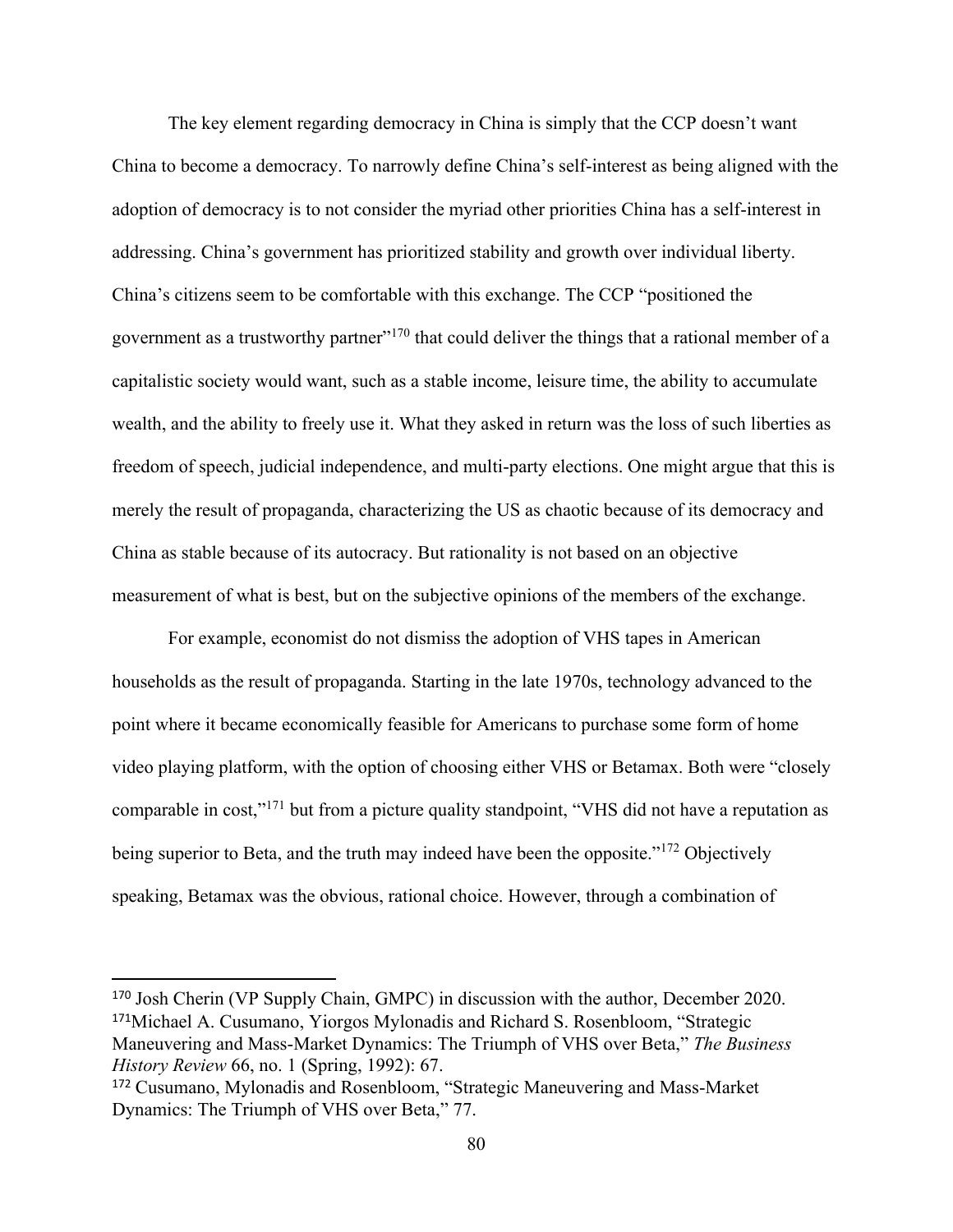The key element regarding democracy in China is simply that the CCP doesn't want China to become a democracy. To narrowly define China's self-interest as being aligned with the adoption of democracy is to not consider the myriad other priorities China has a self-interest in addressing. China's government has prioritized stability and growth over individual liberty. China's citizens seem to be comfortable with this exchange. The CCP "positioned the government as a trustworthy partner"<sup>170</sup> that could deliver the things that a rational member of a capitalistic society would want, such as a stable income, leisure time, the ability to accumulate wealth, and the ability to freely use it. What they asked in return was the loss of such liberties as freedom of speech, judicial independence, and multi-party elections. One might argue that this is merely the result of propaganda, characterizing the US as chaotic because of its democracy and China as stable because of its autocracy. But rationality is not based on an objective measurement of what is best, but on the subjective opinions of the members of the exchange.

For example, economist do not dismiss the adoption of VHS tapes in American households as the result of propaganda. Starting in the late 1970s, technology advanced to the point where it became economically feasible for Americans to purchase some form of home video playing platform, with the option of choosing either VHS or Betamax. Both were "closely comparable in cost,"<sup>171</sup> but from a picture quality standpoint, "VHS did not have a reputation as being superior to Beta, and the truth may indeed have been the opposite."<sup>172</sup> Objectively speaking, Betamax was the obvious, rational choice. However, through a combination of

<sup>170</sup> Josh Cherin (VP Supply Chain, GMPC) in discussion with the author, December 2020. <sup>171</sup>Michael A. Cusumano, Yiorgos Mylonadis and Richard S. Rosenbloom, "Strategic Maneuvering and Mass-Market Dynamics: The Triumph of VHS over Beta," *The Business History Review* 66, no. 1 (Spring, 1992): 67.

<sup>172</sup> Cusumano, Mylonadis and Rosenbloom, "Strategic Maneuvering and Mass-Market Dynamics: The Triumph of VHS over Beta," 77.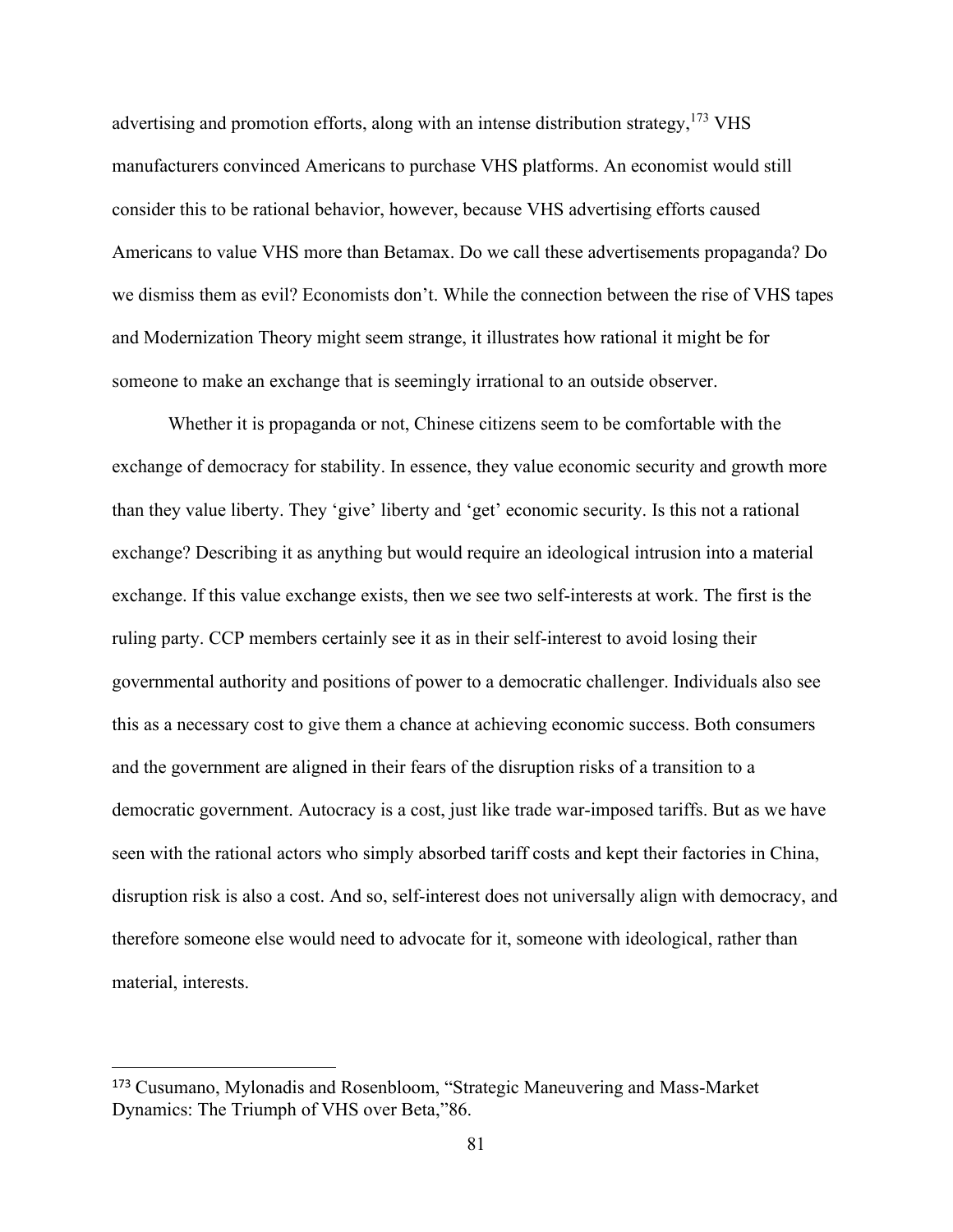advertising and promotion efforts, along with an intense distribution strategy,  $173 \text{ VHS}$ manufacturers convinced Americans to purchase VHS platforms. An economist would still consider this to be rational behavior, however, because VHS advertising efforts caused Americans to value VHS more than Betamax. Do we call these advertisements propaganda? Do we dismiss them as evil? Economists don't. While the connection between the rise of VHS tapes and Modernization Theory might seem strange, it illustrates how rational it might be for someone to make an exchange that is seemingly irrational to an outside observer.

Whether it is propaganda or not, Chinese citizens seem to be comfortable with the exchange of democracy for stability. In essence, they value economic security and growth more than they value liberty. They 'give' liberty and 'get' economic security. Is this not a rational exchange? Describing it as anything but would require an ideological intrusion into a material exchange. If this value exchange exists, then we see two self-interests at work. The first is the ruling party. CCP members certainly see it as in their self-interest to avoid losing their governmental authority and positions of power to a democratic challenger. Individuals also see this as a necessary cost to give them a chance at achieving economic success. Both consumers and the government are aligned in their fears of the disruption risks of a transition to a democratic government. Autocracy is a cost, just like trade war-imposed tariffs. But as we have seen with the rational actors who simply absorbed tariff costs and kept their factories in China, disruption risk is also a cost. And so, self-interest does not universally align with democracy, and therefore someone else would need to advocate for it, someone with ideological, rather than material, interests.

<sup>173</sup> Cusumano, Mylonadis and Rosenbloom, "Strategic Maneuvering and Mass-Market Dynamics: The Triumph of VHS over Beta,"86.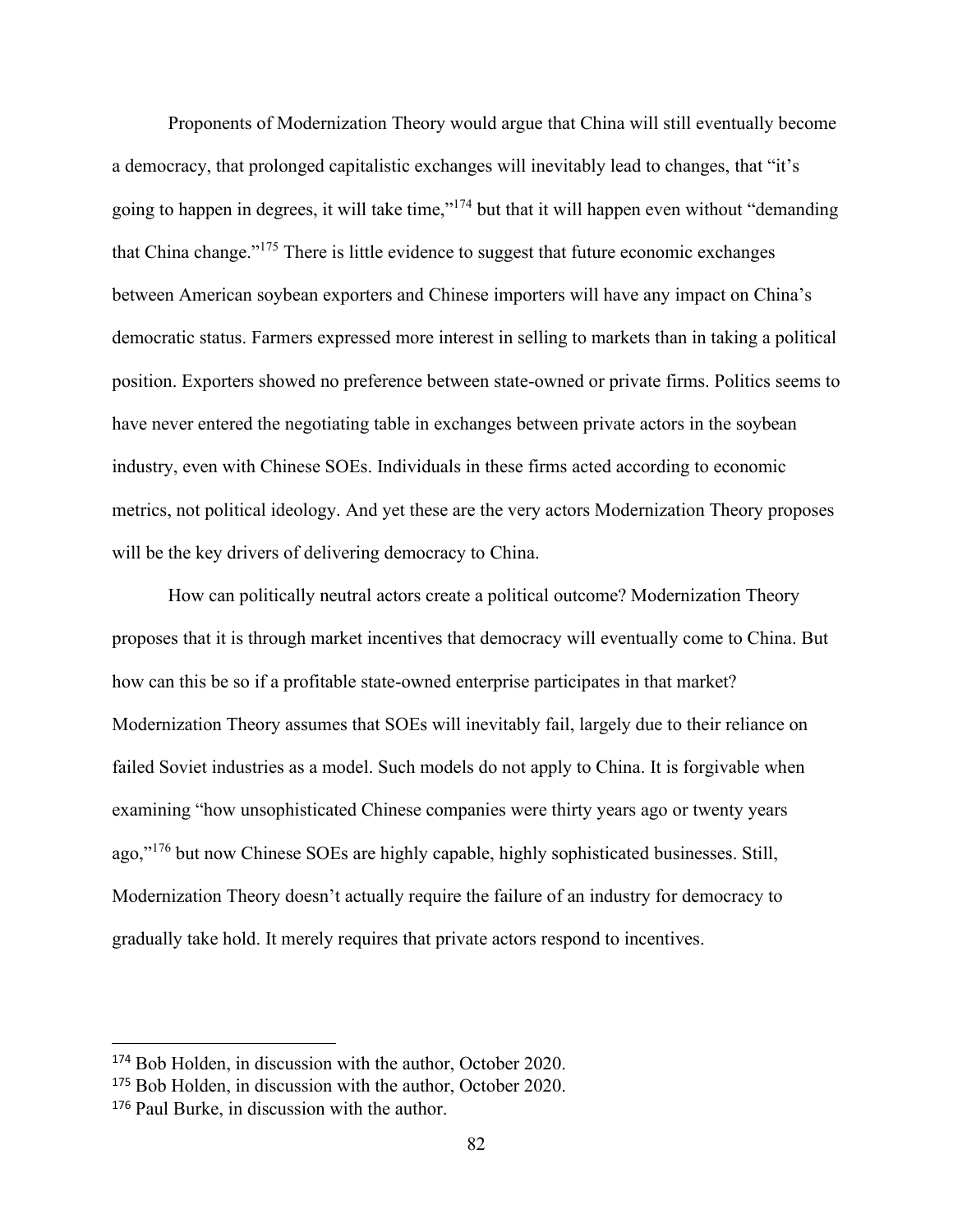Proponents of Modernization Theory would argue that China will still eventually become a democracy, that prolonged capitalistic exchanges will inevitably lead to changes, that "it's going to happen in degrees, it will take time,"<sup>174</sup> but that it will happen even without "demanding that China change."<sup>175</sup> There is little evidence to suggest that future economic exchanges between American soybean exporters and Chinese importers will have any impact on China's democratic status. Farmers expressed more interest in selling to markets than in taking a political position. Exporters showed no preference between state-owned or private firms. Politics seems to have never entered the negotiating table in exchanges between private actors in the soybean industry, even with Chinese SOEs. Individuals in these firms acted according to economic metrics, not political ideology. And yet these are the very actors Modernization Theory proposes will be the key drivers of delivering democracy to China.

How can politically neutral actors create a political outcome? Modernization Theory proposes that it is through market incentives that democracy will eventually come to China. But how can this be so if a profitable state-owned enterprise participates in that market? Modernization Theory assumes that SOEs will inevitably fail, largely due to their reliance on failed Soviet industries as a model. Such models do not apply to China. It is forgivable when examining "how unsophisticated Chinese companies were thirty years ago or twenty years ago,"<sup>176</sup> but now Chinese SOEs are highly capable, highly sophisticated businesses. Still, Modernization Theory doesn't actually require the failure of an industry for democracy to gradually take hold. It merely requires that private actors respond to incentives.

<sup>174</sup> Bob Holden, in discussion with the author, October 2020.

<sup>&</sup>lt;sup>175</sup> Bob Holden, in discussion with the author, October 2020.

<sup>176</sup> Paul Burke, in discussion with the author.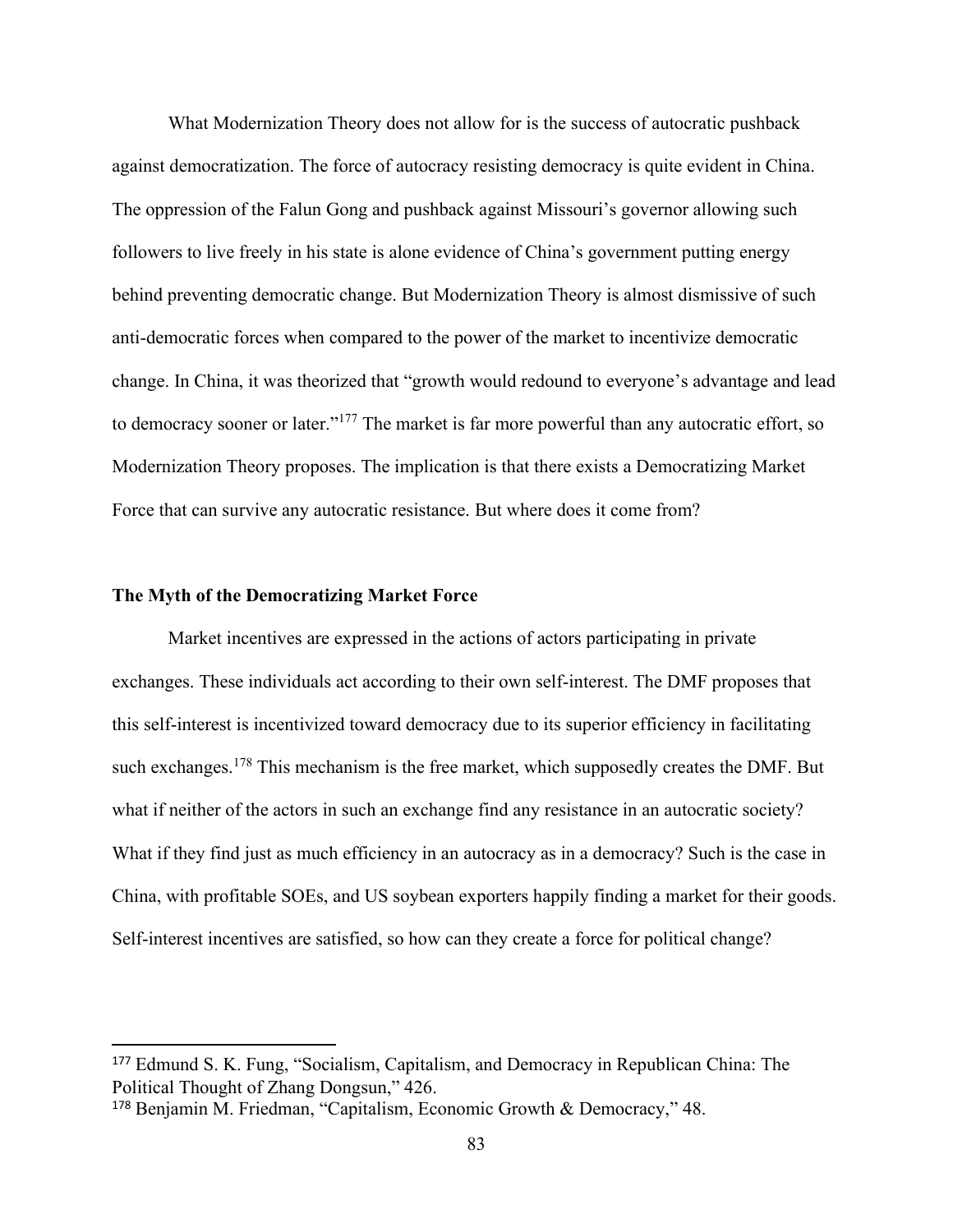What Modernization Theory does not allow for is the success of autocratic pushback against democratization. The force of autocracy resisting democracy is quite evident in China. The oppression of the Falun Gong and pushback against Missouri's governor allowing such followers to live freely in his state is alone evidence of China's government putting energy behind preventing democratic change. But Modernization Theory is almost dismissive of such anti-democratic forces when compared to the power of the market to incentivize democratic change. In China, it was theorized that "growth would redound to everyone's advantage and lead to democracy sooner or later."<sup>177</sup> The market is far more powerful than any autocratic effort, so Modernization Theory proposes. The implication is that there exists a Democratizing Market Force that can survive any autocratic resistance. But where does it come from?

## **The Myth of the Democratizing Market Force**

Market incentives are expressed in the actions of actors participating in private exchanges. These individuals act according to their own self-interest. The DMF proposes that this self-interest is incentivized toward democracy due to its superior efficiency in facilitating such exchanges.<sup>178</sup> This mechanism is the free market, which supposedly creates the DMF. But what if neither of the actors in such an exchange find any resistance in an autocratic society? What if they find just as much efficiency in an autocracy as in a democracy? Such is the case in China, with profitable SOEs, and US soybean exporters happily finding a market for their goods. Self-interest incentives are satisfied, so how can they create a force for political change?

<sup>177</sup> Edmund S. K. Fung, "Socialism, Capitalism, and Democracy in Republican China: The Political Thought of Zhang Dongsun," 426.

<sup>178</sup> Benjamin M. Friedman, "Capitalism, Economic Growth & Democracy," 48.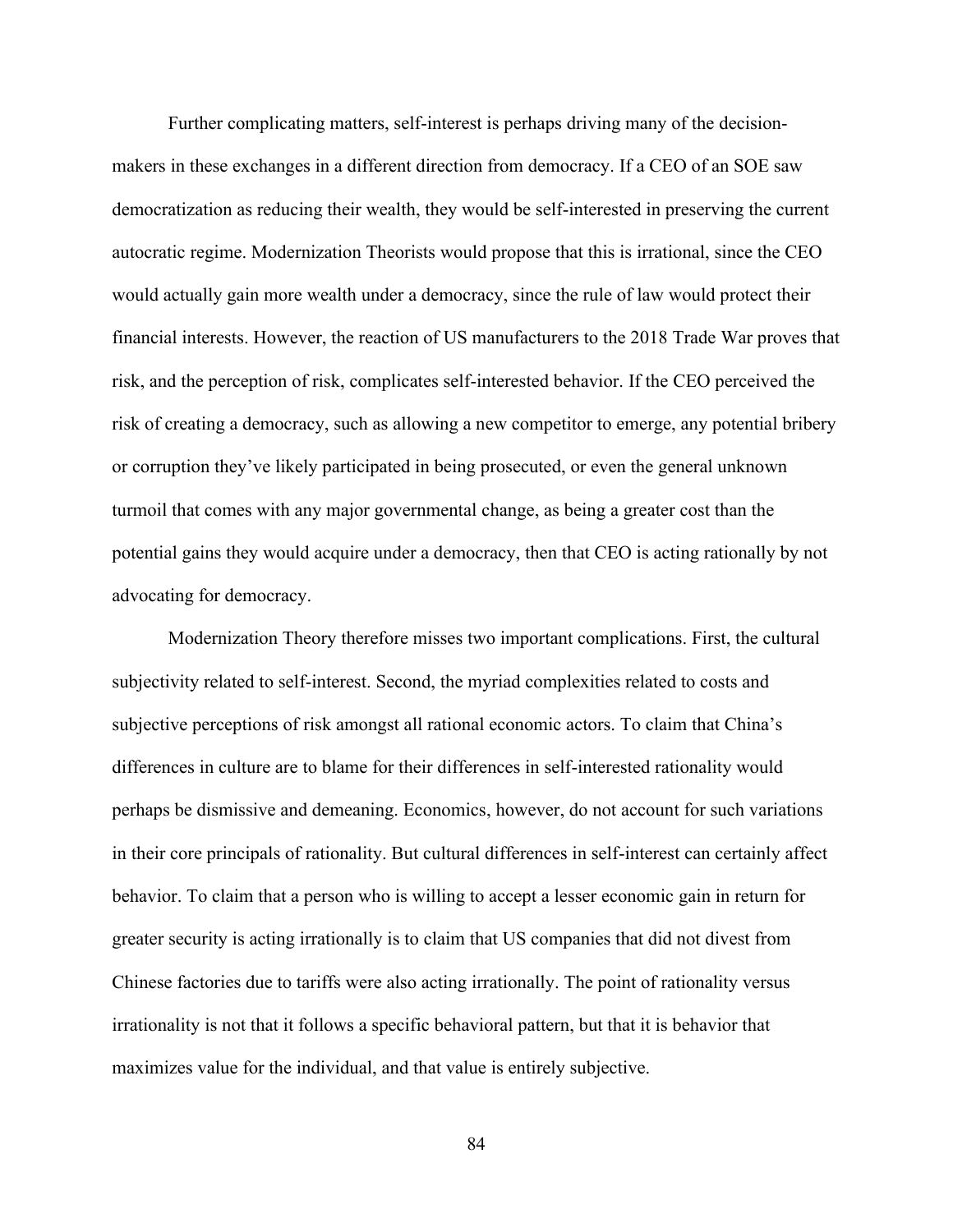Further complicating matters, self-interest is perhaps driving many of the decisionmakers in these exchanges in a different direction from democracy. If a CEO of an SOE saw democratization as reducing their wealth, they would be self-interested in preserving the current autocratic regime. Modernization Theorists would propose that this is irrational, since the CEO would actually gain more wealth under a democracy, since the rule of law would protect their financial interests. However, the reaction of US manufacturers to the 2018 Trade War proves that risk, and the perception of risk, complicates self-interested behavior. If the CEO perceived the risk of creating a democracy, such as allowing a new competitor to emerge, any potential bribery or corruption they've likely participated in being prosecuted, or even the general unknown turmoil that comes with any major governmental change, as being a greater cost than the potential gains they would acquire under a democracy, then that CEO is acting rationally by not advocating for democracy.

Modernization Theory therefore misses two important complications. First, the cultural subjectivity related to self-interest. Second, the myriad complexities related to costs and subjective perceptions of risk amongst all rational economic actors. To claim that China's differences in culture are to blame for their differences in self-interested rationality would perhaps be dismissive and demeaning. Economics, however, do not account for such variations in their core principals of rationality. But cultural differences in self-interest can certainly affect behavior. To claim that a person who is willing to accept a lesser economic gain in return for greater security is acting irrationally is to claim that US companies that did not divest from Chinese factories due to tariffs were also acting irrationally. The point of rationality versus irrationality is not that it follows a specific behavioral pattern, but that it is behavior that maximizes value for the individual, and that value is entirely subjective.

84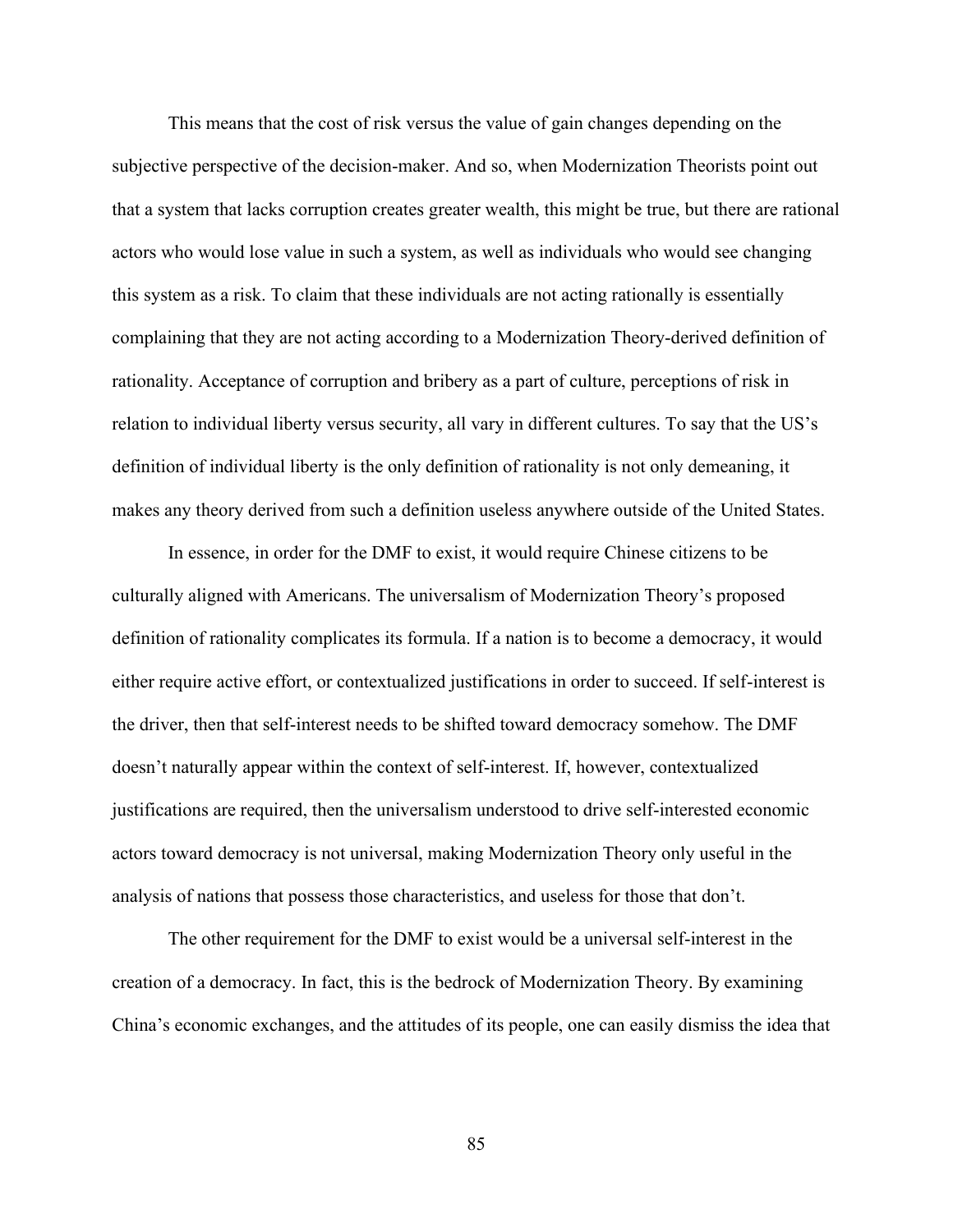This means that the cost of risk versus the value of gain changes depending on the subjective perspective of the decision-maker. And so, when Modernization Theorists point out that a system that lacks corruption creates greater wealth, this might be true, but there are rational actors who would lose value in such a system, as well as individuals who would see changing this system as a risk. To claim that these individuals are not acting rationally is essentially complaining that they are not acting according to a Modernization Theory-derived definition of rationality. Acceptance of corruption and bribery as a part of culture, perceptions of risk in relation to individual liberty versus security, all vary in different cultures. To say that the US's definition of individual liberty is the only definition of rationality is not only demeaning, it makes any theory derived from such a definition useless anywhere outside of the United States.

In essence, in order for the DMF to exist, it would require Chinese citizens to be culturally aligned with Americans. The universalism of Modernization Theory's proposed definition of rationality complicates its formula. If a nation is to become a democracy, it would either require active effort, or contextualized justifications in order to succeed. If self-interest is the driver, then that self-interest needs to be shifted toward democracy somehow. The DMF doesn't naturally appear within the context of self-interest. If, however, contextualized justifications are required, then the universalism understood to drive self-interested economic actors toward democracy is not universal, making Modernization Theory only useful in the analysis of nations that possess those characteristics, and useless for those that don't.

The other requirement for the DMF to exist would be a universal self-interest in the creation of a democracy. In fact, this is the bedrock of Modernization Theory. By examining China's economic exchanges, and the attitudes of its people, one can easily dismiss the idea that

85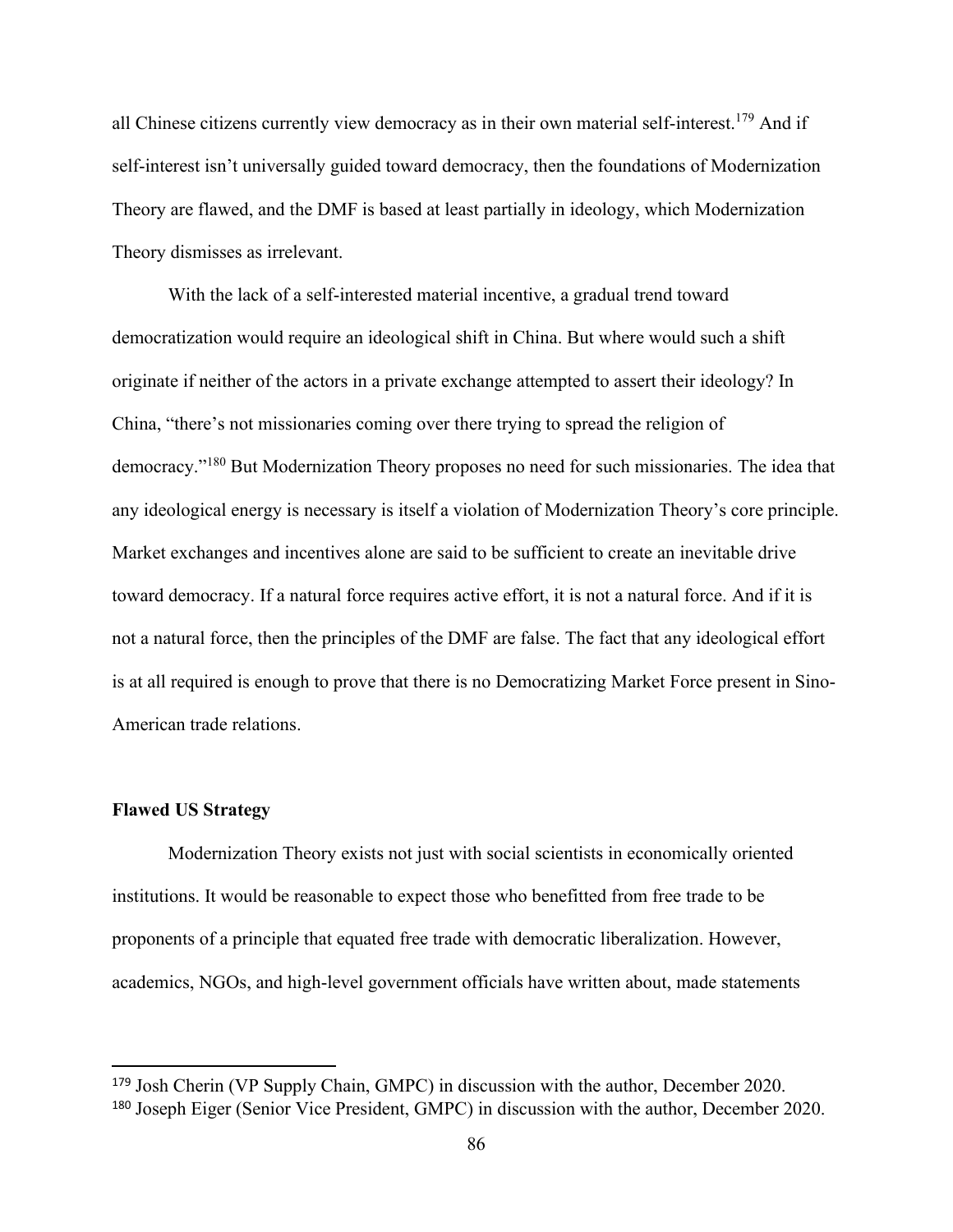all Chinese citizens currently view democracy as in their own material self-interest.<sup>179</sup> And if self-interest isn't universally guided toward democracy, then the foundations of Modernization Theory are flawed, and the DMF is based at least partially in ideology, which Modernization Theory dismisses as irrelevant.

With the lack of a self-interested material incentive, a gradual trend toward democratization would require an ideological shift in China. But where would such a shift originate if neither of the actors in a private exchange attempted to assert their ideology? In China, "there's not missionaries coming over there trying to spread the religion of democracy."<sup>180</sup> But Modernization Theory proposes no need for such missionaries. The idea that any ideological energy is necessary is itself a violation of Modernization Theory's core principle. Market exchanges and incentives alone are said to be sufficient to create an inevitable drive toward democracy. If a natural force requires active effort, it is not a natural force. And if it is not a natural force, then the principles of the DMF are false. The fact that any ideological effort is at all required is enough to prove that there is no Democratizing Market Force present in Sino-American trade relations.

### **Flawed US Strategy**

Modernization Theory exists not just with social scientists in economically oriented institutions. It would be reasonable to expect those who benefitted from free trade to be proponents of a principle that equated free trade with democratic liberalization. However, academics, NGOs, and high-level government officials have written about, made statements

<sup>179</sup> Josh Cherin (VP Supply Chain, GMPC) in discussion with the author, December 2020. <sup>180</sup> Joseph Eiger (Senior Vice President, GMPC) in discussion with the author, December 2020.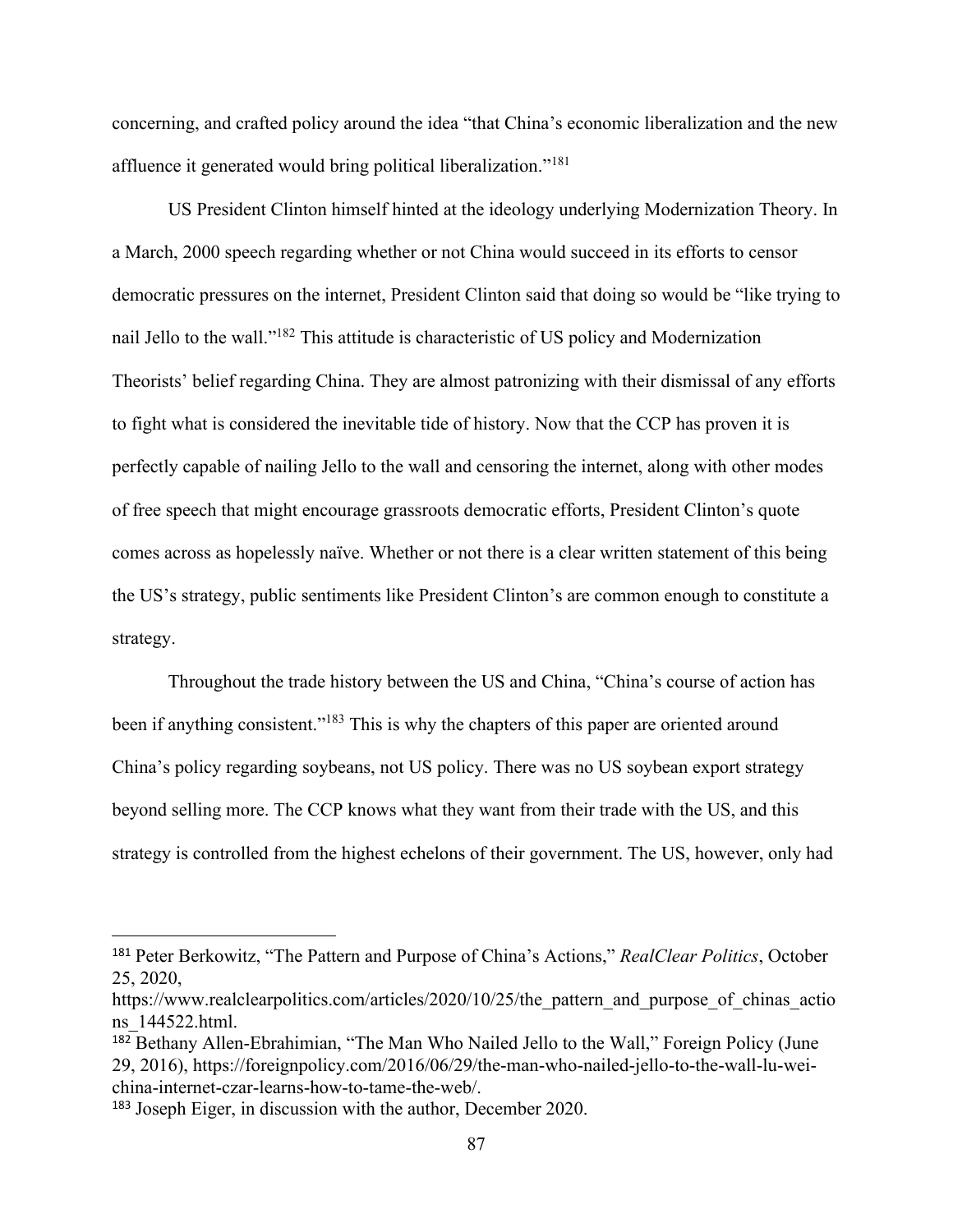concerning, and crafted policy around the idea "that China's economic liberalization and the new affluence it generated would bring political liberalization."<sup>181</sup>

US President Clinton himself hinted at the ideology underlying Modernization Theory. In a March, 2000 speech regarding whether or not China would succeed in its efforts to censor democratic pressures on the internet, President Clinton said that doing so would be "like trying to nail Jello to the wall."<sup>182</sup> This attitude is characteristic of US policy and Modernization Theorists' belief regarding China. They are almost patronizing with their dismissal of any efforts to fight what is considered the inevitable tide of history. Now that the CCP has proven it is perfectly capable of nailing Jello to the wall and censoring the internet, along with other modes of free speech that might encourage grassroots democratic efforts, President Clinton's quote comes across as hopelessly naïve. Whether or not there is a clear written statement of this being the US's strategy, public sentiments like President Clinton's are common enough to constitute a strategy.

Throughout the trade history between the US and China, "China's course of action has been if anything consistent."<sup>183</sup> This is why the chapters of this paper are oriented around China's policy regarding soybeans, not US policy. There was no US soybean export strategy beyond selling more. The CCP knows what they want from their trade with the US, and this strategy is controlled from the highest echelons of their government. The US, however, only had

<sup>181</sup> Peter Berkowitz, "The Pattern and Purpose of China's Actions," *RealClear Politics*, October 25, 2020,

https://www.realclearpolitics.com/articles/2020/10/25/the pattern and purpose of chinas actio ns\_144522.html.

<sup>182</sup> Bethany Allen-Ebrahimian, "The Man Who Nailed Jello to the Wall," Foreign Policy (June 29, 2016), https://foreignpolicy.com/2016/06/29/the-man-who-nailed-jello-to-the-wall-lu-weichina-internet-czar-learns-how-to-tame-the-web/.

<sup>183</sup> Joseph Eiger, in discussion with the author, December 2020.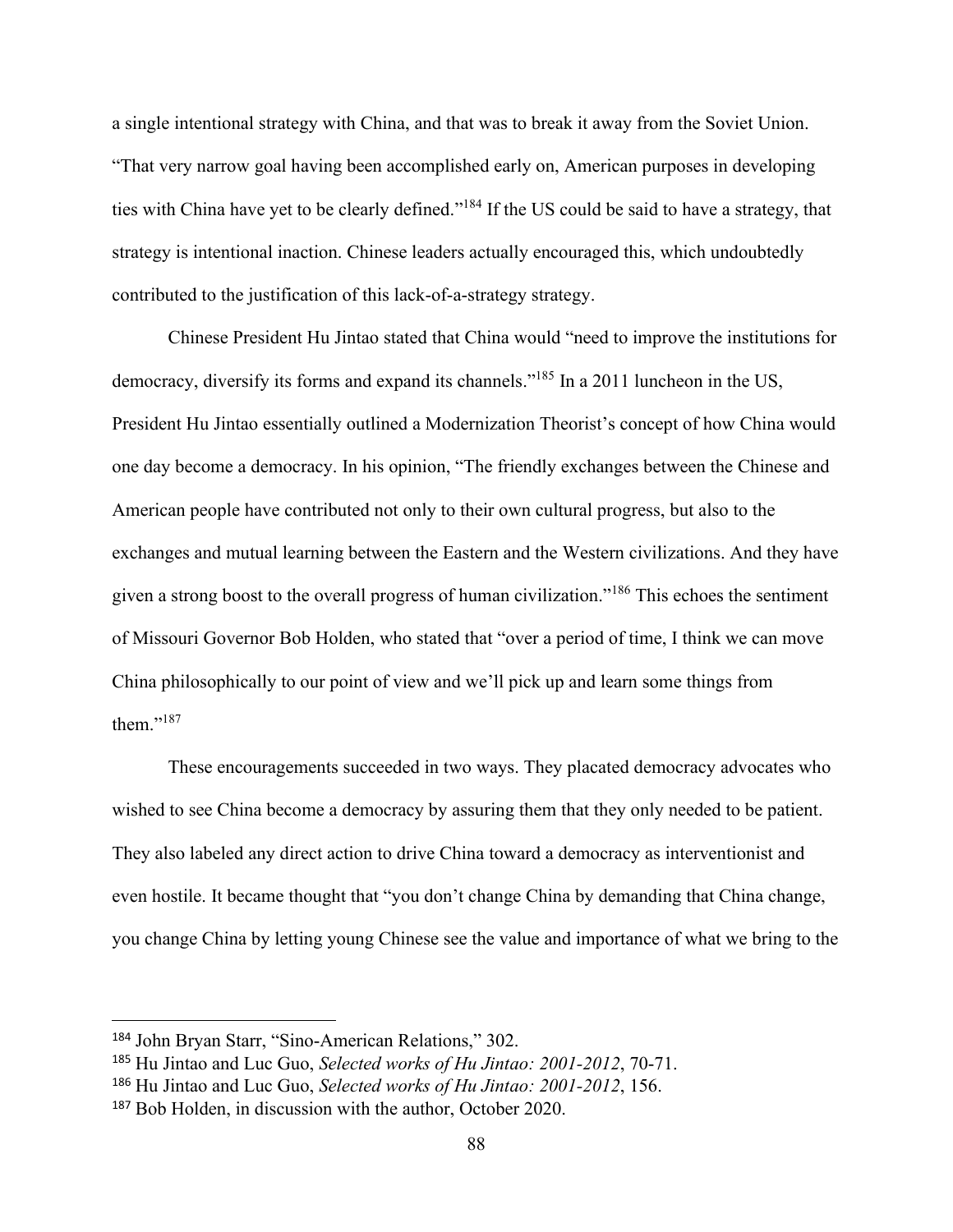a single intentional strategy with China, and that was to break it away from the Soviet Union. "That very narrow goal having been accomplished early on, American purposes in developing ties with China have yet to be clearly defined."<sup>184</sup> If the US could be said to have a strategy, that strategy is intentional inaction. Chinese leaders actually encouraged this, which undoubtedly contributed to the justification of this lack-of-a-strategy strategy.

Chinese President Hu Jintao stated that China would "need to improve the institutions for democracy, diversify its forms and expand its channels."<sup>185</sup> In a 2011 luncheon in the US, President Hu Jintao essentially outlined a Modernization Theorist's concept of how China would one day become a democracy. In his opinion, "The friendly exchanges between the Chinese and American people have contributed not only to their own cultural progress, but also to the exchanges and mutual learning between the Eastern and the Western civilizations. And they have given a strong boost to the overall progress of human civilization."<sup>186</sup> This echoes the sentiment of Missouri Governor Bob Holden, who stated that "over a period of time, I think we can move China philosophically to our point of view and we'll pick up and learn some things from them."<sup>187</sup>

These encouragements succeeded in two ways. They placated democracy advocates who wished to see China become a democracy by assuring them that they only needed to be patient. They also labeled any direct action to drive China toward a democracy as interventionist and even hostile. It became thought that "you don't change China by demanding that China change, you change China by letting young Chinese see the value and importance of what we bring to the

<sup>184</sup> John Bryan Starr, "Sino-American Relations," 302.

<sup>185</sup> Hu Jintao and Luc Guo, *Selected works of Hu Jintao: 2001-2012*, 70-71.

<sup>186</sup> Hu Jintao and Luc Guo, *Selected works of Hu Jintao: 2001-2012*, 156.

<sup>187</sup> Bob Holden, in discussion with the author, October 2020.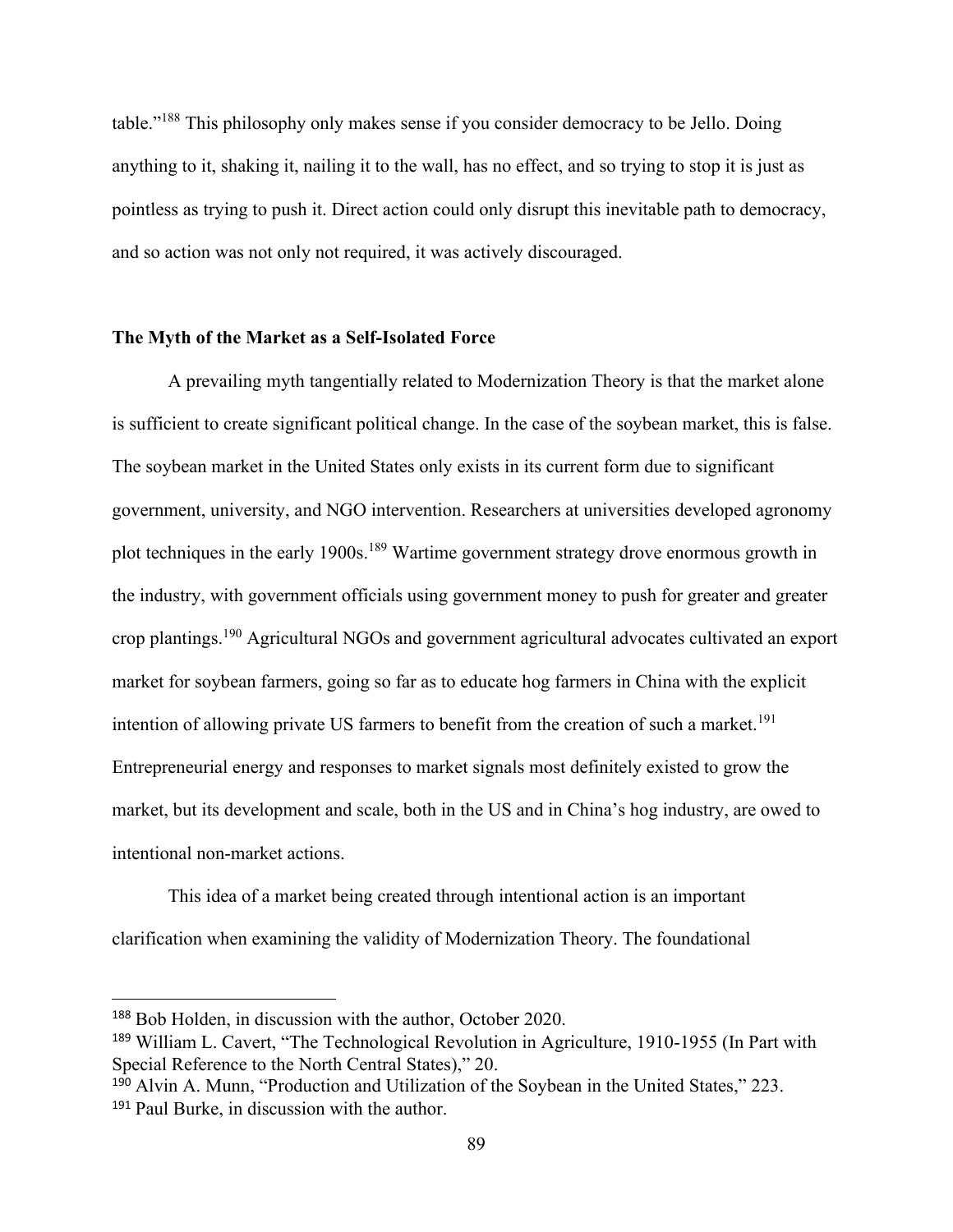table."<sup>188</sup> This philosophy only makes sense if you consider democracy to be Jello. Doing anything to it, shaking it, nailing it to the wall, has no effect, and so trying to stop it is just as pointless as trying to push it. Direct action could only disrupt this inevitable path to democracy, and so action was not only not required, it was actively discouraged.

# **The Myth of the Market as a Self-Isolated Force**

A prevailing myth tangentially related to Modernization Theory is that the market alone is sufficient to create significant political change. In the case of the soybean market, this is false. The soybean market in the United States only exists in its current form due to significant government, university, and NGO intervention. Researchers at universities developed agronomy plot techniques in the early 1900s.<sup>189</sup> Wartime government strategy drove enormous growth in the industry, with government officials using government money to push for greater and greater crop plantings.<sup>190</sup> Agricultural NGOs and government agricultural advocates cultivated an export market for soybean farmers, going so far as to educate hog farmers in China with the explicit intention of allowing private US farmers to benefit from the creation of such a market.<sup>191</sup> Entrepreneurial energy and responses to market signals most definitely existed to grow the market, but its development and scale, both in the US and in China's hog industry, are owed to intentional non-market actions.

This idea of a market being created through intentional action is an important clarification when examining the validity of Modernization Theory. The foundational

<sup>188</sup> Bob Holden, in discussion with the author, October 2020.

<sup>189</sup> William L. Cavert, "The Technological Revolution in Agriculture, 1910-1955 (In Part with Special Reference to the North Central States)," 20.

<sup>190</sup> Alvin A. Munn, "Production and Utilization of the Soybean in the United States," 223. <sup>191</sup> Paul Burke, in discussion with the author.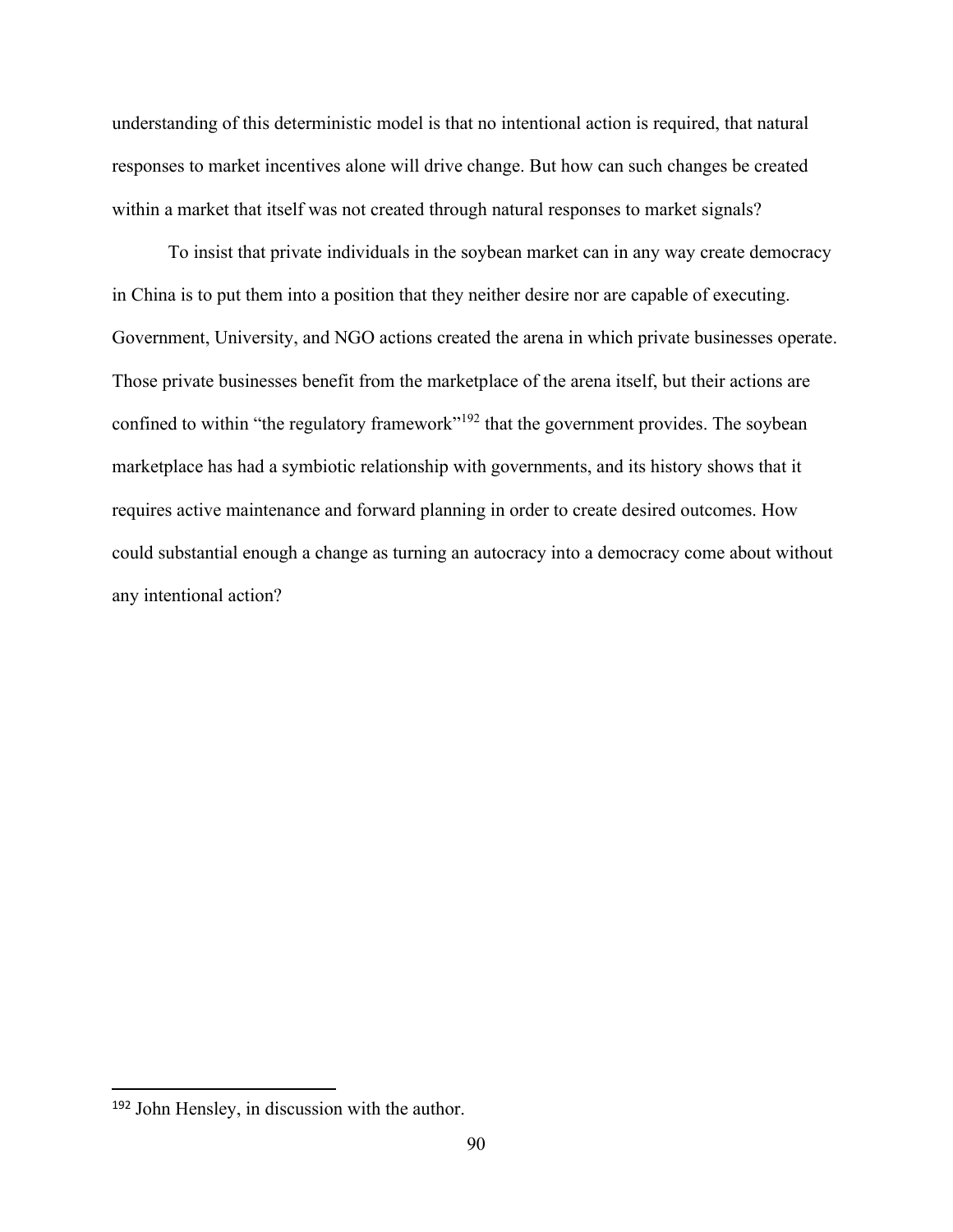understanding of this deterministic model is that no intentional action is required, that natural responses to market incentives alone will drive change. But how can such changes be created within a market that itself was not created through natural responses to market signals?

To insist that private individuals in the soybean market can in any way create democracy in China is to put them into a position that they neither desire nor are capable of executing. Government, University, and NGO actions created the arena in which private businesses operate. Those private businesses benefit from the marketplace of the arena itself, but their actions are confined to within "the regulatory framework"<sup>192</sup> that the government provides. The soybean marketplace has had a symbiotic relationship with governments, and its history shows that it requires active maintenance and forward planning in order to create desired outcomes. How could substantial enough a change as turning an autocracy into a democracy come about without any intentional action?

<sup>192</sup> John Hensley, in discussion with the author.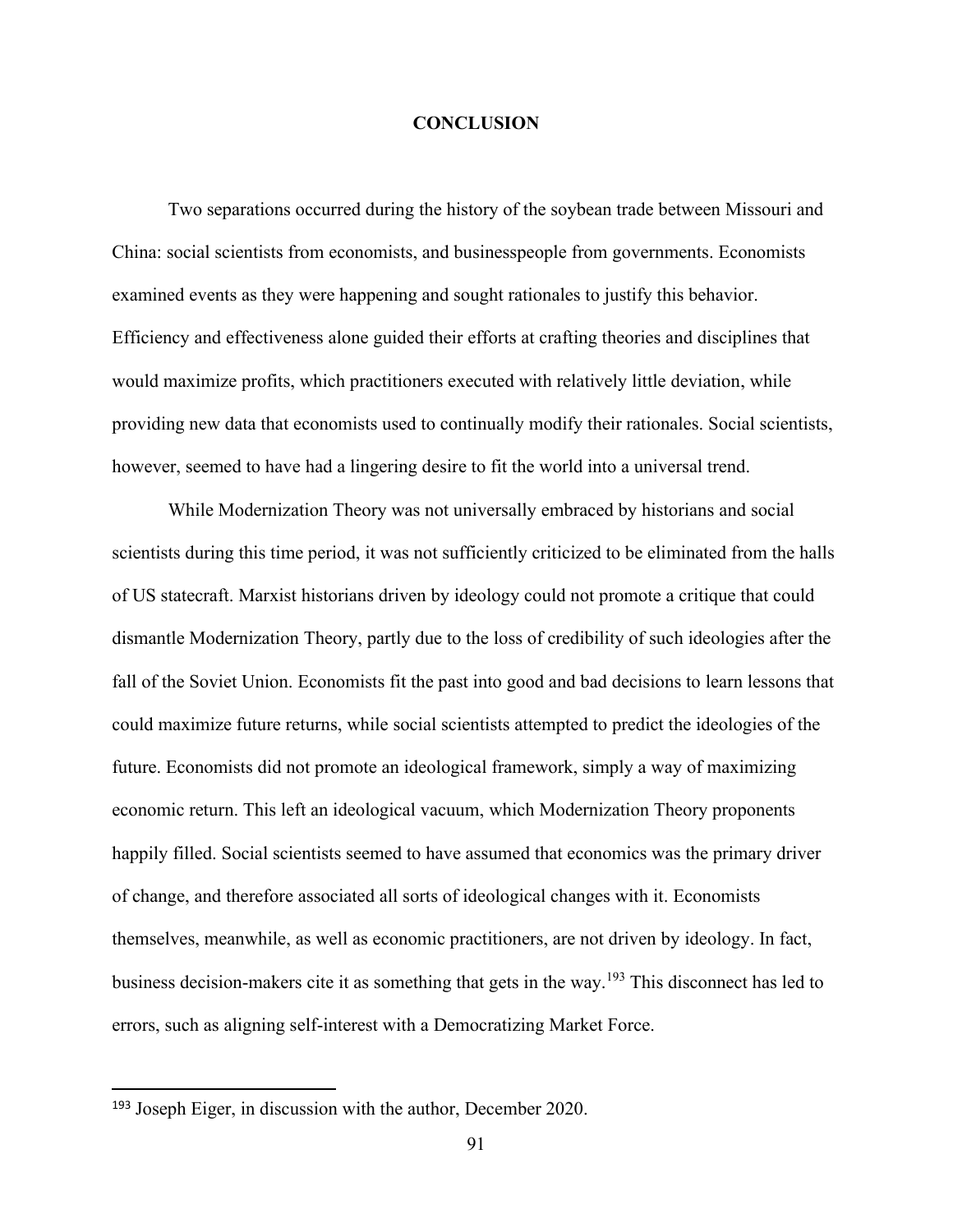## **CONCLUSION**

Two separations occurred during the history of the soybean trade between Missouri and China: social scientists from economists, and businesspeople from governments. Economists examined events as they were happening and sought rationales to justify this behavior. Efficiency and effectiveness alone guided their efforts at crafting theories and disciplines that would maximize profits, which practitioners executed with relatively little deviation, while providing new data that economists used to continually modify their rationales. Social scientists, however, seemed to have had a lingering desire to fit the world into a universal trend.

While Modernization Theory was not universally embraced by historians and social scientists during this time period, it was not sufficiently criticized to be eliminated from the halls of US statecraft. Marxist historians driven by ideology could not promote a critique that could dismantle Modernization Theory, partly due to the loss of credibility of such ideologies after the fall of the Soviet Union. Economists fit the past into good and bad decisions to learn lessons that could maximize future returns, while social scientists attempted to predict the ideologies of the future. Economists did not promote an ideological framework, simply a way of maximizing economic return. This left an ideological vacuum, which Modernization Theory proponents happily filled. Social scientists seemed to have assumed that economics was the primary driver of change, and therefore associated all sorts of ideological changes with it. Economists themselves, meanwhile, as well as economic practitioners, are not driven by ideology. In fact, business decision-makers cite it as something that gets in the way.<sup>193</sup> This disconnect has led to errors, such as aligning self-interest with a Democratizing Market Force.

<sup>193</sup> Joseph Eiger, in discussion with the author, December 2020.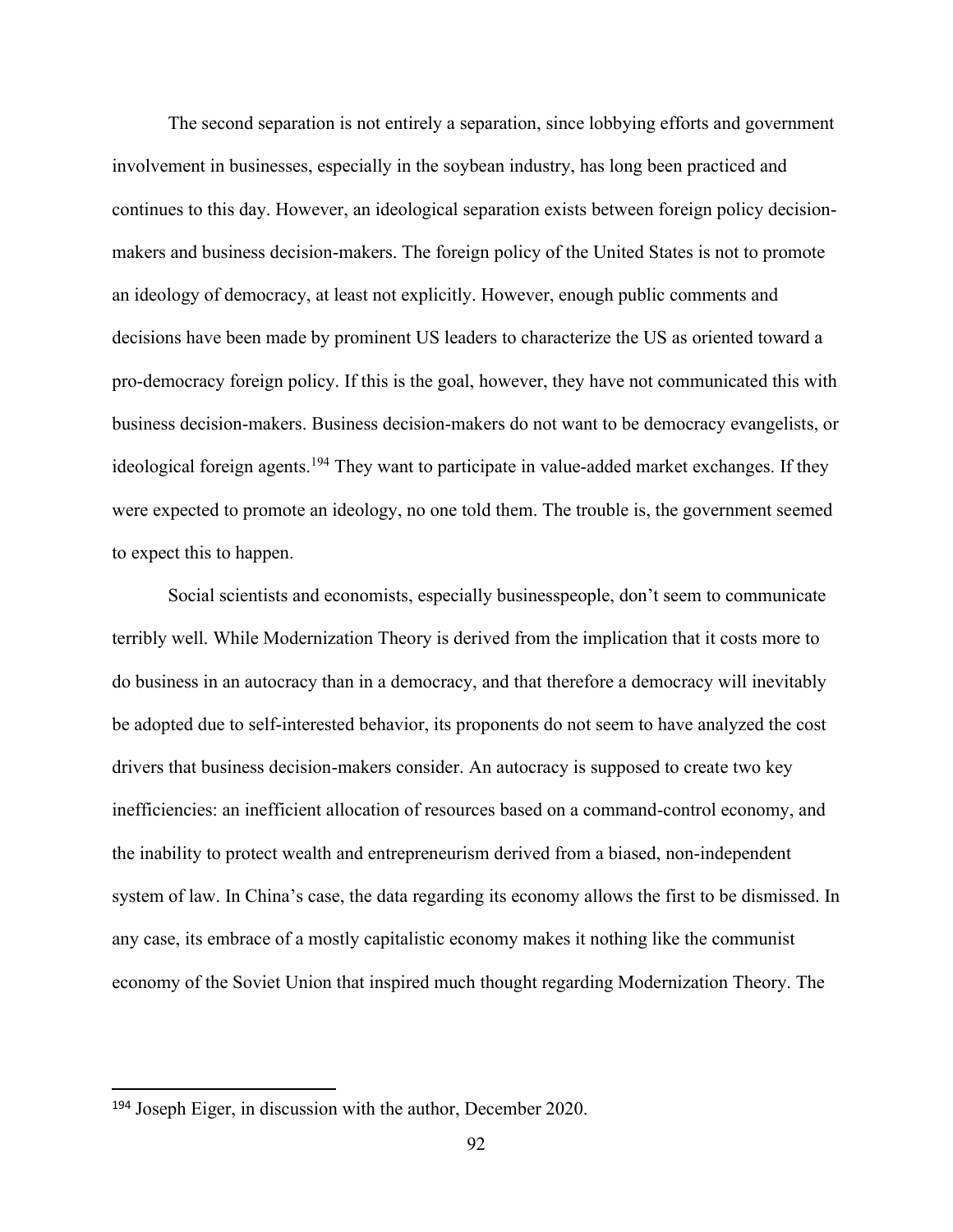The second separation is not entirely a separation, since lobbying efforts and government involvement in businesses, especially in the soybean industry, has long been practiced and continues to this day. However, an ideological separation exists between foreign policy decisionmakers and business decision-makers. The foreign policy of the United States is not to promote an ideology of democracy, at least not explicitly. However, enough public comments and decisions have been made by prominent US leaders to characterize the US as oriented toward a pro-democracy foreign policy. If this is the goal, however, they have not communicated this with business decision-makers. Business decision-makers do not want to be democracy evangelists, or ideological foreign agents.<sup>194</sup> They want to participate in value-added market exchanges. If they were expected to promote an ideology, no one told them. The trouble is, the government seemed to expect this to happen.

Social scientists and economists, especially businesspeople, don't seem to communicate terribly well. While Modernization Theory is derived from the implication that it costs more to do business in an autocracy than in a democracy, and that therefore a democracy will inevitably be adopted due to self-interested behavior, its proponents do not seem to have analyzed the cost drivers that business decision-makers consider. An autocracy is supposed to create two key inefficiencies: an inefficient allocation of resources based on a command-control economy, and the inability to protect wealth and entrepreneurism derived from a biased, non-independent system of law. In China's case, the data regarding its economy allows the first to be dismissed. In any case, its embrace of a mostly capitalistic economy makes it nothing like the communist economy of the Soviet Union that inspired much thought regarding Modernization Theory. The

<sup>194</sup> Joseph Eiger, in discussion with the author, December 2020.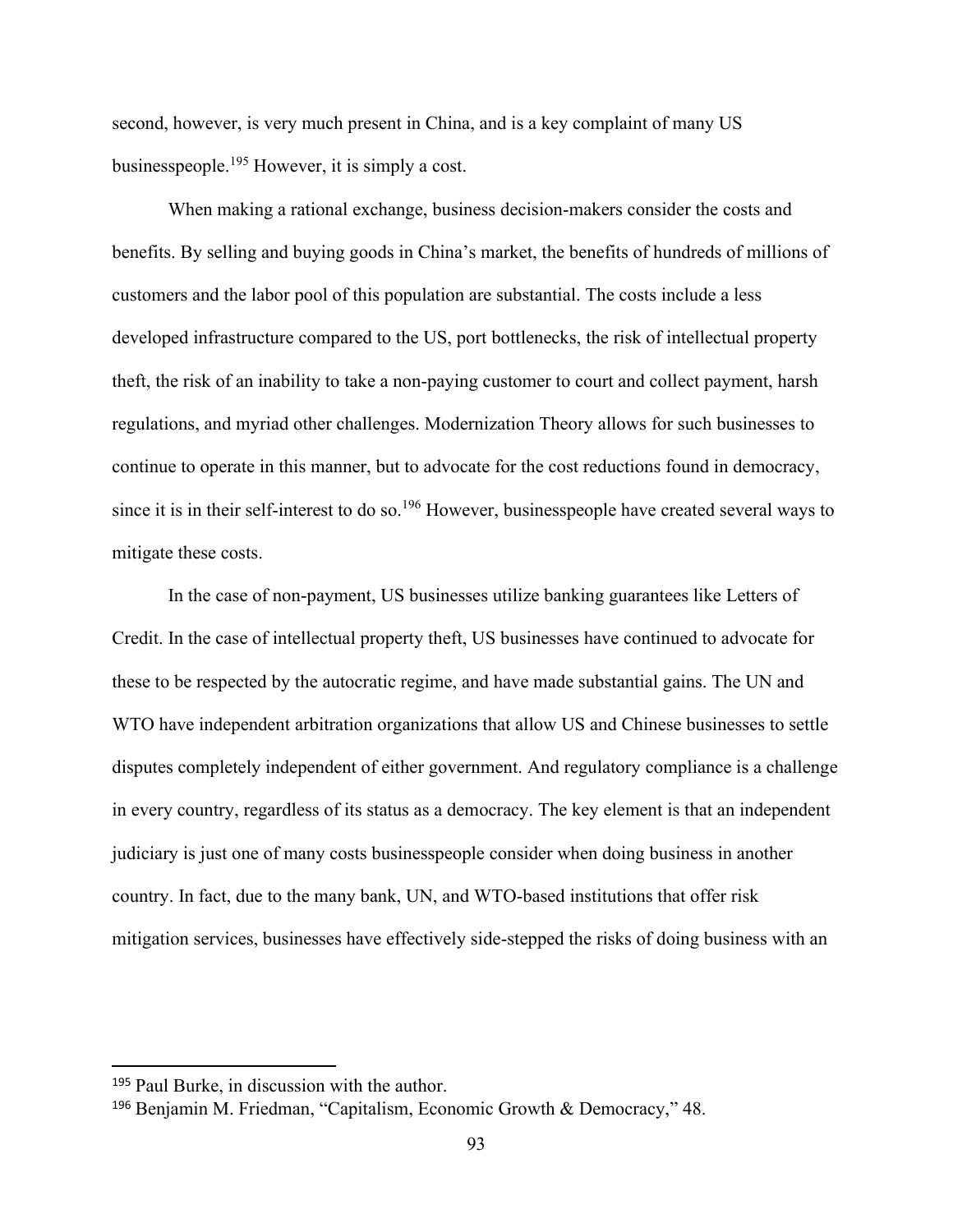second, however, is very much present in China, and is a key complaint of many US businesspeople.<sup>195</sup> However, it is simply a cost.

When making a rational exchange, business decision-makers consider the costs and benefits. By selling and buying goods in China's market, the benefits of hundreds of millions of customers and the labor pool of this population are substantial. The costs include a less developed infrastructure compared to the US, port bottlenecks, the risk of intellectual property theft, the risk of an inability to take a non-paying customer to court and collect payment, harsh regulations, and myriad other challenges. Modernization Theory allows for such businesses to continue to operate in this manner, but to advocate for the cost reductions found in democracy, since it is in their self-interest to do so.<sup>196</sup> However, businesspeople have created several ways to mitigate these costs.

In the case of non-payment, US businesses utilize banking guarantees like Letters of Credit. In the case of intellectual property theft, US businesses have continued to advocate for these to be respected by the autocratic regime, and have made substantial gains. The UN and WTO have independent arbitration organizations that allow US and Chinese businesses to settle disputes completely independent of either government. And regulatory compliance is a challenge in every country, regardless of its status as a democracy. The key element is that an independent judiciary is just one of many costs businesspeople consider when doing business in another country. In fact, due to the many bank, UN, and WTO-based institutions that offer risk mitigation services, businesses have effectively side-stepped the risks of doing business with an

<sup>195</sup> Paul Burke, in discussion with the author.

<sup>196</sup> Benjamin M. Friedman, "Capitalism, Economic Growth & Democracy," 48.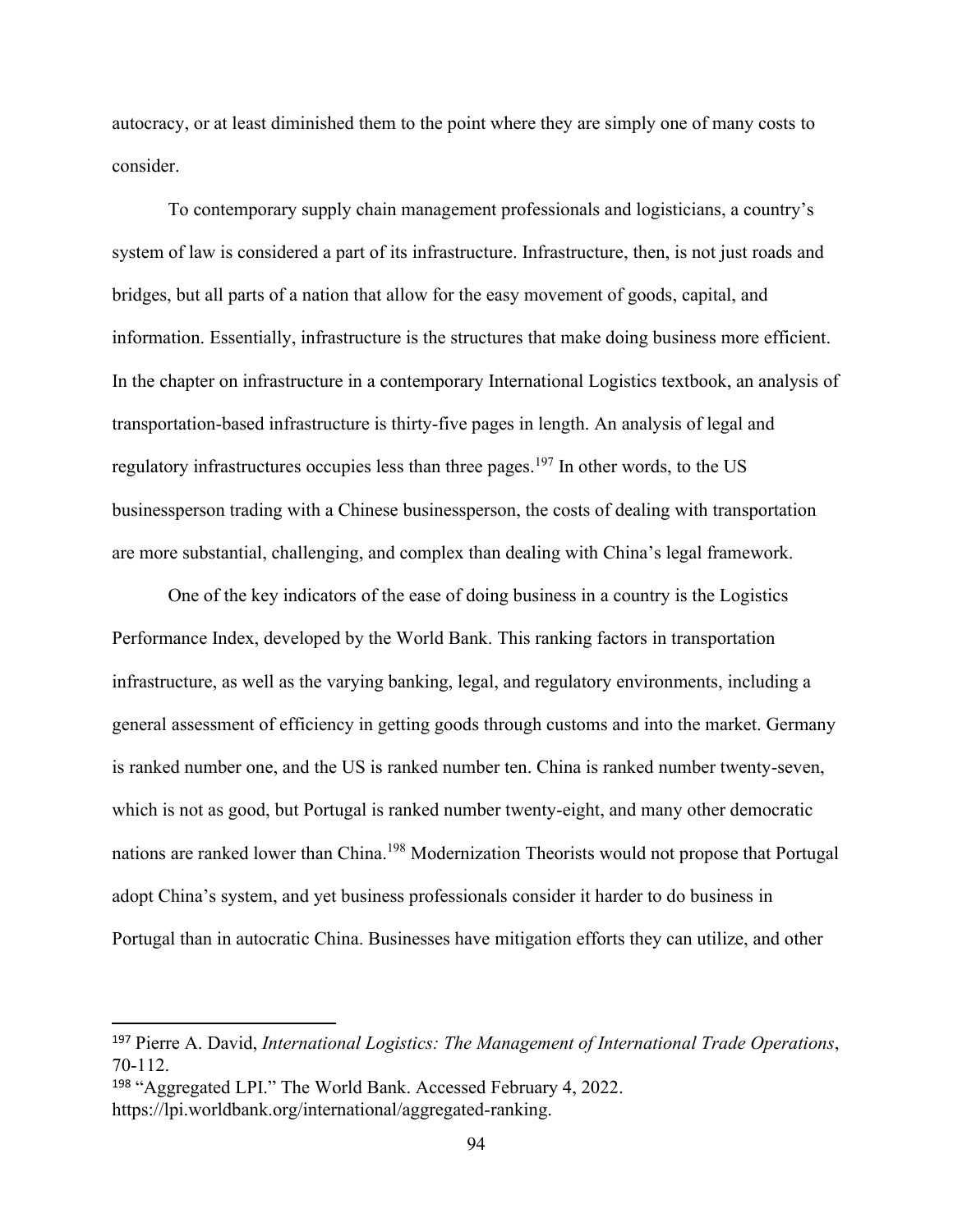autocracy, or at least diminished them to the point where they are simply one of many costs to consider.

To contemporary supply chain management professionals and logisticians, a country's system of law is considered a part of its infrastructure. Infrastructure, then, is not just roads and bridges, but all parts of a nation that allow for the easy movement of goods, capital, and information. Essentially, infrastructure is the structures that make doing business more efficient. In the chapter on infrastructure in a contemporary International Logistics textbook, an analysis of transportation-based infrastructure is thirty-five pages in length. An analysis of legal and regulatory infrastructures occupies less than three pages.<sup>197</sup> In other words, to the US businessperson trading with a Chinese businessperson, the costs of dealing with transportation are more substantial, challenging, and complex than dealing with China's legal framework.

One of the key indicators of the ease of doing business in a country is the Logistics Performance Index, developed by the World Bank. This ranking factors in transportation infrastructure, as well as the varying banking, legal, and regulatory environments, including a general assessment of efficiency in getting goods through customs and into the market. Germany is ranked number one, and the US is ranked number ten. China is ranked number twenty-seven, which is not as good, but Portugal is ranked number twenty-eight, and many other democratic nations are ranked lower than China.<sup>198</sup> Modernization Theorists would not propose that Portugal adopt China's system, and yet business professionals consider it harder to do business in Portugal than in autocratic China. Businesses have mitigation efforts they can utilize, and other

<sup>197</sup> Pierre A. David, *International Logistics: The Management of International Trade Operations*, 70-112.

<sup>198</sup> "Aggregated LPI." The World Bank. Accessed February 4, 2022.

https://lpi.worldbank.org/international/aggregated-ranking.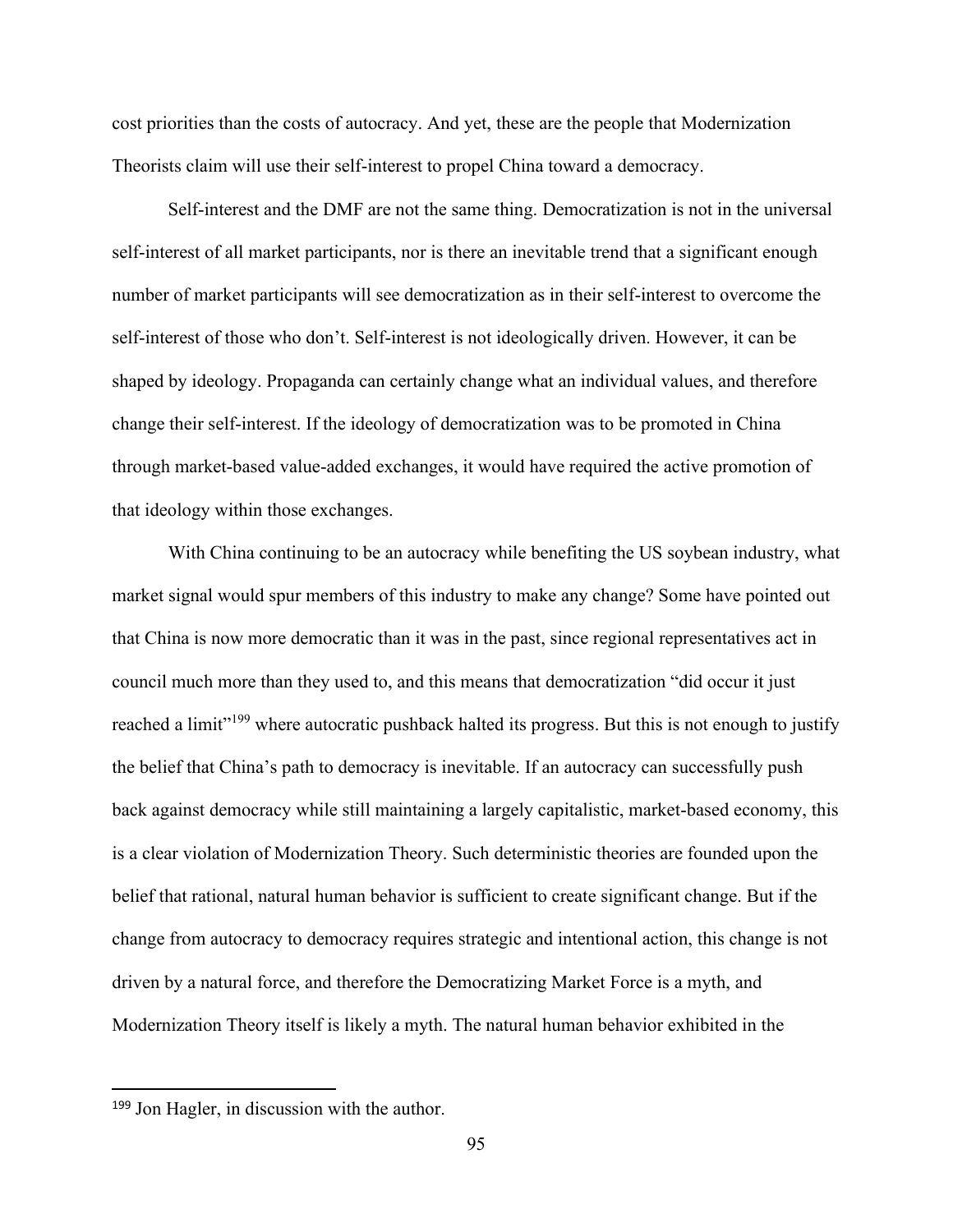cost priorities than the costs of autocracy. And yet, these are the people that Modernization Theorists claim will use their self-interest to propel China toward a democracy.

Self-interest and the DMF are not the same thing. Democratization is not in the universal self-interest of all market participants, nor is there an inevitable trend that a significant enough number of market participants will see democratization as in their self-interest to overcome the self-interest of those who don't. Self-interest is not ideologically driven. However, it can be shaped by ideology. Propaganda can certainly change what an individual values, and therefore change their self-interest. If the ideology of democratization was to be promoted in China through market-based value-added exchanges, it would have required the active promotion of that ideology within those exchanges.

With China continuing to be an autocracy while benefiting the US soybean industry, what market signal would spur members of this industry to make any change? Some have pointed out that China is now more democratic than it was in the past, since regional representatives act in council much more than they used to, and this means that democratization "did occur it just reached a limit"<sup>199</sup> where autocratic pushback halted its progress. But this is not enough to justify the belief that China's path to democracy is inevitable. If an autocracy can successfully push back against democracy while still maintaining a largely capitalistic, market-based economy, this is a clear violation of Modernization Theory. Such deterministic theories are founded upon the belief that rational, natural human behavior is sufficient to create significant change. But if the change from autocracy to democracy requires strategic and intentional action, this change is not driven by a natural force, and therefore the Democratizing Market Force is a myth, and Modernization Theory itself is likely a myth. The natural human behavior exhibited in the

<sup>199</sup> Jon Hagler, in discussion with the author.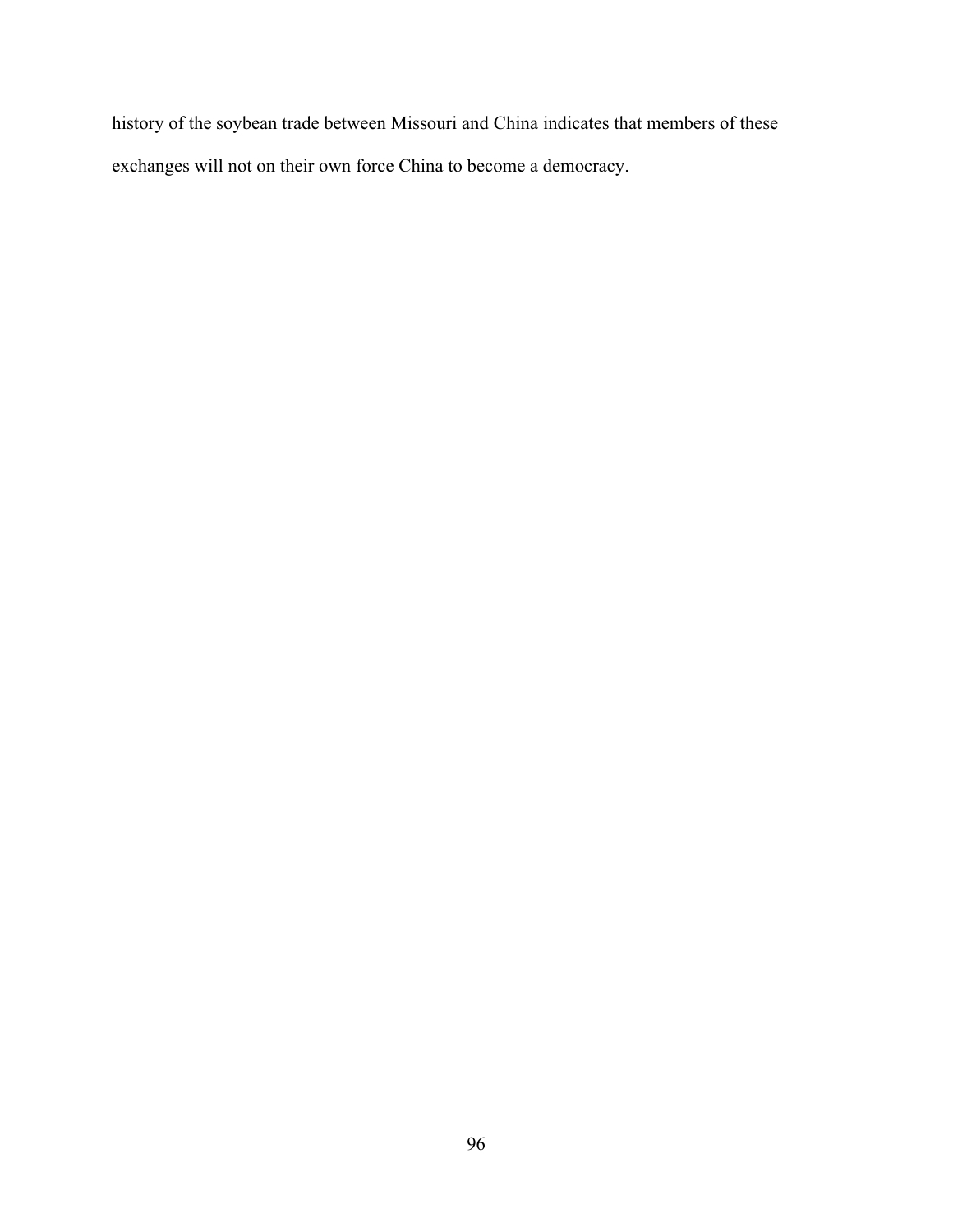history of the soybean trade between Missouri and China indicates that members of these exchanges will not on their own force China to become a democracy.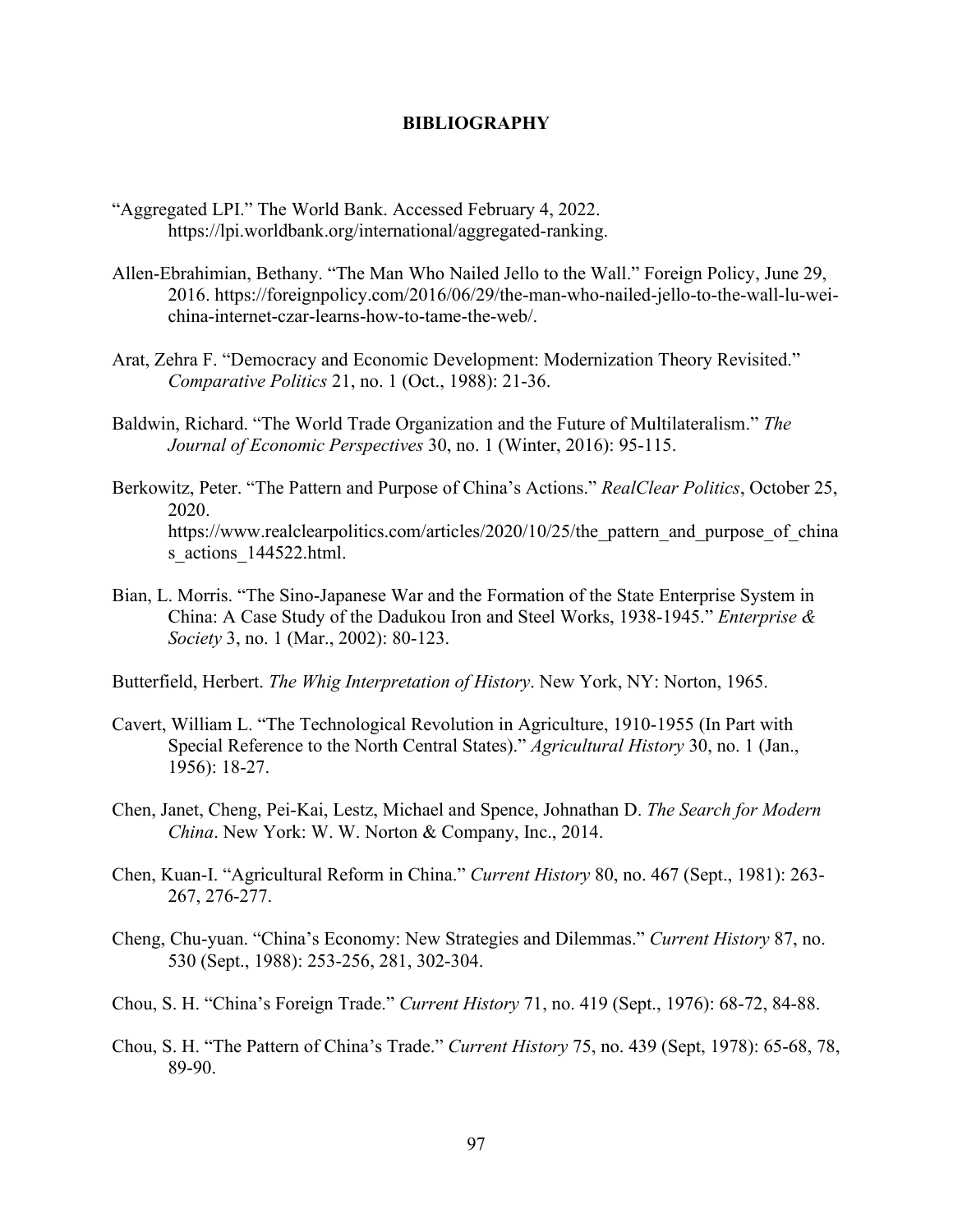### **BIBLIOGRAPHY**

- "Aggregated LPI." The World Bank. Accessed February 4, 2022. https://lpi.worldbank.org/international/aggregated-ranking.
- Allen-Ebrahimian, Bethany. "The Man Who Nailed Jello to the Wall." Foreign Policy, June 29, 2016. https://foreignpolicy.com/2016/06/29/the-man-who-nailed-jello-to-the-wall-lu-weichina-internet-czar-learns-how-to-tame-the-web/.
- Arat, Zehra F. "Democracy and Economic Development: Modernization Theory Revisited." *Comparative Politics* 21, no. 1 (Oct., 1988): 21-36.
- Baldwin, Richard. "The World Trade Organization and the Future of Multilateralism." *The Journal of Economic Perspectives* 30, no. 1 (Winter, 2016): 95-115.
- Berkowitz, Peter. "The Pattern and Purpose of China's Actions." *RealClear Politics*, October 25, 2020. https://www.realclearpolitics.com/articles/2020/10/25/the pattern and purpose of china s actions 144522.html.
- Bian, L. Morris. "The Sino-Japanese War and the Formation of the State Enterprise System in China: A Case Study of the Dadukou Iron and Steel Works, 1938-1945." *Enterprise & Society* 3, no. 1 (Mar., 2002): 80-123.
- Butterfield, Herbert. *The Whig Interpretation of History*. New York, NY: Norton, 1965.
- Cavert, William L. "The Technological Revolution in Agriculture, 1910-1955 (In Part with Special Reference to the North Central States)." *Agricultural History* 30, no. 1 (Jan., 1956): 18-27.
- Chen, Janet, Cheng, Pei-Kai, Lestz, Michael and Spence, Johnathan D. *The Search for Modern China*. New York: W. W. Norton & Company, Inc., 2014.
- Chen, Kuan-I. "Agricultural Reform in China." *Current History* 80, no. 467 (Sept., 1981): 263- 267, 276-277.
- Cheng, Chu-yuan. "China's Economy: New Strategies and Dilemmas." *Current History* 87, no. 530 (Sept., 1988): 253-256, 281, 302-304.
- Chou, S. H. "China's Foreign Trade." *Current History* 71, no. 419 (Sept., 1976): 68-72, 84-88.
- Chou, S. H. "The Pattern of China's Trade." *Current History* 75, no. 439 (Sept, 1978): 65-68, 78, 89-90.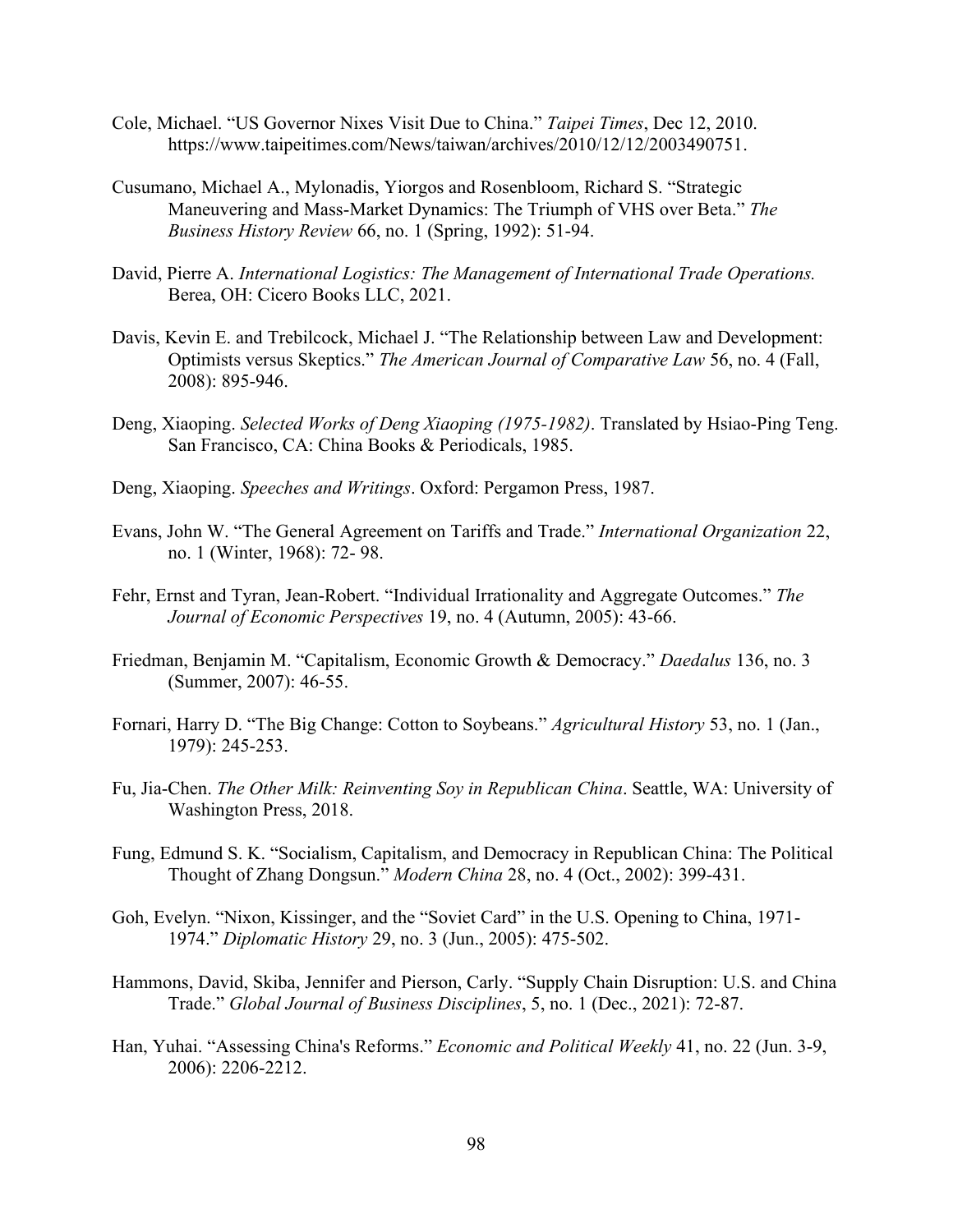- Cole, Michael. "US Governor Nixes Visit Due to China." *Taipei Times*, Dec 12, 2010. https://www.taipeitimes.com/News/taiwan/archives/2010/12/12/2003490751.
- Cusumano, Michael A., Mylonadis, Yiorgos and Rosenbloom, Richard S. "Strategic Maneuvering and Mass-Market Dynamics: The Triumph of VHS over Beta." *The Business History Review* 66, no. 1 (Spring, 1992): 51-94.
- David, Pierre A. *International Logistics: The Management of International Trade Operations.*  Berea, OH: Cicero Books LLC, 2021.
- Davis, Kevin E. and Trebilcock, Michael J. "The Relationship between Law and Development: Optimists versus Skeptics." *The American Journal of Comparative Law* 56, no. 4 (Fall, 2008): 895-946.
- Deng, Xiaoping. *Selected Works of Deng Xiaoping (1975-1982)*. Translated by Hsiao-Ping Teng. San Francisco, CA: China Books & Periodicals, 1985.
- Deng, Xiaoping. *Speeches and Writings*. Oxford: Pergamon Press, 1987.
- Evans, John W. "The General Agreement on Tariffs and Trade." *International Organization* 22, no. 1 (Winter, 1968): 72- 98.
- Fehr, Ernst and Tyran, Jean-Robert. "Individual Irrationality and Aggregate Outcomes." *The Journal of Economic Perspectives* 19, no. 4 (Autumn, 2005): 43-66.
- Friedman, Benjamin M. "Capitalism, Economic Growth & Democracy." *Daedalus* 136, no. 3 (Summer, 2007): 46-55.
- Fornari, Harry D. "The Big Change: Cotton to Soybeans." *Agricultural History* 53, no. 1 (Jan., 1979): 245-253.
- Fu, Jia-Chen. *The Other Milk: Reinventing Soy in Republican China*. Seattle, WA: University of Washington Press, 2018.
- Fung, Edmund S. K. "Socialism, Capitalism, and Democracy in Republican China: The Political Thought of Zhang Dongsun." *Modern China* 28, no. 4 (Oct., 2002): 399-431.
- Goh, Evelyn. "Nixon, Kissinger, and the "Soviet Card" in the U.S. Opening to China, 1971- 1974." *Diplomatic History* 29, no. 3 (Jun., 2005): 475-502.
- Hammons, David, Skiba, Jennifer and Pierson, Carly. "Supply Chain Disruption: U.S. and China Trade." *Global Journal of Business Disciplines*, 5, no. 1 (Dec., 2021): 72-87.
- Han, Yuhai. "Assessing China's Reforms." *Economic and Political Weekly* 41, no. 22 (Jun. 3-9, 2006): 2206-2212.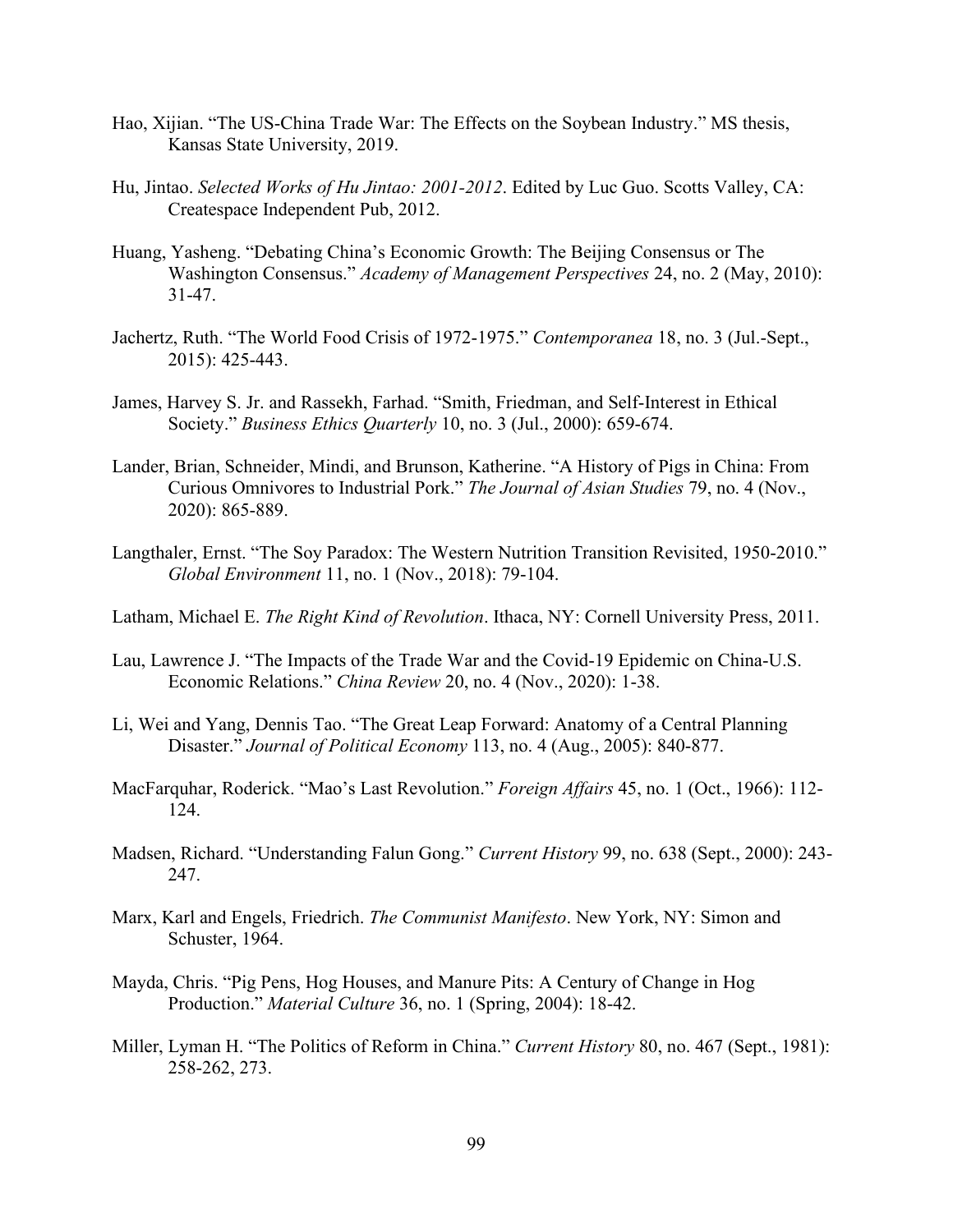- Hao, Xijian. "The US-China Trade War: The Effects on the Soybean Industry." MS thesis, Kansas State University, 2019.
- Hu, Jintao. *Selected Works of Hu Jintao: 2001-2012*. Edited by Luc Guo. Scotts Valley, CA: Createspace Independent Pub, 2012.
- Huang, Yasheng. "Debating China's Economic Growth: The Beijing Consensus or The Washington Consensus." *Academy of Management Perspectives* 24, no. 2 (May, 2010): 31-47.
- Jachertz, Ruth. "The World Food Crisis of 1972-1975." *Contemporanea* 18, no. 3 (Jul.-Sept., 2015): 425-443.
- James, Harvey S. Jr. and Rassekh, Farhad. "Smith, Friedman, and Self-Interest in Ethical Society." *Business Ethics Quarterly* 10, no. 3 (Jul., 2000): 659-674.
- Lander, Brian, Schneider, Mindi, and Brunson, Katherine. "A History of Pigs in China: From Curious Omnivores to Industrial Pork." *The Journal of Asian Studies* 79, no. 4 (Nov., 2020): 865-889.
- Langthaler, Ernst. "The Soy Paradox: The Western Nutrition Transition Revisited, 1950-2010." *Global Environment* 11, no. 1 (Nov., 2018): 79-104.
- Latham, Michael E. *The Right Kind of Revolution*. Ithaca, NY: Cornell University Press, 2011.
- Lau, Lawrence J. "The Impacts of the Trade War and the Covid-19 Epidemic on China-U.S. Economic Relations." *China Review* 20, no. 4 (Nov., 2020): 1-38.
- Li, Wei and Yang, Dennis Tao. "The Great Leap Forward: Anatomy of a Central Planning Disaster." *Journal of Political Economy* 113, no. 4 (Aug., 2005): 840-877.
- MacFarquhar, Roderick. "Mao's Last Revolution." *Foreign Affairs* 45, no. 1 (Oct., 1966): 112- 124.
- Madsen, Richard. "Understanding Falun Gong." *Current History* 99, no. 638 (Sept., 2000): 243- 247.
- Marx, Karl and Engels, Friedrich. *The Communist Manifesto*. New York, NY: Simon and Schuster, 1964.
- Mayda, Chris. "Pig Pens, Hog Houses, and Manure Pits: A Century of Change in Hog Production." *Material Culture* 36, no. 1 (Spring, 2004): 18-42.
- Miller, Lyman H. "The Politics of Reform in China." *Current History* 80, no. 467 (Sept., 1981): 258-262, 273.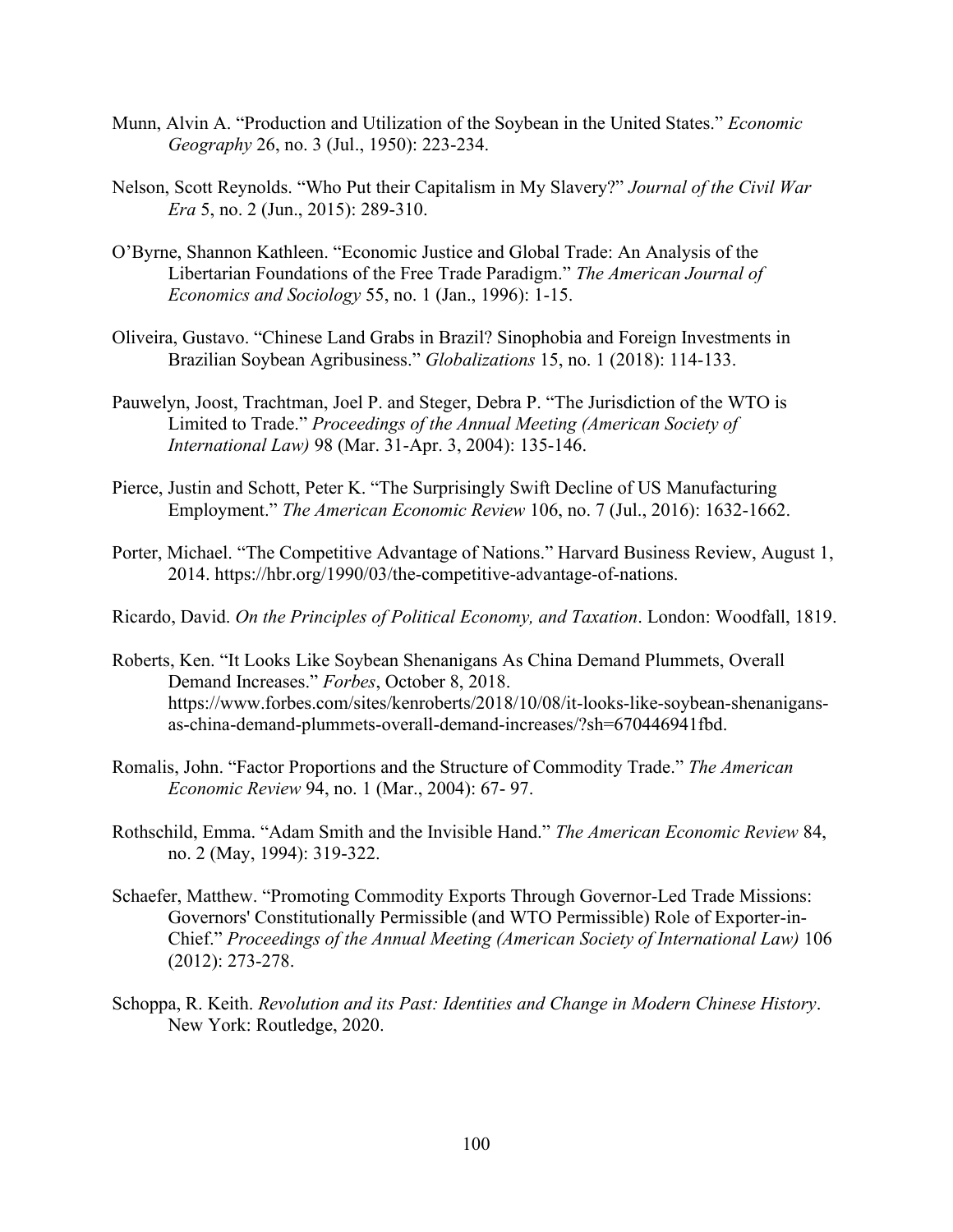- Munn, Alvin A. "Production and Utilization of the Soybean in the United States." *Economic Geography* 26, no. 3 (Jul., 1950): 223-234.
- Nelson, Scott Reynolds. "Who Put their Capitalism in My Slavery?" *Journal of the Civil War Era* 5, no. 2 (Jun., 2015): 289-310.
- O'Byrne, Shannon Kathleen. "Economic Justice and Global Trade: An Analysis of the Libertarian Foundations of the Free Trade Paradigm." *The American Journal of Economics and Sociology* 55, no. 1 (Jan., 1996): 1-15.
- Oliveira, Gustavo. "Chinese Land Grabs in Brazil? Sinophobia and Foreign Investments in Brazilian Soybean Agribusiness." *Globalizations* 15, no. 1 (2018): 114-133.
- Pauwelyn, Joost, Trachtman, Joel P. and Steger, Debra P. "The Jurisdiction of the WTO is Limited to Trade." *Proceedings of the Annual Meeting (American Society of International Law)* 98 (Mar. 31-Apr. 3, 2004): 135-146.
- Pierce, Justin and Schott, Peter K. "The Surprisingly Swift Decline of US Manufacturing Employment." *The American Economic Review* 106, no. 7 (Jul., 2016): 1632-1662.
- Porter, Michael. "The Competitive Advantage of Nations." Harvard Business Review, August 1, 2014. https://hbr.org/1990/03/the-competitive-advantage-of-nations.
- Ricardo, David. *On the Principles of Political Economy, and Taxation*. London: Woodfall, 1819.
- Roberts, Ken. "It Looks Like Soybean Shenanigans As China Demand Plummets, Overall Demand Increases." *Forbes*, October 8, 2018. https://www.forbes.com/sites/kenroberts/2018/10/08/it-looks-like-soybean-shenanigansas-china-demand-plummets-overall-demand-increases/?sh=670446941fbd.
- Romalis, John. "Factor Proportions and the Structure of Commodity Trade." *The American Economic Review* 94, no. 1 (Mar., 2004): 67- 97.
- Rothschild, Emma. "Adam Smith and the Invisible Hand." *The American Economic Review* 84, no. 2 (May, 1994): 319-322.
- Schaefer, Matthew. "Promoting Commodity Exports Through Governor-Led Trade Missions: Governors' Constitutionally Permissible (and WTO Permissible) Role of Exporter-in-Chief." *Proceedings of the Annual Meeting (American Society of International Law)* 106 (2012): 273-278.
- Schoppa, R. Keith. *Revolution and its Past: Identities and Change in Modern Chinese History*. New York: Routledge, 2020.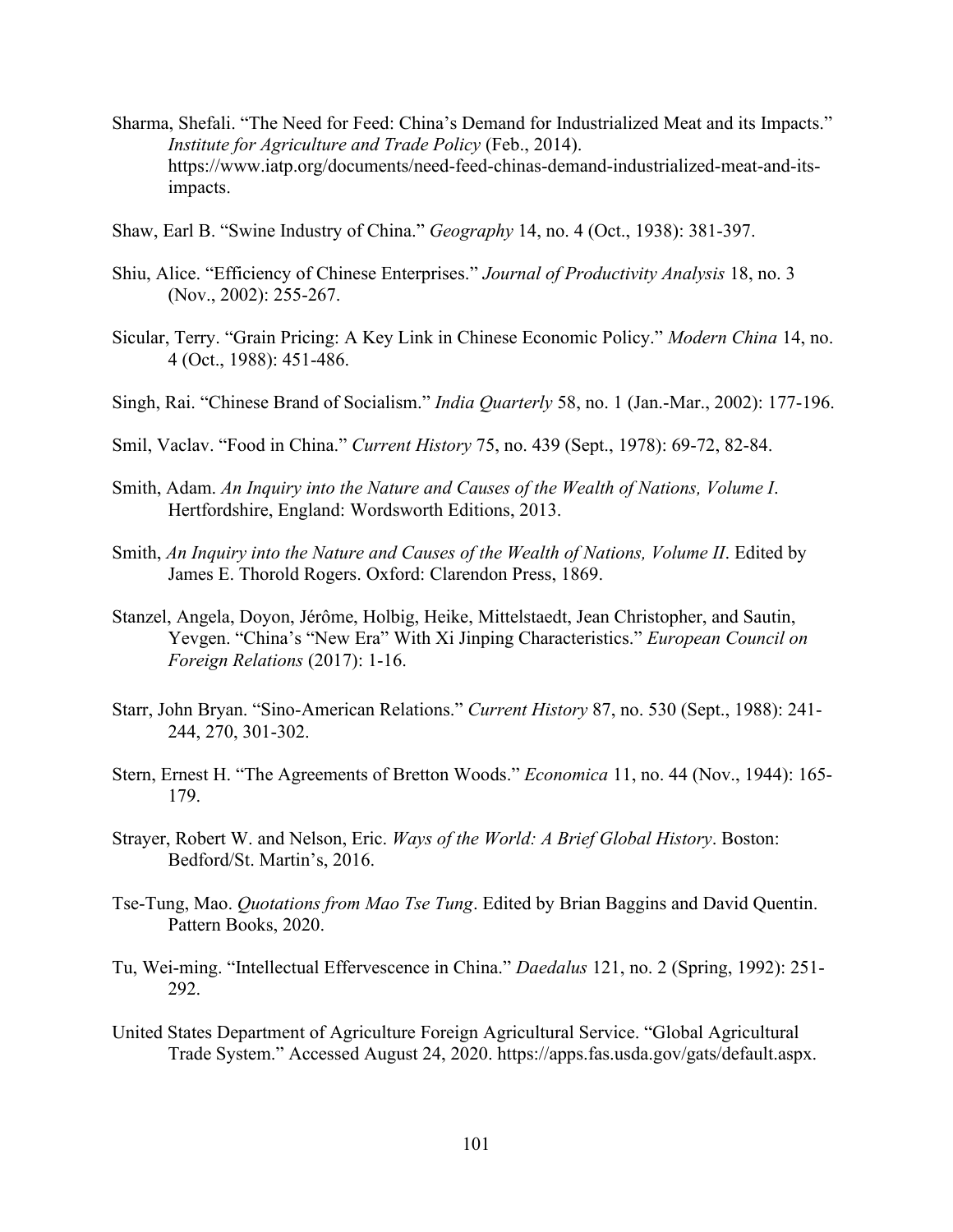- Sharma, Shefali. "The Need for Feed: China's Demand for Industrialized Meat and its Impacts." *Institute for Agriculture and Trade Policy* (Feb., 2014). https://www.iatp.org/documents/need-feed-chinas-demand-industrialized-meat-and-itsimpacts.
- Shaw, Earl B. "Swine Industry of China." *Geography* 14, no. 4 (Oct., 1938): 381-397.
- Shiu, Alice. "Efficiency of Chinese Enterprises." *Journal of Productivity Analysis* 18, no. 3 (Nov., 2002): 255-267.
- Sicular, Terry. "Grain Pricing: A Key Link in Chinese Economic Policy." *Modern China* 14, no. 4 (Oct., 1988): 451-486.
- Singh, Rai. "Chinese Brand of Socialism." *India Quarterly* 58, no. 1 (Jan.-Mar., 2002): 177-196.
- Smil, Vaclav. "Food in China." *Current History* 75, no. 439 (Sept., 1978): 69-72, 82-84.
- Smith, Adam. *An Inquiry into the Nature and Causes of the Wealth of Nations, Volume I*. Hertfordshire, England: Wordsworth Editions, 2013.
- Smith, *An Inquiry into the Nature and Causes of the Wealth of Nations, Volume II*. Edited by James E. Thorold Rogers. Oxford: Clarendon Press, 1869.
- Stanzel, Angela, Doyon, Jérôme, Holbig, Heike, Mittelstaedt, Jean Christopher, and Sautin, Yevgen. "China's "New Era" With Xi Jinping Characteristics." *European Council on Foreign Relations* (2017): 1-16.
- Starr, John Bryan. "Sino-American Relations." *Current History* 87, no. 530 (Sept., 1988): 241- 244, 270, 301-302.
- Stern, Ernest H. "The Agreements of Bretton Woods." *Economica* 11, no. 44 (Nov., 1944): 165- 179.
- Strayer, Robert W. and Nelson, Eric. *Ways of the World: A Brief Global History*. Boston: Bedford/St. Martin's, 2016.
- Tse-Tung, Mao. *Quotations from Mao Tse Tung*. Edited by Brian Baggins and David Quentin. Pattern Books, 2020.
- Tu, Wei-ming. "Intellectual Effervescence in China." *Daedalus* 121, no. 2 (Spring, 1992): 251- 292.
- United States Department of Agriculture Foreign Agricultural Service. "Global Agricultural Trade System." Accessed August 24, 2020. https://apps.fas.usda.gov/gats/default.aspx.